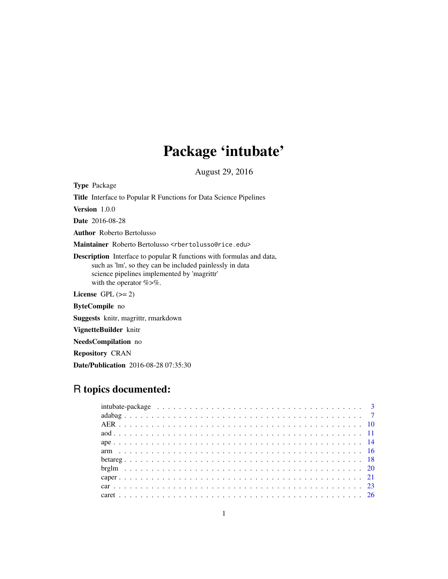# Package 'intubate'

August 29, 2016

Type Package Title Interface to Popular R Functions for Data Science Pipelines Version 1.0.0 Date 2016-08-28 Author Roberto Bertolusso Maintainer Roberto Bertolusso <rbertolusso@rice.edu> Description Interface to popular R functions with formulas and data, such as 'lm', so they can be included painlessly in data science pipelines implemented by 'magrittr' with the operator %>%. License GPL  $(>= 2)$ ByteCompile no Suggests knitr, magrittr, rmarkdown VignetteBuilder knitr NeedsCompilation no

Repository CRAN

Date/Publication 2016-08-28 07:35:30

## R topics documented: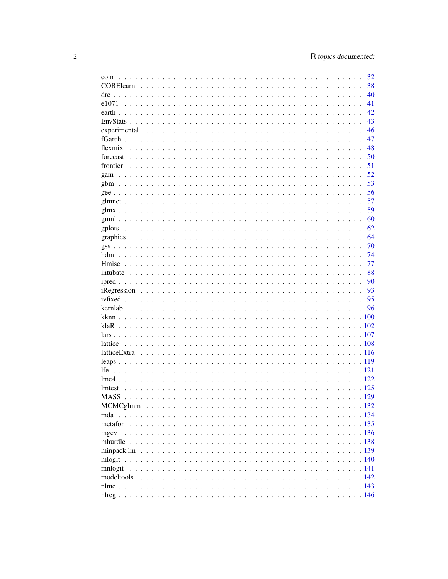| coin         | 32 |
|--------------|----|
|              | 38 |
|              | 40 |
|              | 41 |
|              | 42 |
|              | 43 |
| experimental | 46 |
|              | 47 |
|              | 48 |
|              | 50 |
|              | 51 |
|              | 52 |
|              | 53 |
|              | 56 |
|              | 57 |
|              | 59 |
|              | 60 |
|              | 62 |
|              | 64 |
|              | 70 |
|              | 74 |
|              | 77 |
|              | 88 |
|              | 90 |
|              | 93 |
|              | 95 |
|              | 96 |
|              |    |
|              |    |
|              |    |
|              |    |
|              |    |
|              |    |
|              |    |
|              |    |
|              |    |
|              |    |
|              |    |
|              |    |
|              |    |
| mgcv         |    |
|              |    |
|              |    |
|              |    |
| mnlogit      |    |
|              |    |
|              |    |
|              |    |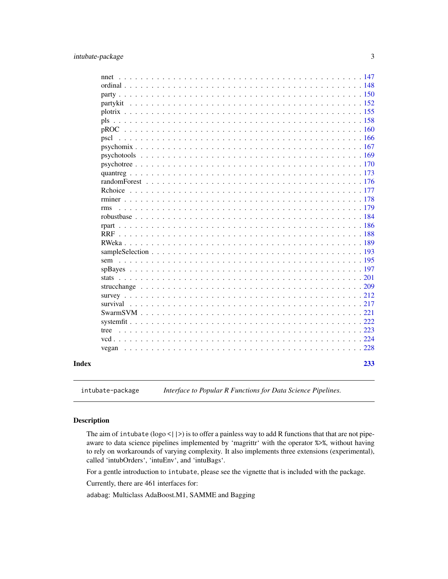#### <span id="page-2-0"></span>intubate-package 3

| 233        |
|------------|
|            |
|            |
|            |
|            |
|            |
|            |
|            |
|            |
|            |
|            |
|            |
|            |
|            |
|            |
|            |
|            |
|            |
|            |
|            |
|            |
|            |
|            |
|            |
|            |
|            |
|            |
|            |
|            |
|            |
|            |
|            |
| <b>rms</b> |

intubate-package *Interface to Popular R Functions for Data Science Pipelines.*

#### Description

The aim of intubate ( $\log o$  <  $|$  >) is to offer a painless way to add R functions that that are not pipeaware to data science pipelines implemented by 'magrittr' with the operator %>%, without having to rely on workarounds of varying complexity. It also implements three extensions (experimental), called 'intubOrders', 'intuEnv', and 'intuBags'.

For a gentle introduction to intubate, please see the vignette that is included with the package.

Currently, there are 461 interfaces for:

adabag: Multiclass AdaBoost.M1, SAMME and Bagging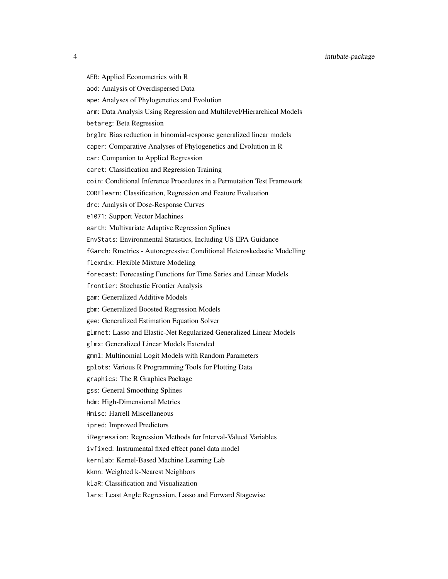- 
- AER: Applied Econometrics with R
- aod: Analysis of Overdispersed Data
- ape: Analyses of Phylogenetics and Evolution
- arm: Data Analysis Using Regression and Multilevel/Hierarchical Models
- betareg: Beta Regression
- brglm: Bias reduction in binomial-response generalized linear models
- caper: Comparative Analyses of Phylogenetics and Evolution in R
- car: Companion to Applied Regression
- caret: Classification and Regression Training
- coin: Conditional Inference Procedures in a Permutation Test Framework
- CORElearn: Classification, Regression and Feature Evaluation
- drc: Analysis of Dose-Response Curves
- e1071: Support Vector Machines
- earth: Multivariate Adaptive Regression Splines
- EnvStats: Environmental Statistics, Including US EPA Guidance
- fGarch: Rmetrics Autoregressive Conditional Heteroskedastic Modelling
- flexmix: Flexible Mixture Modeling
- forecast: Forecasting Functions for Time Series and Linear Models
- frontier: Stochastic Frontier Analysis
- gam: Generalized Additive Models
- gbm: Generalized Boosted Regression Models
- gee: Generalized Estimation Equation Solver
- glmnet: Lasso and Elastic-Net Regularized Generalized Linear Models
- glmx: Generalized Linear Models Extended
- gmnl: Multinomial Logit Models with Random Parameters
- gplots: Various R Programming Tools for Plotting Data
- graphics: The R Graphics Package
- gss: General Smoothing Splines
- hdm: High-Dimensional Metrics
- Hmisc: Harrell Miscellaneous
- ipred: Improved Predictors
- iRegression: Regression Methods for Interval-Valued Variables
- ivfixed: Instrumental fixed effect panel data model
- kernlab: Kernel-Based Machine Learning Lab
- kknn: Weighted k-Nearest Neighbors
- klaR: Classification and Visualization
- lars: Least Angle Regression, Lasso and Forward Stagewise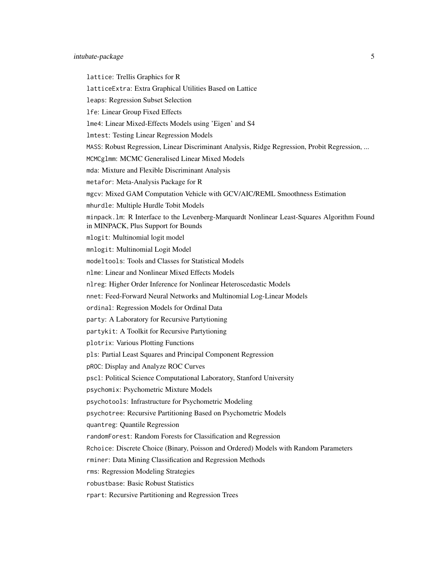#### intubate-package 5

lattice: Trellis Graphics for R latticeExtra: Extra Graphical Utilities Based on Lattice leaps: Regression Subset Selection lfe: Linear Group Fixed Effects lme4: Linear Mixed-Effects Models using 'Eigen' and S4 lmtest: Testing Linear Regression Models MASS: Robust Regression, Linear Discriminant Analysis, Ridge Regression, Probit Regression, ... MCMCglmm: MCMC Generalised Linear Mixed Models mda: Mixture and Flexible Discriminant Analysis metafor: Meta-Analysis Package for R mgcv: Mixed GAM Computation Vehicle with GCV/AIC/REML Smoothness Estimation mhurdle: Multiple Hurdle Tobit Models minpack.lm: R Interface to the Levenberg-Marquardt Nonlinear Least-Squares Algorithm Found in MINPACK, Plus Support for Bounds mlogit: Multinomial logit model mnlogit: Multinomial Logit Model modeltools: Tools and Classes for Statistical Models nlme: Linear and Nonlinear Mixed Effects Models nlreg: Higher Order Inference for Nonlinear Heteroscedastic Models nnet: Feed-Forward Neural Networks and Multinomial Log-Linear Models ordinal: Regression Models for Ordinal Data party: A Laboratory for Recursive Partytioning partykit: A Toolkit for Recursive Partytioning plotrix: Various Plotting Functions pls: Partial Least Squares and Principal Component Regression pROC: Display and Analyze ROC Curves pscl: Political Science Computational Laboratory, Stanford University psychomix: Psychometric Mixture Models psychotools: Infrastructure for Psychometric Modeling psychotree: Recursive Partitioning Based on Psychometric Models quantreg: Quantile Regression randomForest: Random Forests for Classification and Regression Rchoice: Discrete Choice (Binary, Poisson and Ordered) Models with Random Parameters rminer: Data Mining Classification and Regression Methods rms: Regression Modeling Strategies robustbase: Basic Robust Statistics rpart: Recursive Partitioning and Regression Trees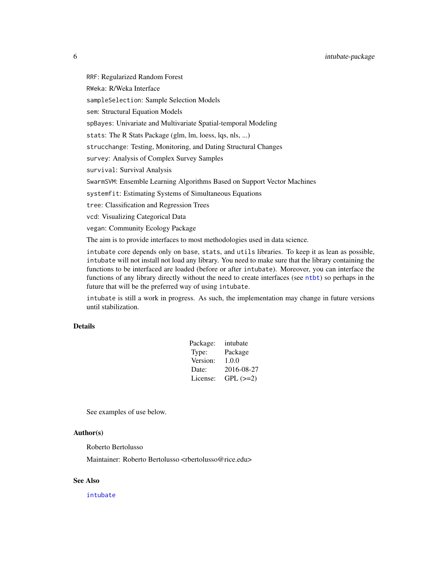RRF: Regularized Random Forest RWeka: R/Weka Interface sampleSelection: Sample Selection Models sem: Structural Equation Models spBayes: Univariate and Multivariate Spatial-temporal Modeling stats: The R Stats Package (glm, lm, loess, lqs, nls, ...) strucchange: Testing, Monitoring, and Dating Structural Changes survey: Analysis of Complex Survey Samples survival: Survival Analysis SwarmSVM: Ensemble Learning Algorithms Based on Support Vector Machines systemfit: Estimating Systems of Simultaneous Equations tree: Classification and Regression Trees vcd: Visualizing Categorical Data vegan: Community Ecology Package The aim is to provide interfaces to most methodologies used in data science. intubate core depends only on base, stats, and utils libraries. To keep it as lean as possible,

intubate will not install not load any library. You need to make sure that the library containing the functions to be interfaced are loaded (before or after intubate). Moreover, you can interface the functions of any library directly without the need to create interfaces (see [ntbt](#page-87-1)) so perhaps in the future that will be the preferred way of using intubate.

intubate is still a work in progress. As such, the implementation may change in future versions until stabilization.

#### Details

| Package: | intubate   |
|----------|------------|
| Type:    | Package    |
| Version: | 1.0.0      |
| Date:    | 2016-08-27 |
| License: | $GPL (=2)$ |

See examples of use below.

#### Author(s)

Roberto Bertolusso

Maintainer: Roberto Bertolusso <rbertolusso@rice.edu>

#### See Also

[intubate](#page-87-2)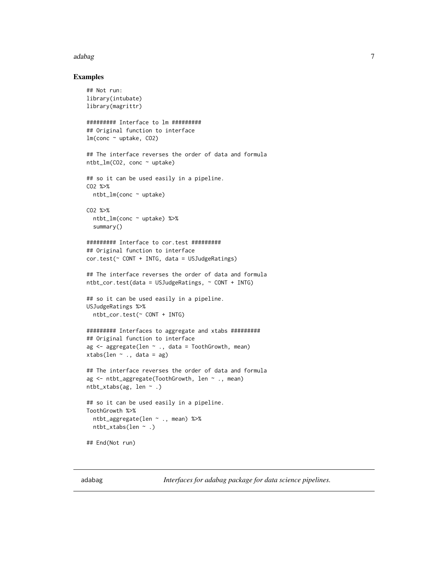#### <span id="page-6-0"></span>adabag 7

#### Examples

```
## Not run:
library(intubate)
library(magrittr)
######### Interface to lm #########
## Original function to interface
lm(\text{conc} \sim uptake, CO2)## The interface reverses the order of data and formula
ntbt_lm(CO2, conc ~ uptake)
## so it can be used easily in a pipeline.
CO2 %>%
  ntbt_lm(conc ~ uptake)
CO2 %>%
  ntbt_lm(conc ~ uptake) %>%
  summary()
######### Interface to cor.test #########
## Original function to interface
cor.test(~ CONT + INTG, data = USJudgeRatings)
## The interface reverses the order of data and formula
ntbt_cor.test(data = USJudgeRatings, ~ CONT + INTG)
## so it can be used easily in a pipeline.
USJudgeRatings %>%
  ntbt_cor.test(~ CONT + INTG)
######### Interfaces to aggregate and xtabs #########
## Original function to interface
ag <- aggregate(len ~ ., data = ToothGrowth, mean)
xtabs(len \sim ., data = ag)
## The interface reverses the order of data and formula
ag <- ntbt_aggregate(ToothGrowth, len ~ ., mean)
ntbt_xtabs(ag, len ~ .)
## so it can be used easily in a pipeline.
ToothGrowth %>%
  ntbt_aggregate(len ~ ., mean) %>%
  ntbt_xtabs(len ~ .)
## End(Not run)
```
adabag *Interfaces for adabag package for data science pipelines.*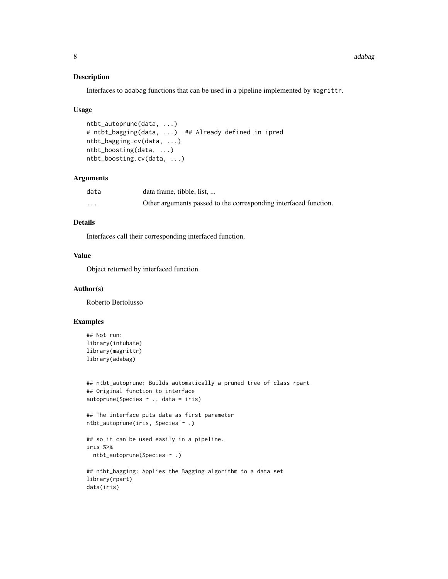#### Description

Interfaces to adabag functions that can be used in a pipeline implemented by magrittr.

#### Usage

```
ntbt_autoprune(data, ...)
# ntbt_bagging(data, ...) ## Already defined in ipred
ntbt_bagging.cv(data, ...)
ntbt_boosting(data, ...)
ntbt_boosting.cv(data, ...)
```
#### Arguments

| data     | data frame, tibble, list,                                        |
|----------|------------------------------------------------------------------|
| $\cdots$ | Other arguments passed to the corresponding interfaced function. |

#### Details

Interfaces call their corresponding interfaced function.

#### Value

Object returned by interfaced function.

#### Author(s)

Roberto Bertolusso

```
## Not run:
library(intubate)
library(magrittr)
library(adabag)
```

```
## ntbt_autoprune: Builds automatically a pruned tree of class rpart
## Original function to interface
autoprune(Species \sim ., data = iris)
```

```
## The interface puts data as first parameter
ntbt_autoprune(iris, Species ~ .)
```

```
## so it can be used easily in a pipeline.
iris %>%
 ntbt_autoprune(Species ~ .)
```

```
## ntbt_bagging: Applies the Bagging algorithm to a data set
library(rpart)
data(iris)
```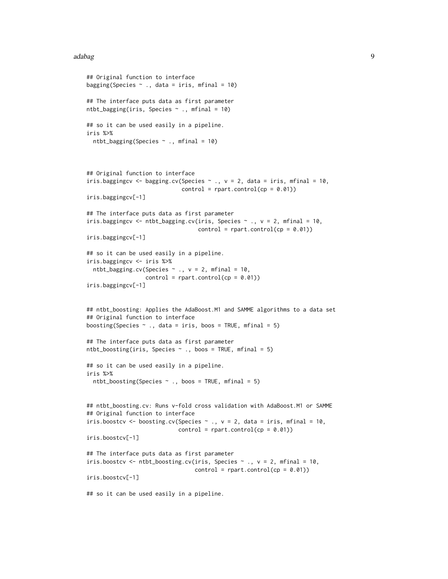#### adabag 9

```
## Original function to interface
bagging(Species \sim ., data = iris, mfinal = 10)
## The interface puts data as first parameter
ntbt_bagging(iris, Species \sim ., mfinal = 10)
## so it can be used easily in a pipeline.
iris %>%
  ntbt_bagging(Species \sim ., mfinal = 10)
## Original function to interface
iris.baggingcv <- bagging.cv(Species \sim ., v = 2, data = iris, mfinal = 10,
                             control = rpart.control(cp = 0.01))iris.baggingcv[-1]
## The interface puts data as first parameter
iris.baggingcv <- ntbt_bagging.cv(iris, Species \sim ., v = 2, mfinal = 10,
                                   control = rpart.contrib(cp = 0.01))iris.baggingcv[-1]
## so it can be used easily in a pipeline.
iris.baggingcv <- iris %>%
  ntbt_bagging.cv(Species \sim ., v = 2, mfinal = 10,
                  control = rpart.control(cp = 0.01))iris.baggingcv[-1]
## ntbt_boosting: Applies the AdaBoost.M1 and SAMME algorithms to a data set
## Original function to interface
boosting(Species \sim ., data = iris, boos = TRUE, mfinal = 5)
## The interface puts data as first parameter
ntbt_boosting(iris, Species \sim ., boos = TRUE, mfinal = 5)
## so it can be used easily in a pipeline.
iris %>%
  ntbt_boosting(Species \sim ., boos = TRUE, mfinal = 5)
## ntbt_boosting.cv: Runs v-fold cross validation with AdaBoost.M1 or SAMME
## Original function to interface
iris.boostcv \leq boosting.cv(Species \sim ., v = 2, data = iris, mfinal = 10,
                            control = rpart.contrib(cp = 0.01))iris.boostcv[-1]
## The interface puts data as first parameter
iris.boostcv <- ntbt_boosting.cv(iris, Species \sim ., v = 2, mfinal = 10,
                                 control = rpart.control(cp = 0.01)iris.boostcv[-1]
## so it can be used easily in a pipeline.
```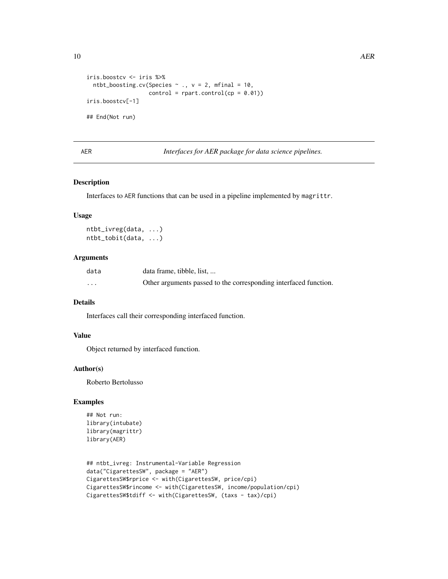```
iris.boostcv <- iris %>%
 ntbt_boosting.cv(Species \sim ., v = 2, mfinal = 10,
                   control = rpart.contrib(cp = 0.01))iris.boostcv[-1]
## End(Not run)
```
AER *Interfaces for AER package for data science pipelines.*

#### Description

Interfaces to AER functions that can be used in a pipeline implemented by magrittr.

#### Usage

ntbt\_ivreg(data, ...) ntbt\_tobit(data, ...)

#### Arguments

| data     | data frame, tibble, list,                                        |
|----------|------------------------------------------------------------------|
| $\cdots$ | Other arguments passed to the corresponding interfaced function. |

#### Details

Interfaces call their corresponding interfaced function.

#### Value

Object returned by interfaced function.

#### Author(s)

Roberto Bertolusso

```
## Not run:
library(intubate)
library(magrittr)
library(AER)
```

```
## ntbt_ivreg: Instrumental-Variable Regression
data("CigarettesSW", package = "AER")
CigarettesSW$rprice <- with(CigarettesSW, price/cpi)
CigarettesSW$rincome <- with(CigarettesSW, income/population/cpi)
CigarettesSW$tdiff <- with(CigarettesSW, (taxs - tax)/cpi)
```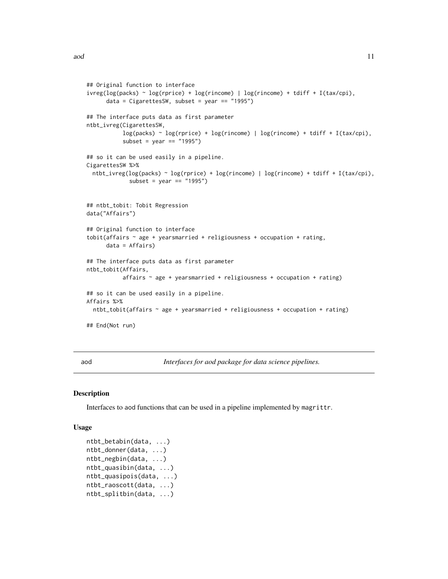```
## Original function to interface
ivreg(log(packs) ~ log(rprice) + log(rincome) | log(rincome) + tdiff + I(tax/cpi),
      data = CigarettesSW, subset = year == "1995")
## The interface puts data as first parameter
ntbt_ivreg(CigarettesSW,
           log(packs) \sim log(rprice) + log(rincome) + log(rincome) + tdiff + I(tax/cpi),subset = year == "1995")
## so it can be used easily in a pipeline.
CigarettesSW %>%
  ntbt_ivreg(log(packs) ~ log(rprice) + log(rincome) | log(rincome) + tdiff + I(tax/cpi),
             subset = year == "1995")
## ntbt_tobit: Tobit Regression
data("Affairs")
## Original function to interface
tobit(affairs \sim age + yearsmarried + religiousness + occupation + rating,
      data = Affairs)
## The interface puts data as first parameter
ntbt_tobit(Affairs,
           affairs \sim age + yearsmarried + religiousness + occupation + rating)
## so it can be used easily in a pipeline.
Affairs %>%
  ntbt_tobit(affairs ~ age + yearsmarried + religiousness + occupation + rating)
## End(Not run)
```
aod *Interfaces for aod package for data science pipelines.*

#### Description

Interfaces to aod functions that can be used in a pipeline implemented by magrittr.

#### Usage

```
ntbt_betabin(data, ...)
ntbt_donner(data, ...)
ntbt_negbin(data, ...)
ntbt_quasibin(data, ...)
ntbt_quasipois(data, ...)
ntbt_raoscott(data, ...)
ntbt_splitbin(data, ...)
```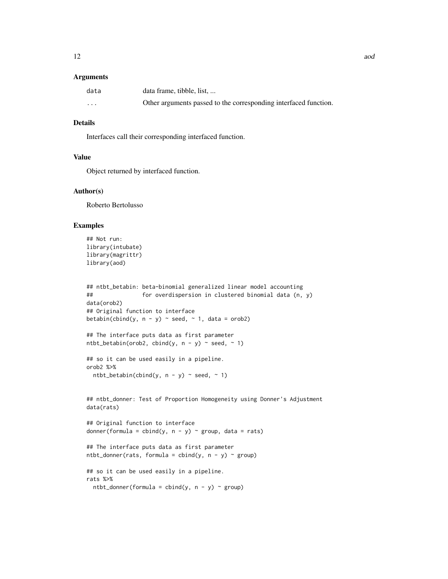#### **Arguments**

| data                    | data frame, tibble, list,                                        |
|-------------------------|------------------------------------------------------------------|
| $\cdot$ $\cdot$ $\cdot$ | Other arguments passed to the corresponding interfaced function. |

#### Details

Interfaces call their corresponding interfaced function.

#### Value

Object returned by interfaced function.

#### Author(s)

Roberto Bertolusso

```
## Not run:
library(intubate)
library(magrittr)
library(aod)
```

```
## ntbt_betabin: beta-binomial generalized linear model accounting
## for overdispersion in clustered binomial data (n, y)
data(orob2)
## Original function to interface
betabin(cbind(y, n - y) \sim seed, \sim 1, data = orob2)
```

```
## The interface puts data as first parameter
ntbt_betabin(orob2, cbind(y, n - y) \sim seed, \sim 1)
```

```
## so it can be used easily in a pipeline.
orob2 %>%
 ntbt_betabin(cbind(y, n - y) ~ seed, ~ 1)
```

```
## ntbt_donner: Test of Proportion Homogeneity using Donner's Adjustment
data(rats)
```

```
## Original function to interface
donner(formula = cbind(y, n - y) \sim group, data = rats)
```

```
## The interface puts data as first parameter
ntbt_donner(rats, formula = cbind(y, n - y) ~ group)
```

```
## so it can be used easily in a pipeline.
rats %>%
 ntbt_donner(formula = cbind(y, n - y) ~ group)
```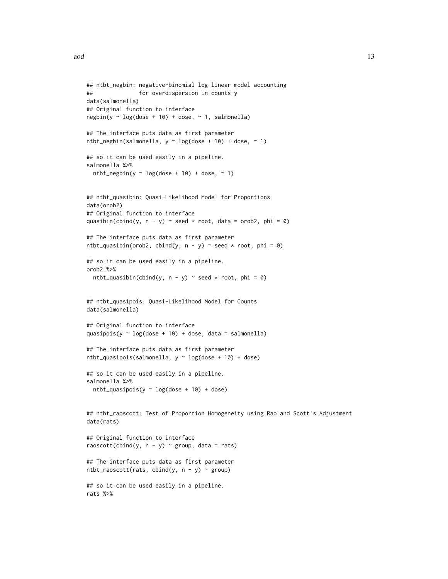```
## ntbt_negbin: negative-binomial log linear model accounting
## for overdispersion in counts y
data(salmonella)
## Original function to interface
negbin(y \sim log(dose + 10) + dose, \sim 1, salmonella)
## The interface puts data as first parameter
ntbt_negbin(salmonella, y \sim \log(dose + 10) + dose, ~ 1)
## so it can be used easily in a pipeline.
salmonella %>%
 ntbt_negbin(y \sim log(dose + 10) + dose, \sim 1)
## ntbt_quasibin: Quasi-Likelihood Model for Proportions
data(orob2)
## Original function to interface
quasibin(cbind(y, n - y) \sim seed \star root, data = orob2, phi = 0)
## The interface puts data as first parameter
ntbt_quasibin(orob2, cbind(y, n - y) ~ seed * root, phi = 0)
## so it can be used easily in a pipeline.
orob2 %>%
 ntbt_quasibin(cbind(y, n - y) ~ seed * root, phi = 0)
## ntbt_quasipois: Quasi-Likelihood Model for Counts
data(salmonella)
## Original function to interface
quasipois(y \sim log(dose + 10) + dose, data = salmonella)
## The interface puts data as first parameter
ntbt_quasipois(salmonella, y ~ log(dose + 10) + dose)
## so it can be used easily in a pipeline.
salmonella %>%
 ntbt_quasipois(y \sim log(dose + 10) + dose)
## ntbt_raoscott: Test of Proportion Homogeneity using Rao and Scott's Adjustment
data(rats)
## Original function to interface
raoscott(cbind(y, n - y) ~ group, data = rats)
## The interface puts data as first parameter
ntbt\_raoscott(rats, chind(y, n - y) \sim group)## so it can be used easily in a pipeline.
rats %>%
```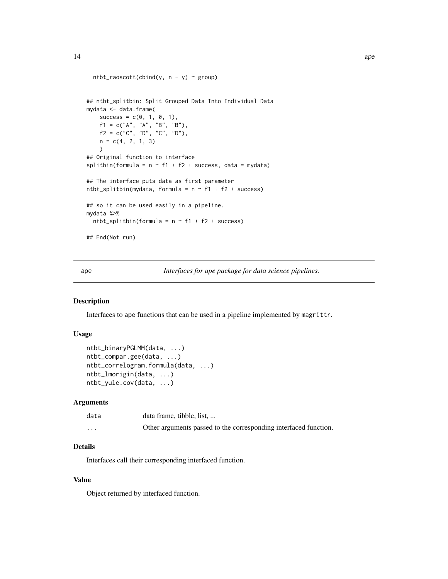```
ntbt_raoscott(cbind(y, n - y) ~ group)
## ntbt_splitbin: Split Grouped Data Into Individual Data
mydata <- data.frame(
   success = c(0, 1, 0, 1),f1 = c("A", "A", "B", "B"),f2 = c("C", "D", "C", "D"),n = c(4, 2, 1, 3))
## Original function to interface
splitbin(formula = n \sim f1 + f2 + success, data = mydata)
## The interface puts data as first parameter
ntbt_splitbin(mydata, formula = n \sim f1 + f2 + success)
## so it can be used easily in a pipeline.
mydata %>%
  ntbt_splitbin(formula = n \sim f1 + f2 + success)
## End(Not run)
```
ape *Interfaces for ape package for data science pipelines.*

#### Description

Interfaces to ape functions that can be used in a pipeline implemented by magrittr.

#### Usage

```
ntbt_binaryPGLMM(data, ...)
ntbt_compar.gee(data, ...)
ntbt_correlogram.formula(data, ...)
ntbt_lmorigin(data, ...)
ntbt_yule.cov(data, ...)
```
#### Arguments

| data     | data frame, tibble, list,                                        |
|----------|------------------------------------------------------------------|
| $\cdots$ | Other arguments passed to the corresponding interfaced function. |

#### Details

Interfaces call their corresponding interfaced function.

#### Value

Object returned by interfaced function.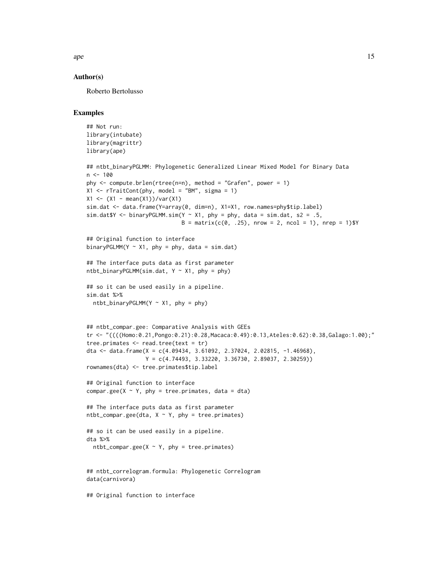$ape$  15

#### Author(s)

Roberto Bertolusso

```
## Not run:
library(intubate)
library(magrittr)
library(ape)
## ntbt_binaryPGLMM: Phylogenetic Generalized Linear Mixed Model for Binary Data
n < -100phy \le compute.brlen(rtree(n=n), method = "Grafen", power = 1)
X1 \leq rTraitCont(phy, model = "BM", sigma = 1)
X1 \leftarrow (X1 - \text{mean}(X1)) / \text{var}(X1)sim.dat <- data.frame(Y=array(0, dim=n), X1=X1, row.names=phy$tip.label)
sim.dat$Y <- binaryPGLMM.sim(Y ~ X1, phy = phy, data = sim.dat, s2 = .5,
                             B = matrix(c(0, .25), nrow = 2, ncol = 1), nrep = 1)$Y
## Original function to interface
binaryPGLMM(Y \sim X1, phy = phy, data = sim.dat)
## The interface puts data as first parameter
ntbt_binaryPGLMM(sim.dat, Y \sim X1, phy = phy)
## so it can be used easily in a pipeline.
sim.dat %>%
  ntbt_binaryPGLMM(Y ~ X1, phy = phy)## ntbt_compar.gee: Comparative Analysis with GEEs
tr <- "((((Homo:0.21,Pongo:0.21):0.28,Macaca:0.49):0.13,Ateles:0.62):0.38,Galago:1.00);"
tree.primates <- read.tree(text = tr)
dta <- data.frame(X = c(4.09434, 3.61092, 2.37024, 2.02815, -1.46968),
                  Y = c(4.74493, 3.33220, 3.36730, 2.89037, 2.30259))
rownames(dta) <- tree.primates$tip.label
## Original function to interface
compar.gee(X \sim Y, phy = tree.primates, data = dta)
## The interface puts data as first parameter
ntbt_compar.gee(dta, X \sim Y, phy = tree.primates)
## so it can be used easily in a pipeline.
dta %>%
  ntbt_compar.gee(X \sim Y, phy = tree.primates)
## ntbt_correlogram.formula: Phylogenetic Correlogram
data(carnivora)
## Original function to interface
```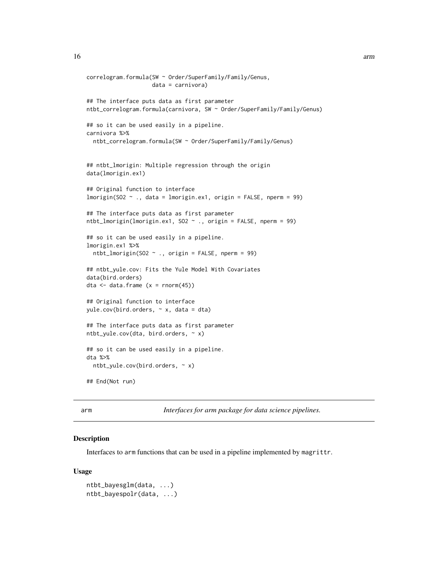```
correlogram.formula(SW ~ Order/SuperFamily/Family/Genus,
                    data = carnivora)
## The interface puts data as first parameter
ntbt_correlogram.formula(carnivora, SW ~ Order/SuperFamily/Family/Genus)
## so it can be used easily in a pipeline.
carnivora %>%
  ntbt_correlogram.formula(SW ~ Order/SuperFamily/Family/Genus)
## ntbt_lmorigin: Multiple regression through the origin
data(lmorigin.ex1)
## Original function to interface
lmorigin(SO2 ~ ., data = lmorigin.ex1, origin = FALSE, nperm = 99)
## The interface puts data as first parameter
ntbt_lmorigin(lmorigin.ex1, SO2 ~ ., origin = FALSE, nperm = 99)
## so it can be used easily in a pipeline.
lmorigin.ex1 %>%
  ntbt_lmorigin(SO2 ~ ., origin = FALSE, nperm = 99)
## ntbt_yule.cov: Fits the Yule Model With Covariates
data(bird.orders)
dta \leq data.frame (x = rnorm(45))
## Original function to interface
yule.cov(bird.orders, ~ x, data = dta)
## The interface puts data as first parameter
ntbt_yule.cov(dta, bird.orders, ~ x)## so it can be used easily in a pipeline.
dta %>%
  ntbt_yule.cov(bird.orders, ~ x)
## End(Not run)
```
arm *Interfaces for arm package for data science pipelines.*

#### Description

Interfaces to arm functions that can be used in a pipeline implemented by magrittr.

#### Usage

```
ntbt_bayesglm(data, ...)
ntbt_bayespolr(data, ...)
```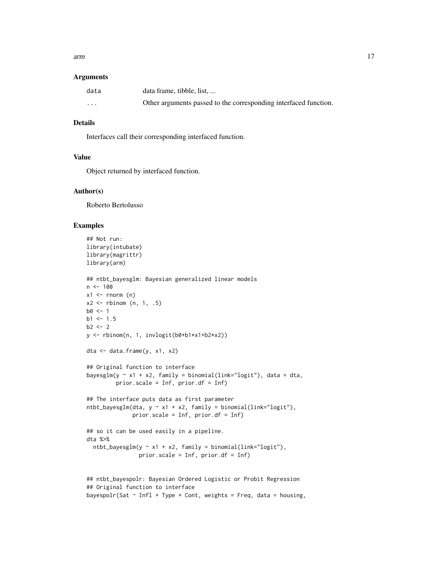arm and the contract of the contract of the contract of the contract of the contract of the contract of the contract of the contract of the contract of the contract of the contract of the contract of the contract of the co

#### **Arguments**

| data                    | data frame, tibble, list,                                        |
|-------------------------|------------------------------------------------------------------|
| $\cdot$ $\cdot$ $\cdot$ | Other arguments passed to the corresponding interfaced function. |

#### Details

Interfaces call their corresponding interfaced function.

#### Value

Object returned by interfaced function.

#### Author(s)

Roberto Bertolusso

```
## Not run:
library(intubate)
library(magrittr)
library(arm)
## ntbt_bayesglm: Bayesian generalized linear models
n <- 100
x1 \leftarrow \text{rnorm} (n)
x2 \le - rbinom (n, 1, .5)
b0 < -1b1 < -1.5b2 < -2y <- rbinom(n, 1, invlogit(b0+b1*x1+b2*x2))
dta <- data.frame(y, x1, x2)
## Original function to interface
bayesglm(y \sim x1 + x2, family = binomial(link="logit"), data = dta,
         prior.scale = Inf, prior.df = Inf)
## The interface puts data as first parameter
ntbt_bayesglm(dta, y \sim x1 + x2, family = binomial(link="logit"),
              prior.scale = Inf, prior.df = Inf)
## so it can be used easily in a pipeline.
dta %>%
  ntbt_bayesglm(y \sim x1 + x2, family = binomial(link="logit").prior.scale = Inf, prior.df = Inf)
## ntbt_bayespolr: Bayesian Ordered Logistic or Probit Regression
## Original function to interface
bayespolr(Sat \sim Infl + Type + Cont, weights = Freq, data = housing,
```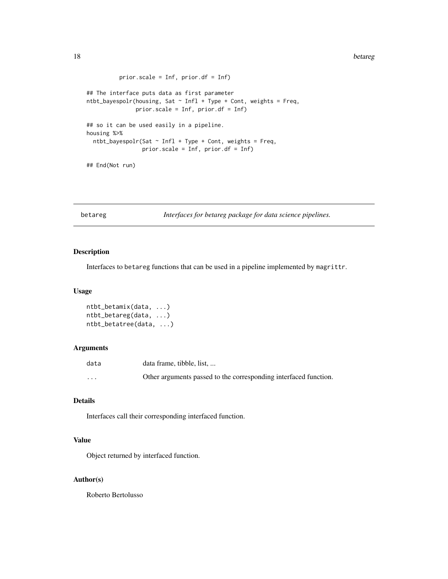```
prior.scale = Inf, prior.df = Inf)
## The interface puts data as first parameter
ntbt_bayespolr(housing, Sat \sim Infl + Type + Cont, weights = Freq,
               prior.scale = Inf, prior.df = Inf)
## so it can be used easily in a pipeline.
housing %>%
  ntbt_bayespolr(Sat ~ Infl + Type + Cont, weights = Freq,prior.scale = Inf, prior.df = Inf)
## End(Not run)
```
betareg *Interfaces for betareg package for data science pipelines.*

#### Description

Interfaces to betareg functions that can be used in a pipeline implemented by magrittr.

#### Usage

```
ntbt_betamix(data, ...)
ntbt_betareg(data, ...)
ntbt_betatree(data, ...)
```
#### Arguments

| data                    | data frame, tibble, list,                                        |
|-------------------------|------------------------------------------------------------------|
| $\cdot$ $\cdot$ $\cdot$ | Other arguments passed to the corresponding interfaced function. |

#### Details

Interfaces call their corresponding interfaced function.

#### Value

Object returned by interfaced function.

#### Author(s)

Roberto Bertolusso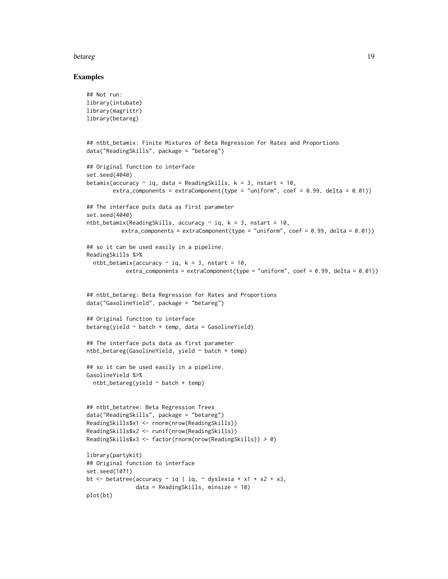#### betareg and the state of the state of the state of the state of the state of the state of the state of the state of the state of the state of the state of the state of the state of the state of the state of the state of th

```
## Not run:
library(intubate)
library(magrittr)
library(betareg)
## ntbt_betamix: Finite Mixtures of Beta Regression for Rates and Proportions
data("ReadingSkills", package = "betareg")
## Original function to interface
set.seed(4040)
betamix(accuracy \sim iq, data = ReadingSkills, k = 3, nstart = 10,
        extra_components = extraComponent(type = "uniform", coef = 0.99, delta = 0.01))
## The interface puts data as first parameter
set.seed(4040)
ntbt_betamix(ReadingSkills, accuracy \sim iq, k = 3, nstart = 10,
           extra_components = extraComponent(type = "uniform", coef = 0.99, delta = 0.01))
## so it can be used easily in a pipeline.
ReadingSkills %>%
  ntbt_betamix(accuracy \sim iq, k = 3, nstart = 10,
            extra_components = extraComponent(type = "uniform", coef = 0.99, delta = 0.01))
## ntbt_betareg: Beta Regression for Rates and Proportions
data("GasolineYield", package = "betareg")
## Original function to interface
betareg(yield \sim batch + temp, data = GasolineYield)
## The interface puts data as first parameter
ntbt_betareg(GasolineYield, yield ~ batch + temp)
## so it can be used easily in a pipeline.
GasolineYield %>%
  ntbt_betareg(yield ~ batch + temp)
## ntbt_betatree: Beta Regression Trees
data("ReadingSkills", package = "betareg")
ReadingSkills$x1 <- rnorm(nrow(ReadingSkills))
ReadingSkills$x2 <- runif(nrow(ReadingSkills))
ReadingSkills$x3 <- factor(rnorm(nrow(ReadingSkills)) > 0)
library(partykit)
## Original function to interface
set.seed(1071)
bt \le betatree(accuracy \sim iq | iq, \sim dyslexia + x1 + x2 + x3,
               data = ReadingSkills, minsize = 10)
plot(bt)
```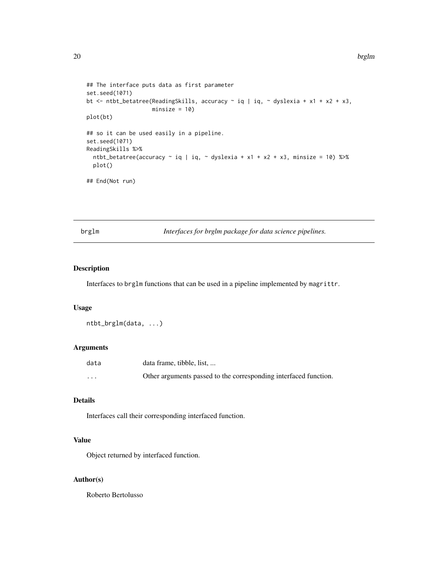```
## The interface puts data as first parameter
set.seed(1071)
bt \le ntbt_betatree(ReadingSkills, accuracy \sim iq | iq, \sim dyslexia + x1 + x2 + x3,
                    minsize = 10)
plot(bt)
## so it can be used easily in a pipeline.
set.seed(1071)
ReadingSkills %>%
  ntbt_betatree(accuracy \sim iq | iq, \sim dyslexia + x1 + x2 + x3, minsize = 10) %>%
  plot()
## End(Not run)
```
brglm *Interfaces for brglm package for data science pipelines.*

#### Description

Interfaces to brglm functions that can be used in a pipeline implemented by magrittr.

#### Usage

```
ntbt_brglm(data, ...)
```
#### Arguments

| data                    | data frame, tibble, list,                                        |
|-------------------------|------------------------------------------------------------------|
| $\cdot$ $\cdot$ $\cdot$ | Other arguments passed to the corresponding interfaced function. |

#### Details

Interfaces call their corresponding interfaced function.

#### Value

Object returned by interfaced function.

#### Author(s)

Roberto Bertolusso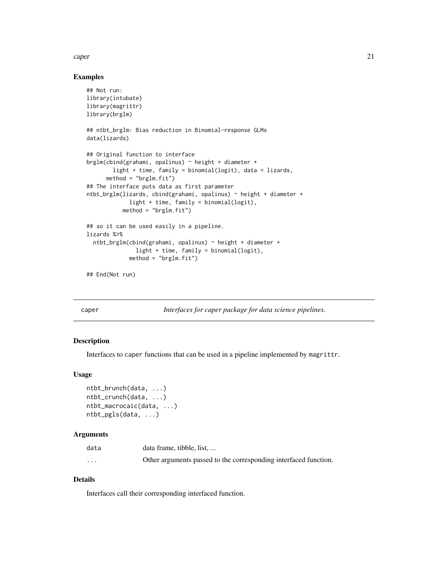<span id="page-20-0"></span>caper 21

#### Examples

```
## Not run:
library(intubate)
library(magrittr)
library(brglm)
## ntbt_brglm: Bias reduction in Binomial-response GLMs
data(lizards)
## Original function to interface
brglm(cbind(grahami, opalinus) ~ height + diameter +
       light + time, family = binomial(logit), data = lizards,
      method = "brglm.fit")
## The interface puts data as first parameter
ntbt_brglm(lizards, cbind(grahami, opalinus) ~ height + diameter +
             light + time, family = binomial(logit),
           method = "brglm.fit")## so it can be used easily in a pipeline.
lizards %>%
  ntbt_brglm(cbind(grahami, opalinus) ~ height + diameter +
               light + time, family = binomial(logit),
             method = "brglm.fit")
```
## End(Not run)

caper *Interfaces for caper package for data science pipelines.*

#### Description

Interfaces to caper functions that can be used in a pipeline implemented by magrittr.

#### Usage

```
ntbt_brunch(data, ...)
ntbt_crunch(data, ...)
ntbt_macrocaic(data, ...)
ntbt_pgls(data, ...)
```
#### Arguments

| data     | data frame, tibble, list,                                        |
|----------|------------------------------------------------------------------|
| $\cdots$ | Other arguments passed to the corresponding interfaced function. |

#### Details

Interfaces call their corresponding interfaced function.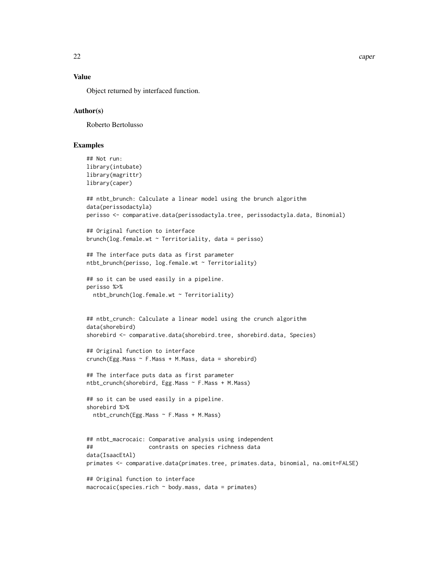22 caper caper caper caper caper caper caper caper caper caper caper caper caper caper

#### Value

Object returned by interfaced function.

#### Author(s)

Roberto Bertolusso

```
## Not run:
library(intubate)
library(magrittr)
library(caper)
## ntbt_brunch: Calculate a linear model using the brunch algorithm
data(perissodactyla)
perisso <- comparative.data(perissodactyla.tree, perissodactyla.data, Binomial)
## Original function to interface
brunch(log.female.wt \sim Territoriality, data = perisso)
## The interface puts data as first parameter
ntbt_brunch(perisso, log.female.wt ~ Territoriality)
## so it can be used easily in a pipeline.
perisso %>%
  ntbt_brunch(log.female.wt ~ Territoriality)
## ntbt_crunch: Calculate a linear model using the crunch algorithm
data(shorebird)
shorebird <- comparative.data(shorebird.tree, shorebird.data, Species)
## Original function to interface
crunch(Egg.Mass ~ F.Mass + M.Mass, data = shortened)## The interface puts data as first parameter
ntbt_crunch(shorebird, Egg.Mass ~ F.Mass + M.Mass)
## so it can be used easily in a pipeline.
shorebird %>%
  ntbt_crunch(Egg.Mass ~ F.Mass + M.Mass)
## ntbt_macrocaic: Comparative analysis using independent
## contrasts on species richness data
data(IsaacEtAl)
primates <- comparative.data(primates.tree, primates.data, binomial, na.omit=FALSE)
## Original function to interface
```

```
macrocaic(species.rich ~ body.mass, data = primates)
```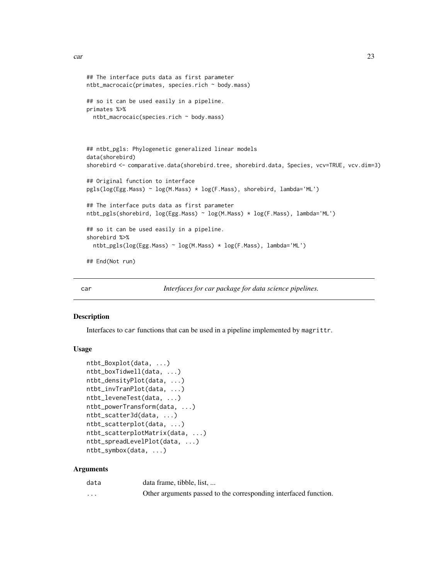```
ntbt_macrocaic(primates, species.rich ~ body.mass)
## so it can be used easily in a pipeline.
primates %>%
 ntbt_macrocaic(species.rich ~ body.mass)
## ntbt_pgls: Phylogenetic generalized linear models
data(shorebird)
shorebird <- comparative.data(shorebird.tree, shorebird.data, Species, vcv=TRUE, vcv.dim=3)
## Original function to interface
pgls(log(Egg.Mass) ~ log(M.Mass) * log(F.Mass), shorebird, lambda='ML')
## The interface puts data as first parameter
ntbt_pgls(shorebird, log(Egg.Mass) ~ log(M.Mass) * log(F.Mass), lambda='ML')
## so it can be used easily in a pipeline.
shorebird %>%
 ntbt_pgls(log(Egg.Mass) ~ log(M.Mass) * log(F.Mass), lambda='ML')
## End(Not run)
```
car *Interfaces for car package for data science pipelines.*

#### Description

Interfaces to car functions that can be used in a pipeline implemented by magrittr.

#### Usage

```
ntbt_Boxplot(data, ...)
ntbt_boxTidwell(data, ...)
ntbt_densityPlot(data, ...)
ntbt_invTranPlot(data, ...)
ntbt_leveneTest(data, ...)
ntbt_powerTransform(data, ...)
ntbt_scatter3d(data, ...)
ntbt_scatterplot(data, ...)
ntbt_scatterplotMatrix(data, ...)
ntbt_spreadLevelPlot(data, ...)
ntbt_symbox(data, ...)
```
<span id="page-22-0"></span>## The interface puts data as first parameter

#### **Arguments**

| data     | data frame, tibble, list,                                        |
|----------|------------------------------------------------------------------|
| $\cdots$ | Other arguments passed to the corresponding interfaced function. |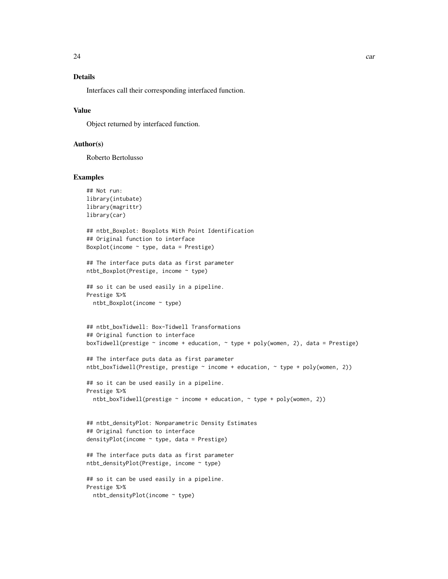### Details

Interfaces call their corresponding interfaced function.

#### Value

Object returned by interfaced function.

#### Author(s)

Roberto Bertolusso

```
## Not run:
library(intubate)
library(magrittr)
library(car)
## ntbt_Boxplot: Boxplots With Point Identification
## Original function to interface
Boxplot(income \sim type, data = Prestige)
## The interface puts data as first parameter
ntbt_Boxplot(Prestige, income ~ type)
## so it can be used easily in a pipeline.
Prestige %>%
  ntbt_Boxplot(income ~ type)
## ntbt_boxTidwell: Box-Tidwell Transformations
## Original function to interface
boxTidwell(prestige \sim income + education, \sim type + poly(women, 2), data = Prestige)
## The interface puts data as first parameter
ntbt_boxTidwell(Prestige, prestige \sim income + education, \sim type + poly(women, 2))
## so it can be used easily in a pipeline.
Prestige %>%
  ntbt_boxTidwell(prestige \sim income + education, \sim type + poly(women, 2))
## ntbt_densityPlot: Nonparametric Density Estimates
## Original function to interface
densityPlot(income ~ type, data = Prestige)
## The interface puts data as first parameter
ntbt_densityPlot(Prestige, income ~ type)
## so it can be used easily in a pipeline.
Prestige %>%
 ntbt_densityPlot(income ~ type)
```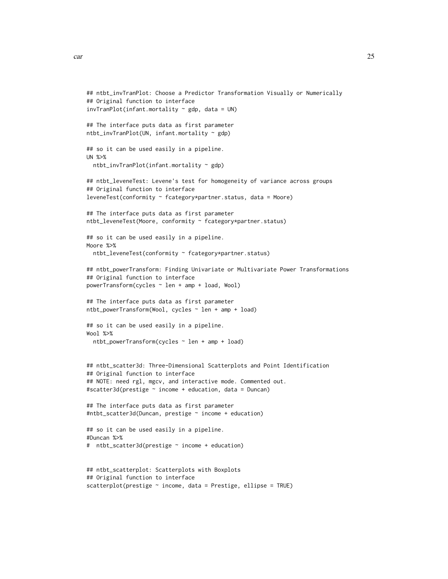```
car 25
```

```
## ntbt_invTranPlot: Choose a Predictor Transformation Visually or Numerically
## Original function to interface
invTranPlot(infant.mortality ~ gdp, data = UN)## The interface puts data as first parameter
ntbt_invTranPlot(UN, infant.mortality ~ gdp)
## so it can be used easily in a pipeline.
UN %>%
  ntbt_invTranPlot(infant.mortality ~ gdp)
## ntbt_leveneTest: Levene's test for homogeneity of variance across groups
## Original function to interface
leveneTest(conformity ~ fcategory*partner.status, data = Moore)
## The interface puts data as first parameter
ntbt_leveneTest(Moore, conformity ~ fcategory*partner.status)
## so it can be used easily in a pipeline.
Moore %>%
  ntbt_leveneTest(conformity ~ fcategory*partner.status)
## ntbt_powerTransform: Finding Univariate or Multivariate Power Transformations
## Original function to interface
powerTransform(cycles ~ len + amp + load, Wool)
## The interface puts data as first parameter
ntbt_powerTransform(Wool, cycles ~ len + amp + load)
## so it can be used easily in a pipeline.
Wool %>%
  ntbt_powerTransform(cycles ~ len + amp + load)
## ntbt_scatter3d: Three-Dimensional Scatterplots and Point Identification
## Original function to interface
## NOTE: need rgl, mgcv, and interactive mode. Commented out.
#scatter3d(prestige ~ income + education, data = Duncan)
## The interface puts data as first parameter
#ntbt_scatter3d(Duncan, prestige ~ income + education)
## so it can be used easily in a pipeline.
#Duncan %>%
# ntbt_scatter3d(prestige ~ income + education)
## ntbt_scatterplot: Scatterplots with Boxplots
## Original function to interface
scatterplot(prestige ~ income, data = Prestige, ellipse = TRUE)
```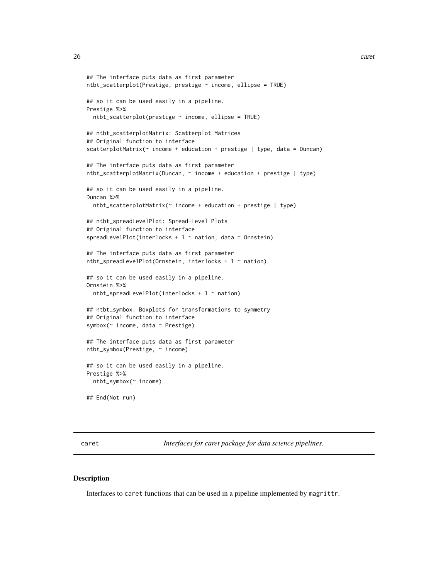```
## The interface puts data as first parameter
ntbt_scatterplot(Prestige, prestige ~ income, ellipse = TRUE)
## so it can be used easily in a pipeline.
Prestige %>%
 ntbt\_scatterplot(prestige ~ income, ellipse = TRUE)## ntbt_scatterplotMatrix: Scatterplot Matrices
## Original function to interface
scatterplotMatrix(\sim income + education + prestige | type, data = Duncan)
## The interface puts data as first parameter
ntbt_scatterplotMatrix(Duncan, ~ income + education + prestige | type)
## so it can be used easily in a pipeline.
Duncan %>%
 ntbt_scatterplotMatrix(~ income + education + prestige | type)
## ntbt_spreadLevelPlot: Spread-Level Plots
## Original function to interface
spreadLevelPlot(interlocks + 1 \sim nation, data = Ornstein)
## The interface puts data as first parameter
ntbt_spreadLevelPlot(Ornstein, interlocks + 1 ~ nation)
## so it can be used easily in a pipeline.
Ornstein %>%
 ntbt_spreadLevelPlot(interlocks + 1 ~ nation)
## ntbt_symbox: Boxplots for transformations to symmetry
## Original function to interface
symbox(~ income, data = Prestige)
## The interface puts data as first parameter
ntbt_symbox(Prestige, ~ income)
## so it can be used easily in a pipeline.
Prestige %>%
 ntbt_symbox(~ income)
## End(Not run)
```
caret *Interfaces for caret package for data science pipelines.*

#### Description

Interfaces to caret functions that can be used in a pipeline implemented by magrittr.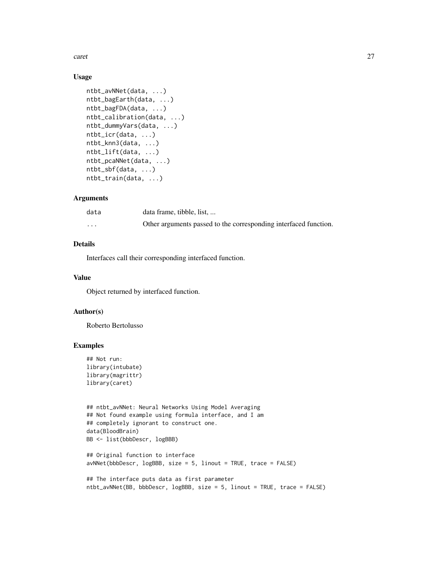caret 27

#### Usage

```
ntbt_avNNet(data, ...)
ntbt_bagEarth(data, ...)
ntbt_bagFDA(data, ...)
ntbt_calibration(data, ...)
ntbt_dummyVars(data, ...)
ntbt_icr(data, ...)
ntbt_knn3(data, ...)
ntbt_lift(data, ...)
ntbt_pcaNNet(data, ...)
ntbt_sbf(data, ...)
ntbt_train(data, ...)
```
#### Arguments

| data                    | data frame, tibble, list,                                        |
|-------------------------|------------------------------------------------------------------|
| $\cdot$ $\cdot$ $\cdot$ | Other arguments passed to the corresponding interfaced function. |

### Details

Interfaces call their corresponding interfaced function.

#### Value

Object returned by interfaced function.

#### Author(s)

Roberto Bertolusso

```
## Not run:
library(intubate)
library(magrittr)
library(caret)
```

```
## ntbt_avNNet: Neural Networks Using Model Averaging
## Not found example using formula interface, and I am
## completely ignorant to construct one.
data(BloodBrain)
BB <- list(bbbDescr, logBBB)
```

```
## Original function to interface
avNNet(bbbDescr, logBBB, size = 5, linout = TRUE, trace = FALSE)
```

```
## The interface puts data as first parameter
ntbt_avNNet(BB, bbbDescr, logBBB, size = 5, linout = TRUE, trace = FALSE)
```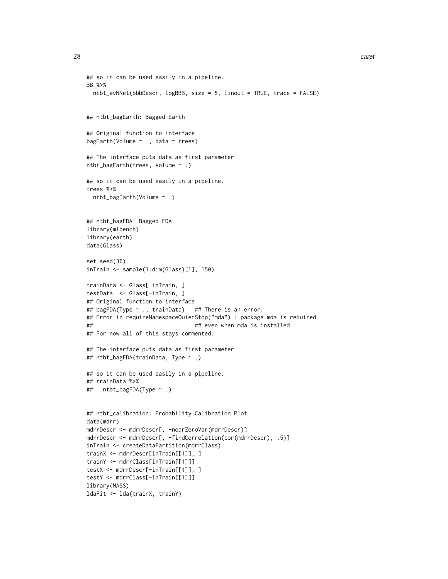```
## so it can be used easily in a pipeline.
BB %>%
 ntbt_avNNet(bbbDescr, logBBB, size = 5, linout = TRUE, trace = FALSE)
## ntbt_bagEarth: Bagged Earth
## Original function to interface
bagEarth(Volume \sim ., data = trees)
## The interface puts data as first parameter
ntbt_bagEarth(trees, Volume ~ .)
## so it can be used easily in a pipeline.
trees %>%
 ntbt_bagEarth(Volume ~ .)
## ntbt_bagFDA: Bagged FDA
library(mlbench)
library(earth)
data(Glass)
set.seed(36)
inTrain <- sample(1:dim(Glass)[1], 150)
trainData <- Glass[ inTrain, ]
testData <- Glass[-inTrain, ]
## Original function to interface
## bagFDA(Type ~ ., trainData) ## There is an error:
## Error in requireNamespaceQuietStop("mda") : package mda is required
## ## even when mda is installed
## For now all of this stays commented.
## The interface puts data as first parameter
## ntbt_bagFDA(trainData, Type ~ .)
## so it can be used easily in a pipeline.
## trainData %>%
## ntbt_bagFDA(Type ~ .)
## ntbt_calibration: Probability Calibration Plot
data(mdrr)
mdrrDescr <- mdrrDescr[, -nearZeroVar(mdrrDescr)]
mdrrDescr <- mdrrDescr[, -findCorrelation(cor(mdrrDescr), .5)]
inTrain <- createDataPartition(mdrrClass)
trainX <- mdrrDescr[inTrain[[1]], ]
trainY <- mdrrClass[inTrain[[1]]]
testX <- mdrrDescr[-inTrain[[1]], ]
testY <- mdrrClass[-inTrain[[1]]]
library(MASS)
ldaFit <- lda(trainX, trainY)
```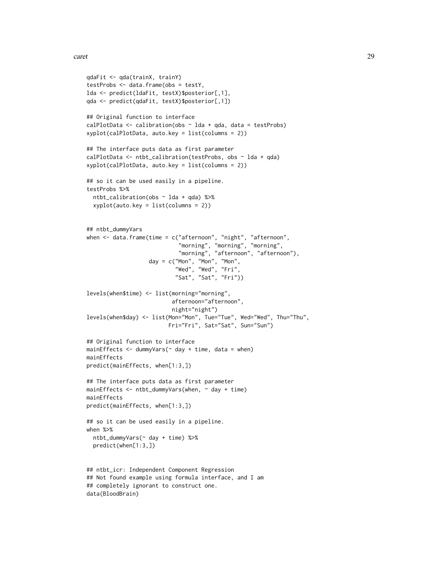```
qdaFit <- qda(trainX, trainY)
testProbs <- data.frame(obs = testY,
lda <- predict(ldaFit, testX)$posterior[,1],
qda <- predict(qdaFit, testX)$posterior[,1])
## Original function to interface
calPlotData \leq calibration(obs \sim lda + qda, data = testProbs)
xyplot(calPlotData, auto.key = list(columns = 2))
## The interface puts data as first parameter
calPlotData <- ntbt_calibration(testProbs, obs ~ lda + qda)
xyplot(calPlotData, auto.key = list(columns = 2))
## so it can be used easily in a pipeline.
testProbs %>%
  ntbt_calibration(obs ~ lda + qda) %>%
  xyplot(auto.key = list(columns = 2))
## ntbt_dummyVars
when <- data.frame(time = c("afternoon", "night", "afternoon",
                            "morning", "morning", "morning",
                            "morning", "afternoon", "afternoon"),
                   day = c("Mon", "Mon", "Mon",
                            "Wed", "Wed", "Fri",
                           "Sat", "Sat", "Fri"))
levels(when$time) <- list(morning="morning",
                          afternoon="afternoon",
                          night="night")
levels(when$day) <- list(Mon="Mon", Tue="Tue", Wed="Wed", Thu="Thu",
                         Fri="Fri", Sat="Sat", Sun="Sun")
## Original function to interface
mainEffects \leq dummyVars(\leq day + time, data = when)
mainEffects
predict(mainEffects, when[1:3,])
## The interface puts data as first parameter
mainEffects <- ntbt_dummyVars(when, ~ day + time)
mainEffects
predict(mainEffects, when[1:3,])
## so it can be used easily in a pipeline.
when %>%
  ntbt_dummyVars(~ day + time) %>%
  predict(when[1:3,])
## ntbt_icr: Independent Component Regression
## Not found example using formula interface, and I am
```
## completely ignorant to construct one.

data(BloodBrain)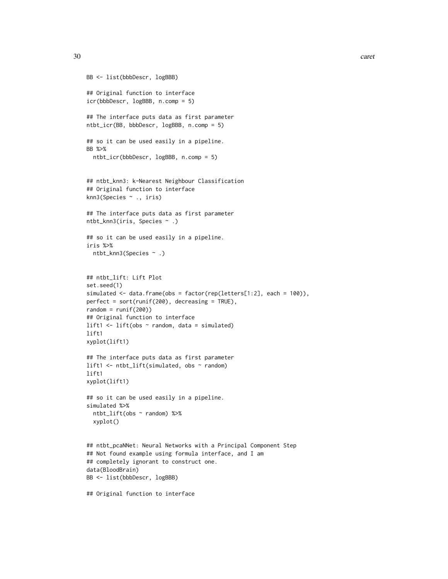```
BB <- list(bbbDescr, logBBB)
## Original function to interface
icr(bbbDescr, logBBB, n.comp = 5)
## The interface puts data as first parameter
ntbt_icr(BB, bbbDescr, logBBB, n.comp = 5)
## so it can be used easily in a pipeline.
BB %>%
  ntbt_icr(bbbDescr, logBBB, n.comp = 5)
## ntbt_knn3: k-Nearest Neighbour Classification
## Original function to interface
knn3(Species ~ ., iris)
## The interface puts data as first parameter
ntbt_knn3(iris, Species ~ .)
## so it can be used easily in a pipeline.
iris %>%
  ntbt_knn3(Species ~ .)
## ntbt_lift: Lift Plot
set.seed(1)
simulated <- data.frame(obs = factor(rep(letters[1:2], each = 100)),
perfect = sort(runif(200), decreasing = TRUE),
random = runif(200))## Original function to interface
lift1 \leftarrow lift(obs \sim random, data = simulated)
lift1
xyplot(lift1)
## The interface puts data as first parameter
lift1 <- ntbt_lift(simulated, obs ~ random)
lift1
xyplot(lift1)
## so it can be used easily in a pipeline.
simulated %>%
  ntbt_lift(obs ~ random) %>%
  xyplot()
## ntbt_pcaNNet: Neural Networks with a Principal Component Step
## Not found example using formula interface, and I am
## completely ignorant to construct one.
data(BloodBrain)
BB <- list(bbbDescr, logBBB)
```
## Original function to interface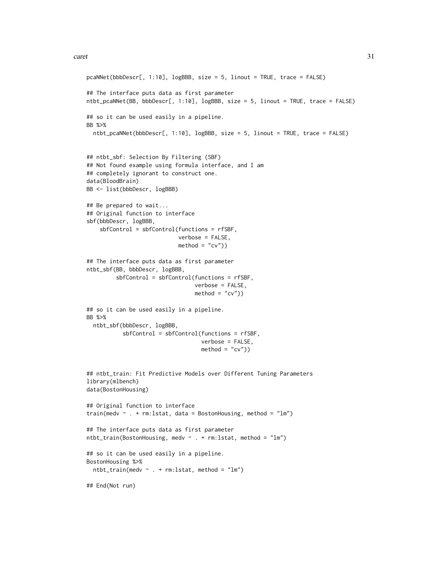```
pcaNNet(bbbDescr[, 1:10], logBBB, size = 5, linout = TRUE, trace = FALSE)
## The interface puts data as first parameter
ntbt_pcaNNet(BB, bbbDescr[, 1:10], logBBB, size = 5, linout = TRUE, trace = FALSE)
## so it can be used easily in a pipeline.
BB %>%
  ntbt_pcaNNet(bbbDescr[, 1:10], logBBB, size = 5, linout = TRUE, trace = FALSE)
## ntbt_sbf: Selection By Filtering (SBF)
## Not found example using formula interface, and I am
## completely ignorant to construct one.
data(BloodBrain)
BB <- list(bbbDescr, logBBB)
## Be prepared to wait...
## Original function to interface
sbf(bbbDescr, logBBB,
    sbfControl = sbfControl(functions = rfSBF,
                            verbose = FALSE,
                            \text{method} = "cv")## The interface puts data as first parameter
ntbt_sbf(BB, bbbDescr, logBBB,
         sbfControl = sbfControl(functions = rfSBF,
                                 verbose = FALSE,
                                 method = "cv")## so it can be used easily in a pipeline.
BB %>%
  ntbt_sbf(bbbDescr, logBBB,
           sbfControl = sbfControl(functions = rfSBF,
                                   verbose = FALSE,
                                   method = "cv")## ntbt_train: Fit Predictive Models over Different Tuning Parameters
library(mlbench)
data(BostonHousing)
## Original function to interface
train(medv ~ . + rm:lstat, data = BostonHousing, method = "lm")
## The interface puts data as first parameter
ntbt_train(BostonHousing, medv ~ . + rm:lstat, method = "lm")
## so it can be used easily in a pipeline.
BostonHousing %>%
  ntbt_train(medv \sim . + rm:lstat, method = "lm")
## End(Not run)
```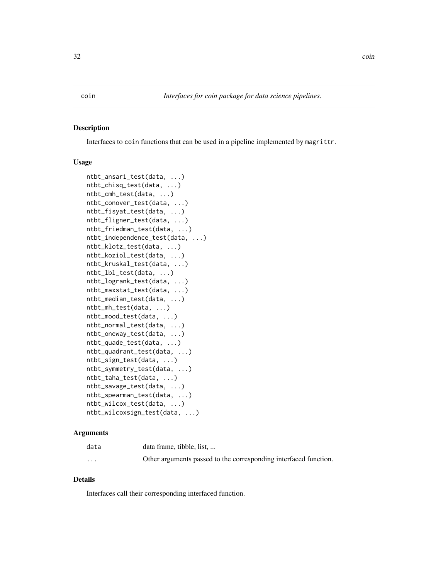#### <span id="page-31-0"></span>Description

Interfaces to coin functions that can be used in a pipeline implemented by magrittr.

#### Usage

```
ntbt_ansari_test(data, ...)
ntbt_chisq_test(data, ...)
ntbt_cmh_test(data, ...)
ntbt_conover_test(data, ...)
ntbt_fisyat_test(data, ...)
ntbt_fligner_test(data, ...)
ntbt_friedman_test(data, ...)
ntbt_independence_test(data, ...)
ntbt_klotz_test(data, ...)
ntbt_koziol_test(data, ...)
ntbt_kruskal_test(data, ...)
ntbt_lbl_test(data, ...)
ntbt_logrank_test(data, ...)
ntbt_maxstat_test(data, ...)
ntbt_median_test(data, ...)
ntbt_mh_test(data, ...)
ntbt_mood_test(data, ...)
ntbt_normal_test(data, ...)
ntbt_oneway_test(data, ...)
ntbt_quade_test(data, ...)
ntbt_quadrant_test(data, ...)
ntbt_sign_test(data, ...)
ntbt_symmetry_test(data, ...)
ntbt_taha_test(data, ...)
ntbt_savage_test(data, ...)
ntbt_spearman_test(data, ...)
ntbt_wilcox_test(data, ...)
ntbt_wilcoxsign_test(data, ...)
```
#### Arguments

| data     | data frame, tibble, list,                                        |
|----------|------------------------------------------------------------------|
| $\cdots$ | Other arguments passed to the corresponding interfaced function. |

#### Details

Interfaces call their corresponding interfaced function.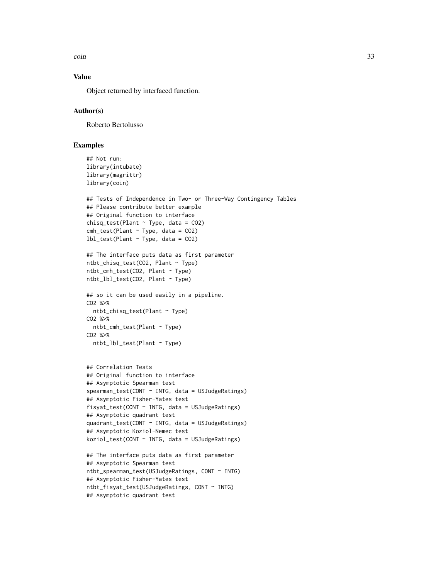coin 33

### Value

Object returned by interfaced function.

#### Author(s)

Roberto Bertolusso

```
## Not run:
library(intubate)
library(magrittr)
library(coin)
## Tests of Independence in Two- or Three-Way Contingency Tables
## Please contribute better example
## Original function to interface
chisq_test(Plant \sim Type, data = CO2)
cmh\_test(Plant ~ Type, data = CO2)lbl_test(Plant ~ Type, data = CO2)## The interface puts data as first parameter
ntbt_chisq_test(CO2, Plant ~ Type)
ntbt_cmh_test(CO2, Plant ~ Type)
ntbt_lbl_test(CO2, Plant ~ Type)
## so it can be used easily in a pipeline.
CO2 %>%
  ntbt_chisq_test(Plant ~ Type)
CO2 %>%
  ntbt_cmh_test(Plant ~ Type)
CO2 %>%
  ntbt_lbl_test(Plant ~ Type)
## Correlation Tests
## Original function to interface
## Asymptotic Spearman test
spearman_test(CONT ~ INTG, data = USJudgeRatings)
## Asymptotic Fisher-Yates test
fisyat_test(CONT ~ INTG, data = USJudgeRatings)
## Asymptotic quadrant test
quadrant_test(CONT ~ INTG, data = USJudgeRatings)
## Asymptotic Koziol-Nemec test
koziol_test(CONT ~ INTG, data = USJudgeRatings)
## The interface puts data as first parameter
## Asymptotic Spearman test
ntbt_spearman_test(USJudgeRatings, CONT ~ INTG)
## Asymptotic Fisher-Yates test
```

```
ntbt_fisyat_test(USJudgeRatings, CONT ~ INTG)
## Asymptotic quadrant test
```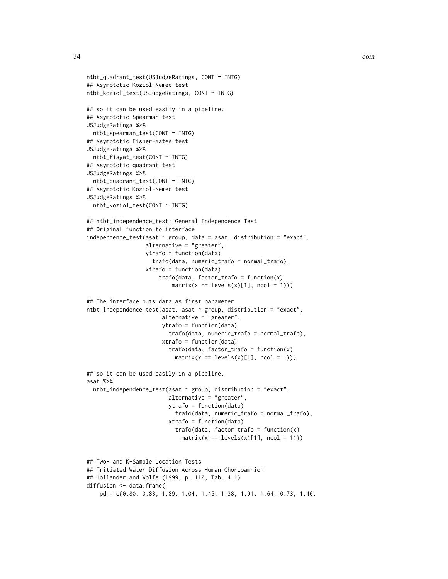```
ntbt_quadrant_test(USJudgeRatings, CONT ~ INTG)
## Asymptotic Koziol-Nemec test
ntbt_koziol_test(USJudgeRatings, CONT ~ INTG)
## so it can be used easily in a pipeline.
## Asymptotic Spearman test
USJudgeRatings %>%
  ntbt_spearman_test(CONT ~ INTG)
## Asymptotic Fisher-Yates test
USJudgeRatings %>%
  ntbt_fisyat_test(CONT ~ INTG)
## Asymptotic quadrant test
USJudgeRatings %>%
  ntbt_quadrant_test(CONT ~ INTG)
## Asymptotic Koziol-Nemec test
USJudgeRatings %>%
  ntbt_koziol_test(CONT ~ INTG)
## ntbt_independence_test: General Independence Test
## Original function to interface
independence_test(asat <math>\sim</math> group, data = asat, distribution = "exact",alternative = "greater",
                  ytrafo = function(data)
                    trafo(data, numeric_trafo = normal_trafo),
                  xtrafo = function(data)
                      trafo(data, factor_trafo = function(x)
                          matrix(x == levels(x)[1], ncol = 1)))## The interface puts data as first parameter
ntbt_independence_test(asat, asat ~ group, distribution = "exact",
                       alternative = "greater",
                       ytrafo = function(data)
                         trafo(data, numeric_trafo = normal_trafo),
                       xtrafo = function(data)
                         trafo(data, factor\_trafo = function(x)matrix(x == levels(x)[1], ncol = 1)))## so it can be used easily in a pipeline.
asat %>%
  ntbt\_independence_test(asat ~ group, distribution = "exact",alternative = "greater",
                         ytrafo = function(data)
                           trafo(data, numeric_trafo = normal_trafo),
                         xtrafo = function(data)
                           trafo(data, factor_trafo = function(x)
                             matrix(x == levels(x)[1], ncol = 1)))## Two- and K-Sample Location Tests
## Tritiated Water Diffusion Across Human Chorioamnion
## Hollander and Wolfe (1999, p. 110, Tab. 4.1)
diffusion <- data.frame(
```

```
pd = c(0.80, 0.83, 1.89, 1.04, 1.45, 1.38, 1.91, 1.64, 0.73, 1.46,
```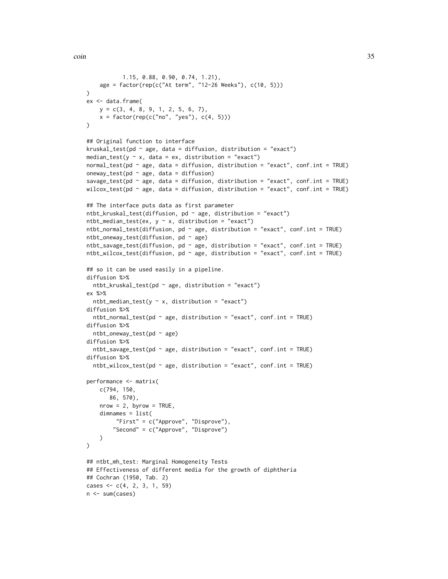```
1.15, 0.88, 0.90, 0.74, 1.21),
    age = factor(rep(c("At term", "12-26 Weeks"), c(10, 5)))
)
ex <- data.frame(
   y = c(3, 4, 8, 9, 1, 2, 5, 6, 7),x = factor(rep(c("no", "yes"), c(4, 5))))
## Original function to interface
kruskal_test(pd \sim age, data = diffusion, distribution = "exact")
median_test(y \sim x, data = ex, distribution = "exact")
normal_test(pd ~ age, data = diffusion, distribution = "exact", conf.int = TRUE)
oneway_test(pd \sim age, data = diffusion)
savage_test(pd \sim age, data = diffusion, distribution = "exact", conf.int = TRUE)
wilcox_test(pd \sim age, data = diffusion, distribution = "exact", conf.int = TRUE)
## The interface puts data as first parameter
ntbt_kruskal_test(diffusion, pd ~ age, distribution = "exact")
ntbt_median_test(ex, y \sim x, distribution = "exact")
ntbt_normal_test(diffusion, pd \sim age, distribution = "exact", conf.int = TRUE)
ntbt_oneway_test(diffusion, pd \sim age)
ntbt_savage_test(diffusion, pd ~ age, distribution = "exact", conf.int = TRUE)
ntbt_wilcox_test(diffusion, pd ~ age, distribution = "exact", conf.int = TRUE)
## so it can be used easily in a pipeline.
diffusion %>%
  ntbt_kruskal_test(pd \sim age, distribution = "exact")
ex %>%
  ntbt_median_test(y \sim x, distribution = "exact")
diffusion %>%
  ntbt_normal_test(pd \sim age, distribution = "exact", conf.int = TRUE)
diffusion %>%
  ntbt_oneway_test(pd ~ age)
diffusion %>%
  ntbt_savage_test(pd \sim age, distribution = "exact", conf.int = TRUE)
diffusion %>%
  ntbt_wilcox_test(pd \sim age, distribution = "exact", conf.int = TRUE)
performance <- matrix(
    c(794, 150,
       86, 570),
   nrow = 2, byrow = TRUE,
    dimnames = list(
         "First" = c("Approve", "Disprove"),
        "Second" = c("Approve", "Disprove")
   \lambda)
## ntbt_mh_test: Marginal Homogeneity Tests
## Effectiveness of different media for the growth of diphtheria
## Cochran (1950, Tab. 2)
cases \leq c(4, 2, 3, 1, 59)n <- sum(cases)
```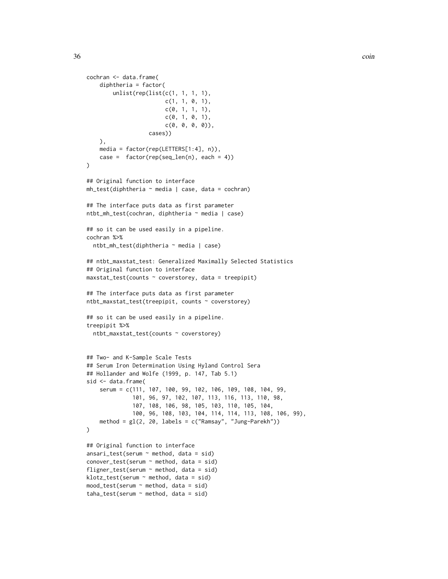```
cochran <- data.frame(
    diphtheria = factor(
        unlist(rep(list(c(1, 1, 1, 1),
                         c(1, 1, 0, 1),c(0, 1, 1, 1),c(0, 1, 0, 1),c(\emptyset, \emptyset, \emptyset, \emptyset)),cases))
    ),
    media = factor(rep(LETTERS[1:4], n)),
    case = factor(rep(seq_length(n), each = 4))\lambda## Original function to interface
mh_test(diphtheria ~r media | case, data = cochran)
## The interface puts data as first parameter
ntbt_mh_test(cochran, diphtheria ~ media | case)
## so it can be used easily in a pipeline.
cochran %>%
 ntbt_mh_test(diphtheria ~ media | case)
## ntbt_maxstat_test: Generalized Maximally Selected Statistics
## Original function to interface
maxstat_test(counts ~ coverstorey, data = treepipit)
## The interface puts data as first parameter
ntbt_maxstat_test(treepipit, counts ~ coverstorey)
## so it can be used easily in a pipeline.
treepipit %>%
 ntbt_maxstat_test(counts ~ coverstorey)
## Two- and K-Sample Scale Tests
## Serum Iron Determination Using Hyland Control Sera
## Hollander and Wolfe (1999, p. 147, Tab 5.1)
sid <- data.frame(
    serum = c(111, 107, 100, 99, 102, 106, 109, 108, 104, 99,
              101, 96, 97, 102, 107, 113, 116, 113, 110, 98,
              107, 108, 106, 98, 105, 103, 110, 105, 104,
              100, 96, 108, 103, 104, 114, 114, 113, 108, 106, 99),
    method = gl(2, 20, labels = c("Ramsay", "Jung-Parekh"))
\mathcal{L}## Original function to interface
ansari_test(serum ~ method, data = sid)conover_test(\text{serum } \sim \text{method}, \text{ data = sid})fligner_test(serum ~ method, data = sid)
klotz_test(serum ~ method, data = sid)
mood_test(serum ~ method, data = sid)
taha_test(serum ~ method, data = sid)
```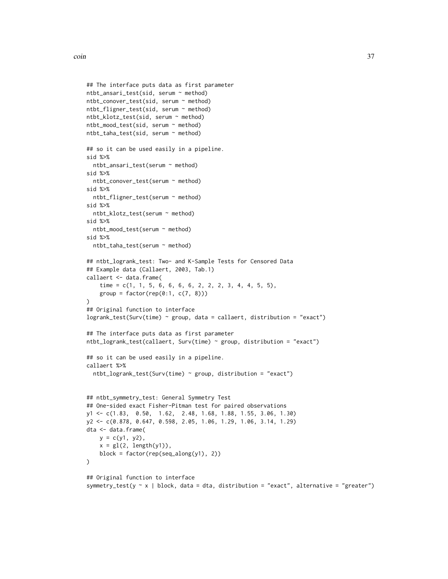```
## The interface puts data as first parameter
ntbt_ansari_test(sid, serum ~ method)
ntbt_conover_test(sid, serum ~ method)
ntbt_fligner_test(sid, serum ~ method)
ntbt_klotz_test(sid, serum ~ method)
ntbt_mood_test(sid, serum ~ method)
ntbt_taha_test(sid, serum ~ method)
## so it can be used easily in a pipeline.
sid %>%
  ntbt_ansari_test(serum ~ method)
sid %>%
  ntbt_conover_test(serum ~ method)
sid %>%
  ntbt_fligner_test(serum ~ method)
sid %>%
  ntbt_klotz_test(serum ~ method)
sid %>%
  ntbt_mood_test(serum ~ method)
sid %>%
 ntbt_taha_test(serum ~ method)
## ntbt_logrank_test: Two- and K-Sample Tests for Censored Data
## Example data (Callaert, 2003, Tab.1)
callaert <- data.frame(
    time = c(1, 1, 5, 6, 6, 6, 6, 2, 2, 2, 3, 4, 4, 5, 5),
    group = factor(rep(0:1, c(7, 8))))
## Original function to interface
logrank_test(Surv(time) ~ group, data = callaert, distribution = "exact")
## The interface puts data as first parameter
ntbt_logrank_test(callaert, Surv(time) ~ group, distribution = "exact")
## so it can be used easily in a pipeline.
callaert %>%
  ntbt_logrank_test(Surv(time) ~ group, distribution = "exact")
## ntbt_symmetry_test: General Symmetry Test
## One-sided exact Fisher-Pitman test for paired observations
y1 <- c(1.83, 0.50, 1.62, 2.48, 1.68, 1.88, 1.55, 3.06, 1.30)
y2 <- c(0.878, 0.647, 0.598, 2.05, 1.06, 1.29, 1.06, 3.14, 1.29)
dta <- data.frame(
   y = c(y1, y2),
    x = gl(2, length(y1)),block = factor(rep(seq_along(y1), 2))
\mathcal{L}## Original function to interface
symmetry_test(y \sim x | block, data = dta, distribution = "exact", alternative = "greater")
```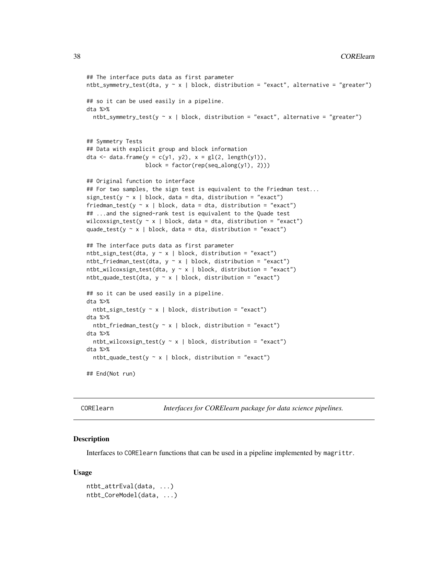```
## The interface puts data as first parameter
ntbt_symmetry_test(dta, y \sim x | block, distribution = "exact", alternative = "greater")
## so it can be used easily in a pipeline.
dta %>%
 ntbt_symmetry_test(y \sim x | block, distribution = "exact", alternative = "greater")
## Symmetry Tests
## Data with explicit group and block information
dta <- data.frame(y = c(y1, y2), x = gl(2, length(y1)),
                  block = factor(rep(seq_along(y1), 2)))
## Original function to interface
## For two samples, the sign test is equivalent to the Friedman test...
sign_test(y \sim x | block, data = dta, distribution = "exact")
friedman_test(y \sim x | block, data = dta, distribution = "exact")
## ...and the signed-rank test is equivalent to the Quade test
wilcoxsign_test(y \sim x | block, data = dta, distribution = "exact")
quade_test(y \sim x | block, data = dta, distribution = "exact")
## The interface puts data as first parameter
ntbt\_sign\_test(data, y \sim x | block, distribution = "exact")ntbt_friedman_test(dta, y \sim x | block, distribution = "exact")
ntbt_wilcoxsign_test(dta, y \sim x | block, distribution = "exact")
ntbt_quade_test(dta, y \sim x | block, distribution = "exact")
## so it can be used easily in a pipeline.
dta %>%
 ntbt_sign_test(y \sim x | block, distribution = "exact")
dta %>%
 ntbt_friedman_test(y \sim x | block, distribution = "exact")
dta %>%
 ntbt_wilcoxsign_test(y \sim x | block, distribution = "exact")
dta %>%
 ntbt_quade_test(y \sim x | block, distribution = "exact")
## End(Not run)
```
CORElearn *Interfaces for CORElearn package for data science pipelines.*

## Description

Interfaces to CORElearn functions that can be used in a pipeline implemented by magrittr.

#### Usage

```
ntbt_attrEval(data, ...)
ntbt_CoreModel(data, ...)
```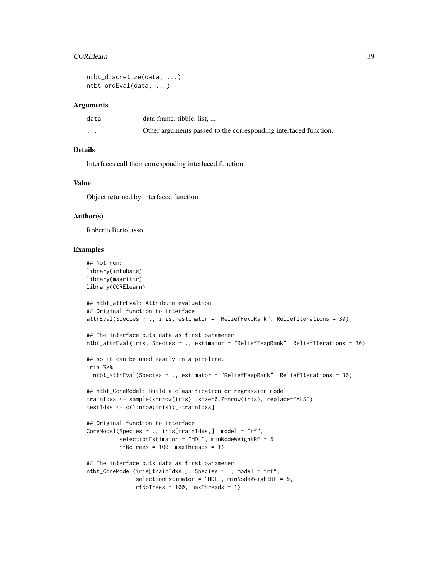#### **CORE** learn 39

```
ntbt_discretize(data, ...)
ntbt_ordEval(data, ...)
```
#### Arguments

| data     | data frame, tibble, list,                                        |
|----------|------------------------------------------------------------------|
| $\cdots$ | Other arguments passed to the corresponding interfaced function. |

## Details

Interfaces call their corresponding interfaced function.

## Value

Object returned by interfaced function.

## Author(s)

Roberto Bertolusso

```
## Not run:
library(intubate)
library(magrittr)
library(CORElearn)
## ntbt_attrEval: Attribute evaluation
## Original function to interface
attrEval(Species ~ ., iris, estimator = "ReliefFexpRank", ReliefIterations = 30)
## The interface puts data as first parameter
ntbt_attrEval(iris, Species ~ ., estimator = "ReliefFexpRank", ReliefIterations = 30)
## so it can be used easily in a pipeline.
iris %>%
  ntbt_attrEval(Species ~ ., estimator = "ReliefFexpRank", ReliefIterations = 30)
## ntbt_CoreModel: Build a classification or regression model
trainIdxs <- sample(x=nrow(iris), size=0.7*nrow(iris), replace=FALSE)
testIdxs <- c(1:nrow(iris))[-trainIdxs]
## Original function to interface
CoreModel(Species ~ ., iris[trainIdxs,], model = "rf",
          selectionEstimator = "MDL", minNodeWeightRF = 5,
          rfNoTrees = 100, maxThreads = 1)
## The interface puts data as first parameter
ntbt_CoreModel(iris[trainIdxs,], Species ~ ., model = "rf",
               selectionEstimator = "MDL", minNodeWeightRF = 5,
               rfNoTrees = 100, maxThreads = 1)
```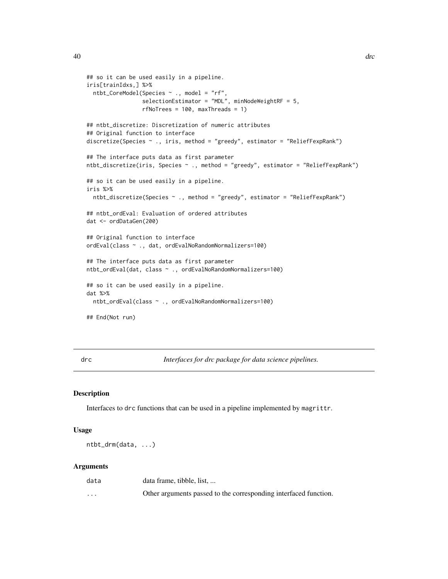```
## so it can be used easily in a pipeline.
iris[trainIdxs,] %>%
  ntbt_CoreModel(Species ~ ., model = "rf",
                 selectionEstimator = "MDL", minNodeWeightRF = 5,
                 rfNoTrees = 100, maxThreads = 1)
## ntbt_discretize: Discretization of numeric attributes
## Original function to interface
discretize(Species ~ ., iris, method = "greedy", estimator = "ReliefFexpRank")
## The interface puts data as first parameter
ntbt_discretize(iris, Species ~ ., method = "greedy", estimator = "ReliefFexpRank")
## so it can be used easily in a pipeline.
iris %>%
  ntbt_discretize(Species ~ ., method = "greedy", estimator = "ReliefFexpRank")
## ntbt_ordEval: Evaluation of ordered attributes
dat <- ordDataGen(200)
## Original function to interface
ordEval(class ~ ., dat, ordEvalNoRandomNormalizers=100)
## The interface puts data as first parameter
ntbt_ordEval(dat, class ~ ., ordEvalNoRandomNormalizers=100)
## so it can be used easily in a pipeline.
dat %>%
  ntbt_ordEval(class ~ ., ordEvalNoRandomNormalizers=100)
## End(Not run)
```
drc *Interfaces for drc package for data science pipelines.*

#### Description

Interfaces to drc functions that can be used in a pipeline implemented by magrittr.

#### Usage

ntbt\_drm(data, ...)

#### Arguments

| data     | data frame, tibble, list,                                        |
|----------|------------------------------------------------------------------|
| $\cdots$ | Other arguments passed to the corresponding interfaced function. |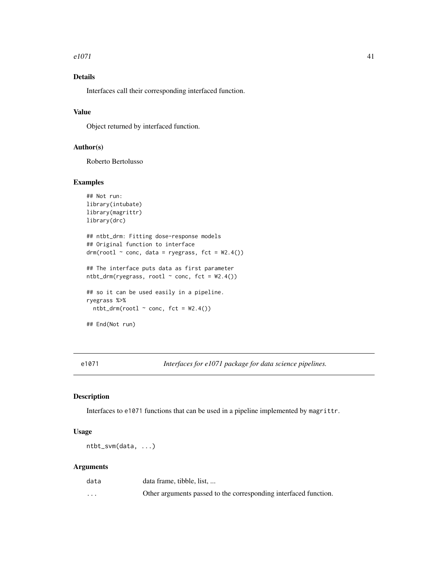#### $e1071$  41

# Details

Interfaces call their corresponding interfaced function.

# Value

Object returned by interfaced function.

# Author(s)

Roberto Bertolusso

## Examples

```
## Not run:
library(intubate)
library(magrittr)
library(drc)
## ntbt_drm: Fitting dose-response models
## Original function to interface
drmrm(root1 ~ conc, data = ryegrass, fct = W2.4())## The interface puts data as first parameter
ntbt_drm(ryegrass, root1 ~ ~ conc, fct = W2.4())## so it can be used easily in a pipeline.
ryegrass %>%
  ntbt\_drm(root1 ~ conc, fct = W2.4()## End(Not run)
```
e1071 *Interfaces for e1071 package for data science pipelines.*

## Description

Interfaces to e1071 functions that can be used in a pipeline implemented by magrittr.

#### Usage

ntbt\_svm(data, ...)

#### Arguments

| data     | data frame, tibble, list,                                        |
|----------|------------------------------------------------------------------|
| $\cdots$ | Other arguments passed to the corresponding interfaced function. |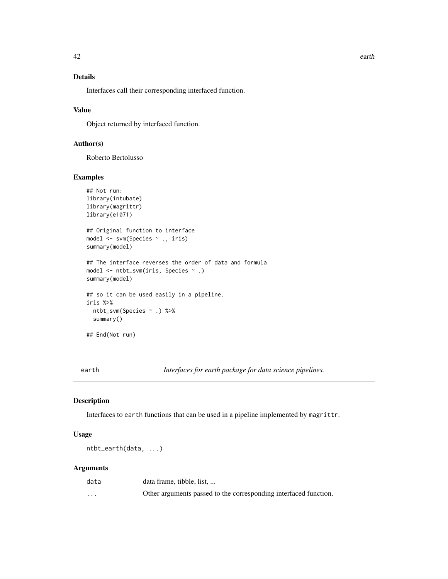# Details

Interfaces call their corresponding interfaced function.

## Value

Object returned by interfaced function.

# Author(s)

Roberto Bertolusso

# Examples

```
## Not run:
library(intubate)
library(magrittr)
library(e1071)
## Original function to interface
model <- svm(Species ~ ., iris)
summary(model)
## The interface reverses the order of data and formula
model <- ntbt_svm(iris, Species ~ .)
summary(model)
## so it can be used easily in a pipeline.
iris %>%
  ntbt_svm(Species ~ .) %>%
  summary()
## End(Not run)
```
earth *Interfaces for earth package for data science pipelines.*

## Description

Interfaces to earth functions that can be used in a pipeline implemented by magrittr.

# Usage

ntbt\_earth(data, ...)

#### Arguments

| data     | data frame, tibble, list                                         |
|----------|------------------------------------------------------------------|
| $\cdots$ | Other arguments passed to the corresponding interfaced function. |

42 earth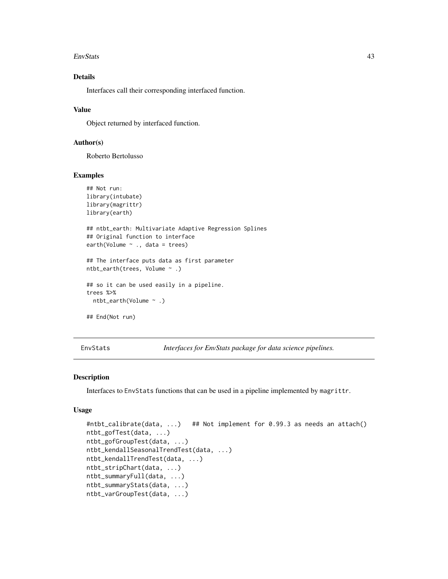#### EnvStats 43

# Details

Interfaces call their corresponding interfaced function.

## Value

Object returned by interfaced function.

## Author(s)

Roberto Bertolusso

## Examples

```
## Not run:
library(intubate)
library(magrittr)
library(earth)
## ntbt_earth: Multivariate Adaptive Regression Splines
## Original function to interface
earth(Volume ~ ., data = trees)
## The interface puts data as first parameter
ntbt_earth(trees, Volume ~ .)
## so it can be used easily in a pipeline.
trees %>%
 ntbt_earth(Volume ~ .)
## End(Not run)
```
EnvStats *Interfaces for EnvStats package for data science pipelines.*

#### Description

Interfaces to EnvStats functions that can be used in a pipeline implemented by magrittr.

# Usage

```
#ntbt_calibrate(data, ...) ## Not implement for 0.99.3 as needs an attach()
ntbt_gofTest(data, ...)
ntbt_gofGroupTest(data, ...)
ntbt_kendallSeasonalTrendTest(data, ...)
ntbt_kendallTrendTest(data, ...)
ntbt_stripChart(data, ...)
ntbt_summaryFull(data, ...)
ntbt_summaryStats(data, ...)
ntbt_varGroupTest(data, ...)
```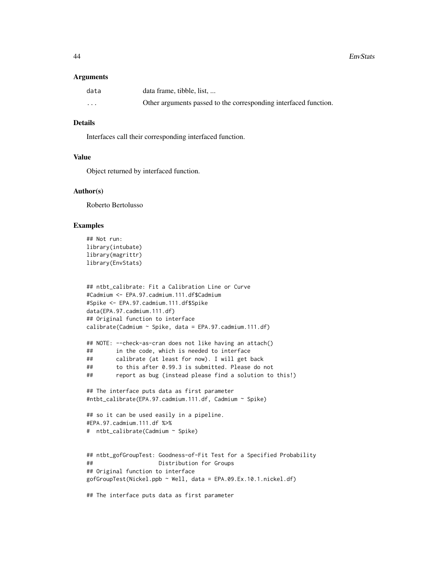#### Arguments

| data              | data frame, tibble, list,                                        |
|-------------------|------------------------------------------------------------------|
| $\cdot\cdot\cdot$ | Other arguments passed to the corresponding interfaced function. |

## Details

Interfaces call their corresponding interfaced function.

## Value

Object returned by interfaced function.

## Author(s)

Roberto Bertolusso

#### Examples

```
## Not run:
library(intubate)
library(magrittr)
library(EnvStats)
```

```
## ntbt_calibrate: Fit a Calibration Line or Curve
#Cadmium <- EPA.97.cadmium.111.df$Cadmium
#Spike <- EPA.97.cadmium.111.df$Spike
data(EPA.97.cadmium.111.df)
## Original function to interface
calibrate(Cadmium ~ Spike, data = EPA.97.cadmium.111.df)
```

```
## NOTE: --check-as-cran does not like having an attach()
## in the code, which is needed to interface
## calibrate (at least for now). I will get back
## to this after 0.99.3 is submitted. Please do not
## report as bug (instead please find a solution to this!)
```

```
## The interface puts data as first parameter
#ntbt_calibrate(EPA.97.cadmium.111.df, Cadmium ~ Spike)
```

```
## so it can be used easily in a pipeline.
#EPA.97.cadmium.111.df %>%
# ntbt_calibrate(Cadmium ~ Spike)
```

```
## ntbt_gofGroupTest: Goodness-of-Fit Test for a Specified Probability
## Distribution for Groups
## Original function to interface
gofGroupTest(Nickel.ppb ~ Well, data = EPA.09.Ex.10.1.nickel.df)
```
## The interface puts data as first parameter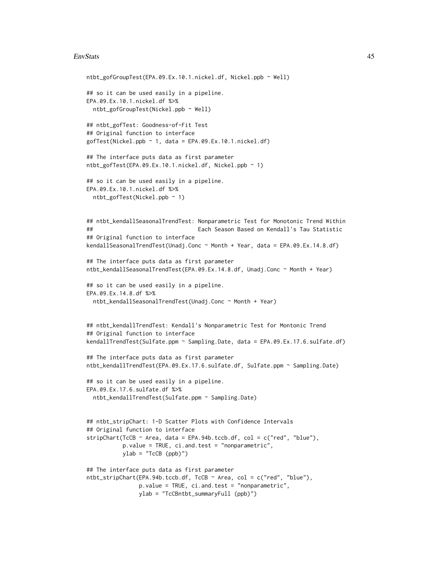#### EnvStats 45

```
ntbt_gofGroupTest(EPA.09.Ex.10.1.nickel.df, Nickel.ppb ~ Well)
## so it can be used easily in a pipeline.
EPA.09.Ex.10.1.nickel.df %>%
  ntbt_gofGroupTest(Nickel.ppb ~ Well)
## ntbt_gofTest: Goodness-of-Fit Test
## Original function to interface
gofTest(Nickel.ppb ~ 1, data = EPA.09.Ex.10.1.nickel.df)## The interface puts data as first parameter
ntbt_gofTest(EPA.09.Ex.10.1.nickel.df, Nickel.ppb ~ 1)
## so it can be used easily in a pipeline.
EPA.09.Ex.10.1.nickel.df %>%
  ntbt_gofTest(Nickel.ppb ~ 1)
## ntbt_kendallSeasonalTrendTest: Nonparametric Test for Monotonic Trend Within
## Each Season Based on Kendall's Tau Statistic
## Original function to interface
kendallSeasonalTrendTest(Unadj.Conc ~ Month + Year, data = EPA.09.Ex.14.8.df)
## The interface puts data as first parameter
ntbt_kendallSeasonalTrendTest(EPA.09.Ex.14.8.df, Unadj.Conc ~ Month + Year)
## so it can be used easily in a pipeline.
EPA.09.Ex.14.8.df %>%
  ntbt_kendallSeasonalTrendTest(Unadj.Conc ~ Month + Year)
## ntbt_kendallTrendTest: Kendall's Nonparametric Test for Montonic Trend
## Original function to interface
kendallTrendTest(Sulfate.ppm ~ Sampling.Date, data = EPA.09.Ex.17.6.sulfate.df)
## The interface puts data as first parameter
ntbt_kendallTrendTest(EPA.09.Ex.17.6.sulfate.df, Sulfate.ppm ~ Sampling.Date)
## so it can be used easily in a pipeline.
EPA.09.Ex.17.6.sulfate.df %>%
  ntbt_kendallTrendTest(Sulfate.ppm ~ Sampling.Date)
## ntbt_stripChart: 1-D Scatter Plots with Confidence Intervals
## Original function to interface
stripChart(TcCB \sim Area, data = EPA.94b.tccb.df, col = c("red", "blue"),
           p.value = TRUE, ci.and.test = "nonparametric",
          ylab = "TcCB (ppb)")
## The interface puts data as first parameter
ntbt_stripChart(EPA.94b.tccb.df, TcCB ~ Area, col = c("red", "blue"),
                p.value = TRUE, ci.and.test = "nonparametric",
                ylab = "TcCBntbt_summaryFull (ppb)")
```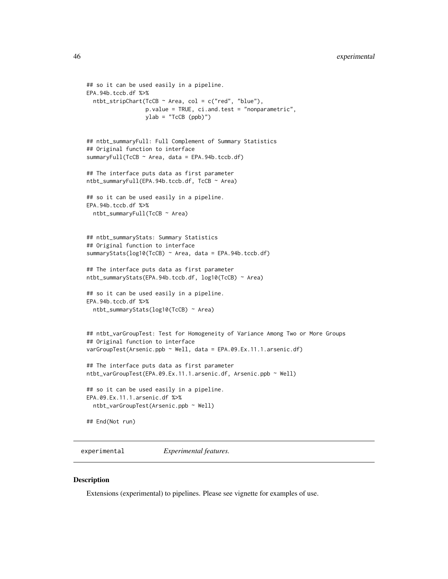```
## so it can be used easily in a pipeline.
EPA.94b.tccb.df %>%
  ntbt_stripChart(TcCB \sim Area, col = c("red", "blue"),
                  p.value = TRUE, ci.and.test = "nonparametric",
                  ylab = "TcCB (ppb)")## ntbt_summaryFull: Full Complement of Summary Statistics
## Original function to interface
summaryFull(TcCB ~ Area, data = EPA.94b.tccb.df)
## The interface puts data as first parameter
ntbt_summaryFull(EPA.94b.tccb.df, TcCB ~ Area)
## so it can be used easily in a pipeline.
EPA.94b.tccb.df %>%
  ntbt_summaryFull(TcCB ~ Area)
## ntbt_summaryStats: Summary Statistics
## Original function to interface
summaryStats(log10(TcCB) ~ Area, data = EPA.94b.tccb.df)
## The interface puts data as first parameter
ntbt_summaryStats(EPA.94b.tccb.df, log10(TcCB) ~ Area)
## so it can be used easily in a pipeline.
EPA.94b.tccb.df %>%
  ntbt_summaryStats(log10(TcCB) ~ Area)
## ntbt_varGroupTest: Test for Homogeneity of Variance Among Two or More Groups
## Original function to interface
varGroupTest(Arsenic.ppb ~ Well, data = EPA.09.Ex.11.1.arsenic.df)
## The interface puts data as first parameter
ntbt_varGroupTest(EPA.09.Ex.11.1.arsenic.df, Arsenic.ppb ~ Well)
## so it can be used easily in a pipeline.
EPA.09.Ex.11.1.arsenic.df %>%
  ntbt_varGroupTest(Arsenic.ppb ~ Well)
## End(Not run)
```
experimental *Experimental features.*

#### Description

Extensions (experimental) to pipelines. Please see vignette for examples of use.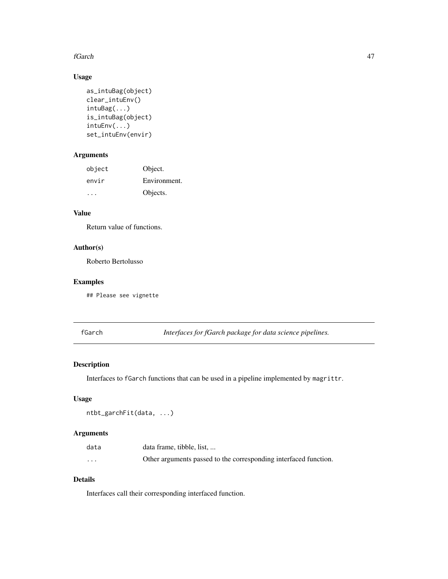#### fGarch 47

# Usage

```
as_intuBag(object)
clear_intuEnv()
intuBag(...)
is_intuBag(object)
intuEnv(...)
set_intuEnv(envir)
```
# Arguments

| object        | Object.      |
|---------------|--------------|
| envir         | Environment. |
| $\sim$ $\sim$ | Objects.     |

# Value

Return value of functions.

# Author(s)

Roberto Bertolusso

# Examples

## Please see vignette

fGarch *Interfaces for fGarch package for data science pipelines.*

# Description

Interfaces to fGarch functions that can be used in a pipeline implemented by magrittr.

# Usage

```
ntbt_garchFit(data, ...)
```
# Arguments

| data     | data frame, tibble, list,                                        |
|----------|------------------------------------------------------------------|
| $\cdots$ | Other arguments passed to the corresponding interfaced function. |

# Details

Interfaces call their corresponding interfaced function.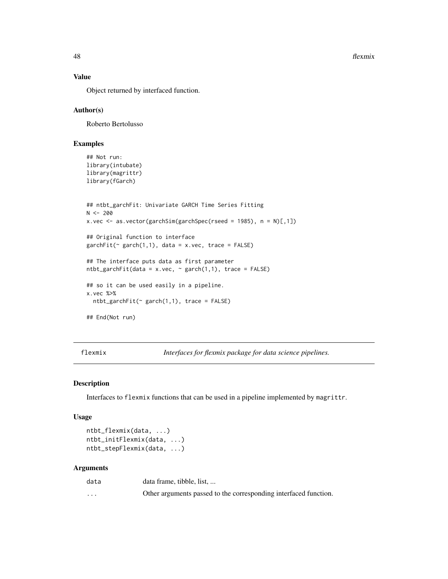48 flexmix and the state of the state of the state of the state of the state of the state of the state of the state of the state of the state of the state of the state of the state of the state of the state of the state of

## Value

Object returned by interfaced function.

## Author(s)

Roberto Bertolusso

# Examples

```
## Not run:
library(intubate)
library(magrittr)
library(fGarch)
```

```
## ntbt_garchFit: Univariate GARCH Time Series Fitting
N < -200x.vec <- as.vector(garchSim(garchSpec(rseed = 1985), n = N)[,1])
```

```
## Original function to interface
garchFit(~ garch(1,1), data = x.vec, trace = FALSE)
```

```
## The interface puts data as first parameter
ntbt_garchFit(data = x.vec, ~ x_garch(1,1), trace = FALSE)
```

```
## so it can be used easily in a pipeline.
x.vec %>%
```

```
ntbt_garchFit(\sim garch(1,1), trace = FALSE)
```

```
## End(Not run)
```
flexmix *Interfaces for flexmix package for data science pipelines.*

#### Description

Interfaces to flexmix functions that can be used in a pipeline implemented by magrittr.

#### Usage

```
ntbt_flexmix(data, ...)
ntbt_initFlexmix(data, ...)
ntbt_stepFlexmix(data, ...)
```
#### Arguments

| data     | data frame, tibble, list,                                        |
|----------|------------------------------------------------------------------|
| $\cdots$ | Other arguments passed to the corresponding interfaced function. |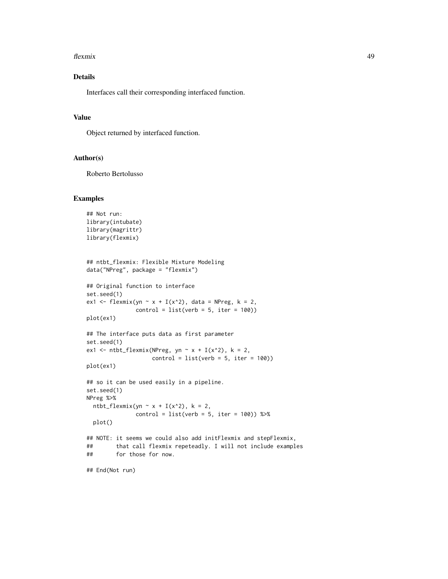#### flexmix 49

# Details

Interfaces call their corresponding interfaced function.

#### Value

Object returned by interfaced function.

#### Author(s)

Roberto Bertolusso

```
## Not run:
library(intubate)
library(magrittr)
library(flexmix)
## ntbt_flexmix: Flexible Mixture Modeling
data("NPreg", package = "flexmix")
## Original function to interface
set.seed(1)
ex1 <- flexmix(yn \sim x + I(x^2), data = NPreg, k = 2,
              control = list(verb = 5, iter = 100))plot(ex1)
## The interface puts data as first parameter
set.seed(1)
ex1 <- ntbt_flexmix(NPreg, yn ~ x + I(x^2), k = 2,
                    control = list(verb = 5, iter = 100))plot(ex1)
## so it can be used easily in a pipeline.
set.seed(1)
NPreg %>%
  ntbt_flexmix(yn \sim x + I(x^2), k = 2,
              control = list(verb = 5, iter = 100)) %>%
  plot()
## NOTE: it seems we could also add initFlexmix and stepFlexmix,
## that call flexmix repeteadly. I will not include examples
## for those for now.
## End(Not run)
```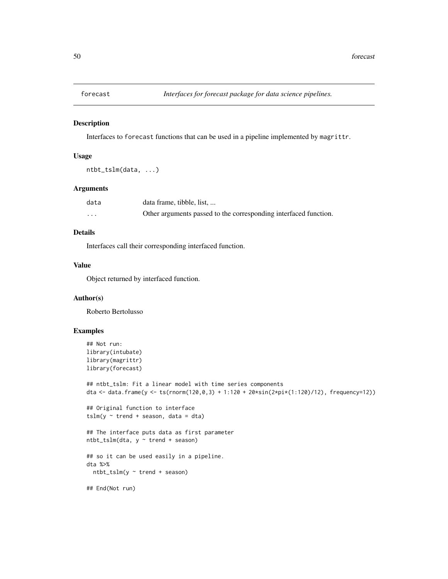Interfaces to forecast functions that can be used in a pipeline implemented by magrittr.

## Usage

```
ntbt_tslm(data, ...)
```
#### Arguments

| data     | data frame, tibble, list,                                        |
|----------|------------------------------------------------------------------|
| $\cdots$ | Other arguments passed to the corresponding interfaced function. |

# Details

Interfaces call their corresponding interfaced function.

# Value

Object returned by interfaced function.

## Author(s)

Roberto Bertolusso

```
## Not run:
library(intubate)
library(magrittr)
library(forecast)
## ntbt_tslm: Fit a linear model with time series components
dta <- data.frame(y <- ts(rnorm(120,0,3) + 1:120 + 20*sin(2*pi*(1:120)/12), frequency=12))
## Original function to interface
tslm(y \sim trend + season, data = dta)## The interface puts data as first parameter
ntbt_tslm(dta, y ~ trend + season)
## so it can be used easily in a pipeline.
dta %>%
  ntbt_tslm(y ~ trend + season)
## End(Not run)
```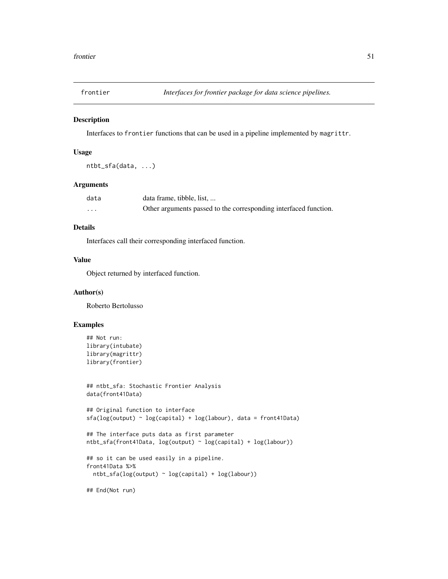Interfaces to frontier functions that can be used in a pipeline implemented by magrittr.

## Usage

```
ntbt_sfa(data, ...)
```
## Arguments

| data | data frame, tibble, list,                                        |
|------|------------------------------------------------------------------|
| .    | Other arguments passed to the corresponding interfaced function. |

## Details

Interfaces call their corresponding interfaced function.

## Value

Object returned by interfaced function.

## Author(s)

Roberto Bertolusso

# Examples

```
## Not run:
library(intubate)
library(magrittr)
library(frontier)
```

```
## ntbt_sfa: Stochastic Frontier Analysis
data(front41Data)
```

```
## Original function to interface
sfa(log(output) ~ log(capital) + log(labour), data = front41Data)
```

```
## The interface puts data as first parameter
ntbt_sfa(front41Data, log(output) ~ log(capital) + log(labour))
```

```
## so it can be used easily in a pipeline.
front41Data %>%
 ntbt_sfa(log(output) ~ log(capital) + log(labour))
```
## End(Not run)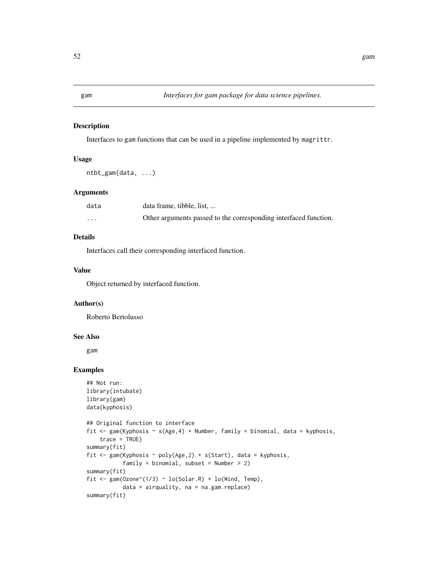Interfaces to gam functions that can be used in a pipeline implemented by magrittr.

## Usage

```
ntbt_gam(data, ...)
```
# Arguments

| data     | data frame, tibble, list,                                        |
|----------|------------------------------------------------------------------|
| $\cdots$ | Other arguments passed to the corresponding interfaced function. |

# Details

Interfaces call their corresponding interfaced function.

# Value

Object returned by interfaced function.

## Author(s)

Roberto Bertolusso

# See Also

gam

```
## Not run:
library(intubate)
library(gam)
data(kyphosis)
## Original function to interface
fit <- gam(Kyphosis ~ s(Age,4) + Number, family = binomial, data = kyphosis,
    trace = TRUE)
summary(fit)
fit \leq gam(Kyphosis \sim poly(Age, 2) + s(Start), data = kyphosis,
           family = binomial, subset = Number > 2)
summary(fit)
fit <- gam(Ozone^(1/3) ~ lo(Solar.R) + lo(Wind, Temp),
           data = airquality, na = na.gam.replace)
summary(fit)
```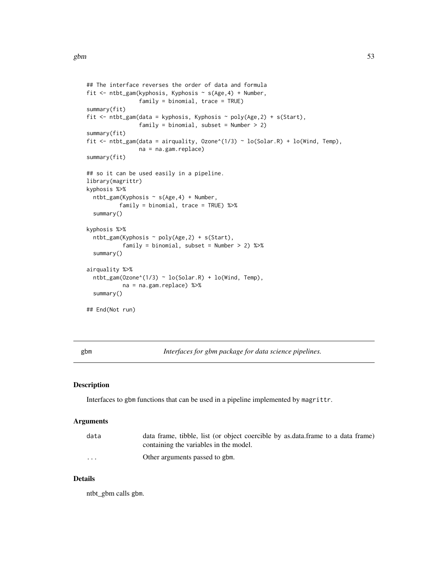```
## The interface reverses the order of data and formula
fit <- ntbt_gam(kyphosis, Kyphosis ~ s(Age,4) + Number,
                family = binomial, trace = TRUE)
summary(fit)
fit <- ntbt_gam(data = kyphosis, Kyphosis ~ poly(Age, 2) + s(Start),
                family = binomial, subset = Number > 2)
summary(fit)
fit <- ntbt_gam(data = airquality, Ozone^(1/3) ~ lo(Solar.R) + lo(Wind, Temp),
                na = na.gam.replace)
summary(fit)
## so it can be used easily in a pipeline.
library(magrittr)
kyphosis %>%
 ntbt_gam(Kyphosis ~ s(Age,4) + Number,
          family = binomial, trace = TRUE) %>%
 summary()
kyphosis %>%
 ntbt_gam(Kyphosis ~ poly(Age,2) + s(Start),
           family = binomial, subset = Number > 2) %>%
 summary()
airquality %>%
 ntbt_gam(Ozone^(1/3) ~ lo(Solar.R) + lo(Wind, Temp),
           na = na.gam.replace) %>%
 summary()
## End(Not run)
```
gbm *Interfaces for gbm package for data science pipelines.*

# Description

Interfaces to gbm functions that can be used in a pipeline implemented by magrittr.

# Arguments

| data     | data frame, tibble, list (or object coercible by as data frame to a data frame)<br>containing the variables in the model. |
|----------|---------------------------------------------------------------------------------------------------------------------------|
| $\cdots$ | Other arguments passed to gbm.                                                                                            |

# Details

ntbt\_gbm calls gbm.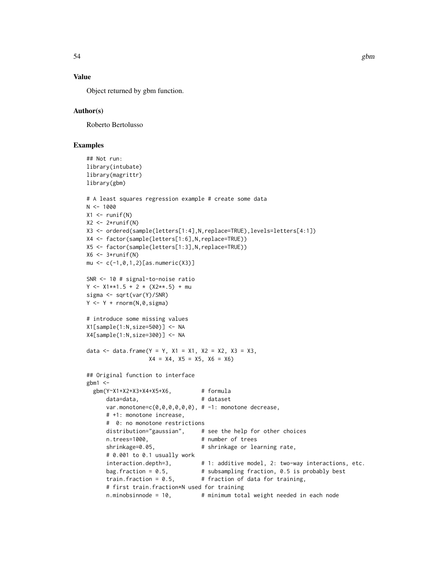# Value

Object returned by gbm function.

## Author(s)

Roberto Bertolusso

# Examples

```
## Not run:
library(intubate)
library(magrittr)
library(gbm)
# A least squares regression example # create some data
N < -1000X1 \leftarrow runif(N)X2 \leftarrow 2*runif(N)X3 <- ordered(sample(letters[1:4],N,replace=TRUE),levels=letters[4:1])
X4 <- factor(sample(letters[1:6],N,replace=TRUE))
X5 <- factor(sample(letters[1:3],N,replace=TRUE))
X6 \leq -3*runif(N)mu <- c(-1,0,1,2)[as.numeric(X3)]
SNR <- 10 # signal-to-noise ratio
Y \le -X1**1.5 + 2 \times (X2**.5) + musigma <- sqrt(var(Y)/SNR)
Y \leftarrow Y + \text{rnorm}(N, \emptyset, \text{sigma})# introduce some missing values
X1[sample(1:N,size=500)] <- NA
X4[sample(1:N,size=300)] <- NA
data <- data.frame(Y = Y, X1 = X1, X2 = X2, X3 = X3,
                   X4 = X4, X5 = X5, X6 = X6)
## Original function to interface
gbm1 < -gbm(Y~X1+X2+X3+X4+X5+X6, # formula
      data=data, <br>
# dataset
      var.monotone=c(\emptyset, \emptyset, \emptyset, \emptyset, \emptyset, \emptyset), # -1: monotone decrease,
      # +1: monotone increase,
      # 0: no monotone restrictions
      distribution="gaussian", # see the help for other choices
      n.trees=1000, # number of trees
      shrinkage=0.05, <br> # shrinkage or learning rate,
      # 0.001 to 0.1 usually work
      interaction.depth=3, \qquad # 1: additive model, 2: two-way interactions, etc.
      bag.fraction = 0.5, \qquad # subsampling fraction, 0.5 is probably best
      train.fraction = 0.5, # fraction of data for training,
      # first train.fraction*N used for training
      n.minobsinnode = 10, # minimum total weight needed in each node
```
54 gbm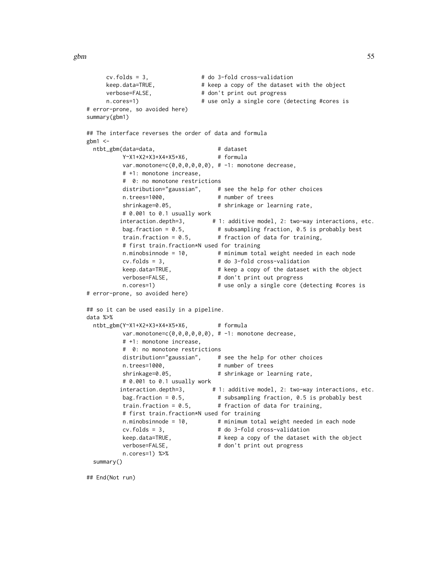```
cv.folds = 3, # do 3-fold cross-validation
     keep.data=TRUE, \qquad # keep a copy of the dataset with the object
     verbose=FALSE, \qquad # don't print out progress
     n.cores=1) \# use only a single core (detecting #cores is
# error-prone, so avoided here)
summary(gbm1)
## The interface reverses the order of data and formula
gbm1 < -ntbt_gbm(data=data, # dataset
         Y~X1+X2+X3+X4+X5+X6, # formula
         var.monotone=c(0,0,0,0,0,0), # -1: monotone decrease,
         # +1: monotone increase,
          # 0: no monotone restrictions
         distribution="gaussian", # see the help for other choices
         n.trees=1000, # number of trees<br>shrinkage=0.05, # shrinkage or lea
                                   # shrinkage or learning rate,
         # 0.001 to 0.1 usually work
         interaction.depth=3, # 1: additive model, 2: two-way interactions, etc.
         bag.fraction = 0.5, \qquad # subsampling fraction, 0.5 is probably best
         train.fraction = 0.5, \qquad # fraction of data for training,
          # first train.fraction*N used for training
         n.minobsinnode = 10, # minimum total weight needed in each node
          cv.folds = 3, # do 3-fold cross-validation
         keep.data=TRUE, # keep a copy of the dataset with the object
          verbose=FALSE, # don't print out progress
         n.cores=1) # use only a single core (detecting #cores is
# error-prone, so avoided here)
## so it can be used easily in a pipeline.
data %>%
 ntbt_gbm(Y~X1+X2+X3+X4+X5+X6, # formula
         var.monotone=c(0,0,0,0,0,0), # -1: monotone decrease,
          # +1: monotone increase,
          # 0: no monotone restrictions
         distribution="gaussian", # see the help for other choices
         n.trees=1000, # number of trees
         shrinkage=0.05, <br> # shrinkage or learning rate,
         # 0.001 to 0.1 usually work
         interaction.depth=3, # 1: additive model, 2: two-way interactions, etc.
         bag. fraction = 0.5, \qquad # subsampling fraction, 0.5 is probably best
         train.fraction = 0.5, \qquad # fraction of data for training,
         # first train.fraction*N used for training
         n.minobsinnode = 10, # minimum total weight needed in each node
         cv.folds = 3, # do 3-fold cross-validation
         keep.data=TRUE, # keep a copy of the dataset with the object
         verbose=FALSE, # don't print out progress
         n.cores=1) %>%
 summary()
```
## End(Not run)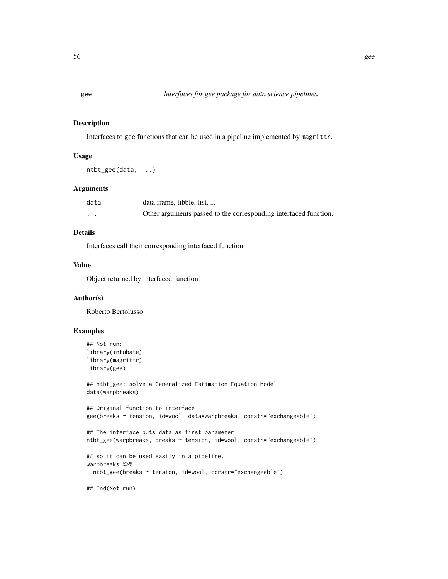Interfaces to gee functions that can be used in a pipeline implemented by magrittr.

## Usage

```
ntbt_gee(data, ...)
```
## Arguments

| data     | data frame, tibble, list,                                        |
|----------|------------------------------------------------------------------|
| $\cdots$ | Other arguments passed to the corresponding interfaced function. |

# Details

Interfaces call their corresponding interfaced function.

# Value

Object returned by interfaced function.

## Author(s)

Roberto Bertolusso

# Examples

```
## Not run:
library(intubate)
library(magrittr)
library(gee)
## ntbt_gee: solve a Generalized Estimation Equation Model
data(warpbreaks)
## Original function to interface
gee(breaks ~ tension, id=wool, data=warpbreaks, corstr="exchangeable")
## The interface puts data as first parameter
ntbt_gee(warpbreaks, breaks ~ tension, id=wool, corstr="exchangeable")
## so it can be used easily in a pipeline.
warpbreaks %>%
  ntbt_gee(breaks ~ tension, id=wool, corstr="exchangeable")
```
## End(Not run)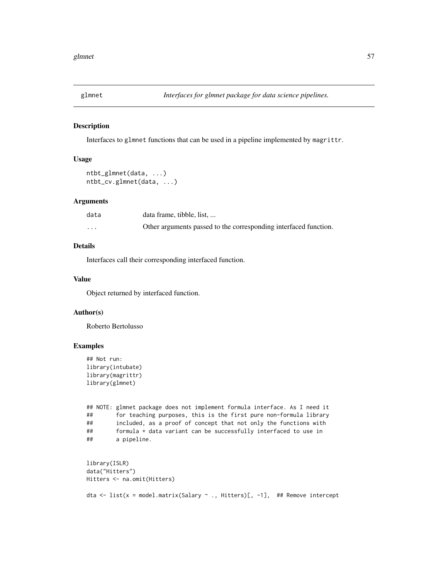Interfaces to glmnet functions that can be used in a pipeline implemented by magrittr.

## Usage

```
ntbt_glmnet(data, ...)
ntbt_cv.glmnet(data, ...)
```
## Arguments

| data     | data frame, tibble, list,                                        |
|----------|------------------------------------------------------------------|
| $\cdots$ | Other arguments passed to the corresponding interfaced function. |

# Details

Interfaces call their corresponding interfaced function.

#### Value

Object returned by interfaced function.

## Author(s)

Roberto Bertolusso

```
## Not run:
library(intubate)
library(magrittr)
library(glmnet)
```

```
## NOTE: glmnet package does not implement formula interface. As I need it
## for teaching purposes, this is the first pure non-formula library
## included, as a proof of concept that not only the functions with
## formula + data variant can be successfully interfaced to use in
## a pipeline.
```

```
library(ISLR)
data("Hitters")
Hitters <- na.omit(Hitters)
dta <- list(x = model.matrix(Salary ~ ., Hitters)[, -1], ## Remove intercept
```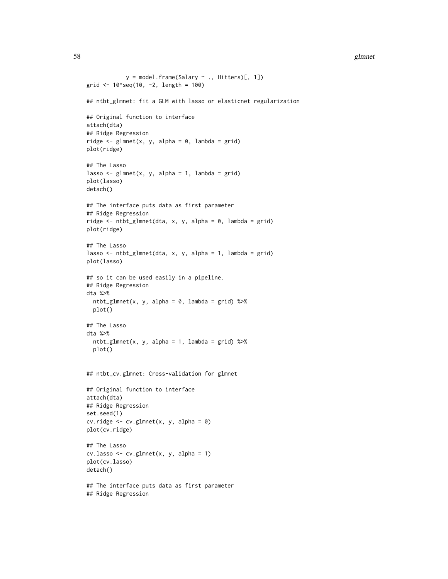#### 58 glmnet

```
y = model-frame(Salary ~ ., Hitters)[, 1])grid \le 10^seq(10, -2, length = 100)
## ntbt_glmnet: fit a GLM with lasso or elasticnet regularization
## Original function to interface
attach(dta)
## Ridge Regression
ridge \leq glmnet(x, y, alpha = 0, lambda = grid)
plot(ridge)
## The Lasso
lasso \leq glmnet(x, y, alpha = 1, lambda = grid)
plot(lasso)
detach()
## The interface puts data as first parameter
## Ridge Regression
ridge <- ntbt_glmnet(dta, x, y, alpha = 0, lambda = grid)
plot(ridge)
## The Lasso
lasso <- ntbt_glmnet(dta, x, y, alpha = 1, lambda = grid)
plot(lasso)
## so it can be used easily in a pipeline.
## Ridge Regression
dta %>%
 ntbt_glmnet(x, y, alpha = 0, lambda = grid) %>%
  plot()
## The Lasso
dta %>%
  ntbt_glmnet(x, y, alpha = 1, lambda = grid) %plot()
## ntbt_cv.glmnet: Cross-validation for glmnet
## Original function to interface
attach(dta)
## Ridge Regression
set.seed(1)
cv.ridge <- cv.glmnet(x, y, alpha = 0)
plot(cv.ridge)
## The Lasso
cv.\text{lasso} \leftarrow cv.\text{glmnet}(x, y, \text{alpha} = 1)plot(cv.lasso)
detach()
## The interface puts data as first parameter
## Ridge Regression
```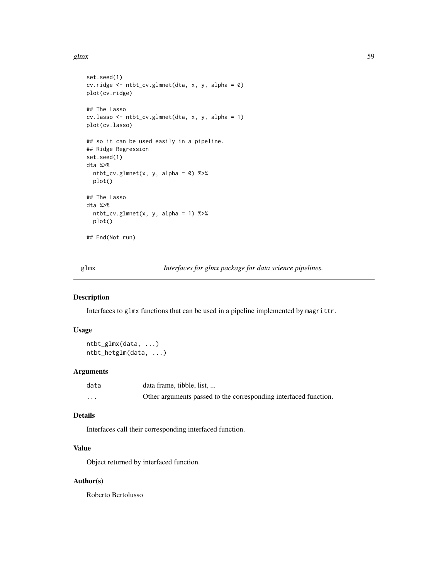#### glmx  $59$

```
set.seed(1)
cv.ridge <- ntbt_cv.glmnet(dta, x, y, alpha = 0)
plot(cv.ridge)
## The Lasso
cv.lasso <- ntbt_cv.glmnet(dta, x, y, alpha = 1)
plot(cv.lasso)
## so it can be used easily in a pipeline.
## Ridge Regression
set.seed(1)
dta %>%
  ntbt_cv.glmnet(x, y, alpha = 0) %>%
  plot()
## The Lasso
dta %>%
  ntbt_cv.glmnet(x, y, alpha = 1) %>%
  plot()
## End(Not run)
```
glmx *Interfaces for glmx package for data science pipelines.*

# Description

Interfaces to glmx functions that can be used in a pipeline implemented by magrittr.

# Usage

```
ntbt_glmx(data, ...)
ntbt_hetglm(data, ...)
```
#### Arguments

| data     | data frame, tibble, list                                         |
|----------|------------------------------------------------------------------|
| $\cdots$ | Other arguments passed to the corresponding interfaced function. |

## Details

Interfaces call their corresponding interfaced function.

# Value

Object returned by interfaced function.

## Author(s)

Roberto Bertolusso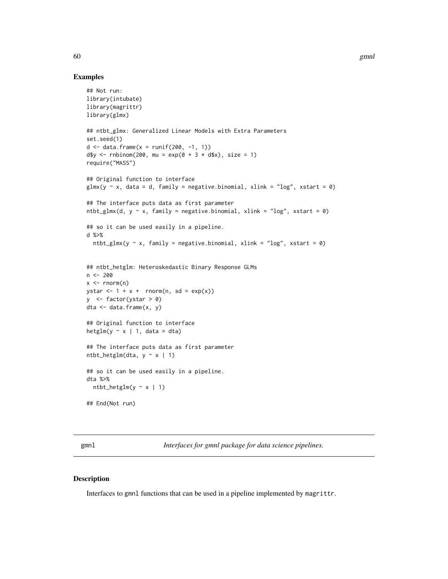## Examples

```
## Not run:
library(intubate)
library(magrittr)
library(glmx)
## ntbt_glmx: Generalized Linear Models with Extra Parameters
set.seed(1)
d \le - data.frame(x = runif(200, -1, 1))
d$y <- rnbinom(200, mu = exp(0 + 3 \times d$x), size = 1)
require("MASS")
## Original function to interface
glmx(y \sim x, data = d, family = negative.binomial, xlink = "log", xstart = 0)## The interface puts data as first parameter
ntbt_glmx(d, y \sim x, family = negative.binomial, xlink = "log", xstart = 0)
## so it can be used easily in a pipeline.
d %>%
  ntbt_glmx(y \sim x, family = negative.binomial, xlink = "log", xstart = 0)
## ntbt_hetglm: Heteroskedastic Binary Response GLMs
n <- 200
x \le - rnorm(n)
ystar \leq -1 + x + \text{norm}(n, \text{sd} = \exp(x))y \le- factor(ystar > 0)
dta <- data.frame(x, y)
## Original function to interface
hetglm(y \sim x | 1, data = dta)
## The interface puts data as first parameter
ntbt\_height(data, y ~ x ~ | ~ 1)## so it can be used easily in a pipeline.
dta %>%
  ntbt_hetglm(y \sim x | 1)
## End(Not run)
```
gmnl *Interfaces for gmnl package for data science pipelines.*

## Description

Interfaces to gmnl functions that can be used in a pipeline implemented by magrittr.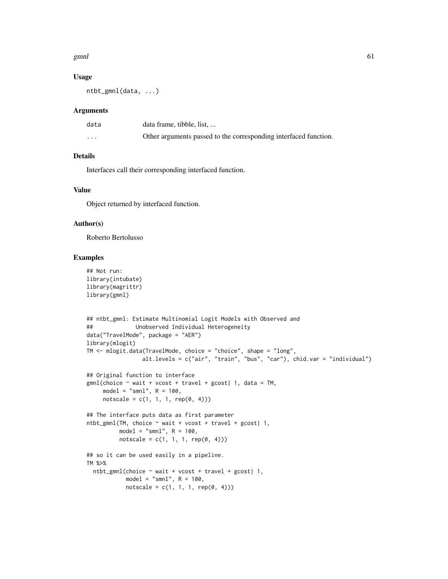#### $g$ mnl 61

## Usage

ntbt\_gmnl(data, ...)

## Arguments

| data     | data frame, tibble, list,                                        |
|----------|------------------------------------------------------------------|
| $\cdots$ | Other arguments passed to the corresponding interfaced function. |

# Details

Interfaces call their corresponding interfaced function.

# Value

Object returned by interfaced function.

## Author(s)

Roberto Bertolusso

```
## Not run:
library(intubate)
library(magrittr)
library(gmnl)
## ntbt_gmnl: Estimate Multinomial Logit Models with Observed and
## Unobserved Individual Heterogeneity
data("TravelMode", package = "AER")
library(mlogit)
TM <- mlogit.data(TravelMode, choice = "choice", shape = "long",
                 alt.levels = c("air", "train", "bus", "car"), chid.var = "individual")
## Original function to interface
gmnl(choice \sim wait + vcost + travel + gcost| 1, data = TM,
     model = "smn1", R = 100,notscale = c(1, 1, 1, rep(0, 4)))## The interface puts data as first parameter
ntbt_gmnl(TM, choice ~ wait + vcost + travel + gcost| 1,
         model = "smnl", R = 100,
         notscale = c(1, 1, 1, rep(0, 4)))## so it can be used easily in a pipeline.
TM %>%
  ntbt_gmnl(choice ~ value + 'vcost + travel + gcost | 1,model = "smn1", R = 100,notscale = c(1, 1, 1, rep(0, 4)))
```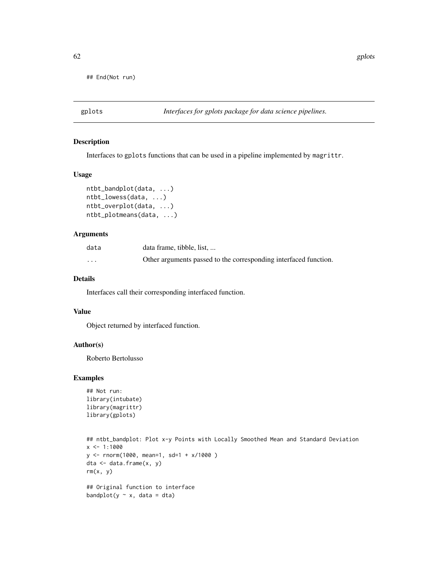## End(Not run)

## Description

Interfaces to gplots functions that can be used in a pipeline implemented by magrittr.

#### Usage

```
ntbt_bandplot(data, ...)
ntbt_lowess(data, ...)
ntbt_overplot(data, ...)
ntbt_plotmeans(data, ...)
```
# Arguments

| data                    | data frame, tibble, list,                                        |
|-------------------------|------------------------------------------------------------------|
| $\cdot$ $\cdot$ $\cdot$ | Other arguments passed to the corresponding interfaced function. |

# Details

Interfaces call their corresponding interfaced function.

## Value

Object returned by interfaced function.

## Author(s)

Roberto Bertolusso

```
## Not run:
library(intubate)
library(magrittr)
library(gplots)
```

```
## ntbt_bandplot: Plot x-y Points with Locally Smoothed Mean and Standard Deviation
x < -1:1000y <- rnorm(1000, mean=1, sd=1 + x/1000 )
dta \leq data.frame(x, y)rm(x, y)## Original function to interface
bandplot(y \sim x, data = dta)
```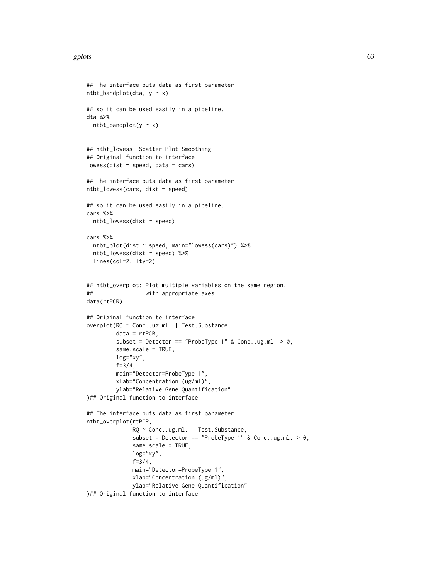#### gplots  $\qquad \qquad 63$

```
## The interface puts data as first parameter
ntbt\_bandplot(data, y ~ x)## so it can be used easily in a pipeline.
dta %>%
 ntbt\_bandplot(y \sim x)## ntbt_lowess: Scatter Plot Smoothing
## Original function to interface
lowess(dist \sim speed, data = cars)
## The interface puts data as first parameter
ntbt_lowess(cars, dist ~ speed)
## so it can be used easily in a pipeline.
cars %>%
  ntbt_lowess(dist ~ speed)
cars %>%
  ntbt_plot(dist ~ speed, main="lowess(cars)") %>%
  ntbt_lowess(dist ~ speed) %>%
  lines(col=2, lty=2)
## ntbt_overplot: Plot multiple variables on the same region,
## with appropriate axes
data(rtPCR)
## Original function to interface
overplot(RQ ~ Conc..ug.ml. | Test.Substance,
        data = rtPCR,subset = Detector == "ProbeType 1" & Conc..ug.ml. > 0,
        same.scale = TRUE,
        log="xy",
        f=3/4,
        main="Detector=ProbeType 1",
        xlab="Concentration (ug/ml)",
        ylab="Relative Gene Quantification"
)## Original function to interface
## The interface puts data as first parameter
ntbt_overplot(rtPCR,
              RQ ~ Conc..ug.ml. | Test.Substance,
              subset = Detector == "ProbeType 1" & Conc..ug.ml. > 0,
              same.scale = TRUE,
              log="xy",
              f=3/4,
              main="Detector=ProbeType 1",
              xlab="Concentration (ug/ml)",
              ylab="Relative Gene Quantification"
)## Original function to interface
```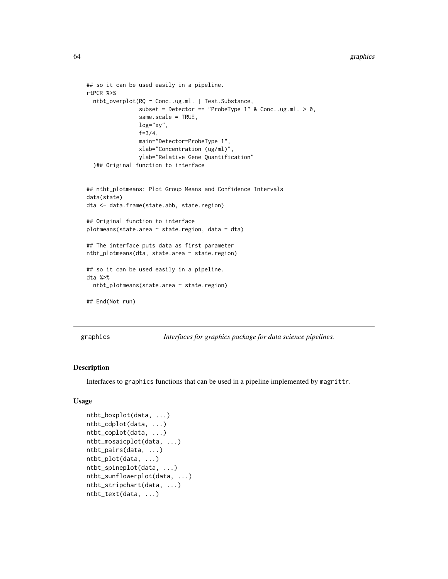#### 64 graphics

```
## so it can be used easily in a pipeline.
rtPCR %>%
 ntbt_overplot(RQ ~ Conc..ug.ml. | Test.Substance,
                subset = Detector == "ProbeType 1" & Conc..ug.ml. > 0,same.scale = TRUE,
                log="xy",
                f=3/4,
                main="Detector=ProbeType 1",
                xlab="Concentration (ug/ml)",
                ylab="Relative Gene Quantification"
 )## Original function to interface
## ntbt_plotmeans: Plot Group Means and Confidence Intervals
data(state)
dta <- data.frame(state.abb, state.region)
## Original function to interface
plotmeans(state.area \sim state.region, data = dta)
## The interface puts data as first parameter
ntbt_plotmeans(dta, state.area ~ state.region)
## so it can be used easily in a pipeline.
dta %>%
 ntbt_plotmeans(state.area ~ state.region)
## End(Not run)
```
graphics *Interfaces for graphics package for data science pipelines.*

## Description

Interfaces to graphics functions that can be used in a pipeline implemented by magrittr.

## Usage

```
ntbt_boxplot(data, ...)
ntbt_cdplot(data, ...)
ntbt_coplot(data, ...)
ntbt_mosaicplot(data, ...)
ntbt_pairs(data, ...)
ntbt_plot(data, ...)
ntbt_spineplot(data, ...)
ntbt_sunflowerplot(data, ...)
ntbt_stripchart(data, ...)
ntbt_text(data, ...)
```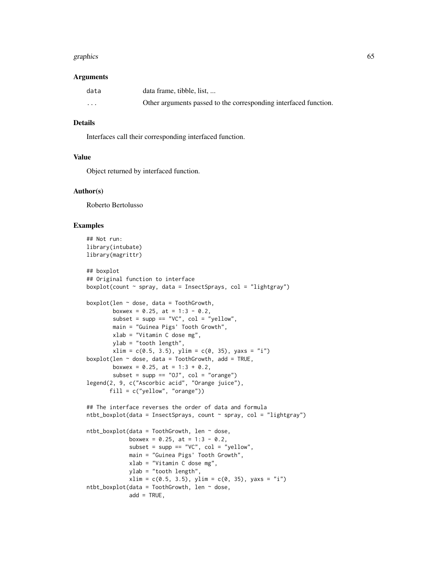#### graphics 65

#### Arguments

| data     | data frame, tibble, list                                         |
|----------|------------------------------------------------------------------|
| $\cdots$ | Other arguments passed to the corresponding interfaced function. |

## Details

Interfaces call their corresponding interfaced function.

## Value

Object returned by interfaced function.

## Author(s)

Roberto Bertolusso

```
## Not run:
library(intubate)
library(magrittr)
## boxplot
## Original function to interface
boxplot(count \sim spray, data = InsectSprays, col = "lightgray")
boxplot(len \sim dose, data = ToothGrowth,boxwex = 0.25, at = 1:3 - 0.2,
       subset = supp == "VC", col = "yellow",main = "Guinea Pigs' Tooth Growth",
       xlab = "Vitamin C dose mg",
       ylab = "tooth length",
        xlim = c(0.5, 3.5), ylim = c(0, 35), yax = "i")boxplot(len \sim dose, data = ToothGrowth, add = TRUE,
       boxwex = 0.25, at = 1:3 + 0.2,
       subset = supp == "0J", col = "orange")legend(2, 9, c("Ascorbic acid", "Orange juice"),
       fill = c("yellow", "orange")## The interface reverses the order of data and formula
ntbt_boxplot(data = InsectSprays, count \sim spray, col = "lightgray")
ntbt_boxplot(data = ToothGrowth, len ~ does,boxwex = 0.25, at = 1:3 - 0.2,
             subset = supp == "VC", col = "yellow",
             main = "Guinea Pigs' Tooth Growth",
             xlab = "Vitamin C dose mg",
             ylab = "tooth length",
             xlim = c(0.5, 3.5), ylim = c(0, 35), yax = "i")ntbt_boxplot(data = ToothGrowth, len ~ does,add = TRUE,
```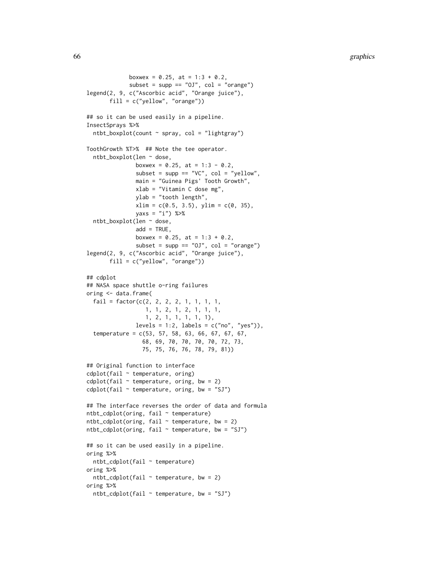```
boxwex = 0.25, at = 1:3 + 0.2,
             subset = supp == "0J", col = "orange")legend(2, 9, c("Ascorbic acid", "Orange juice"),
       fill = c("yellow", "orange")## so it can be used easily in a pipeline.
InsectSprays %>%
  ntbt_boxplot(count \sim spray, col = "lightgray")ToothGrowth %T>% ## Note the tee operator.
  ntbt_boxplot(len ~ dose,
               boxwex = 0.25, at = 1:3 - 0.2,
               subset = supp == "VC", col = "yellow",main = "Guinea Pigs' Tooth Growth",
               xlab = "Vitamin C dose mg",
               ylab = "tooth length",
               xlim = c(0.5, 3.5), ylim = c(0, 35),yaxs = "i") %>%
  ntbt_boxplot(len ~ dose,
               add = TRUE,boxwex = 0.25, at = 1:3 + 0.2,
               subset = supp == "0J", col = "orange")
legend(2, 9, c("Ascorbic acid", "Orange juice"),
       fill = c("yellow", "orange"))
## cdplot
## NASA space shuttle o-ring failures
oring <- data.frame(
  fail = factor(c(2, 2, 2, 2, 1, 1, 1, 1,1, 1, 2, 1, 2, 1, 1, 1,
                  1, 2, 1, 1, 1, 1, 1),
               levels = 1:2, labels = c("no", "yes")),
  temperature = c(53, 57, 58, 63, 66, 67, 67, 67,
                 68, 69, 70, 70, 70, 70, 72, 73,
                 75, 75, 76, 76, 78, 79, 81))
## Original function to interface
cdplot(fail ~ temperature, oring)
cdplot(fail \sim temperature, oring, bw = 2)
cdplot(fail \sim temperature, oring, bw = "SJ")
## The interface reverses the order of data and formula
ntbt_cdplot(oring, fail ~ temperature)
ntbt_cdplot(oring, fail ~ temperature, bw = 2)ntbt_cdplot(oring, fail ~ temperature, bw = "SJ")## so it can be used easily in a pipeline.
oring %>%
  ntbt_cdplot(fail ~ temperature)
oring %>%
  ntbt_cdplot(fail ~ temperature, bw = 2)oring %>%
  ntbt_cdplot(fail ~ temperature, bw = "SJ")
```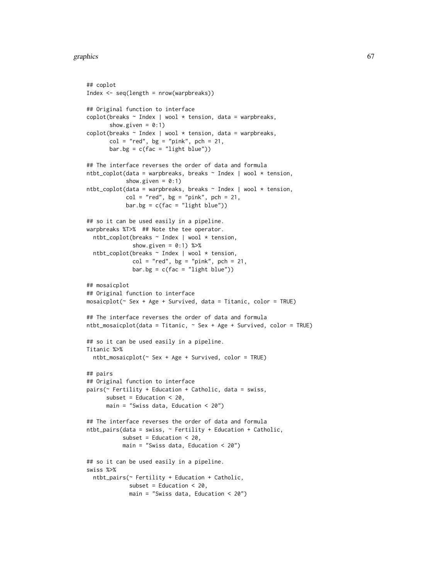#### graphics  $\qquad \qquad 67$

```
## coplot
Index <- seq(length = nrow(warpbreaks))
## Original function to interface
\text{coplot}(breaks ~ Index | wool * tension, data = warpbreaks,
       show.given = 0:1)
\text{coplot}(breaks ~ Index | wool * tension, data = warpbreaks,
       col = "red", bg = "pink", pch = 21,bar.bg = c(fac = "light blue")## The interface reverses the order of data and formula
ntbt_coplot(data = warphreaks, breaks ~ Index | wool * tension,show.given = 0:1)
ntbt_coplot(data = warpbreaks, breaks ~ Index | wool * tension,
            col = "red", bg = "pink", pch = 21,bar.bg = c(fac = "light blue"))## so it can be used easily in a pipeline.
warpbreaks %T>% ## Note the tee operator.
 ntbt_coplot(breaks ~ Index | wool * tension,
              show.given = 0:1) %>%
 ntbt_coplot(breaks ~ Index | wool * tension,
              col = "red", bg = "pink", pch = 21,bar.bg = c(fac = "light blue"))## mosaicplot
## Original function to interface
mosaicplot(~ Sex + Age + Survived, data = Titanic, color = TRUE)
## The interface reverses the order of data and formula
ntbt_mosaicplot(data = Titanic, \sim Sex + Age + Survived, color = TRUE)
## so it can be used easily in a pipeline.
Titanic %>%
 ntbt_mosaicplot(~ Sex + Age + Survived, color = TRUE)
## pairs
## Original function to interface
pairs(~ Fertility + Education + Catholic, data = swiss,
      subset = Education \leq 20,
     main = "Swiss data, Education < 20")
## The interface reverses the order of data and formula
ntbt_pairs(data = swiss, ~ Fertility + Education + Catholic,
           subset = Education < 20,
           main = "Swiss data, Education \leq 20")
## so it can be used easily in a pipeline.
swiss %>%
 ntbt_pairs(~ Fertility + Education + Catholic,
             subset = Education < 20,
             main = "Swiss data, Education < 20")
```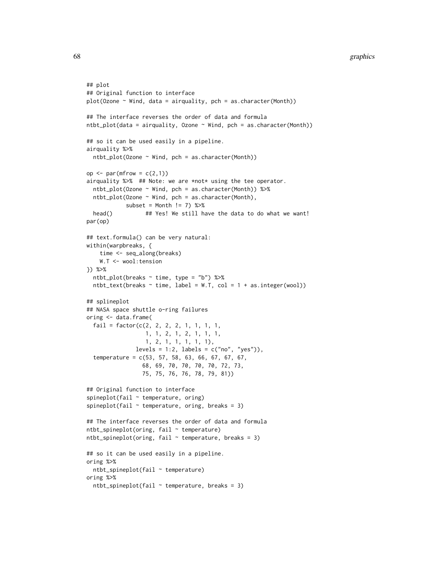```
## plot
## Original function to interface
plot(Ozone ~ Wind, data = airquality, pch = as.character(Month))
## The interface reverses the order of data and formula
ntbt.plot(data = airquality, Ozone ~ Wind, pch = as.charAtactor(Month))## so it can be used easily in a pipeline.
airquality %>%
 ntbt_plot(Ozone ~ Wind, pch = as.character(Month))
op \leq par(mfrow = c(2,1))
airquality %>% ## Note: we are *not* using the tee operator.
 ntbt_plot(Ozone ~ Wind, pch = as.character(Month)) %>%
 ntbt_plot(Ozone ~ Wind, pch = as.character(Month),
            subset = Month != 7) %>%
 head() ## Yes! We still have the data to do what we want!
par(op)
## text.formula() can be very natural:
within(warpbreaks, {
    time <- seq_along(breaks)
   W.T <- wool:tension
}) %>%
 ntbt_plot(breaks ~ time, type = "b") %>%
 ntbt_text(breaks \sim time, label = W.T, col = 1 + as.integer(wool))
## splineplot
## NASA space shuttle o-ring failures
oring <- data.frame(
 fail = factor(c(2, 2, 2, 2, 1, 1, 1, 1,
                  1, 1, 2, 1, 2, 1, 1, 1,
                  1, 2, 1, 1, 1, 1, 1),
              levels = 1:2, labels = c("no", "yes")),
 temperature = c(53, 57, 58, 63, 66, 67, 67, 67,
                 68, 69, 70, 70, 70, 70, 72, 73,
                 75, 75, 76, 76, 78, 79, 81))
## Original function to interface
spineplot(fail \sim temperature, oring)
spineplot(fail \sim temperature, oring, breaks = 3)
## The interface reverses the order of data and formula
ntbt_spineplot(oring, fail ~ temperature)
ntbt_spineplot(oring, fail \sim temperature, breaks = 3)
## so it can be used easily in a pipeline.
oring %>%
 ntbt_spineplot(fail ~ temperature)
oring %>%
 ntbt_spineplot(fail ~ temperature, breaks = 3)
```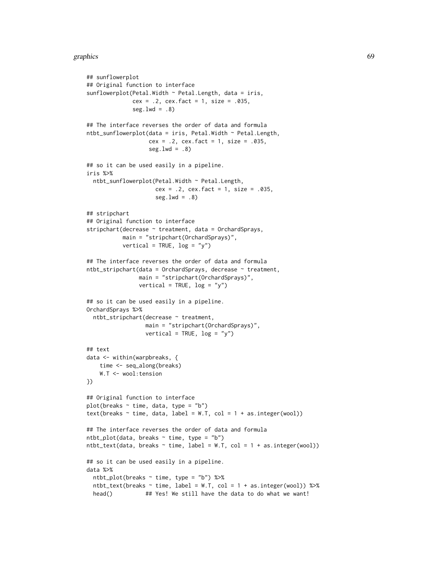#### graphics 69

```
## sunflowerplot
## Original function to interface
sunflowerplot(Petal.Width \sim Petal.Length, data = iris,
              cex = .2, cex.fact = 1, size = .035,
              seg.lwd = .8)## The interface reverses the order of data and formula
ntbt\_sumflowerplot(data = iris, Petal.Width ~ Petal.Length,cex = .2, cex. fact = 1, size = .035,
                   seg.lwd = .8)## so it can be used easily in a pipeline.
iris %>%
  ntbt_sunflowerplot(Petal.Width ~ Petal.Length,
                     cex = .2, cex.fact = 1, size = .035,
                      seg.lwd = .8)## stripchart
## Original function to interface
stripchart(decrease ~ treatment, data = OrchardSprays,
           main = "stripchart(OrchardSprays)",
           vertical = TRUE, log = "y")## The interface reverses the order of data and formula
ntbt_stripchart(data = OrchardSprays, decrease ~ treatment,
                main = "stripchart(OrchardSprays)",
                vertical = TRUE, log = "y")## so it can be used easily in a pipeline.
OrchardSprays %>%
  ntbt_stripchart(decrease ~ treatment,
                  main = "stripchart(OrchardSprays)",
                  vertical = TRUE, log = "y")## text
data <- within(warpbreaks, {
    time <- seq_along(breaks)
    W.T <- wool:tension
})
## Original function to interface
plot(breaks ~ time, data, type = "b")
text{text}(\text{breaks} \sim \text{time}, \text{data}, \text{label} = W.T, \text{col} = 1 + \text{as.integer}(\text{wood}))## The interface reverses the order of data and formula
ntbt.plot(data, breaks ~ time, type = "b")ntbt\_text(data, breaks ~ time, label = W.T, col = 1 + as.integer(wool))## so it can be used easily in a pipeline.
data %>%
  ntbt_plot(breaks ~ time, type = "b") %>%
  ntbt_text(breaks \sim time, label = W.T, col = 1 + as.integer(wool)) %\gg%
  head() ## Yes! We still have the data to do what we want!
```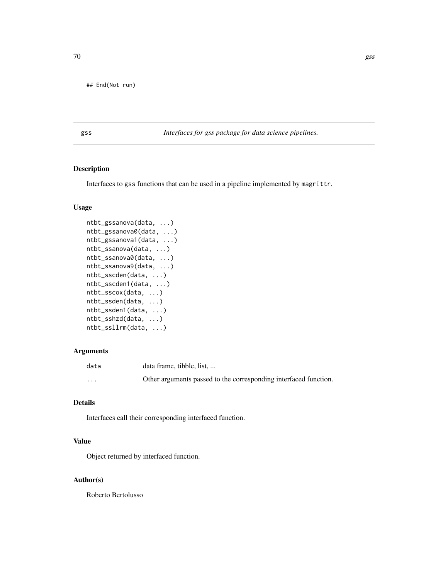## End(Not run)

gss *Interfaces for gss package for data science pipelines.*

# Description

Interfaces to gss functions that can be used in a pipeline implemented by magrittr.

## Usage

```
ntbt_gssanova(data, ...)
ntbt_gssanova0(data, ...)
ntbt_gssanova1(data, ...)
ntbt_ssanova(data, ...)
ntbt_ssanova0(data, ...)
ntbt_ssanova9(data, ...)
ntbt_sscden(data, ...)
ntbt_sscden1(data, ...)
ntbt_sscox(data, ...)
ntbt_ssden(data, ...)
ntbt_ssden1(data, ...)
ntbt_sshzd(data, ...)
ntbt_ssllrm(data, ...)
```
# Arguments

| data                    | data frame, tibble, list,                                        |
|-------------------------|------------------------------------------------------------------|
| $\cdot$ $\cdot$ $\cdot$ | Other arguments passed to the corresponding interfaced function. |

# Details

Interfaces call their corresponding interfaced function.

# Value

Object returned by interfaced function.

## Author(s)

Roberto Bertolusso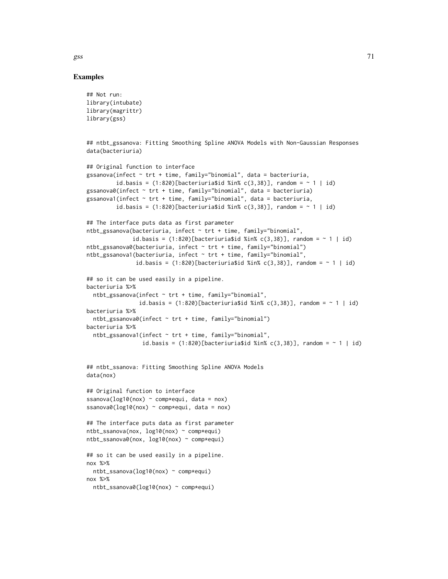Examples

```
## Not run:
library(intubate)
library(magrittr)
library(gss)
## ntbt_gssanova: Fitting Smoothing Spline ANOVA Models with Non-Gaussian Responses
data(bacteriuria)
## Original function to interface
gssanova(infect ~ trt + time, family="binomial", data = bacteriuria,
         id.basis = (1:820)[bacteriuria$id %in% c(3,38)], random = ~ 1 | id)
gssanova0(infect \sim trt + time, family="binomial", data = bacteriuria)
gssanova1(infect \sim trt + time, family="binomial", data = bacteriuria,
         id.basis = (1:820)[bacteriuria$id %in% c(3,38)], random = ~ 1 | id)
## The interface puts data as first parameter
ntbt_gssanova(bacteriuria, infect ~ trt + time, family="binomial",
              id.basis = (1:820)[bacteriuria$id %in% c(3,38)], random = ~ 1 | id)
ntbt_gssanova0(bacteriuria, infect ~ trt + time, family="binomial")
ntbt_gssanova1(bacteriuria, infect ~ trt + time, family="binomial",
               id.basis = (1:820)[bacteriuria$id %in% c(3,38)], random = ~ 1 | id)
## so it can be used easily in a pipeline.
bacteriuria %>%
  ntbt_gssanova(infect \sim trt + time, family="binomial",
                id.basis = (1:820)[bacteriuria$id %in% c(3,38)], random = ~ 1 | id)
bacteriuria %>%
  ntbt_gssanova0(infect ~ trt + time, family="binomial")
bacteriuria %>%
  ntbt_gssanova1(infect \sim trt + time, family="binomial",
                 id.basis = (1:820)[bacteriuria$id %in% c(3,38)], random = ~ 1 | id)
## ntbt_ssanova: Fitting Smoothing Spline ANOVA Models
data(nox)
## Original function to interface
ssanova(log10(nox) \sim comp*equi, data = nox)
ssanova0(log10(nox) \sim comp*equi, data = nox)
## The interface puts data as first parameter
ntbt_ssanova(nox, log10(nox) ~ comp*equi)
ntbt_ssanova0(nox, log10(nox) ~ comp*equi)
## so it can be used easily in a pipeline.
nox %>%
  ntbt_ssanova(log10(nox) ~ comp*equi)
nox %>%
  ntbt_ssanova0(log10(nox) ~ comp*equi)
```
 $gss$  71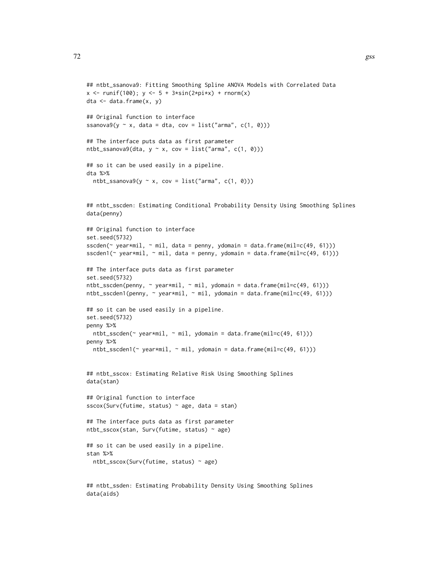```
## ntbt_ssanova9: Fitting Smoothing Spline ANOVA Models with Correlated Data
x \le runif(100); y \le 5 + 3*sin(2*pi*x) + rnorm(x)
dta \leq data.frame(x, y)## Original function to interface
ssanova9(y \sim x, \text{ data = dta, cov = list("arma", c(1, 0)))## The interface puts data as first parameter
ntbt_ssanova9(dta, y \sim x, cov = list("arma", c(1, 0)))
## so it can be used easily in a pipeline.
dta %>%
  ntbt_ssanova9(y \sim x, cov = list("arma", c(1, 0)))
## ntbt_sscden: Estimating Conditional Probability Density Using Smoothing Splines
data(penny)
## Original function to interface
set.seed(5732)
sscden(\sim year*mil, \sim mil, data = penny, ydomain = data.frame(mil=c(49, 61)))
sscden1(\gamma year*mil, \gamma mil, data = penny, ydomain = data.frame(mil=c(49, 61)))
## The interface puts data as first parameter
set.seed(5732)
ntbt_sscden(penny, ~ year*mil, ~ mil, ydomain = data.frame(mil=c(49, 61)))
ntbt_sscden1(penny, ~ year*mil, ~ mil, ydomain = data.frame(mil=c(49, 61)))
## so it can be used easily in a pipeline.
set.seed(5732)
penny %>%
  ntbt\_sschen(\sim year*mil, \sim mil, ydomain = data.frame(min=c(49, 61)))penny %>%
  ntbt_sscden1(~ year*mil, ~ mil, ydomain = data.frame(mil=c(49, 61)))
## ntbt_sscox: Estimating Relative Risk Using Smoothing Splines
data(stan)
## Original function to interface
sscox(Surv(futime, status) ~ age, data = stan)
## The interface puts data as first parameter
ntbt_sscox(stan, Surv(futime, status) ~ age)
## so it can be used easily in a pipeline.
stan %>%
  ntbt_sscox(Surv(futime, status) ~ age)
```
## ntbt\_ssden: Estimating Probability Density Using Smoothing Splines data(aids)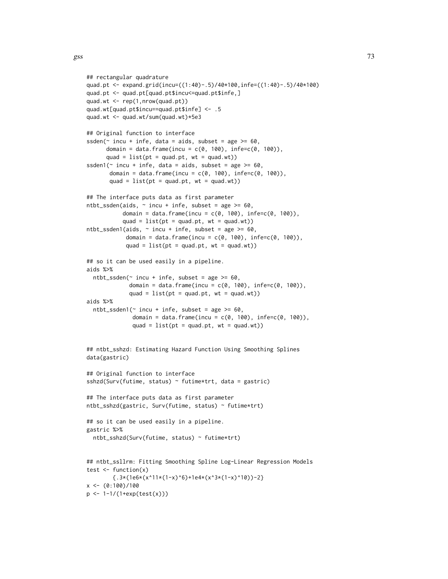```
## rectangular quadrature
quad.pt <- expand.grid(incu=((1:40)-.5)/40*100,infe=((1:40)-.5)/40*100)
quad.pt <- quad.pt[quad.pt$incu<=quad.pt$infe,]
quad.wt <- rep(1,nrow(quad.pt))
quad.wt[quad.pt$incu==quad.pt$infe] <- .5
quad.wt <- quad.wt/sum(quad.wt)*5e3
## Original function to interface
ssden(\sim incu + infe, data = aids, subset = age >= 60,
     domain = data.frame(incu = c(0, 100), infe=c(0, 100)),
      quad = list(pt = quad.pt, wt = quad.wt)ssden1(\sim incu + infe, data = aids, subset = age >= 60,
       domain = data.frame(incu = c(0, 100), infe=c(0, 100)),
       quad = list(pt = quad.pt, wt = quad.wt))## The interface puts data as first parameter
ntbt\_ssden(aids, ~ ~ incu + infe, subset = age >= 60,domain = data.frame(incu = c(0, 100), infe=c(0, 100)),
           quad = list(pt = quad.pt, wt = quad.wt))ntbt_ssden1(aids, \sim incu + infe, subset = age >= 60,
            domain = data.frame(incu = c(0, 100), infe=c(0, 100)),
            quad = list(pt = quad.pt, wt = quad.wt))## so it can be used easily in a pipeline.
aids %>%
 ntbt_ssden(\sim incu + infe, subset = age >= 60,
             domain = data.frame(incu = c(0, 100), infe=c(0, 100)),
             quad = list(pt = quad.pt, wt = quad.wt))aids %>%
 ntbt\_ssden1(~ incu + infe, subset = age >= 60,domain = data.frame(incu = c(0, 100), infe=c(0, 100)),
              quad = list(pt = quad.pt, wt = quad.wt))## ntbt_sshzd: Estimating Hazard Function Using Smoothing Splines
data(gastric)
## Original function to interface
sshzd(Surv(futime, status) ~ futime*trt, data = gastric)
## The interface puts data as first parameter
ntbt_sshzd(gastric, Surv(futime, status) ~ futime*trt)
## so it can be used easily in a pipeline.
gastric %>%
 ntbt_sshzd(Surv(futime, status) ~ futime*trt)
## ntbt_ssllrm: Fitting Smoothing Spline Log-Linear Regression Models
test \leftarrow function(x){(.3*(1e6*(x^11*(1-x)^6)+1e4*(x^3*(1-x)^10))-2)}x < - (0:100)/100
p <- 1-1/(1+exp(test(x)))
```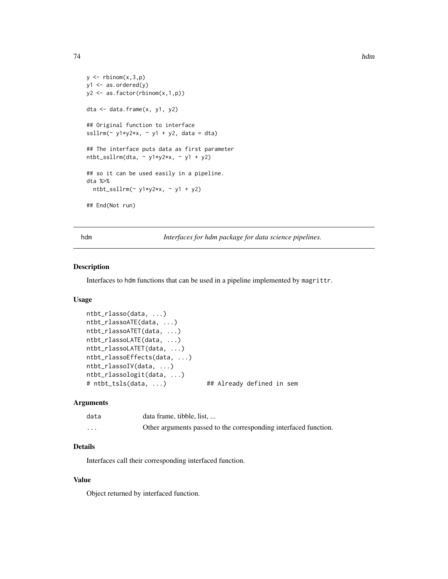```
y \leftarrow rbinom(x, 3, p)y1 \leftarrow as.ordered(y)y2 <- as.factor(rbinom(x,1,p))
dta <- data.frame(x, y1, y2)
## Original function to interface
ssllrm(~ y1*y2*x, ~ y1 + y2, data = dta)
## The interface puts data as first parameter
ntbt_ssllrm(dta, ~ y1*y2*x, ~ y1 + y2)
## so it can be used easily in a pipeline.
dta %>%
  ntbt_ssllrm(~ y1*y2*x, ~ y1 + y2)
## End(Not run)
```
hdm *Interfaces for hdm package for data science pipelines.*

## Description

Interfaces to hdm functions that can be used in a pipeline implemented by magrittr.

## Usage

```
ntbt_rlasso(data, ...)
ntbt_rlassoATE(data, ...)
ntbt_rlassoATET(data, ...)
ntbt_rlassoLATE(data, ...)
ntbt_rlassoLATET(data, ...)
ntbt_rlassoEffects(data, ...)
ntbt_rlassoIV(data, ...)
ntbt_rlassologit(data, ...)
# ntbt_tsls(data, ...) ## Already defined in sem
```
### Arguments

| data    | data frame, tibble, list,                                        |
|---------|------------------------------------------------------------------|
| $\cdot$ | Other arguments passed to the corresponding interfaced function. |

# Details

Interfaces call their corresponding interfaced function.

## Value

Object returned by interfaced function.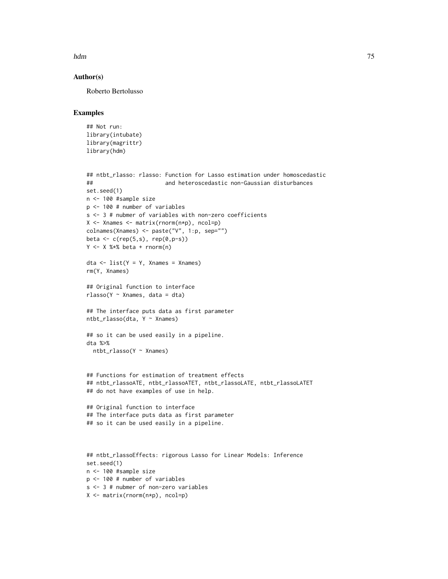hdm 35 and 36 and 36 and 36 and 36 and 36 and 36 and 36 and 36 and 375 and 375 and 375 and 375 and 375 and 375

## Author(s)

Roberto Bertolusso

```
## Not run:
library(intubate)
library(magrittr)
library(hdm)
```

```
## ntbt_rlasso: rlasso: Function for Lasso estimation under homoscedastic
## and heteroscedastic non-Gaussian disturbances
set.seed(1)
n <- 100 #sample size
p <- 100 # number of variables
s <- 3 # nubmer of variables with non-zero coefficients
X <- Xnames <- matrix(rnorm(n*p), ncol=p)
colnames(Xnames) <- paste("V", 1:p, sep="")
beta \leq c(rep(5,s), rep(0,p-s))
Y \le -X %*% beta + rnorm(n)
```

```
dta \leq list(Y = Y, Xnames = Xnames)rm(Y, Xnames)
```

```
## Original function to interface
rlasso(Y \sim Xnames, data = dta)
```

```
## The interface puts data as first parameter
ntbt_rlasso(dta, Y ~ Xnames)
```

```
## so it can be used easily in a pipeline.
dta %>%
  ntbt_rlasso(Y ~ Xnames)
```

```
## Functions for estimation of treatment effects
## ntbt_rlassoATE, ntbt_rlassoATET, ntbt_rlassoLATE, ntbt_rlassoLATET
## do not have examples of use in help.
```

```
## Original function to interface
## The interface puts data as first parameter
## so it can be used easily in a pipeline.
```

```
## ntbt_rlassoEffects: rigorous Lasso for Linear Models: Inference
set.seed(1)
n <- 100 #sample size
p <- 100 # number of variables
s <- 3 # nubmer of non-zero variables
X <- matrix(rnorm(n*p), ncol=p)
```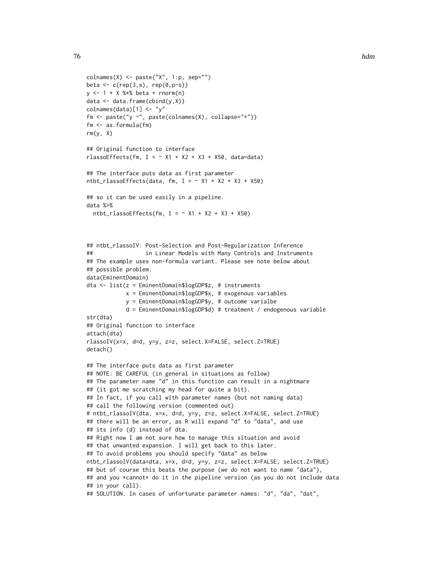```
\text{colnames}(X) \leq \text{paste}("X", 1:p, \text{sep}="")beta \leq c(rep(3,s), rep(0,p-s))
y <- 1 + X %*% beta + rnorm(n)
data \leq data.frame(cbind(y,X))
colnames(data)[1] <- "y"
fm <- paste("y ~", paste(colnames(X), collapse="+"))
fm <- as.formula(fm)
rm(y, X)
## Original function to interface
rlassoEffects(fm, I = \sim X1 + X2 + X3 + X50, data=data)
## The interface puts data as first parameter
ntbt_rlassoEffects(data, fm, I = -X1 + X2 + X3 + X50)
## so it can be used easily in a pipeline.
data %>%
  ntbt_rlassoEffects(fm, I = \sim X1 + X2 + X3 + X50)
## ntbt_rlassoIV: Post-Selection and Post-Regularization Inference
## in Linear Models with Many Controls and Instruments
## The example uses non-formula variant. Please see note below about
## possible problem.
data(EminentDomain)
dta <- list(z = EminentDomain$logGDP$z, # instruments
            x = EminentDomain$logGDP$x, # exogenous variables
            y = EminentDomain$logGDP$y, # outcome varialbe
            d = EminentDomain$logGDP$d) # treatment / endogenous variable
str(dta)
## Original function to interface
attach(dta)
rlassoIV(x=x, d=d, y=y, z=z, select.X=FALSE, select.Z=TRUE)
detach()
## The interface puts data as first parameter
## NOTE: BE CAREFUL (in general in situations as follow)
## The parameter name "d" in this function can result in a nightmare
## (it got me scratching my head for quite a bit).
## In fact, if you call with parameter names (but not naming data)
## call the following version (commented out)
# ntbt_rlassoIV(dta, x=x, d=d, y=y, z=z, select.X=FALSE, select.Z=TRUE)
## there will be an error, as R will expand "d" to "data", and use
## its info (d) instead of dta.
## Right now I am not sure how to manage this situation and avoid
## that unwanted expansion. I will get back to this later.
## To avoid problems you should specify "data" as below
ntbt_rlassoIV(data=dta, x=x, d=d, y=y, z=z, select.X=FALSE, select.Z=TRUE)
## but of course this beats the purpose (we do not want to name "data"),
```
## and you \*cannot\* do it in the pipeline version (as you do not include data ## in your call).

```
## SOLUTION. In cases of unfortunate parameter names: "d", "da", "dat",
```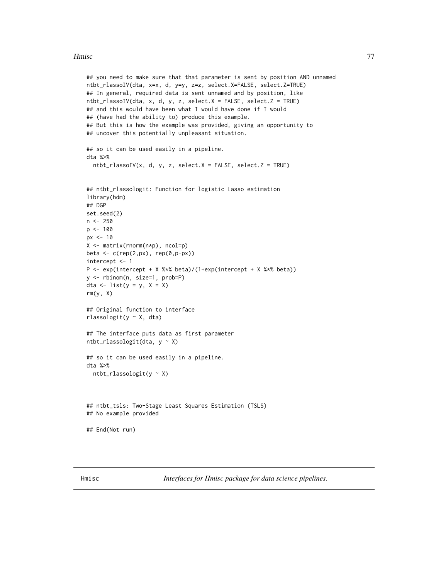### Hmisc 2008 and 2009 and 2009 and 2009 and 2009 and 2009 and 2009 and 2009 and 2009 and 2009 and 2009 and 2009 and 2009 and 2009 and 2009 and 2009 and 2009 and 2009 and 2009 and 2009 and 2009 and 2009 and 2009 and 2009 and

```
## you need to make sure that that parameter is sent by position AND unnamed
ntbt_rlassoIV(dta, x=x, d, y=y, z=z, select.X=FALSE, select.Z=TRUE)
## In general, required data is sent unnamed and by position, like
ntbt_rlassoIV(dta, x, d, y, z, select.X = FALSE, select.Z = TRUE)## and this would have been what I would have done if I would
## (have had the ability to) produce this example.
## But this is how the example was provided, giving an opportunity to
## uncover this potentially unpleasant situation.
## so it can be used easily in a pipeline.
dta %>%
  ntbt_rlassoIV(x, d, y, z, select.X = FALSE, select.Z = TRUE)
## ntbt_rlassologit: Function for logistic Lasso estimation
library(hdm)
## DGP
set.seed(2)
n <- 250
p <- 100
px <- 10
X <- matrix(rnorm(n*p), ncol=p)
beta <- c(rep(2,px), rep(0,p-px))
intercept <- 1
P <- exp(intercept + X %*% beta)/(1+exp(intercept + X %*% beta))
y <- rbinom(n, size=1, prob=P)
dta \leftarrow list(y = y, X = X)
rm(y, X)
## Original function to interface
rlassologit(y ~ X, dta)
## The interface puts data as first parameter
ntbt_rlassologit(dta, y ~ X)
## so it can be used easily in a pipeline.
dta %>%
  ntbt_{rl}assologit(y ~ X)
## ntbt_tsls: Two-Stage Least Squares Estimation (TSLS)
## No example provided
## End(Not run)
```
Hmisc *Interfaces for Hmisc package for data science pipelines.*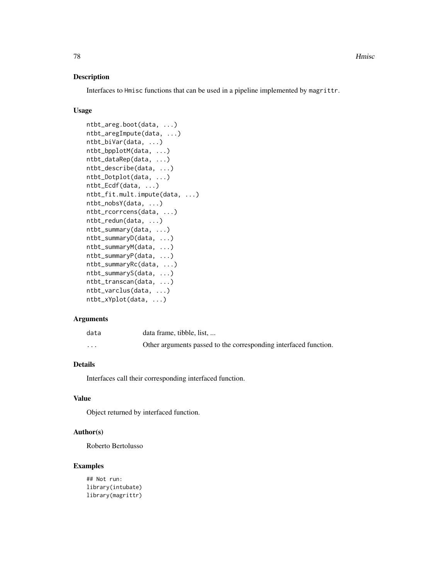## Description

Interfaces to Hmisc functions that can be used in a pipeline implemented by magrittr.

## Usage

```
ntbt_areg.boot(data, ...)
ntbt_aregImpute(data, ...)
ntbt_biVar(data, ...)
ntbt_bpplotM(data, ...)
ntbt_dataRep(data, ...)
ntbt_describe(data, ...)
ntbt_Dotplot(data, ...)
ntbt_Ecdf(data, ...)
ntbt_fit.mult.impute(data, ...)
ntbt_nobsY(data, ...)
ntbt_rcorrcens(data, ...)
ntbt_redun(data, ...)
ntbt_summary(data, ...)
ntbt_summaryD(data, ...)
ntbt_summaryM(data, ...)
ntbt_summaryP(data, ...)
ntbt_summaryRc(data, ...)
ntbt_summaryS(data, ...)
ntbt_transcan(data, ...)
ntbt_varclus(data, ...)
ntbt_xYplot(data, ...)
```
#### Arguments

| data     | data frame, tibble, list,                                        |
|----------|------------------------------------------------------------------|
| $\cdots$ | Other arguments passed to the corresponding interfaced function. |

## Details

Interfaces call their corresponding interfaced function.

# Value

Object returned by interfaced function.

## Author(s)

Roberto Bertolusso

# Examples

## Not run: library(intubate) library(magrittr)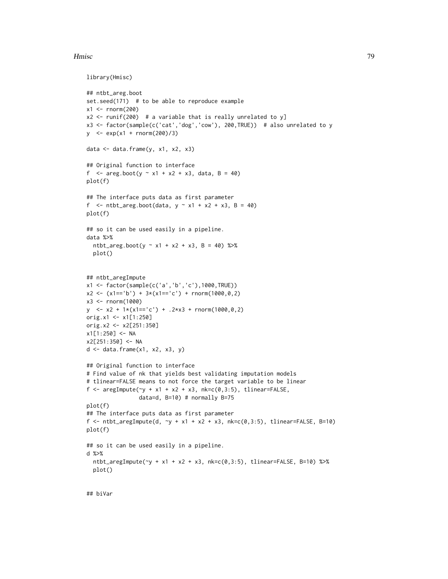#### Hmisc 2008 and 2009 and 2009 and 2009 and 2009 and 2009 and 2009 and 2009 and 2009 and 2009 and 2009 and 2009 and 2009 and 2009 and 2009 and 2009 and 2009 and 2009 and 2009 and 2009 and 2009 and 2009 and 2009 and 2009 and

```
library(Hmisc)
```

```
## ntbt_areg.boot
set.seed(171) # to be able to reproduce example
x1 < - rnorm(200)
x2 \le runif(200) # a variable that is really unrelated to y]
x3 <- factor(sample(c('cat','dog','cow'), 200,TRUE)) # also unrelated to y
y <- exp(x1 + rnorm(200)/3)
data \leq data.frame(y, x1, x2, x3)
## Original function to interface
f <- areg.boot(y \sim x1 + x2 + x3, data, B = 40)
plot(f)
## The interface puts data as first parameter
f \le ntbt_areg.boot(data, y \sim x1 + x2 + x3, B = 40)
plot(f)
## so it can be used easily in a pipeline.
data %>%
  ntbt_areg.boot(y ~ x1 + x2 + x3, B = 40) %>%
  plot()
## ntbt_aregImpute
x1 <- factor(sample(c('a','b','c'),1000,TRUE))
x2 \leq (x1== 'b') + 3*(x1== 'c') + \text{norm}(1000, 0, 2)x3 <- rnorm(1000)
y \le -x^2 + 1*(x^1 == 'c') + .2*x^3 + \text{rnorm}(1000, 0, 2)orig.x1 <- x1[1:250]
orig.x2 <- x2[251:350]
x1[1:250] <- NA
x2[251:350] <- NA
d \leq d data.frame(x1, x2, x3, y)## Original function to interface
# Find value of nk that yields best validating imputation models
# tlinear=FALSE means to not force the target variable to be linear
f \leq aregImpute(\leqy + x1 + x2 + x3, nk=c(0,3:5), tlinear=FALSE,
                data=d, B=10) # normally B=75
plot(f)
## The interface puts data as first parameter
f <- ntbt_aregImpute(d, \neg y + x1 + x2 + x3, nk=c(0,3:5), tlinear=FALSE, B=10)
plot(f)
## so it can be used easily in a pipeline.
d %>%
  ntbt_aregImpute(-y + x1 + x2 + x3, nk=c(0,3:5), tlinear=FALSE, B=10) %>%
  plot()
```
## biVar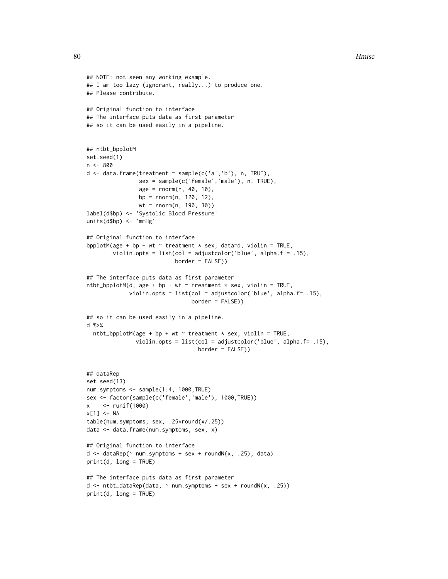```
## NOTE: not seen any working example.
## I am too lazy (ignorant, really...) to produce one.
## Please contribute.
## Original function to interface
## The interface puts data as first parameter
## so it can be used easily in a pipeline.
## ntbt_bpplotM
set.seed(1)
n <- 800
d \leq - data.frame(treatment = sample(c('a', 'b'), n, TRUE),
                sex = sample(c('female','male'), n, TRUE),
                age = rnorm(n, 40, 10),
                bp = rnorm(n, 120, 12),
                wt = rnorm(n, 190, 30))
label(d$bp) <- 'Systolic Blood Pressure'
units(d$bp) <- 'mmHg'
## Original function to interface
bpplotM(age + bp + wt \sim treatment * sex, data=d, violin = TRUE,
        violin.opts = list(col = adjustcolor('blue', alpha.f = .15),
                            border = FALSE))
## The interface puts data as first parameter
ntbt_bpplotM(d, age + bp + wt ~ 'treatment * sex, violin = TRUE,violin.opts = list(col = adjustcolor('blue', alpha.f= .15),
                                 border = FALSE))
## so it can be used easily in a pipeline.
d %>%
  ntbt_bpplotM(age + bp + wt \sim treatment * sex, violin = TRUE,
               violin.opts = list(col = adjustcolor('blue', alpha.f= .15),
                                   border = FALSE))
## dataRep
set.seed(13)
num.symptoms <- sample(1:4, 1000,TRUE)
sex <- factor(sample(c('female','male'), 1000,TRUE))
x <- runif(1000)
x[1] <- NA
table(num.symptoms, sex, .25*round(x/.25))
data <- data.frame(num.symptoms, sex, x)
## Original function to interface
d \leq - \text{dataRep}(\sim \text{num.symptoms} + \text{sex} + \text{roundN}(x, .25), \text{data})print(d, long = TRUE)
## The interface puts data as first parameter
d <- ntbt_dataRep(data, \sim num.symptoms + sex + roundN(x, .25))
print(d, long = TRUE)
```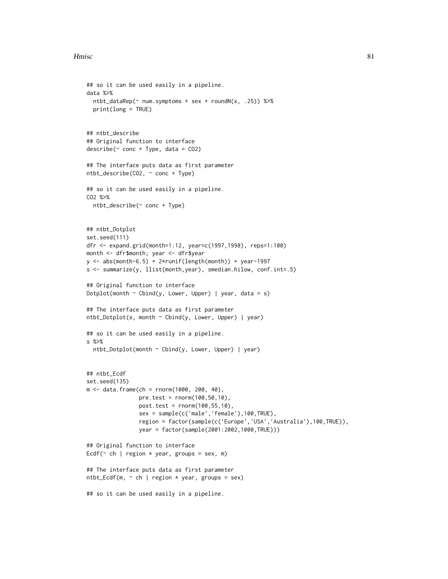```
## so it can be used easily in a pipeline.
data %>%
  ntbt_dataRep(\sim num.symptoms + sex + roundN(x, .25)) %print(long = TRUE)
## ntbt_describe
## Original function to interface
describe(^{\sim} cone + Type, data = CO2)## The interface puts data as first parameter
ntbt_describe(CO2, ~ conc + Type)
## so it can be used easily in a pipeline.
CO2 %>%
  ntbt_describe(~ conc + Type)
## ntbt_Dotplot
set.seed(111)
dfr <- expand.grid(month=1:12, year=c(1997,1998), reps=1:100)
month <- dfr$month; year <- dfr$year
y <- abs(month-6.5) + 2*runif(length(month)) + year-1997
s <- summarize(y, llist(month,year), smedian.hilow, conf.int=.5)
## Original function to interface
Dotplot(month \sim Cbind(y, Lower, Upper) | year, data = s)
## The interface puts data as first parameter
ntbt_Dotplot(s, month ~ Cbind(y, Lower, Upper) | year)
## so it can be used easily in a pipeline.
s %>%
  ntbt_Dotplot(month ~ Cbind(y, Lower, Upper) | year)
## ntbt_Ecdf
set.seed(135)
m <- data.frame(ch = rnorm(1000, 200, 40),
                pre.test = rnorm(100,50,10),
                post.test = rnorm(100,55,10),
                sex = sample(c('male','female'),100,TRUE),
                region = factor(sample(c('Europe','USA','Australia'),100,TRUE)),
                year = factor(sample(2001:2002,1000,TRUE)))
## Original function to interface
Ecdf(\sim ch | region * year, groups = sex, m)
## The interface puts data as first parameter
ntbt\_Ecdf(m, ~ ~ ch ~ | ~ region * year, groups = sex)
## so it can be used easily in a pipeline.
```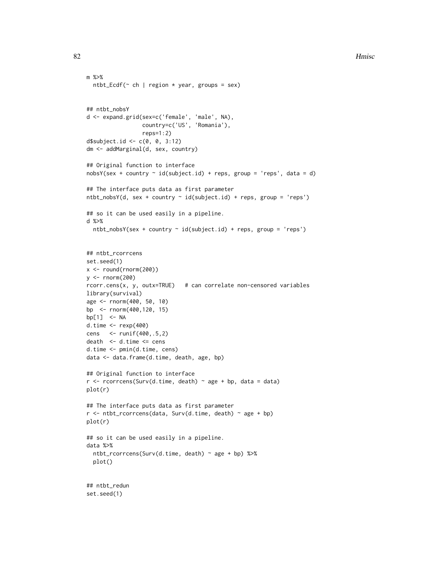```
m %>%
  ntbt_Ecdf(\sim ch | region * year, groups = sex)
## ntbt_nobsY
d <- expand.grid(sex=c('female', 'male', NA),
                 country=c('US', 'Romania'),
                 reps=1:2)
d$subject.id <- c(0, 0, 3:12)dm <- addMarginal(d, sex, country)
## Original function to interface
nobsY(sex + country \sim id(subject.id) + reps, group = 'reps', data = d)
## The interface puts data as first parameter
ntbt\_nobsY(d, sex + country ~ id(subject.id) + reps, group = 'reps')## so it can be used easily in a pipeline.
d %>%
  ntbt\_nobsY(sex + country ~ id(subject.id) + reps, group = 'reps')## ntbt_rcorrcens
set.seed(1)
x \leftarrow round(rnorm(200))
y <- rnorm(200)
rcorr.cens(x, y, outx=TRUE) # can correlate non-censored variables
library(survival)
age <- rnorm(400, 50, 10)
bp <- rnorm(400,120, 15)
bp[1] <- NA
d.time <- rexp(400)
cens <- runif(400,.5,2)
death <- d.time <= cens
d.time <- pmin(d.time, cens)
data <- data.frame(d.time, death, age, bp)
## Original function to interface
r <- rcorrcens(Surv(d.time, death) \sim age + bp, data = data)
plot(r)
## The interface puts data as first parameter
r <- ntbt_rcorrcens(data, Surv(d.time, death) ~ age + bp)
plot(r)
## so it can be used easily in a pipeline.
data %>%
  ntbt_rcorrcens(Surv(d.time, death) ~ age + bp) %>%
  plot()
```
## ntbt\_redun set.seed(1)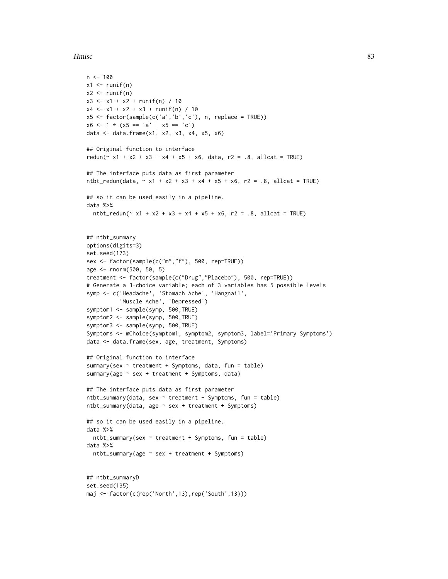```
n < -100x1 \leftarrow runif(n)x2 \le- runif(n)
x3 \le x1 + x2 + \text{runif(n)} / 10x4 \le -x1 + x2 + x3 + runif(n) / 10x5 <- factor(sample(c('a','b','c'), n, replace = TRUE))
x6 \le -1 \times (x5 == 'a' \mid x5 == 'c')data <- data.frame(x1, x2, x3, x4, x5, x6)
## Original function to interface
redun(\approx x1 + x2 + x3 + x4 + x5 + x6, data, r2 = .8, allcat = TRUE)
## The interface puts data as first parameter
ntbt_redun(data, \sim x1 + x2 + x3 + x4 + x5 + x6, r2 = .8, allcat = TRUE)
## so it can be used easily in a pipeline.
data %>%
  ntbt_redun(~ x1 + x2 + x3 + x4 + x5 + x6, r2 = .8, allcat = TRUE)
## ntbt_summary
options(digits=3)
set.seed(173)
sex <- factor(sample(c("m","f"), 500, rep=TRUE))
age <- rnorm(500, 50, 5)
treatment <- factor(sample(c("Drug","Placebo"), 500, rep=TRUE))
# Generate a 3-choice variable; each of 3 variables has 5 possible levels
symp <- c('Headache', 'Stomach Ache', 'Hangnail',
          'Muscle Ache', 'Depressed')
symptom1 <- sample(symp, 500, TRUE)
symptom2 <- sample(symp, 500, TRUE)
symptom3 <- sample(symp, 500,TRUE)
Symptoms <- mChoice(symptom1, symptom2, symptom3, label='Primary Symptoms')
data <- data.frame(sex, age, treatment, Symptoms)
## Original function to interface
summary(sex \sim treatment + Symptoms, data, fun = table)
summary(age ~ sex + treatment + Symptoms, data)
## The interface puts data as first parameter
ntbt_summary(data, sex ~ treatment + Symptoms, fun = table)
ntbt_summary(data, age ~ sex + treatment + Symptoms)
## so it can be used easily in a pipeline.
data %>%
  ntbt_summary(sex ~ treatment + Symptoms, fun = table)
data %>%
  ntbt_summary(age ~ sex + treatment + Symptoms)
## ntbt_summaryD
set.seed(135)
```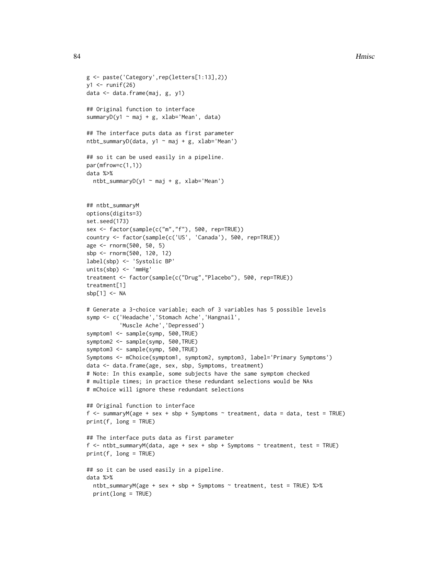```
g <- paste('Category',rep(letters[1:13],2))
y1 \leftarrow runif(26)data <- data.frame(maj, g, y1)
## Original function to interface
summaryD(y1 \sim maj + g, xlab='Mean', data)
## The interface puts data as first parameter
ntbt_summaryD(data, y1 ~ maj + g, xlab='Mean')
## so it can be used easily in a pipeline.
par(mfrow=c(1,1))
data %>%
  ntbt_summaryD(y1 ~ maj + g, xlab='Mean')
## ntbt_summaryM
options(digits=3)
set.seed(173)
sex <- factor(sample(c("m","f"), 500, rep=TRUE))
country <- factor(sample(c('US', 'Canada'), 500, rep=TRUE))
age <- rnorm(500, 50, 5)
sbp <- rnorm(500, 120, 12)
label(sbp) <- 'Systolic BP'
units(sbp) <- 'mmHg'
treatment <- factor(sample(c("Drug","Placebo"), 500, rep=TRUE))
treatment[1]
sbp[1] < -NA# Generate a 3-choice variable; each of 3 variables has 5 possible levels
symp <- c('Headache','Stomach Ache','Hangnail',
          'Muscle Ache','Depressed')
symptom1 <- sample(symp, 500, TRUE)
symptom2 <- sample(symp, 500, TRUE)
symptom3 <- sample(symp, 500, TRUE)
Symptoms <- mChoice(symptom1, symptom2, symptom3, label='Primary Symptoms')
data <- data.frame(age, sex, sbp, Symptoms, treatment)
# Note: In this example, some subjects have the same symptom checked
# multiple times; in practice these redundant selections would be NAs
# mChoice will ignore these redundant selections
## Original function to interface
f <- summaryM(age + sex + sbp + Symptoms \sim treatment, data = data, test = TRUE)
print(f, long = TRUE)
## The interface puts data as first parameter
f <- ntbt_summaryM(data, age + sex + sbp + Symptoms ~ treatment, test = TRUE)
print(f, long = TRUE)
## so it can be used easily in a pipeline.
data %>%
  ntbt_summaryM(age + sex + sbp + Symptoms ~ treatment, test = TRUE) %>%
  print(long = TRUE)
```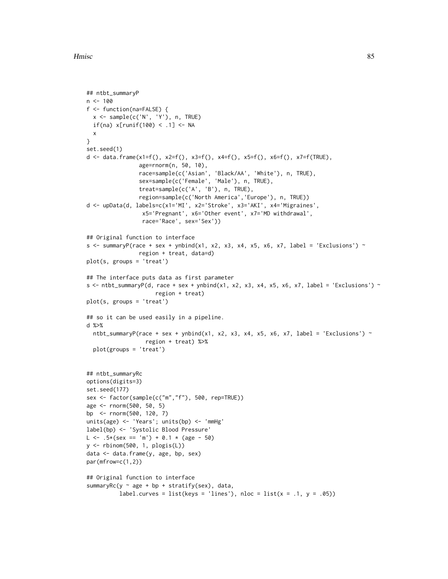```
## ntbt_summaryP
n < - 100f <- function(na=FALSE) {
 x <- sample(c('N', 'Y'), n, TRUE)
 if(na) x[runif(100) < .1] < -NAx
}
set.seed(1)
d <- data.frame(x1=f(), x2=f(), x3=f(), x4=f(), x5=f(), x6=f(), x7=f(TRUE),
                age=rnorm(n, 50, 10),
                race=sample(c('Asian', 'Black/AA', 'White'), n, TRUE),
                sex=sample(c('Female', 'Male'), n, TRUE),
                treat=sample(c('A', 'B'), n, TRUE),
                region=sample(c('North America','Europe'), n, TRUE))
d <- upData(d, labels=c(x1='MI', x2='Stroke', x3='AKI', x4='Migraines',
                 x5='Pregnant', x6='Other event', x7='MD withdrawal',
                 race='Race', sex='Sex'))
## Original function to interface
s <- summaryP(race + sex + ynbind(x1, x2, x3, x4, x5, x6, x7, label = 'Exclusions') ~
                region + treat, data=d)
plot(s, groups = 'treat')
## The interface puts data as first parameter
s \le ntbt_summaryP(d, race + sex + ynbind(x1, x2, x3, x4, x5, x6, x7, label = 'Exclusions') \simregion + treat)
plot(s, groups = 'treat')
## so it can be used easily in a pipeline.
d %>%
  ntbt_summaryP(race + sex + ynbind(x1, x2, x3, x4, x5, x6, x7, label = 'Exclusions') ~
                  region + treat) %>%
  plot(groups = 'treat')
## ntbt_summaryRc
options(digits=3)
set.seed(177)
sex <- factor(sample(c("m","f"), 500, rep=TRUE))
age <- rnorm(500, 50, 5)
bp <- rnorm(500, 120, 7)
units(age) <- 'Years'; units(bp) <- 'mmHg'
label(bp) <- 'Systolic Blood Pressure'
L <- .5*(sex == 'm') + 0.1 * (age - 50)
y <- rbinom(500, 1, plogis(L))
data <- data.frame(y, age, bp, sex)
par(mfrow=c(1,2))
## Original function to interface
summaryRc(y \sim age + bp + stratify(sex), data,
          label.curves = list(keys = 'lines'), nloc = list(x = .1, y = .05))
```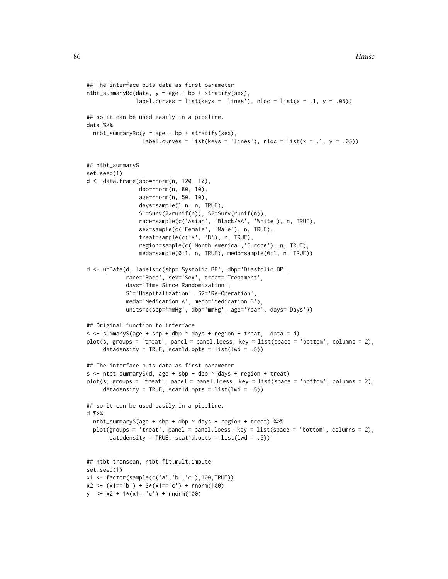```
## The interface puts data as first parameter
ntbt\_summaryRc(data, y ~ age + bp + stratify(sex),label.curves = list(keys = 'lines'), nloc = list(x = .1, y = .05))
## so it can be used easily in a pipeline.
data %>%
  ntbt_summaryRc(y \sim age + bp + stratify(sex),
                 label.curves = list(keys = 'lines'), nloc = list(x = .1, y = .05))
## ntbt_summaryS
set.seed(1)
d <- data.frame(sbp=rnorm(n, 120, 10),
                dbp=rnorm(n, 80, 10),
                age=rnorm(n, 50, 10),
                days=sample(1:n, n, TRUE),
                S1=Surv(2*runif(n)), S2=Surv(runif(n)),
                race=sample(c('Asian', 'Black/AA', 'White'), n, TRUE),
                sex=sample(c('Female', 'Male'), n, TRUE),
                treat=sample(c('A', 'B'), n, TRUE),
                region=sample(c('North America','Europe'), n, TRUE),
                meda=sample(0:1, n, TRUE), medb=sample(0:1, n, TRUE))
d <- upData(d, labels=c(sbp='Systolic BP', dbp='Diastolic BP',
            race='Race', sex='Sex', treat='Treatment',
            days='Time Since Randomization',
            S1='Hospitalization', S2='Re-Operation',
            meda='Medication A', medb='Medication B'),
            units=c(sbp='mmHg', dbp='mmHg', age='Year', days='Days'))
## Original function to interface
s \leq - summaryS(age + sbp + dbp \sim days + region + treat, data = d)
plot(s, groups = 'treat', panel = panel.loess, key = list(space = 'bottom', columns = 2),
     datadensity = TRUE, scat1d.opts = list(lwd = .5))## The interface puts data as first parameter
s \leq - ntbt_summaryS(d, age + sbp + dbp \sim days + region + treat)
plot(s, groups = 'treat', panel = panel.loess, key = list(space = 'bottom', columns = 2),
     datadensity = TRUE, scat1d.opts = list(lwd = .5))## so it can be used easily in a pipeline.
d %>%
  ntbt_summaryS(age + sbp + dbp ~ days + region + treat) %>%
  plot(groups = 'treat', panel = panel.loess, key = list(space = 'bottom', columns = 2),
       datadensity = TRUE, scat1d.opts = list(lwd = .5))## ntbt_transcan, ntbt_fit.mult.impute
set.seed(1)
x1 <- factor(sample(c('a','b','c'),100,TRUE))
x2 \leq x1 == 'b') + 3*(x1 == 'c') + rnorm(100)y \le -x^2 + 1*(x^1 == 'c') + \text{norm}(100)
```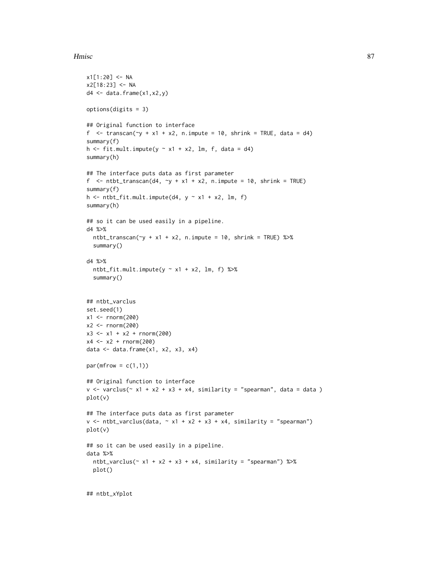```
x1[1:20] < -NAx2[18:23] < -NAd4 \leftarrow data.frame(x1,x2,y)options(digits = 3)
## Original function to interface
f \le transcan(\ley + x1 + x2, n.impute = 10, shrink = TRUE, data = d4)
summary(f)
h \le fit.mult.impute(y \sim x1 + x2, lm, f, data = d4)
summary(h)
## The interface puts data as first parameter
f \le ntbt_transcan(d4, \simy + x1 + x2, n.impute = 10, shrink = TRUE)
summary(f)
h \le ntbt_fit.mult.impute(d4, y \sim x1 + x2, lm, f)
summary(h)
## so it can be used easily in a pipeline.
d4 %>%
  ntbt_transform(\gamma + x1 + x2, n.time = 10, shrink = TRUE) %summary()
d4 %>%
  ntbt_fit.mult.impute(y \sim x1 + x2, lm, f) %>%
  summary()
## ntbt_varclus
set.seed(1)
x1 <- rnorm(200)
x2 < - rnorm(200)
x3 \leq x1 + x2 + \text{norm}(200)x4 \le -x2 + \text{norm}(200)data \leq data.frame(x1, x2, x3, x4)par(mfrow = c(1,1))## Original function to interface
v \le - varclus(\sim x1 + x2 + x3 + x4, similarity = "spearman", data = data )
plot(v)
## The interface puts data as first parameter
v \leq - ntbt_varclus(data, \sim x1 + x2 + x3 + x4, similarity = "spearman")
plot(v)
## so it can be used easily in a pipeline.
data %>%
  ntbt_varclus(\sim x1 + x2 + x3 + x4, similarity = "spearman") %>%
  plot()
```
## ntbt\_xYplot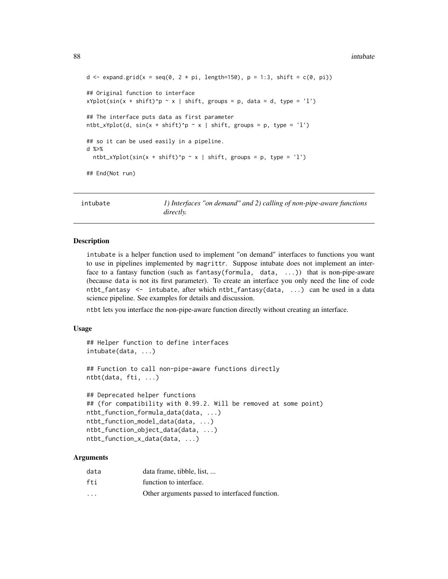```
d \leq expand.grid(x = seq(0, 2 \star pi, length=150), p = 1:3, shift = c(0, pi))
## Original function to interface
xYplot(sin(x + shift)^p \sim x \mid shift, groups = p, data = d, type = 'l')## The interface puts data as first parameter
ntbt_xYplot(d, sin(x + shift)^p ~ x | shift, groups = p, type = 'l')
## so it can be used easily in a pipeline.
d %>%
 ntbt_xYplot(sin(x + shift)^p ~ x | shift, groups = p, type = 'l')
## End(Not run)
```
intubate *1) Interfaces "on demand" and 2) calling of non-pipe-aware functions directly.*

#### Description

intubate is a helper function used to implement "on demand" interfaces to functions you want to use in pipelines implemented by magrittr. Suppose intubate does not implement an interface to a fantasy function (such as fantasy(formula, data, ...)) that is non-pipe-aware (because data is not its first parameter). To create an interface you only need the line of code ntbt\_fantasy <- intubate, after which ntbt\_fantasy(data, ...) can be used in a data science pipeline. See examples for details and discussion.

ntbt lets you interface the non-pipe-aware function directly without creating an interface.

### Usage

```
## Helper function to define interfaces
intubate(data, ...)
## Function to call non-pipe-aware functions directly
ntbt(data, fti, ...)
## Deprecated helper functions
## (for compatibility with 0.99.2. Will be removed at some point)
ntbt_function_formula_data(data, ...)
ntbt_function_model_data(data, ...)
ntbt_function_object_data(data, ...)
ntbt_function_x_data(data, ...)
```
#### Arguments

| data                    | data frame, tibble, list,                      |
|-------------------------|------------------------------------------------|
| fti                     | function to interface.                         |
| $\cdot$ $\cdot$ $\cdot$ | Other arguments passed to interfaced function. |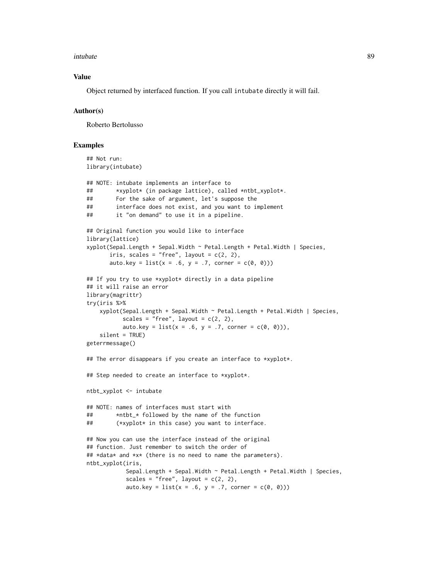#### intubate 89

## Value

Object returned by interfaced function. If you call intubate directly it will fail.

#### Author(s)

Roberto Bertolusso

```
## Not run:
library(intubate)
## NOTE: intubate implements an interface to
## *xyplot* (in package lattice), called *ntbt_xyplot*.
## For the sake of argument, let's suppose the
## interface does not exist, and you want to implement
## it "on demand" to use it in a pipeline.
## Original function you would like to interface
library(lattice)
xyplot(Sepal.Length + Sepal.Width ~ Petal.Length + Petal.Width | Species,
      iris, scales = "free", layout = c(2, 2),
      auto.key = list(x = .6, y = .7, corner = c(0, 0)))## If you try to use *xyplot* directly in a data pipeline
## it will raise an error
library(magrittr)
try(iris %>%
    xyplot(Sepal.Length + Sepal.Width ~ Petal.Length + Petal.Width | Species,
           scales = "free", layout = c(2, 2),
          auto.key = list(x = .6, y = .7, corner = c(0, 0)),
    silent = TRUE)
geterrmessage()
## The error disappears if you create an interface to *xyplot*.
## Step needed to create an interface to *xyplot*.
ntbt_xyplot <- intubate
## NOTE: names of interfaces must start with
## *ntbt_* followed by the name of the function
## (*xyplot* in this case) you want to interface.
## Now you can use the interface instead of the original
## function. Just remember to switch the order of
## *data* and *x* (there is no need to name the parameters).
ntbt_xyplot(iris,
           Sepal.Length + Sepal.Width ~ Petal.Length + Petal.Width | Species,
           scales = "free", layout = c(2, 2),
           auto.key = list(x = .6, y = .7, corner = c(0, 0)))
```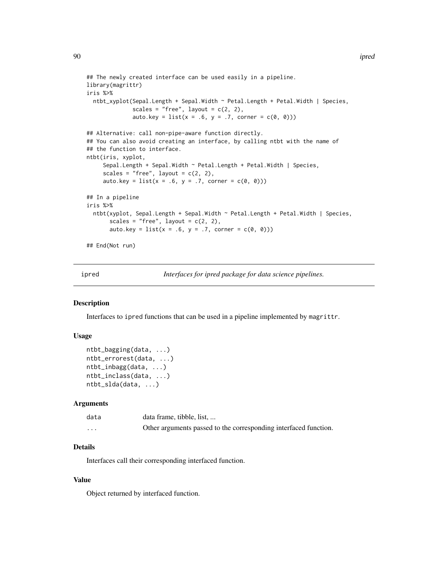```
## The newly created interface can be used easily in a pipeline.
library(magrittr)
iris %>%
 ntbt_xyplot(Sepal.Length + Sepal.Width ~ Petal.Length + Petal.Width | Species,
              scales = "free", layout = c(2, 2),
              auto.key = list(x = .6, y = .7, corner = c(0, 0)))## Alternative: call non-pipe-aware function directly.
## You can also avoid creating an interface, by calling ntbt with the name of
## the function to interface.
ntbt(iris, xyplot,
     Sepal.Length + Sepal.Width ~ Petal.Length + Petal.Width | Species,
     scales = "free", layout = c(2, 2),
     auto.key = list(x = .6, y = .7, corner = c(0, 0)))## In a pipeline
iris %>%
 ntbt(xyplot, Sepal.Length + Sepal.Width ~ Petal.Length + Petal.Width | Species,
      scales = "free", layout = c(2, 2),
      auto.key = list(x = .6, y = .7, corner = c(0, 0)))## End(Not run)
```
ipred *Interfaces for ipred package for data science pipelines.*

#### Description

Interfaces to ipred functions that can be used in a pipeline implemented by magrittr.

#### Usage

```
ntbt_bagging(data, ...)
ntbt_errorest(data, ...)
ntbt_inbagg(data, ...)
ntbt_inclass(data, ...)
ntbt_slda(data, ...)
```
#### Arguments

| data     | data frame, tibble, list,                                        |
|----------|------------------------------------------------------------------|
| $\cdots$ | Other arguments passed to the corresponding interfaced function. |

# Details

Interfaces call their corresponding interfaced function.

## Value

Object returned by interfaced function.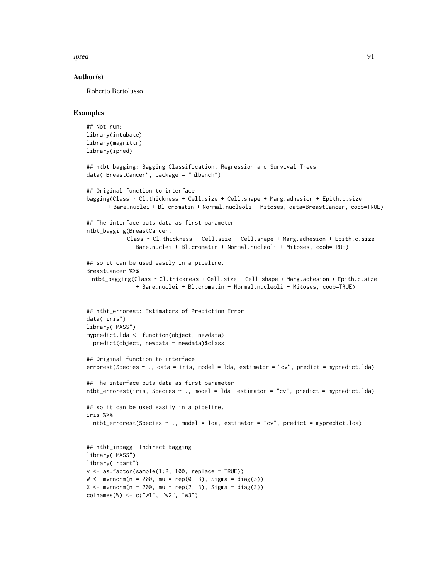ipred the set of the set of the set of the set of the set of the set of the set of the set of the set of the s

## Author(s)

Roberto Bertolusso

```
## Not run:
library(intubate)
library(magrittr)
library(ipred)
## ntbt_bagging: Bagging Classification, Regression and Survival Trees
data("BreastCancer", package = "mlbench")
## Original function to interface
bagging(Class ~ Cl.thickness + Cell.size + Cell.shape + Marg.adhesion + Epith.c.size
      + Bare.nuclei + Bl.cromatin + Normal.nucleoli + Mitoses, data=BreastCancer, coob=TRUE)
## The interface puts data as first parameter
ntbt_bagging(BreastCancer,
            Class ~ Cl.thickness + Cell.size + Cell.shape + Marg.adhesion + Epith.c.size
             + Bare.nuclei + Bl.cromatin + Normal.nucleoli + Mitoses, coob=TRUE)
## so it can be used easily in a pipeline.
BreastCancer %>%
 ntbt_bagging(Class ~ Cl.thickness + Cell.size + Cell.shape + Marg.adhesion + Epith.c.size
               + Bare.nuclei + Bl.cromatin + Normal.nucleoli + Mitoses, coob=TRUE)
## ntbt_errorest: Estimators of Prediction Error
data("iris")
library("MASS")
mypredict.lda <- function(object, newdata)
  predict(object, newdata = newdata)$class
## Original function to interface
errorest(Species ~ ~ ., data = iris, model = 1da, estimator = "cv", predict = mypredict.1da)## The interface puts data as first parameter
ntbt_errorest(iris, Species ~ ., model = lda, estimator = "cv", predict = mypredict.lda)
## so it can be used easily in a pipeline.
iris %>%
  ntbt_errorest(Species ~ ., model = lda, estimator = "cv", predict = mypredict.lda)
## ntbt_inbagg: Indirect Bagging
library("MASS")
library("rpart")
y \le - as.factor(sample(1:2, 100, replace = TRUE))
W \leftarrow mvrnorm(n = 200, mu = rep(0, 3), Sigma = diag(3))X \leq -m \text{wronom}(n = 200, mu = rep(2, 3), Sigma = diag(3))colnames(W) <- c("w1", "w2", "w3")
```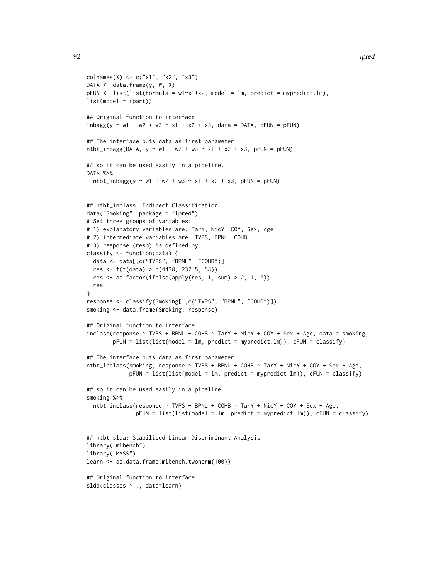```
colnames(X) <- c("x1", "x2", "x3")
DATA <- data.frame(y, W, X)
pFUN <- list(list(formula = w1~x1+x2, model = lm, predict = mypredict.lm),
list(model = rpart))
## Original function to interface
inbagg(y \sim w1 + w2 + w3 \sim x1 + x2 + x3, data = DATA, pFUN = pFUN)
## The interface puts data as first parameter
ntbt_inbagg(DATA, y \sim w1 + w2 + w3 \sim x1 + x2 + x3, pFUN = pFUN)
## so it can be used easily in a pipeline.
DATA %>%
  ntbt_inbag(y ~ w1 + w2 + w3 ~ x1 + x2 + x3, pFUN = pFUN)## ntbt_inclass: Indirect Classification
data("Smoking", package = "ipred")
# Set three groups of variables:
# 1) explanatory variables are: TarY, NicY, COY, Sex, Age
# 2) intermediate variables are: TVPS, BPNL, COHB
# 3) response (resp) is defined by:
classify <- function(data) {
  data <- data[,c("TVPS", "BPNL", "COHB")]
  res <- t(t(data) > c(4438, 232.5, 58))
  res <- as.factor(ifelse(apply(res, 1, sum) > 2, 1, 0))
  res
}
response <- classify(Smoking[ ,c("TVPS", "BPNL", "COHB")])
smoking <- data.frame(Smoking, response)
## Original function to interface
inclass(response ~ TVPS + BPNL + COHB ~ Tary + NicY + COY + Sex + Age, data = smoking,pFUN = list(list(model = lm, predict = mypredict.lm)), cFUN = classify)
## The interface puts data as first parameter
ntbt_inclass(smoking, response ~ TVPS + BPNL + COHB ~ TarY + NicY + COY + Sex + Age,
             pFUN = list(list(model = Im, predict = mypredict.lm)), cFUN = classify)## so it can be used easily in a pipeline.
smoking %>%
  ntbt_inclass(response ~ TVPS + BPNL + COHB ~ TarY + NicY + COY + Sex + Age,
               pFUN = list(list(model = lm, predict = mypredict.lm)), cFUN = classify)
## ntbt_slda: Stabilised Linear Discriminant Analysis
library("mlbench")
library("MASS")
learn <- as.data.frame(mlbench.twonorm(100))
## Original function to interface
slda(classes ~ ., data=learn)
```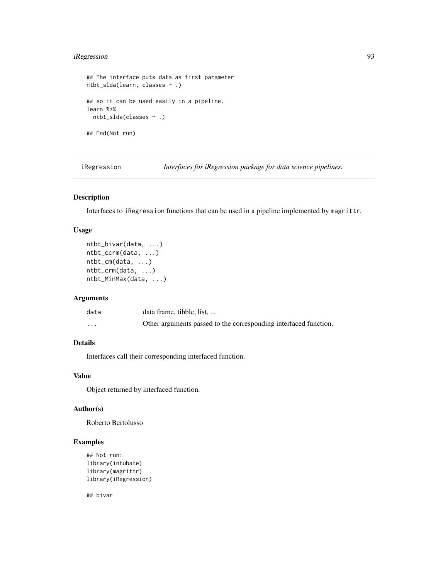# iRegression 93

```
## The interface puts data as first parameter
ntbt_slda(learn, classes ~ .)
## so it can be used easily in a pipeline.
learn %>%
  ntbt_slda(classes ~ .)
## End(Not run)
```
iRegression *Interfaces for iRegression package for data science pipelines.*

# Description

Interfaces to iRegression functions that can be used in a pipeline implemented by magrittr.

# Usage

```
ntbt_bivar(data, ...)
ntbt_ccrm(data, ...)
ntbt_cm(data, ...)
ntbt_crm(data, ...)
ntbt_MinMax(data, ...)
```
## Arguments

| data     | data frame, tibble, list,                                        |
|----------|------------------------------------------------------------------|
| $\cdots$ | Other arguments passed to the corresponding interfaced function. |

# Details

Interfaces call their corresponding interfaced function.

# Value

Object returned by interfaced function.

### Author(s)

Roberto Bertolusso

## Examples

```
## Not run:
library(intubate)
library(magrittr)
library(iRegression)
```
## bivar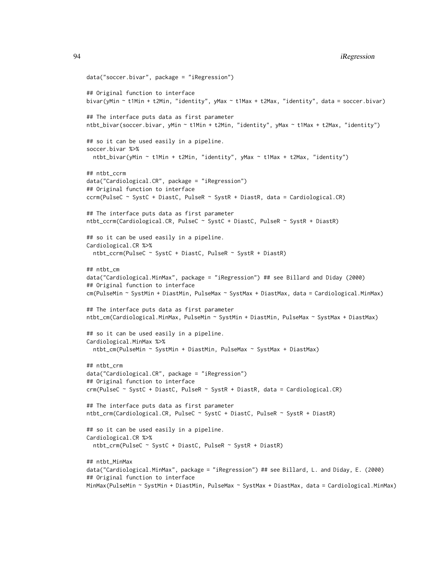```
data("soccer.bivar", package = "iRegression")
## Original function to interface
bivar(yMin ~ t1Min + t2Min, "identity", yMax ~ t1Max + t2Max, "identity", data = soccer.bivar)
## The interface puts data as first parameter
ntbt_bivar(soccer.bivar, yMin ~ t1Min + t2Min, "identity", yMax ~ t1Max + t2Max, "identity")
## so it can be used easily in a pipeline.
soccer.bivar %>%
  ntbt_bivar(yMin ~ t1Min + t2Min, "identity", yMax ~ t1Max + t2Max, "identity")
## ntbt_ccrm
data("Cardiological.CR", package = "iRegression")
## Original function to interface
ccrm(PulseC ~ SystC + DiastC, PulseR ~ SystR + DiastR, data = Cardiological.CR)
## The interface puts data as first parameter
ntbt_ccrm(Cardiological.CR, PulseC ~ SystC + DiastC, PulseR ~ SystR + DiastR)
## so it can be used easily in a pipeline.
Cardiological.CR %>%
  ntbt_ccrm(PulseC ~ SystC + DiastC, PulseR ~ SystR + DiastR)
## ntbt_cm
data("Cardiological.MinMax", package = "iRegression") ## see Billard and Diday (2000)
## Original function to interface
cm(PulseMin ~ SystMin + DiastMin, PulseMax ~ SystMax + DiastMax, data = Cardiological.MinMax)
## The interface puts data as first parameter
ntbt_cm(Cardiological.MinMax, PulseMin ~ SystMin + DiastMin, PulseMax ~ SystMax + DiastMax)
## so it can be used easily in a pipeline.
Cardiological.MinMax %>%
  ntbt_cm(PulseMin ~ SystMin + DiastMin, PulseMax ~ SystMax + DiastMax)
## ntbt_crm
data("Cardiological.CR", package = "iRegression")
## Original function to interface
crm(PulseC ~ SystC + DiastC, PulseR ~ SystR + DiastR, data = Cardiological.CR)
## The interface puts data as first parameter
ntbt_crm(Cardiological.CR, PulseC ~ SystC + DiastC, PulseR ~ SystR + DiastR)
## so it can be used easily in a pipeline.
Cardiological.CR %>%
  ntbt_crm(PulseC ~ SystC + DiastC, PulseR ~ SystR + DiastR)
## ntbt_MinMax
data("Cardiological.MinMax", package = "iRegression") ## see Billard, L. and Diday, E. (2000)
## Original function to interface
MinMax(PulseMin ~ SystMin + DiastMin, PulseMax ~ SystMax + DiastMax, data = Cardiological.MinMax)
```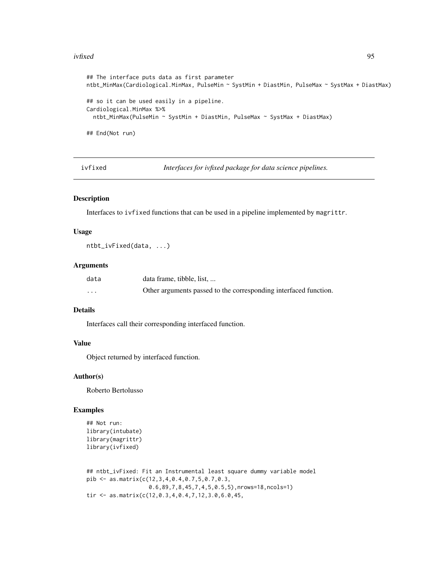#### ivfixed 95

```
## The interface puts data as first parameter
ntbt_MinMax(Cardiological.MinMax, PulseMin ~ SystMin + DiastMin, PulseMax ~ SystMax + DiastMax)
## so it can be used easily in a pipeline.
Cardiological.MinMax %>%
 ntbt_MinMax(PulseMin ~ SystMin + DiastMin, PulseMax ~ SystMax + DiastMax)
## End(Not run)
```
ivfixed *Interfaces for ivfixed package for data science pipelines.*

## Description

Interfaces to ivfixed functions that can be used in a pipeline implemented by magrittr.

### Usage

ntbt\_ivFixed(data, ...)

# Arguments

| data     | data frame, tibble, list,                                        |
|----------|------------------------------------------------------------------|
| $\cdots$ | Other arguments passed to the corresponding interfaced function. |

# Details

Interfaces call their corresponding interfaced function.

## Value

Object returned by interfaced function.

### Author(s)

Roberto Bertolusso

```
## Not run:
library(intubate)
library(magrittr)
library(ivfixed)
```

```
## ntbt_ivFixed: Fit an Instrumental least square dummy variable model
pib <- as.matrix(c(12,3,4,0.4,0.7,5,0.7,0.3,
                  0.6,89,7,8,45,7,4,5,0.5,5),nrows=18,ncols=1)
tir <- as.matrix(c(12,0.3,4,0.4,7,12,3.0,6.0,45,
```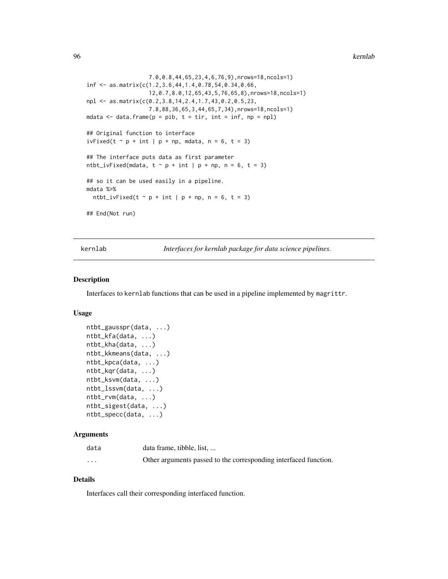96 kernlab kernlab kernlab kernlab kernlab kernlab kernlab kernlab kernlab kernlab kernlab kernlab kernlab ker

```
7.0,0.8,44,65,23,4,6,76,9),nrows=18,ncols=1)
inf <- as.matrix(c(1.2,3.6,44,1.4,0.78,54,0.34,0.66,
                   12,0.7,8.0,12,65,43,5,76,65,8),nrows=18,ncols=1)
npl <- as.matrix(c(0.2,3.8,14,2.4,1.7,43,0.2,0.5,23,
                   7.8,88,36,65,3,44,65,7,34),nrows=18,ncols=1)
mdata \leq data.frame(p = pib, t = tir, int = inf, np = npl)
## Original function to interface
ivFixed(t \sim p + int \mid p + np, mdata, n = 6, t = 3)## The interface puts data as first parameter
ntbt_ivFixed(mdata, t \sim p + int \mid p + np, n = 6, t = 3)
## so it can be used easily in a pipeline.
mdata %>%
  ntbt_ivFixed(t \sim p + int | p + np, n = 6, t = 3)
## End(Not run)
```
kernlab *Interfaces for kernlab package for data science pipelines.*

### Description

Interfaces to kernlab functions that can be used in a pipeline implemented by magrittr.

# Usage

```
ntbt_gausspr(data, ...)
ntbt_kfa(data, ...)
ntbt_kha(data, ...)
ntbt_kkmeans(data, ...)
ntbt_kpca(data, ...)
ntbt_kqr(data, ...)
ntbt_ksvm(data, ...)
ntbt_lssvm(data, ...)
ntbt_rvm(data, ...)
ntbt_sigest(data, ...)
ntbt_specc(data, ...)
```
## Arguments

| data                    | data frame, tibble, list,                                        |
|-------------------------|------------------------------------------------------------------|
| $\cdot$ $\cdot$ $\cdot$ | Other arguments passed to the corresponding interfaced function. |

## Details

Interfaces call their corresponding interfaced function.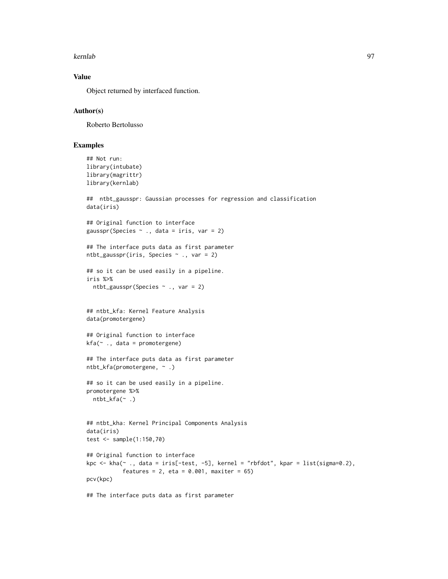#### kernlab 97

# Value

Object returned by interfaced function.

## Author(s)

Roberto Bertolusso

```
## Not run:
library(intubate)
library(magrittr)
library(kernlab)
## ntbt_gausspr: Gaussian processes for regression and classification
data(iris)
## Original function to interface
gausspr(Species \sim ., data = iris, var = 2)
## The interface puts data as first parameter
ntbt_gausspr(iris, Species ~ ., var = 2)
## so it can be used easily in a pipeline.
iris %>%
  ntbt_gausspr(Species ~ ., var = 2)
## ntbt_kfa: Kernel Feature Analysis
data(promotergene)
## Original function to interface
kfa(~ ., data = promotergene)
## The interface puts data as first parameter
ntbt_kfa(promotergene, ~ .)
## so it can be used easily in a pipeline.
promotergene %>%
  ntbt_kfa(\sim .)## ntbt_kha: Kernel Principal Components Analysis
data(iris)
test <- sample(1:150,70)
## Original function to interface
kpc \leq kha(\leq., data = iris[-test, -5], kernel = "rbfdot", kpar = list(sigma=0.2),
           features = 2, eta = 0.001, maxiter = 65)
pcv(kpc)
## The interface puts data as first parameter
```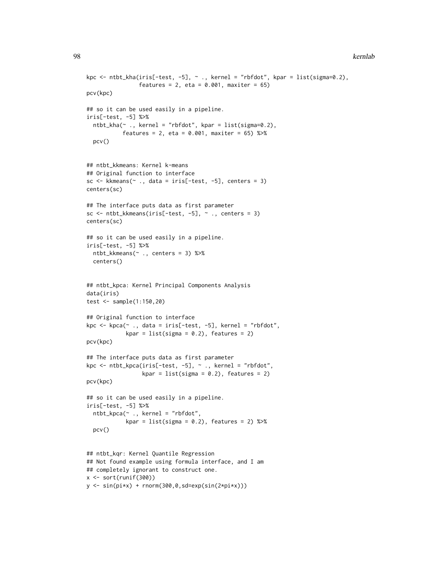```
kpc \le ntbt_kha(iris[-test, -5], \sim ., kernel = "rbfdot", kpar = list(sigma=0.2),
                features = 2, eta = 0.001, maxiter = 65)
pcv(kpc)
## so it can be used easily in a pipeline.
iris[-test, -5] %>%
  ntbt_kha(~ ., kernel = "rbfdot", kpar = list(sigma=0.2),
           features = 2, eta = 0.001, maxiter = 65) %>%
  pcv()
## ntbt_kkmeans: Kernel k-means
## Original function to interface
sc \leq kkmeans(\leq., data = iris[-test, -5], centers = 3)
centers(sc)
## The interface puts data as first parameter
sc \le ntbt_kkmeans(iris[-test, -5], \sim ., centers = 3)
centers(sc)
## so it can be used easily in a pipeline.
iris[-test, -5] %>%
  ntbt_kkmeans(~ ., centers = 3) %>%
  centers()
## ntbt_kpca: Kernel Principal Components Analysis
data(iris)
test <- sample(1:150,20)
## Original function to interface
kpc <- kpca(~ ., data = iris[-test, -5], kernel = "rbfdot",
            kpar = list(sigma = 0.2), features = 2)
pcv(kpc)
## The interface puts data as first parameter
kpc <- ntbt_kpca(iris[-test, -5], ~ ., kernel = "rbfdot",
                 kpar = list(sigma = 0.2), features = 2)
pcv(kpc)
## so it can be used easily in a pipeline.
iris[-test, -5] %>%
  ntbt_kpca(~ ., kernel = "rbfdot",
            kpar = list(sigma = 0.2), features = 2) %>%
  pcv()
## ntbt_kqr: Kernel Quantile Regression
## Not found example using formula interface, and I am
## completely ignorant to construct one.
x <- sort(runif(300))
```

```
y \leq \sin(\pi x) + \text{norm}(300, 0, \text{sd} = \exp(\sin(2\pi x)))
```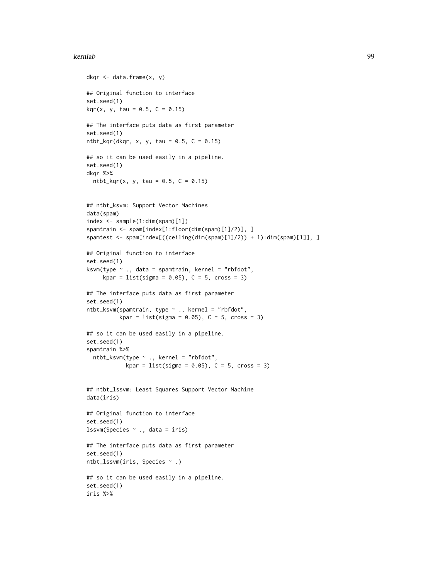### kernlab 99

```
dkqr \leq data.frame(x, y)## Original function to interface
set.seed(1)
kqr(x, y, tau = 0.5, C = 0.15)## The interface puts data as first parameter
set.seed(1)
ntbt_kqr(dkqr, x, y, tau = 0.5, C = 0.15)
## so it can be used easily in a pipeline.
set.seed(1)
dkqr %>%
  ntbt_kqr(x, y, tau = 0.5, C = 0.15)
## ntbt_ksvm: Support Vector Machines
data(spam)
index <- sample(1:dim(spam)[1])
spamtrain <- spam[index[1:floor(dim(spam)[1]/2)], ]
spamtest <- spam[index[((ceiling(dim(spam)[1]/2)) + 1):dim(spam)[1]], ]
## Original function to interface
set.seed(1)
ksvm(type ~ ., data = spamtrain, kernel = "rbfdot",
     kpar = list(sigma = 0.05), C = 5, cross = 3)
## The interface puts data as first parameter
set.seed(1)
ntbt_ksvm(spamtrain, type ~ ., kernel = "rbfdot",
          kpar = list(sigma = 0.05), C = 5, cross = 3)## so it can be used easily in a pipeline.
set.seed(1)
spamtrain %>%
  ntbt_ksvm(type ~ ., kernel = "rbfdot",
            kpar = list(sigma = 0.05), C = 5, cross = 3)
## ntbt_lssvm: Least Squares Support Vector Machine
data(iris)
## Original function to interface
set.seed(1)
lssvm(Species ~ ., data = iris)
## The interface puts data as first parameter
set.seed(1)
ntbt_lssvm(iris, Species ~ .)
## so it can be used easily in a pipeline.
set.seed(1)
iris %>%
```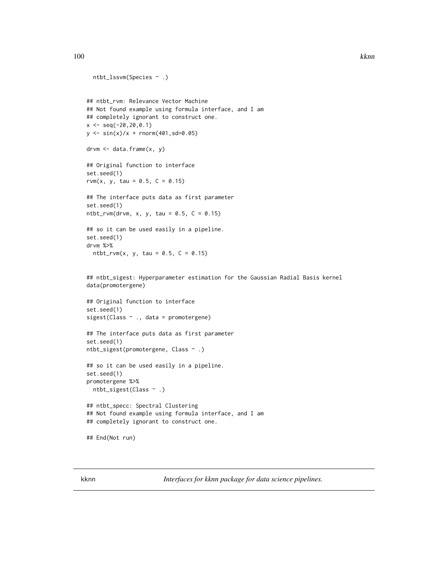```
ntbt_lssvm(Species ~ .)
## ntbt_rvm: Relevance Vector Machine
## Not found example using formula interface, and I am
## completely ignorant to construct one.
x \leq -\text{seq}(-20, 20, 0.1)y \le -\sin(x)/x + \text{norm}(401, \text{sd}=0.05)drvm < - data.frame(x, y)## Original function to interface
set.seed(1)
rvm(x, y, tau = 0.5, C = 0.15)
## The interface puts data as first parameter
set.seed(1)
ntbt_rvm(drvm, x, y, tau = 0.5, C = 0.15)## so it can be used easily in a pipeline.
set.seed(1)
drvm %>%
  ntbt_rvm(x, y, tau = 0.5, C = 0.15)## ntbt_sigest: Hyperparameter estimation for the Gaussian Radial Basis kernel
data(promotergene)
## Original function to interface
set.seed(1)
sigest(Class ~ ., data = promotergene)
## The interface puts data as first parameter
set.seed(1)
ntbt_sigest(promotergene, Class ~ .)
## so it can be used easily in a pipeline.
set.seed(1)
promotergene %>%
  ntbt_sigest(Class ~ .)
## ntbt_specc: Spectral Clustering
## Not found example using formula interface, and I am
## completely ignorant to construct one.
## End(Not run)
```
kknn *Interfaces for kknn package for data science pipelines.*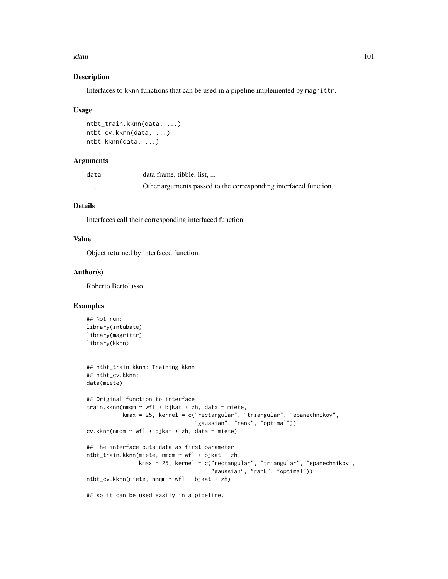#### kknn til 101 med til 101 med til 101 med til 101 med til 101 med til 101 med til 101 med til 101 med til 101 m

## Description

Interfaces to kknn functions that can be used in a pipeline implemented by magrittr.

#### Usage

```
ntbt_train.kknn(data, ...)
ntbt_cv.kknn(data, ...)
ntbt_kknn(data, ...)
```
# Arguments

| data    | data frame, tibble, list,                                        |
|---------|------------------------------------------------------------------|
| $\cdot$ | Other arguments passed to the corresponding interfaced function. |

# Details

Interfaces call their corresponding interfaced function.

### Value

Object returned by interfaced function.

## Author(s)

Roberto Bertolusso

```
## Not run:
library(intubate)
library(magrittr)
library(kknn)
## ntbt_train.kknn: Training kknn
## ntbt_cv.kknn:
data(miete)
## Original function to interface
train.kknn(nmqm \sim wfl + bjkat + zh, data = miete,
           kmax = 25, kernel = c("rectangular", "triangular", "epanechnikov",
                                 "gaussian", "rank", "optimal"))
cv.kknn(nmqm ~ wfl + bjkat + zh, data = miete)## The interface puts data as first parameter
ntbt_train.kknn(miete, nmqm ~ wfl + bjkat + zh,
                kmax = 25, kernel = c("rectangular", "triangular", "epanechnikov",
                                       "gaussian", "rank", "optimal"))
ntbt_cv.kknn(miete, nmqm ~ wfl + bjkat + zh)
## so it can be used easily in a pipeline.
```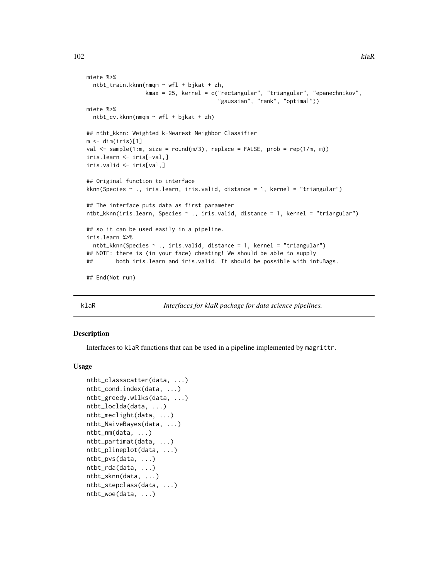```
miete %>%
  ntbt_train.kknn(nmqm ~ wfl + bjkat + zh,
                  kmax = 25, kernel = c("rectangular", "triangular", "epanechnikov",
                                         "gaussian", "rank", "optimal"))
miete %>%
  ntbt_cv.kknn(nmqm ~ wfl + bjkat + zh)## ntbt_kknn: Weighted k-Nearest Neighbor Classifier
m \leftarrow \text{dim}(iris)[1]val \leq sample(1:m, size = round(m/3), replace = FALSE, prob = rep(1/m, m))
iris.learn <- iris[-val,]
iris.valid <- iris[val,]
## Original function to interface
kknn(Species ~ ., iris.learn, iris.valid, distance = 1, kernel = "triangular")
## The interface puts data as first parameter
ntbt_kknn(iris.learn, Species ~ ., iris.valid, distance = 1, kernel = "triangular")
## so it can be used easily in a pipeline.
iris.learn %>%
  ntbt_kknn(Species ~ ., iris.valid, distance = 1, kernel = "triangular")
## NOTE: there is (in your face) cheating! We should be able to supply
## both iris.learn and iris.valid. It should be possible with intuBags.
## End(Not run)
```
klaR *Interfaces for klaR package for data science pipelines.*

### Description

Interfaces to klaR functions that can be used in a pipeline implemented by magrittr.

### Usage

```
ntbt_classscatter(data, ...)
ntbt_cond.index(data, ...)
ntbt_greedy.wilks(data, ...)
ntbt_loclda(data, ...)
ntbt_meclight(data, ...)
ntbt_NaiveBayes(data, ...)
ntbt_nm(data, ...)
ntbt_partimat(data, ...)
ntbt_plineplot(data, ...)
ntbt_pvs(data, ...)
ntbt_rda(data, ...)
ntbt_sknn(data, ...)
ntbt_stepclass(data, ...)
ntbt_woe(data, ...)
```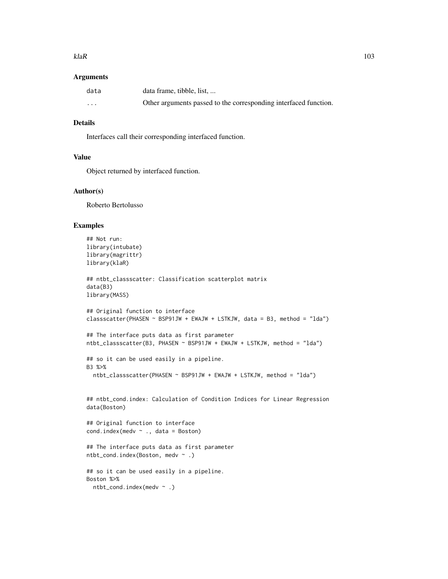#### $kla$  and  $k$  and  $k$  and  $k$  and  $k$  and  $k$  and  $k$  and  $k$  and  $k$  and  $k$  and  $k$  and  $k$  and  $k$  and  $k$  and  $k$  and  $k$  and  $k$  and  $k$  and  $k$  and  $k$  and  $k$  and  $k$  and  $k$  and  $k$  and  $k$  and  $k$  and  $k$  and  $k$

### Arguments

| data              | data frame, tibble, list,                                        |
|-------------------|------------------------------------------------------------------|
| $\cdot\cdot\cdot$ | Other arguments passed to the corresponding interfaced function. |

## Details

Interfaces call their corresponding interfaced function.

# Value

Object returned by interfaced function.

## Author(s)

Roberto Bertolusso

```
## Not run:
library(intubate)
library(magrittr)
library(klaR)
## ntbt_classscatter: Classification scatterplot matrix
data(B3)
library(MASS)
## Original function to interface
classscatter(PHASEN ~ BSP91JW + EWAJW + LSTKJW, data = B3, method = "lda")
## The interface puts data as first parameter
ntbt_classscatter(B3, PHASEN ~ BSP91JW + EWAJW + LSTKJW, method = "lda")
## so it can be used easily in a pipeline.
B3 %>%
  ntbt_classscatter(PHASEN ~ BSP91JW + EWAJW + LSTKJW, method = "lda")
## ntbt_cond.index: Calculation of Condition Indices for Linear Regression
data(Boston)
## Original function to interface
cond.index(medv \sim ., data = Boston)
## The interface puts data as first parameter
ntbt_cond.index(Boston, medv ~ .)
## so it can be used easily in a pipeline.
Boston %>%
  ntbt_cond.index(medv ~ .)
```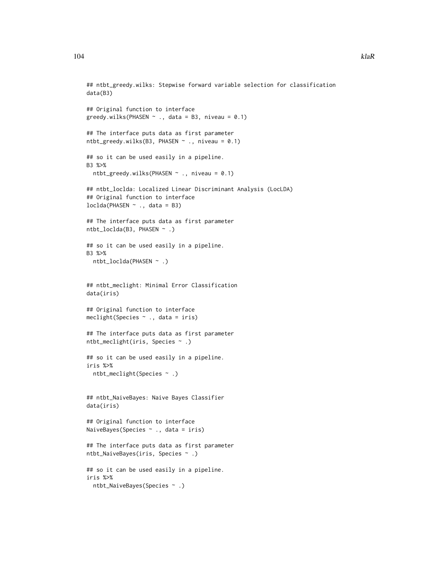```
## ntbt_greedy.wilks: Stepwise forward variable selection for classification
data(B3)
## Original function to interface
greedy.wilks(PHASEN \sim ., data = B3, niveau = 0.1)
## The interface puts data as first parameter
ntbt_greedy.wilks(B3, PHASEN \sim ., niveau = 0.1)
## so it can be used easily in a pipeline.
B3 %>%
 ntbt_greedy.wilks(PHASEN ~ ., niveau = 0.1)
## ntbt_loclda: Localized Linear Discriminant Analysis (LocLDA)
## Original function to interface
loclda(PHASEN ~ ., data = B3)
## The interface puts data as first parameter
ntbt_loclda(B3, PHASEN ~ .)
## so it can be used easily in a pipeline.
B3 %>%
  ntbt_loclda(PHASEN ~ .)
## ntbt_meclight: Minimal Error Classification
data(iris)
## Original function to interface
meclight(Species ~ ., data = iris)
## The interface puts data as first parameter
ntbt_meclight(iris, Species ~ .)
## so it can be used easily in a pipeline.
iris %>%
  ntbt_meclight(Species ~ .)
## ntbt_NaiveBayes: Naive Bayes Classifier
data(iris)
## Original function to interface
NaiveBayes(Species ~ ., data = iris)
## The interface puts data as first parameter
ntbt_NaiveBayes(iris, Species ~ .)
## so it can be used easily in a pipeline.
```
ntbt\_NaiveBayes(Species ~ .)

iris %>%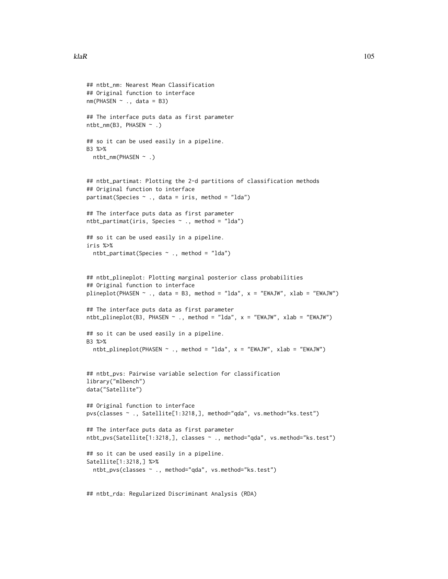```
## ntbt_nm: Nearest Mean Classification
## Original function to interface
nm(PHASEN \sim ., data = B3)## The interface puts data as first parameter
ntbt_nm(B3, PHASEN ~ .)## so it can be used easily in a pipeline.
B3 %>%
  ntbt_nm(PHASEN ~ .)
## ntbt_partimat: Plotting the 2-d partitions of classification methods
## Original function to interface
partimat(Species \sim ., data = iris, method = "lda")
## The interface puts data as first parameter
ntbt_partimat(iris, Species ~ ., method = "lda")
## so it can be used easily in a pipeline.
iris %>%
  ntbt_partimat(Species ~ ., method = "lda")
## ntbt_plineplot: Plotting marginal posterior class probabilities
## Original function to interface
plineplot(PHASEN \sim ., data = B3, method = "lda", x = "EWAJW", xlab = "EWAJW")
## The interface puts data as first parameter
ntbt_plineplot(B3, PHASEN \sim ., method = "lda", x = "EWAJW", xlab = "EWAJW")
## so it can be used easily in a pipeline.
B3 %>%
  ntbt_plineplot(PHASEN ~ ., method = "lda", x = "EWAJW", xlab = "EWAJW")
## ntbt_pvs: Pairwise variable selection for classification
library("mlbench")
data("Satellite")
## Original function to interface
pvs(classes ~ ., Satellite[1:3218,], method="qda", vs.method="ks.test")
## The interface puts data as first parameter
ntbt_pvs(Satellite[1:3218,], classes ~ ., method="qda", vs.method="ks.test")
## so it can be used easily in a pipeline.
Satellite[1:3218,] %>%
  ntbt_pvs(classes ~ ., method="qda", vs.method="ks.test")
```
## ntbt\_rda: Regularized Discriminant Analysis (RDA)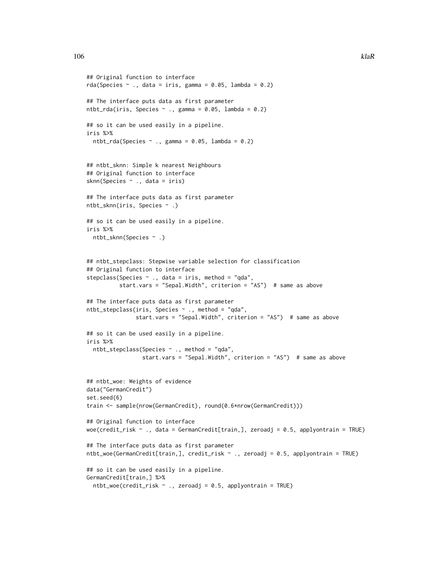```
## Original function to interface
rda(Species \sim ., data = iris, gamma = 0.05, lambda = 0.2)
## The interface puts data as first parameter
ntbt_rda(iris, Species \sim ., gamma = 0.05, lambda = 0.2)
## so it can be used easily in a pipeline.
iris %>%
 ntbt_rda(Species \sim ., gamma = 0.05, lambda = 0.2)
## ntbt_sknn: Simple k nearest Neighbours
## Original function to interface
sknn(Species ~ ., data = iris)
## The interface puts data as first parameter
ntbt_sknn(iris, Species ~ .)
## so it can be used easily in a pipeline.
iris %>%
 ntbt_sknn(Species ~ .)
## ntbt_stepclass: Stepwise variable selection for classification
## Original function to interface
stepclass(Species \sim ., data = iris, method = "qda",
          start.vars = "Sepal.Width", criterion = "AS") # same as above
## The interface puts data as first parameter
ntbt_stepclass(iris, Species ~ ., method = "qda",
               start.vars = "Sepal.Width", criterion = "AS") # same as above
## so it can be used easily in a pipeline.
iris %>%
 ntbt_stepclass(Species ~ ., method = "qda",
                 start.vars = "Sepal.Width", criterion = "AS") # same as above
## ntbt_woe: Weights of evidence
data("GermanCredit")
set.seed(6)
train <- sample(nrow(GermanCredit), round(0.6*nrow(GermanCredit)))
## Original function to interface
woe(credit_risk \sim ., data = GermanCredit[train,], zeroadj = 0.5, applyontrain = TRUE)
## The interface puts data as first parameter
ntbt_woe(GermanCredit[train,], credit_risk ~ ., zeroadj = 0.5, applyontrain = TRUE)
## so it can be used easily in a pipeline.
GermanCredit[train,] %>%
 ntbt\_woe(credit\_risk ~ ., zeroadj = 0.5, applyontrain = TRUE)
```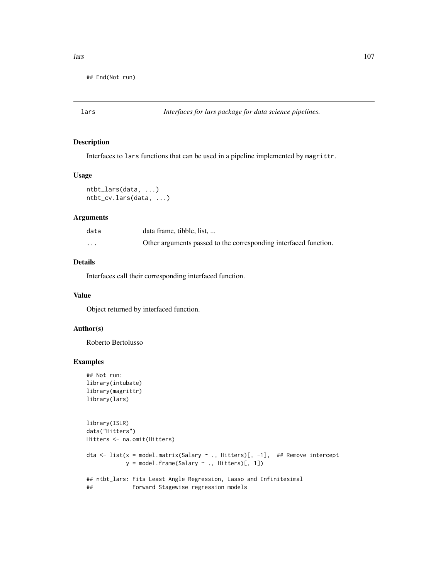## End(Not run)

### Description

Interfaces to lars functions that can be used in a pipeline implemented by magrittr.

### Usage

```
ntbt_lars(data, ...)
ntbt_cv.lars(data, ...)
```
#### Arguments

| data     | data frame, tibble, list,                                        |
|----------|------------------------------------------------------------------|
| $\cdots$ | Other arguments passed to the corresponding interfaced function. |

## Details

Interfaces call their corresponding interfaced function.

#### Value

Object returned by interfaced function.

# Author(s)

Roberto Bertolusso

```
## Not run:
library(intubate)
library(magrittr)
library(lars)
```

```
library(ISLR)
data("Hitters")
Hitters <- na.omit(Hitters)
dta <- list(x = model.matrix(Salary ~ ., Hitters)[, -1], ## Remove intercept
           y = model.frame(Salary ~ ., Hitters)[, 1])
## ntbt_lars: Fits Least Angle Regression, Lasso and Infinitesimal
## Forward Stagewise regression models
```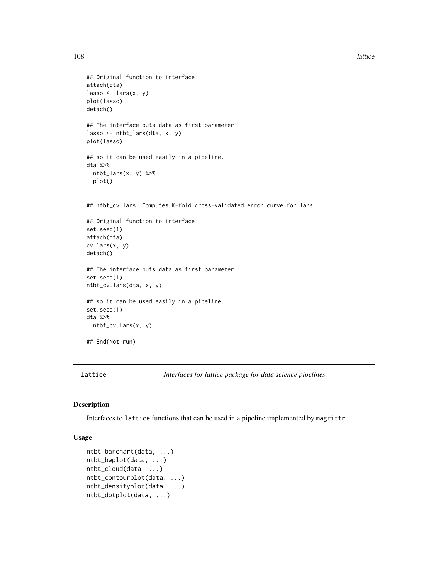108 lattice and the state of the state of the state of the state of the state of the state of the state of the state of the state of the state of the state of the state of the state of the state of the state of the state o

```
## Original function to interface
attach(dta)
lasso \leftarrow lars(x, y)plot(lasso)
detach()
## The interface puts data as first parameter
lasso <- ntbt_lars(dta, x, y)
plot(lasso)
## so it can be used easily in a pipeline.
dta %>%
  ntbt_lars(x, y) %>%
  plot()
## ntbt_cv.lars: Computes K-fold cross-validated error curve for lars
## Original function to interface
set.seed(1)
attach(dta)
cv.lars(x, y)
detach()
## The interface puts data as first parameter
set.seed(1)
ntbt_cv.lars(dta, x, y)
## so it can be used easily in a pipeline.
set.seed(1)
dta %>%
 ntbt_cv.lars(x, y)
## End(Not run)
```
lattice *Interfaces for lattice package for data science pipelines.*

## Description

Interfaces to lattice functions that can be used in a pipeline implemented by magrittr.

### Usage

```
ntbt_barchart(data, ...)
ntbt_bwplot(data, ...)
ntbt_cloud(data, ...)
ntbt_contourplot(data, ...)
ntbt_densityplot(data, ...)
ntbt_dotplot(data, ...)
```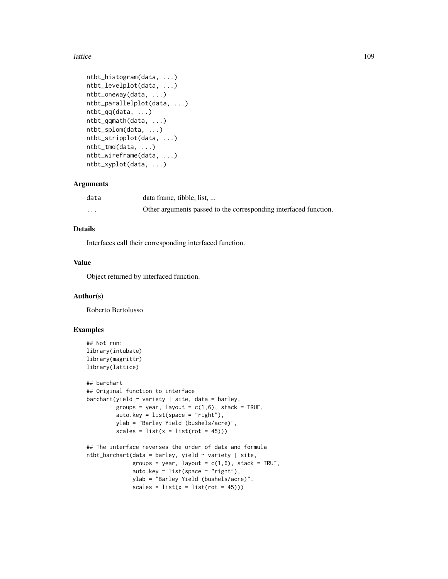```
ntbt_histogram(data, ...)
ntbt_levelplot(data, ...)
ntbt_oneway(data, ...)
ntbt_parallelplot(data, ...)
ntbt_qq(data, ...)
ntbt_qqmath(data, ...)
ntbt_splom(data, ...)
ntbt_stripplot(data, ...)
ntbt_tmd(data, ...)
ntbt_wireframe(data, ...)
ntbt_xyplot(data, ...)
```
## Arguments

| data    | data frame, tibble, list,                                        |
|---------|------------------------------------------------------------------|
| $\cdot$ | Other arguments passed to the corresponding interfaced function. |

# Details

Interfaces call their corresponding interfaced function.

#### Value

Object returned by interfaced function.

#### Author(s)

Roberto Bertolusso

```
## Not run:
library(intubate)
library(magrittr)
library(lattice)
## barchart
## Original function to interface
barchart(yield \sim variety | site, data = barley,
         groups = year, layout = c(1,6), stack = TRUE,
         auto.key = list(space = "right"),
         ylab = "Barley Yield (bushels/acre)",
         scales = list(x = list(root = 45)))## The interface reverses the order of data and formula
ntbt_barchart(data = barley, yield ~ variety | site,groups = year, layout = c(1,6), stack = TRUE,
              auto.key = list(space = "right"),
              ylab = "Barley Yield (bushels/acre)",
              scales = list(x = list(root = 45)))
```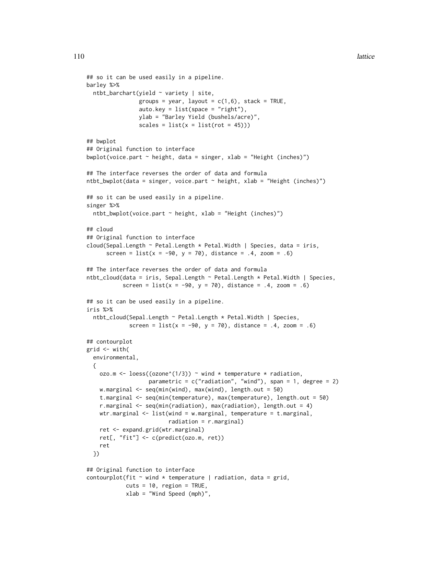```
## so it can be used easily in a pipeline.
barley %>%
 ntbt_barchart(yield ~ variety | site,
                groups = year, layout = c(1,6), stack = TRUE,
                auto.key = list(space = "right"),
                ylab = "Barley Yield (bushels/acre)",
                scales = list(x = list(root = 45)))## bwplot
## Original function to interface
bwplot(voice.part \sim height, data = singer, xlab = "Height (inches)")
## The interface reverses the order of data and formula
ntbt_bwplot(data = singer, voice.part \sim height, xlab = "Height (inches)")
## so it can be used easily in a pipeline.
singer %>%
 ntbt_bwplot(voice.part ~ height, xlab = "Height (inches)")
## cloud
## Original function to interface
cloud(Sepal.Length ~ Petal.Length * Petal.Width | Species, data = iris,
      screen = list(x = -90, y = 70), distance = .4, zoom = .6)
## The interface reverses the order of data and formula
ntbt_cloud(data = iris, Sepal.Length ~ Petal.Length * Petal.Width | Species,
           screen = list(x = -90, y = 70), distance = .4, zoom = .6)
## so it can be used easily in a pipeline.
iris %>%
 ntbt_cloud(Sepal.Length ~ Petal.Length * Petal.Width | Species,
             screen = list(x = -90, y = 70), distance = .4, zoom = .6)
## contourplot
grid \leq with(
 environmental,
 {
   ozo.m <- loess((ozone^(1/3)) ~ wind * temperature * radiation,
                   parametric = c("radiation", "wind"), span = 1, degree = 2)w.marginal \leq seq(min(wind), max(wind), length.out = 50)
    t.marginal <- seq(min(temperature), max(temperature), length.out = 50)
   r.marginal <- seq(min(radiation), max(radiation), length.out = 4)
   wtr.marginal <- list(wind = w.marginal, temperature = t.marginal,
                         radiation = r.marginal)
   ret <- expand.grid(wtr.marginal)
   ret[, "fit"] <- c(predict(ozo.m, ret))
   ret
 })
## Original function to interface
contourplot(fit \sim wind * temperature | radiation, data = grid,
            cuts = 10, region = TRUE,
            xlab = "Wind Speed (mph)",
```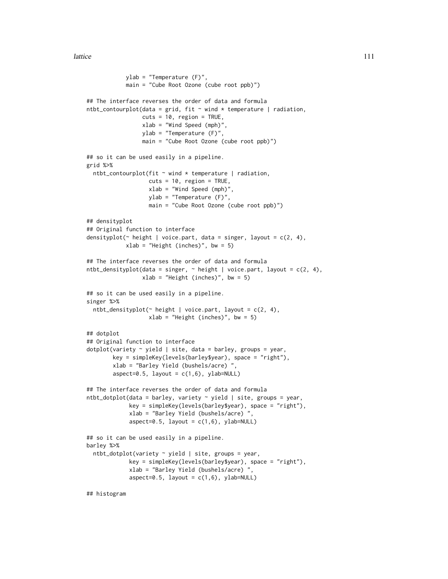ylab = "Temperature (F)", main = "Cube Root Ozone (cube root ppb)") ## The interface reverses the order of data and formula ntbt\_contourplot(data = grid, fit  $\sim$  wind  $*$  temperature | radiation,  $cuts = 10$ , region = TRUE, xlab = "Wind Speed (mph)", ylab = "Temperature (F)", main = "Cube Root Ozone (cube root ppb)") ## so it can be used easily in a pipeline. grid %>% ntbt\_contourplot(fit  $\sim$  wind  $*$  temperature | radiation,  $cuts = 10$ , region = TRUE, xlab = "Wind Speed (mph)", ylab = "Temperature (F)", main = "Cube Root Ozone (cube root ppb)") ## densityplot ## Original function to interface densityplot( $\sim$  height | voice.part, data = singer, layout = c(2, 4), xlab = "Height (inches)", bw = 5) ## The interface reverses the order of data and formula ntbt\_densityplot(data = singer,  $\sim$  height | voice.part, layout = c(2, 4), xlab = "Height (inches)", bw = 5) ## so it can be used easily in a pipeline. singer %>%  $ntbt\_densityplot(\sim height \mid voice.path, layout = c(2, 4),$  $xlab = "Height (inches)"$ , bw = 5) ## dotplot ## Original function to interface  $dot(variety ~ yield ~| site, data = barley, groups = year,$ key = simpleKey(levels(barley\$year), space = "right"), xlab = "Barley Yield (bushels/acre) ", aspect=0.5, layout =  $c(1,6)$ , ylab=NULL) ## The interface reverses the order of data and formula ntbt\_dotplot(data = barley, variety ~ yield | site, groups = year, key = simpleKey(levels(barley\$year), space = "right"), xlab = "Barley Yield (bushels/acre) ", aspect=0.5, layout =  $c(1,6)$ , ylab=NULL) ## so it can be used easily in a pipeline. barley %>%  $ntbt_dotplot(variety ~ yield ~| site, groups = year,$ key = simpleKey(levels(barley\$year), space = "right"), xlab = "Barley Yield (bushels/acre) ",  $aspect=0.5$ , layout =  $c(1,6)$ , ylab=NULL)

## histogram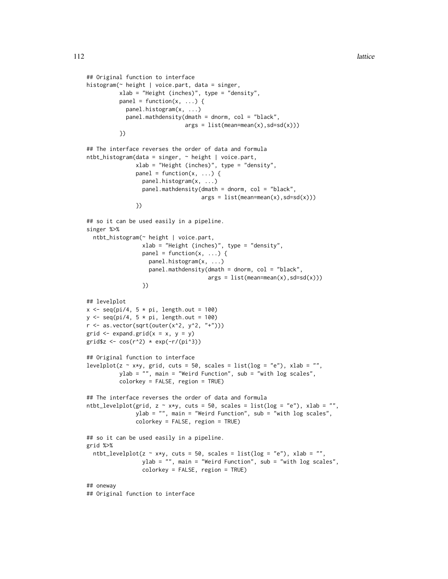```
## Original function to interface
histogram(~ height | voice.part, data = singer,
          xlab = "Height (inches)", type = "density",
          panel = function(x, \ldots) {
            panel.histogram(x, ...)
            panel.mathdensity(dmath = dnorm, col = "black",
                               args = list(mean=mean(x), sd=sd(x)))})
## The interface reverses the order of data and formula
ntbt_histogram(data = singer, ~ height | voice.part,
               xlab = "Height (inches)", type = "density",
               panel = function(x, ...)panel.histogram(x, ...)
                 panel.mathdensity(dmath = dnorm, col = "black",
                                    args = list(mean=mean(x), sd=sd(x)))})
## so it can be used easily in a pipeline.
singer %>%
 ntbt_histogram(~ height | voice.part,
                 xlab = "Height (inches)", type = "density",
                 panel = function(x, ...) {
                   panel.histogram(x, ...)
                   panel.mathdensity(dmath = dnorm, col = "black",
                                      args = list(mean=mean(x), sd=sd(x)))})
## levelplot
x \leq -\text{seq}(\text{pi}/4, 5 * \text{pi}, \text{length.out} = 100)y \leq -\text{seq}(pi/4, 5 * \text{pi}, length.out = 100)
r \leftarrow as.vector(sqrt(outer(x^2, y^2, "+")))
grid \leq expand.grid(x = x, y = y)
grid$z <- cos(r^2) * exp(-r/(pi^3))## Original function to interface
levelplot(z \sim x*y, grid, cuts = 50, scales = list(log = "e"), xlab = "",
          ylab = "", main = "Weird Function", sub = "with log scales",
          colorkey = FALSE, region = TRUE)
## The interface reverses the order of data and formula
ntbt_levelplot(grid, z \sim x*y, cuts = 50, scales = list(log = "e"), xlab = "",
               ylab = "", main = "Weird Function", sub = "with log scales",
               colorkey = FALSE, region = TRUE)
## so it can be used easily in a pipeline.
grid %>%
 ntbt_levelplot(z \sim x*y, cuts = 50, scales = list(log = "e"), xlab = "",
                 ylab = "", main = "Weird Function", sub = "with log scales",
                 colorkey = FALSE, region = TRUE)
## oneway
## Original function to interface
```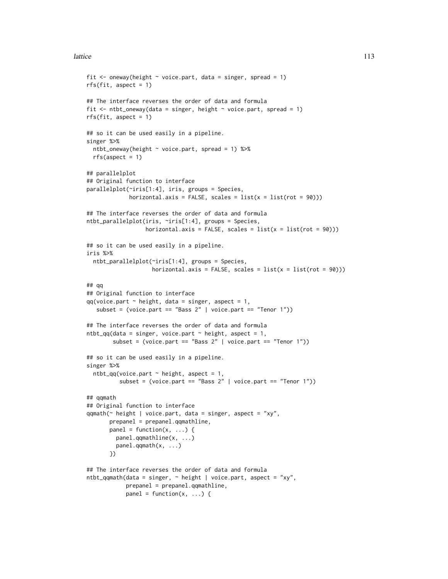```
fit \leq oneway(height \sim voice.part, data = singer, spread = 1)
rfs(fit, aspect = 1)## The interface reverses the order of data and formula
fit \le ntbt_oneway(data = singer, height \sim voice.part, spread = 1)
rfs(fit, aspect = 1)## so it can be used easily in a pipeline.
singer %>%
  ntbt_oneway(height ~ voice.part, spread = 1) %>%
  rfs(aspect = 1)## parallelplot
## Original function to interface
parallelplot(~iris[1:4], iris, groups = Species,
             horizontal.axis = FALSE, scales = list(x = list(root = 90)))## The interface reverses the order of data and formula
ntbt_parallelplot(iris, ~iris[1:4], groups = Species,
                  horizontal.axis = FALSE, scales = list(x = list(root = 90)))## so it can be used easily in a pipeline.
iris %>%
  ntbt_parallelplot(~iris[1:4], groups = Species,
                    horizontal.axis = FALSE, scales = list(x = list(root = 90)))## qq
## Original function to interface
qq(voice.path \sim height, data = singer, aspect = 1,subset = (voice.part == "Bass 2" | voice.part == "Tenor 1"))
## The interface reverses the order of data and formula
ntbt_qq(data = singer, voice.part \sim height, aspect = 1,
        subset = (voice.part == "Bass 2" | voice.part == "Tenor 1"))
## so it can be used easily in a pipeline.
singer %>%
  ntbt_qq(voice.part \sim height, aspect = 1,
          subset = (voice.part == "Bass 2" | voice.part == "Tenor 1"))
## qqmath
## Original function to interface
qqmath(~ height | voice.part, data = singer, aspect = "xy",
       prepanel = prepanel.qqmathline,
       panel = function(x, ...)panel.qqmathline(x, ...)
         panel.qqmath(x, ...)
       })
## The interface reverses the order of data and formula
ntbt_qqmath(data = singer, \sim height | voice.part, aspect = "xy",
            prepanel = prepanel.qqmathline,
            panel = function(x, ...)
```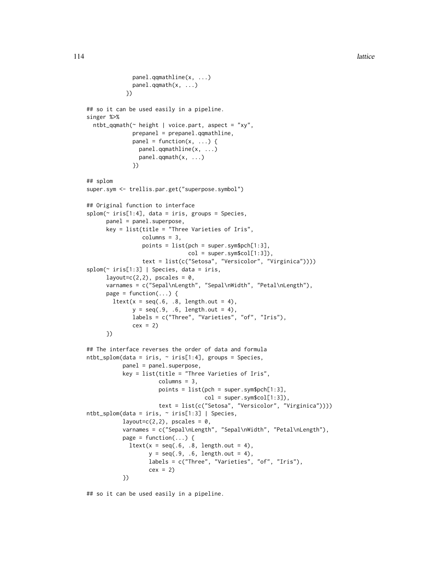```
panel.qqmathline(x, ...)
             panel.qqmath(x, ...)
            })
## so it can be used easily in a pipeline.
singer %>%
 ntbt_qqmath(\sim height \mid voice.print, aspect = "xy",prepanel = prepanel.qqmathline,
              panel = function(x, \ldots) {
                panel.qqmathline(x, ...)
               panel.qqmath(x, ...)
              })
## splom
super.sym <- trellis.par.get("superpose.symbol")
## Original function to interface
splom(~ iris[1:4], data = iris, groups = Species,
     panel = panel.superpose,
     key = list(title = "Three Varieties of Iris",
                 columns = 3,
                 points = list(pch = super.sym$pch[1:3],col = super.sym$col[1:3]),
                 text = list(c("Setosa", "Versicolor", "Virginica"))))
splom(~ iris[1:3] | Species, data = iris,
      layout=c(2,2), pscales = 0,
      varnames = c("Sepal\nLength", "Sepal\nWidth", "Petal\nLength"),
     page = function(...) {
       ltext(x = seq(.6, .8, length.out = 4),y = seq(.9, .6, length.out = 4),labels = c("Three", "Varieties", "of", "Iris"),
              cex = 2})
## The interface reverses the order of data and formula
ntbt_splom(data = iris, ~ 'iris[1:4], groups = Species,panel = panel.superpose,
           key = list(title = "Three Varieties of Iris",
                      columns = 3,
                      points = list(pch = super.sym$pch[1:3],
                                    col = super.sym$col[1:3]),text = list(c("Setosa", "Versicolor", "Virginica"))))
ntbt_splom(data = iris, ~ iris[1:3] | Species,
           layout=c(2,2), pscales = 0,
           varnames = c("Sepal\nLength", "Sepal\nWidth", "Petal\nLength"),
           page = function(...) {
             ltext(x = seq(.6, .8, length.out = 4),y = seq(.9, .6, length.out = 4),labels = c("Three", "Varieties", "of", "Iris"),
                   cex = 2})
```
## so it can be used easily in a pipeline.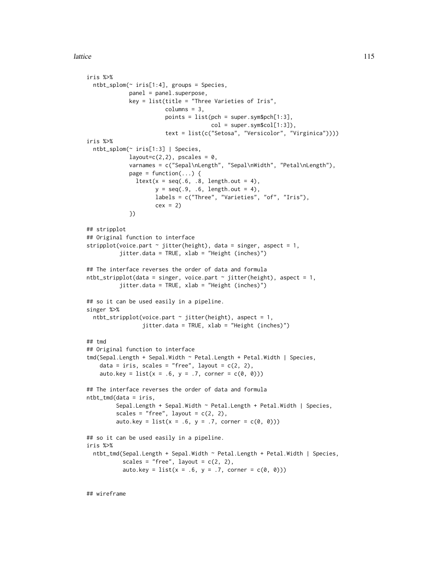```
iris %>%
 ntbt_splom(~ iris[1:4], groups = Species,
             panel = panel.superpose,
             key = list(title = "Three Varieties of Iris",
                        column = 3,points = list(pch = super.sym$pch[1:3],col = super.sym$col[1:3]),text = list(c("Setosa", "Versicolor", "Virginica"))))
iris %>%
 ntbt_splom(~ iris[1:3] | Species,
             layout=c(2,2), pscales = 0,
             varnames = c("Sepal\nLength", "Sepal\nWidth", "Petal\nLength"),
             page = function(\ldots) {
               ltext(x = seq(.6, .8, length.out = 4),y = seq(.9, .6, length.out = 4),
                     labels = c("Three", "Varieties", "of", "Iris"),
                     cex = 2})
## stripplot
## Original function to interface
stripplot(voice.part \sim jitter(height), data = singer, aspect = 1,
          jitter.data = TRUE, xlab = "Height (inches)")
## The interface reverses the order of data and formula
ntbt_stripplot(data = singer, voice.path ~ jitter(height), aspect = 1,jitter.data = TRUE, xlab = "Height (inches)")
## so it can be used easily in a pipeline.
singer %>%
 ntbt_stripplot(voice.part \sim jitter(height), aspect = 1,
                 jitter.data = TRUE, xlab = "Height (inches)")
## tmd
## Original function to interface
tmd(Sepal.Length + Sepal.Width ~ Petal.Length + Petal.Width | Species,
    data = iris, scales = "free", layout = c(2, 2),
   auto.key = list(x = .6, y = .7, corner = c(0, 0)))## The interface reverses the order of data and formula
ntbt_tmd(data = iris,
         Sepal.Length + Sepal.Width ~ Petal.Length + Petal.Width | Species,
         scales = "free", layout = c(2, 2),
         auto. key = list(x = .6, y = .7, corner = c(0, 0)))## so it can be used easily in a pipeline.
iris %>%
 ntbt_tmd(Sepal.Length + Sepal.Width ~ Petal.Length + Petal.Width | Species,
           scales = "free", layout = c(2, 2),
           auto.key = list(x = .6, y = .7, corner = c(0, 0)))
```
## wireframe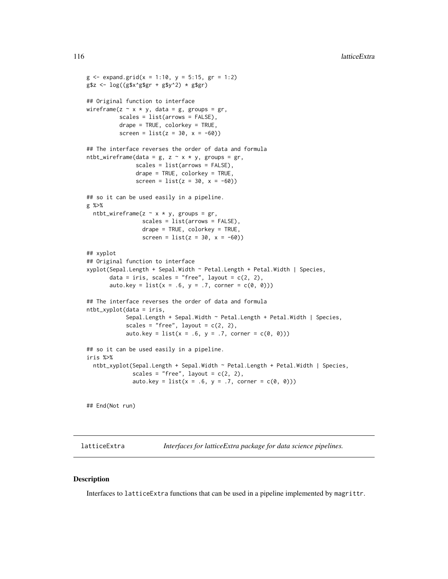```
g \le - expand.grid(x = 1:10, y = 5:15, gr = 1:2)
g$z < - log((g$x$'g$gr + g$y'2) * g$gr)## Original function to interface
wireframe(z \sim x * y, data = g, groups = gr,
          scales = list(arrows = FALSE),
          drape = TRUE, colorkey = TRUE,
          screen = list(z = 30, x = -60)## The interface reverses the order of data and formula
ntbt_wireframe(data = g, z \sim x * y, groups = gr,
               scales = list(arrows = FALSE),
               drape = TRUE, colorkey = TRUE,
               screen = list(z = 30, x = -60)## so it can be used easily in a pipeline.
g %>%
  ntbt_wireframe(z \sim x \star y, groups = gr,
                 scales = list(arrows = FALSE),
                 drape = TRUE, colorkey = TRUE,
                 screen = list(z = 30, x = -60))## xyplot
## Original function to interface
xyplot(Sepal.Length + Sepal.Width ~ Petal.Length + Petal.Width | Species,
       data = iris, scales = "free", layout = c(2, 2),
       auto.key = list(x = .6, y = .7, corner = c(0, 0)))## The interface reverses the order of data and formula
ntbt_xyplot(data = iris,
            Sepal.Length + Sepal.Width ~ Petal.Length + Petal.Width | Species,
            scales = "free", layout = c(2, 2),
            auto.key = list(x = .6, y = .7, corner = c(0, 0)))## so it can be used easily in a pipeline.
iris %>%
  ntbt_xyplot(Sepal.Length + Sepal.Width ~ Petal.Length + Petal.Width | Species,
              scales = "free", layout = c(2, 2),
              auto. key = list(x = .6, y = .7, corner = c(0, 0)))
```
## End(Not run)

latticeExtra *Interfaces for latticeExtra package for data science pipelines.*

# Description

Interfaces to latticeExtra functions that can be used in a pipeline implemented by magrittr.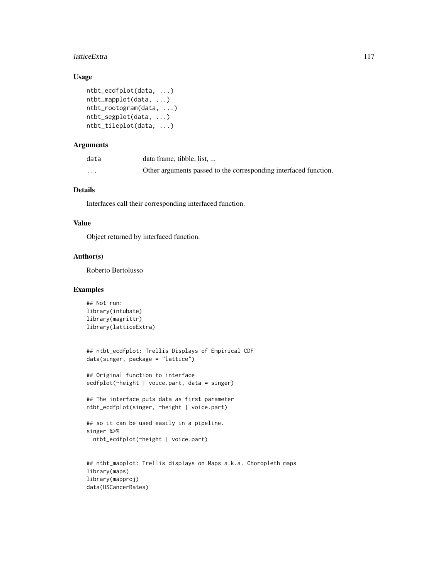#### latticeExtra 117

# Usage

```
ntbt_ecdfplot(data, ...)
ntbt_mapplot(data, ...)
ntbt_rootogram(data, ...)
ntbt_segplot(data, ...)
ntbt_tileplot(data, ...)
```
# Arguments

| data     | data frame, tibble, list,                                        |
|----------|------------------------------------------------------------------|
| $\cdots$ | Other arguments passed to the corresponding interfaced function. |

# Details

Interfaces call their corresponding interfaced function.

## Value

Object returned by interfaced function.

#### Author(s)

Roberto Bertolusso

```
## Not run:
library(intubate)
library(magrittr)
library(latticeExtra)
```

```
## ntbt_ecdfplot: Trellis Displays of Empirical CDF
data(singer, package = "lattice")
```

```
## Original function to interface
ecdfplot(~height | voice.part, data = singer)
```

```
## The interface puts data as first parameter
ntbt_ecdfplot(singer, ~height | voice.part)
```

```
## so it can be used easily in a pipeline.
singer %>%
 ntbt_ecdfplot(~height | voice.part)
```

```
## ntbt_mapplot: Trellis displays on Maps a.k.a. Choropleth maps
library(maps)
library(mapproj)
data(USCancerRates)
```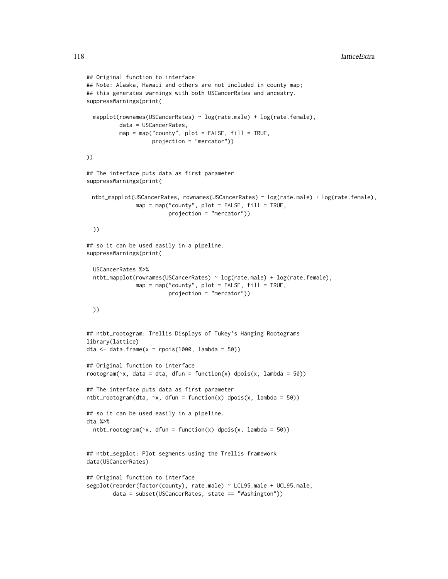```
## Original function to interface
## Note: Alaska, Hawaii and others are not included in county map;
## this generates warnings with both USCancerRates and ancestry.
suppressWarnings(print(
  mapplot(rownames(USCancerRates) ~ log(rate.male) + log(rate.female),
          data = USCancerRates,
          map = map("county", plot = FALSE, fill = TRUE,projection = "mercator"))
))
## The interface puts data as first parameter
suppressWarnings(print(
 ntbt_mapplot(USCancerRates, rownames(USCancerRates) ~ log(rate.male) + log(rate.female),
               map = map("county", plot = FALSE, fill = TRUE,
                         projection = "mercator"))
  ))
## so it can be used easily in a pipeline.
suppressWarnings(print(
  USCancerRates %>%
  ntbt_mapplot(rownames(USCancerRates) ~ log(rate.male) + log(rate.female),
               map = map("county", plot = FALSE, fill = TRUE,projection = "mercator"))
  ))
## ntbt_rootogram: Trellis Displays of Tukey's Hanging Rootograms
library(lattice)
dta \le- data.frame(x = rpois(1000, lambda = 50))
## Original function to interface
rootogram(\infty, data = dta, dfun = function(x) dpois(x, lambda = 50))
## The interface puts data as first parameter
ntbt_rootogram(dta, \sim x, dfun = function(x) dpois(x, lambda = 50))
## so it can be used easily in a pipeline.
dta %>%
  ntbt_rootogram(\infty, dfun = function(x) dpois(x, lambda = 50))
## ntbt_segplot: Plot segments using the Trellis framework
data(USCancerRates)
## Original function to interface
segplot(reorder(factor(county), rate.male) ~ LCL95.male + UCL95.male,
        data = subset(USCancerRates, state == "Washington"))
```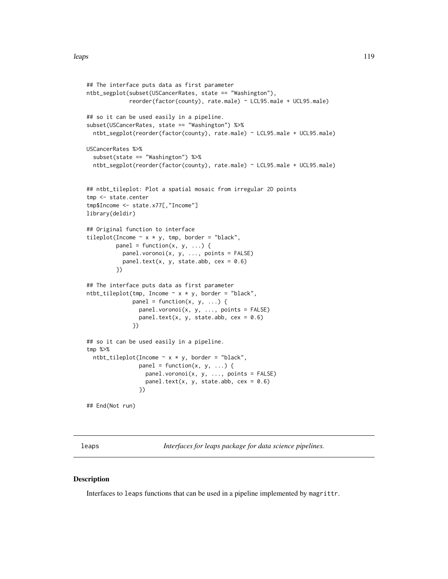```
## The interface puts data as first parameter
ntbt_segplot(subset(USCancerRates, state == "Washington"),
             reorder(factor(county), rate.male) ~ LCL95.male + UCL95.male)
## so it can be used easily in a pipeline.
subset(USCancerRates, state == "Washington") %>%
 ntbt_segplot(reorder(factor(county), rate.male) ~ LCL95.male + UCL95.male)
USCancerRates %>%
 subset(state == "Washington") %>%
 ntbt_segplot(reorder(factor(county), rate.male) ~ LCL95.male + UCL95.male)
## ntbt_tileplot: Plot a spatial mosaic from irregular 2D points
tmp <- state.center
tmp$Income <- state.x77[,"Income"]
library(deldir)
## Original function to interface
tileplot(Income \sim x * y, tmp, border = "black",
        panel = function(x, y, ...) {
           panel.voronoi(x, y, ..., points = FALSE)
           panel.text(x, y, state.abb, cex = 0.6)
         })
## The interface puts data as first parameter
ntbt\_tileplot(tmp, Income ~ x * y, border = "black",panel = function(x, y, ...)panel.voronoi(x, y, ..., points = FALSE)
                panel.text(x, y, state.abb, cex = 0.6)
              })
## so it can be used easily in a pipeline.
tmp %>%
 ntbt\_tileplot(Income ~ x * y, border = "black",panel = function(x, y, ...) {
                  panel.voronoi(x, y, ..., points = FALSE)
                  panel.text(x, y, state.abb, cex = 0.6)
                })
```
## End(Not run)

leaps *Interfaces for leaps package for data science pipelines.*

## Description

Interfaces to leaps functions that can be used in a pipeline implemented by magrittr.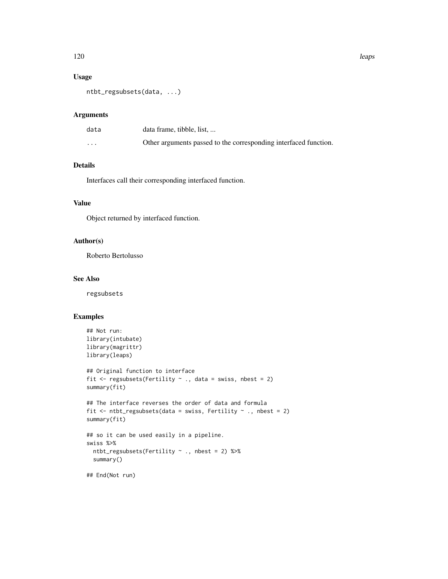# Usage

```
ntbt_regsubsets(data, ...)
```
# Arguments

| data     | data frame, tibble, list                                         |
|----------|------------------------------------------------------------------|
| $\cdots$ | Other arguments passed to the corresponding interfaced function. |

# Details

Interfaces call their corresponding interfaced function.

# Value

Object returned by interfaced function.

# Author(s)

Roberto Bertolusso

### See Also

regsubsets

```
## Not run:
library(intubate)
library(magrittr)
library(leaps)
## Original function to interface
fit \leq regsubsets(Fertility \sim ., data = swiss, nbest = 2)
summary(fit)
## The interface reverses the order of data and formula
fit \le ntbt_regsubsets(data = swiss, Fertility \sim ., nbest = 2)
summary(fit)
## so it can be used easily in a pipeline.
swiss %>%
  ntbt_regsubsets(Fertility ~ ., nbest = 2) %>%
  summary()
## End(Not run)
```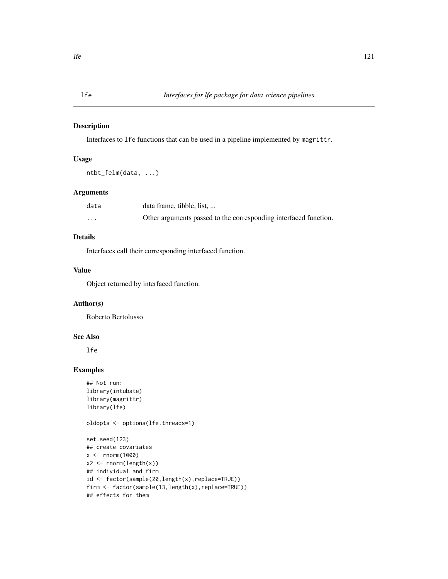# Description

Interfaces to lfe functions that can be used in a pipeline implemented by magrittr.

## Usage

```
ntbt_felm(data, ...)
```
# Arguments

| data     | data frame, tibble, list,                                        |
|----------|------------------------------------------------------------------|
| $\cdots$ | Other arguments passed to the corresponding interfaced function. |

# Details

Interfaces call their corresponding interfaced function.

# Value

Object returned by interfaced function.

# Author(s)

Roberto Bertolusso

# See Also

lfe

# Examples

```
## Not run:
library(intubate)
library(magrittr)
library(lfe)
```
oldopts <- options(lfe.threads=1)

```
set.seed(123)
## create covariates
x < - rnorm(1000)
x2 \le rnorm(length(x))
## individual and firm
id <- factor(sample(20,length(x),replace=TRUE))
firm <- factor(sample(13,length(x),replace=TRUE))
## effects for them
```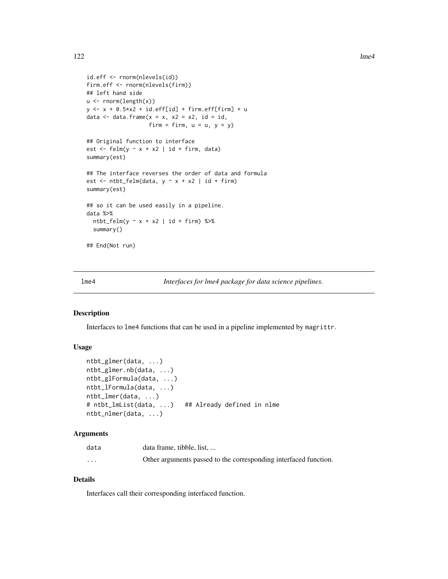```
id.eff <- rnorm(nlevels(id))
firm.eff <- rnorm(nlevels(firm))
## left hand side
u <- rnorm(length(x))
y \le -x + 0.5 \times x^2 + id.eff[id] + firm.eff[firm] + u
data \leq data.frame(x = x, x2 = x2, id = id,
                    firm = firm, u = u, y = y)
## Original function to interface
est \le felm(y \sim x + x2 | id + firm, data)
summary(est)
## The interface reverses the order of data and formula
est \le ntbt_felm(data, y \sim x + x^2 | id + firm)
summary(est)
## so it can be used easily in a pipeline.
data %>%
  ntbt_felm(y \sim x + x2 | id + firm) %>%
  summary()
## End(Not run)
```
lme4 *Interfaces for lme4 package for data science pipelines.*

## Description

Interfaces to lme4 functions that can be used in a pipeline implemented by magrittr.

## Usage

```
ntbt_glmer(data, ...)
ntbt_glmer.nb(data, ...)
ntbt_glFormula(data, ...)
ntbt_lFormula(data, ...)
ntbt_lmer(data, ...)
# ntbt_lmList(data, ...) ## Already defined in nlme
ntbt_nlmer(data, ...)
```
#### Arguments

| data                    | data frame, tibble, list,                                        |
|-------------------------|------------------------------------------------------------------|
| $\cdot$ $\cdot$ $\cdot$ | Other arguments passed to the corresponding interfaced function. |

# Details

Interfaces call their corresponding interfaced function.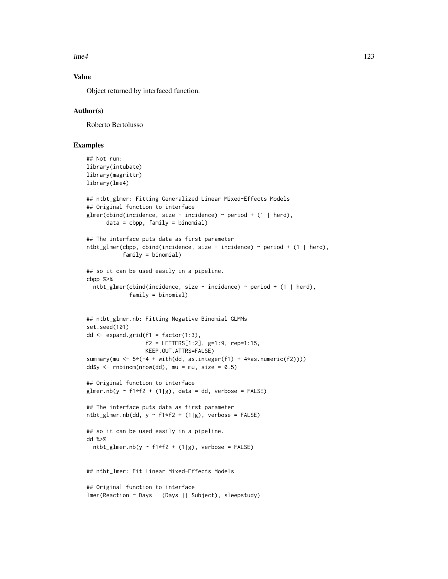$l$ me4 123

# Value

Object returned by interfaced function.

#### Author(s)

Roberto Bertolusso

```
## Not run:
library(intubate)
library(magrittr)
library(lme4)
## ntbt_glmer: Fitting Generalized Linear Mixed-Effects Models
## Original function to interface
glmer(cbind(incidence, size - incidence) \sim period + (1 | herd),
      data = cbpp, family = binomial)
## The interface puts data as first parameter
ntbt_glmer(cbpp, cbind(incidence, size - incidence) ~ period + (1 | herd),
           family = binomial)
## so it can be used easily in a pipeline.
cbpp %>%
  ntbt_glmer(cbind(incidence, size - incidence) ~ period + (1 | herd),
             family = binomial)
## ntbt_glmer.nb: Fitting Negative Binomial GLMMs
set.seed(101)
dd \leq expand.grid(f1 = factor(1:3),
                  f2 = LETTERS[1:2], g=1:9, rep=1:15,KEEP.OUT.ATTRS=FALSE)
summary(mu <- 5*(-4 + with(dd, as.integer(f1) + 4*as.numeric(f2))))
dd$y <- rnbinom(nrow(dd), mu = mu, size = 0.5)
## Original function to interface
glmer.nb(y \sim f1*f2 + (1|g), data = dd, verbose = FALSE)
## The interface puts data as first parameter
ntbt_glmer.nb(dd, y \sim f1*f2 + (1|g), verbose = FALSE)
## so it can be used easily in a pipeline.
dd %>%
  ntbt_glmer.nb(y \sim f1*f2 + (1|g), verbose = FALSE)
## ntbt_lmer: Fit Linear Mixed-Effects Models
## Original function to interface
lmer(Reaction ~ Days + (Days || Subject), sleepstudy)
```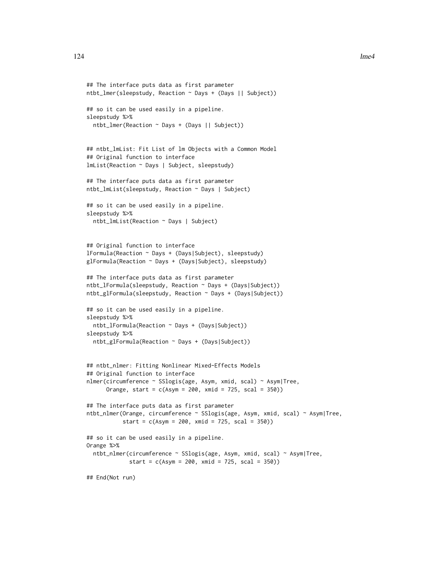```
## The interface puts data as first parameter
ntbt_lmer(sleepstudy, Reaction ~ Days + (Days || Subject))
## so it can be used easily in a pipeline.
sleepstudy %>%
 ntbt_lmer(Reaction ~ Days + (Days || Subject))
## ntbt_lmList: Fit List of lm Objects with a Common Model
## Original function to interface
lmList(Reaction ~ Days | Subject, sleepstudy)
## The interface puts data as first parameter
ntbt_lmList(sleepstudy, Reaction ~ Days | Subject)
## so it can be used easily in a pipeline.
sleepstudy %>%
 ntbt_lmList(Reaction ~ Days | Subject)
## Original function to interface
lFormula(Reaction ~ Days + (Days|Subject), sleepstudy)
glFormula(Reaction ~ Days + (Days|Subject), sleepstudy)
## The interface puts data as first parameter
ntbt_lFormula(sleepstudy, Reaction ~ Days + (Days|Subject))
ntbt_glFormula(sleepstudy, Reaction ~ Days + (Days|Subject))
## so it can be used easily in a pipeline.
sleepstudy %>%
 ntbt_lFormula(Reaction ~ Days + (Days|Subject))
sleepstudy %>%
 ntbt_glFormula(Reaction ~ Days + (Days|Subject))
## ntbt_nlmer: Fitting Nonlinear Mixed-Effects Models
## Original function to interface
nlmer(circumference ~ SSlogis(age, Asym, xmid, scal) ~ Asym|Tree,
      Orange, start = c(Asym = 200, xmid = 725, scal = 350)## The interface puts data as first parameter
ntbt_nlmer(Orange, circumference ~ SSlogis(age, Asym, xmid, scal) ~ Asym|Tree,
          start = c(Asym = 200, xmid = 725, scal = 350))
## so it can be used easily in a pipeline.
Orange %>%
 ntbt_nlmer(circumference ~ SSlogis(age, Asym, xmid, scal) ~ Asym|Tree,
             start = c(Asym = 200, xmid = 725, scal = 350)## End(Not run)
```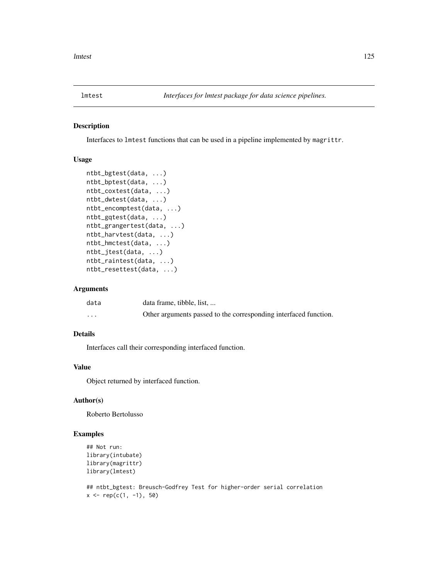### Description

Interfaces to lmtest functions that can be used in a pipeline implemented by magrittr.

# Usage

```
ntbt_bgtest(data, ...)
ntbt_bptest(data, ...)
ntbt_coxtest(data, ...)
ntbt_dwtest(data, ...)
ntbt_encomptest(data, ...)
ntbt_gqtest(data, ...)
ntbt_grangertest(data, ...)
ntbt_harvtest(data, ...)
ntbt_hmctest(data, ...)
ntbt_jtest(data, ...)
ntbt_raintest(data, ...)
ntbt_resettest(data, ...)
```
#### Arguments

| data     | data frame, tibble, list,                                        |
|----------|------------------------------------------------------------------|
| $\cdots$ | Other arguments passed to the corresponding interfaced function. |

# Details

Interfaces call their corresponding interfaced function.

## Value

Object returned by interfaced function.

## Author(s)

Roberto Bertolusso

# Examples

```
## Not run:
library(intubate)
library(magrittr)
library(lmtest)
```
## ntbt\_bgtest: Breusch-Godfrey Test for higher-order serial correlation  $x \leq -\text{rep}(c(1, -1), 50)$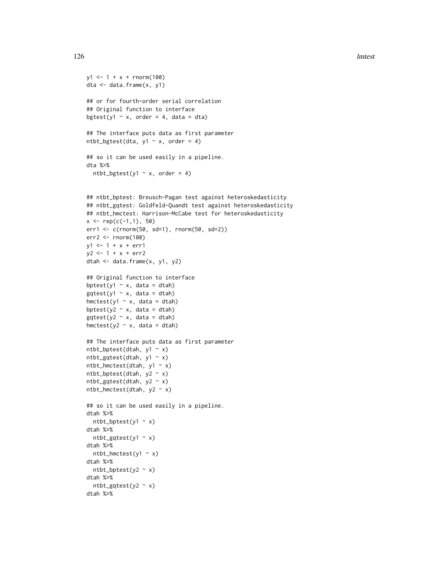```
y1 \le -1 + x + \text{rnorm}(100)dta <- data.frame(x, y1)
## or for fourth-order serial correlation
## Original function to interface
bgtest(y1 \sim x, order = 4, data = dta)
## The interface puts data as first parameter
ntbt_bgtest(dta, y1 \sim x, order = 4)
## so it can be used easily in a pipeline.
dta %>%
  ntbt_bgets(y1 ~ x, order = 4)## ntbt_bptest: Breusch-Pagan test against heteroskedasticity
## ntbt_gqtest: Goldfeld-Quandt test against heteroskedasticity
## ntbt_hmctest: Harrison-McCabe test for heteroskedasticity
x \leq -\text{rep}(c(-1,1), 50)err1 <- c(rnorm(50, sd=1), rnorm(50, sd=2))
err2 <- rnorm(100)
y1 \leftarrow 1 + x + err1y2 < -1 + x + err2dtah <- data.frame(x, y1, y2)
## Original function to interface
bptest(y1 \sim x, data = dtah)
gqtest(y1 \sim x, data = dtah)hmctest(y1 ~ x, data = dtah)
bptest(y2 \sim x, data = dtah)
gqtest(y2 \sim x, data = dtah)hmctest(y2 ~ x, data = dtah)
## The interface puts data as first parameter
ntbt_bptest(dtah, y1 ~ x)ntbt_gqtest(dtah, y1 ~ x)
ntbt_hmctest(dtah, y1 ~ x)
ntbt_bptest(dtah, y2 ~ x)
ntbt_gqtest(dtah, y2 \sim x)ntbt_hmctest(dtah, y2 \sim x)
## so it can be used easily in a pipeline.
dtah %>%
  ntbt_bptest(y1 ~ x)dtah %>%
  ntbt_gqtest(y1 ~ ~ x)dtah %>%
  ntbt_hmctest(y1 \sim x)
dtah %>%
  ntbt_bptest(y2 ~ x)
dtah %>%
  ntbt_gqtest(y2 \sim x)dtah %>%
```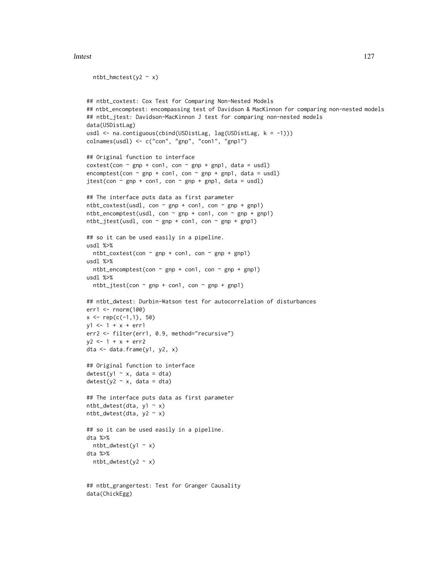#### lmtest 127

data(ChickEgg)

```
ntbt_hmctest(y2 \sim x)
## ntbt_coxtest: Cox Test for Comparing Non-Nested Models
## ntbt_encomptest: encompassing test of Davidson & MacKinnon for comparing non-nested models
## ntbt_jtest: Davidson-MacKinnon J test for comparing non-nested models
data(USDistLag)
usdl <- na.contiguous(cbind(USDistLag, lag(USDistLag, k = -1)))
colnames(usdl) <- c("con", "gnp", "con1", "gnp1")
## Original function to interface
costest(con ~ gnp + con1, con ~ gnp + gnp1, data = usdl)encomptest(con \sim gnp + con1, con \sim gnp + gnp1, data = usdl)
jtest(con \sim gnp + con1, con \sim gnp + gnp1, data = usdl)
## The interface puts data as first parameter
ntbt_coxtest(usdl, con ~ gnp + con1, con ~ gnp + gnp1)
ntbt_encomptest(usdl, con ~ gnp + con1, con ~ gnp + gnp1)
ntbt_jtest(usdl, con ~ gnp + con1, con ~ gnp + gnp1)
## so it can be used easily in a pipeline.
usdl %>%
  ntbt_coxtest(con \sim gnp + con1, con \sim gnp + gnp1)
usdl %>%
  ntbt_encomptest(con \sim gnp + con1, con \sim gnp + gnp1)
usdl %>%
  ntbt_jtest(con \sim gnp + con1, con \sim gnp + gnp1)
## ntbt_dwtest: Durbin-Watson test for autocorrelation of disturbances
err1 <- rnorm(100)
x \leq -\text{rep}(c(-1,1), 50)y1 \le -1 + x + err1err2 <- filter(err1, 0.9, method="recursive")
y2 \le -1 + x + err2dta <- data.frame(y1, y2, x)
## Original function to interface
dwtest(y1 - x, data = dta)dwtest(y2 \sim x, data = dta)## The interface puts data as first parameter
ntbt_dwtest(dta, y1 ~ x)
ntbt_dwtest(dta, y2 ~ x)
## so it can be used easily in a pipeline.
dta %>%
  ntbt_dwtest(y1 ~ x)dta %>%
  ntbt_dwtest(y2 \sim x)## ntbt_grangertest: Test for Granger Causality
```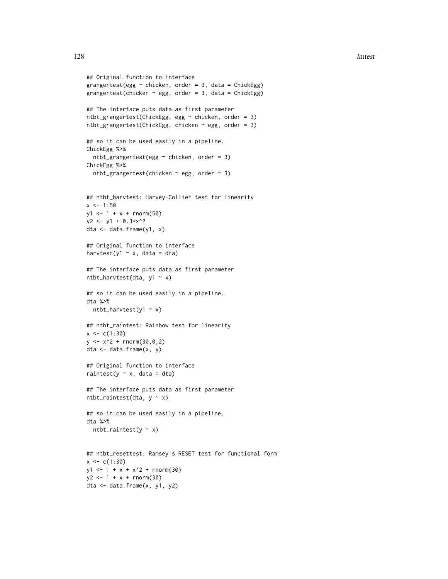```
## Original function to interface
grangertest(egg \sim chicken, order = 3, data = ChickEgg)
grangertest(chicken \sim egg, order = 3, data = ChickEgg)
## The interface puts data as first parameter
ntbt_grangertest(ChickEgg, egg ~ chicken, order = 3)
ntbt_grangertest(ChickEgg, chicken \sim egg, order = 3)
## so it can be used easily in a pipeline.
ChickEgg %>%
  ntbt_grangertest(egg \sim chicken, order = 3)
ChickEgg %>%
  ntbt_grangertest(chicken \sim egg, order = 3)
## ntbt_harvtest: Harvey-Collier test for linearity
x \le -1:50y1 \le -1 + x + \text{norm}(50)y2 \le y1 + 0.3*x^2dta <- data.frame(y1, x)
## Original function to interface
harvtest(y1 \sim x, data = dta)
## The interface puts data as first parameter
ntbt_harvtest(dta, y1 \sim x)
## so it can be used easily in a pipeline.
dta %>%
 ntbt_harvtest(y1 \sim x)
## ntbt_raintest: Rainbow test for linearity
x \leftarrow c(1:30)y \le -x^2 + \text{rnorm}(30, 0, 2)dta <- data.frame(x, y)
## Original function to interface
raintest(y \sim x, data = dta)
## The interface puts data as first parameter
ntbt_raintest(dta, y \sim x)
## so it can be used easily in a pipeline.
dta %>%
 ntbt_raintest(y \sim x)
## ntbt_resettest: Ramsey's RESET test for functional form
x \leftarrow c(1:30)y1 \le -1 + x + x^2 + \text{rnorm}(30)y2 \le -1 + x + \text{norm}(30)dta <- data.frame(x, y1, y2)
```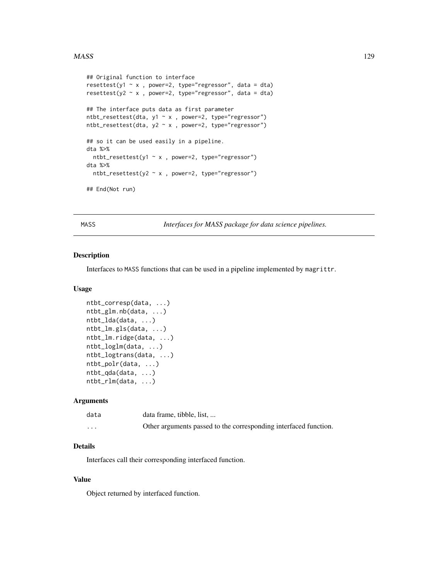#### $MASS$  and the set of the set of the set of the set of the set of the set of the set of the set of the set of the set of the set of the set of the set of the set of the set of the set of the set of the set of the set of the

```
## Original function to interface
resettest(y1 ~ x , power=2, type="regressor", data = dta)
resettest(y2 \sim x, power=2, type="regressor", data = dta)
## The interface puts data as first parameter
ntbt_resettest(dta, y1 ~ x , power=2, type="regressor")
ntbt_resettest(dta, y2 \sim x, power=2, type="regressor")
## so it can be used easily in a pipeline.
dta %>%
  ntbt_resettest(y1 ~ x , power=2, type="regressor")
dta %>%
  ntbt_resettest(y2 ~ x , power=2, type="regressor")
## End(Not run)
```
MASS *Interfaces for MASS package for data science pipelines.*

### Description

Interfaces to MASS functions that can be used in a pipeline implemented by magrittr.

#### Usage

```
ntbt_corresp(data, ...)
ntbt_glm.nb(data, ...)
ntbt_lda(data, ...)
ntbt_lm.gls(data, ...)
ntbt_lm.ridge(data, ...)
ntbt_loglm(data, ...)
ntbt_logtrans(data, ...)
ntbt_polr(data, ...)
ntbt_qda(data, ...)
ntbt_rlm(data, ...)
```
## Arguments

| data     | data frame, tibble, list,                                        |
|----------|------------------------------------------------------------------|
| $\cdots$ | Other arguments passed to the corresponding interfaced function. |

# Details

Interfaces call their corresponding interfaced function.

# Value

Object returned by interfaced function.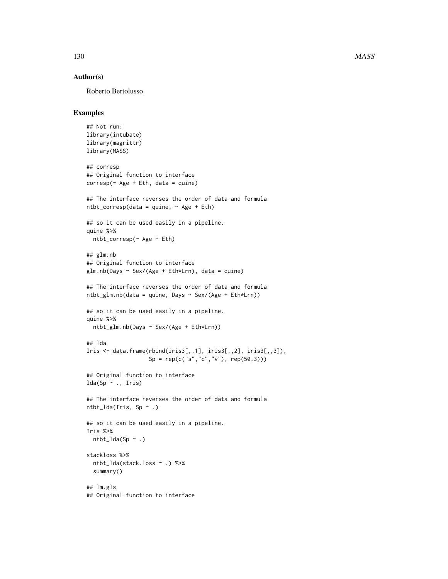## Author(s)

Roberto Bertolusso

```
## Not run:
library(intubate)
library(magrittr)
library(MASS)
## corresp
## Original function to interface
corresp(\sim Age + Eth, data = quine)## The interface reverses the order of data and formula
ntbt_corresp(data = quine, \sim Age + Eth)
## so it can be used easily in a pipeline.
quine %>%
  ntbt_corresp(~ Age + Eth)
## glm.nb
## Original function to interface
glm.nb(Days ~ Sex/(Age + Eth*Lrn), data = quine)## The interface reverses the order of data and formula
ntbt_glm.nb(data = quine, Days ~ Sex/(Age + Eth*Lrn))## so it can be used easily in a pipeline.
quine %>%
  ntbt_glm.nb(Days ~ Sex/(Age + Eth*Lrn))
## lda
Iris \leq data.frame(rbind(iris3[,,1], iris3[,,2], iris3[,,3]),
                   Sp = rep(c("s", "c", "v")), rep(50,3)))## Original function to interface
lda(Sp \sim ., Iris)## The interface reverses the order of data and formula
ntbt\_lda(Iris, Sp ~ .)## so it can be used easily in a pipeline.
Iris %>%
  ntbt\_lda(Sp \sim .)stackloss %>%
  ntbt_lda(stack.loss ~ .) %>%
  summary()
## lm.gls
## Original function to interface
```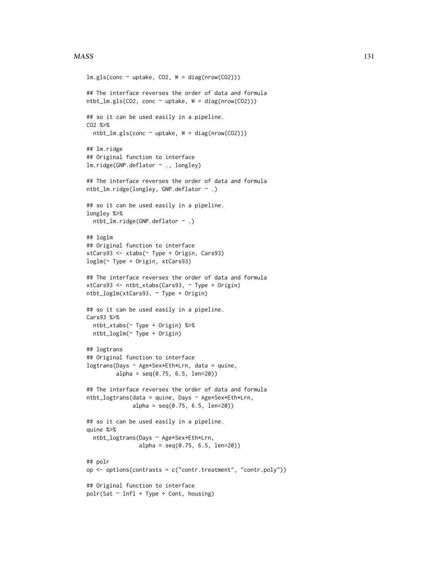#### $MASS$  131

```
lm.gls(conc ~ uptake, CO2, W = diag(nrow(CO2)))## The interface reverses the order of data and formula
ntbt_lm_gls(C02, conc ~ uptake, W = diag(nrow(C02)))## so it can be used easily in a pipeline.
CO2 %>%
  ntbt_lm.gls(conc ~ uptake, W = diag(nrow(CO2)))
## lm.ridge
## Original function to interface
lm.ridge(GNP.deflator ~ ., longley)
## The interface reverses the order of data and formula
ntbt_lm.ridge(longley, GNP.deflator ~ .)
## so it can be used easily in a pipeline.
longley %>%
  ntbt_lm.ridge(GNP.deflator ~ .)
## loglm
## Original function to interface
xtCars93 <- xtabs(~ Type + Origin, Cars93)
loglm(~ Type + Origin, xtCars93)
## The interface reverses the order of data and formula
xtCars93 <- ntbt_xtabs(Cars93, ~ Type + Origin)
ntbt_loglm(xtCars93, ~ Type + Origin)
## so it can be used easily in a pipeline.
Cars93 %>%
 ntbt_xtabs(~ Type + Origin) %>%
  ntbt_loglm(~ Type + Origin)
## logtrans
## Original function to interface
logtrans(Days ~ Age*Sex*Eth*Lrn, data = quine,
         alpha = seq(0.75, 6.5, len=20)## The interface reverses the order of data and formula
ntbt_logtrans(data = quine, Days ~ Age*Sex*Eth*Lrn,
              alpha = seq(0.75, 6.5, len=20))## so it can be used easily in a pipeline.
quine %>%
  ntbt_logtrans(Days ~ Age*Sex*Eth*Lrn,
                alpha = seq(0.75, 6.5, len=20))
## polr
op \leq options(contrasts = c("contr.treatment", "contr.poly"))
## Original function to interface
polar(Sat \sim Infl + Type + Cont, housing)
```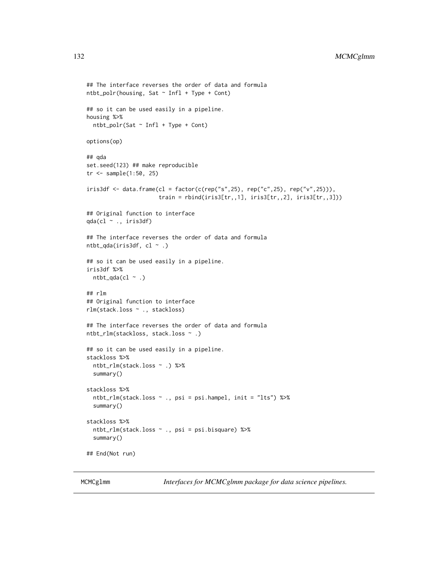```
## The interface reverses the order of data and formula
ntbt_polr(housing, Sat ~ Infl + Type + Cont)
## so it can be used easily in a pipeline.
housing %>%
  ntbt_polr(Sat ~ Infl + Type + Cont)
options(op)
## qda
set.seed(123) ## make reproducible
tr <- sample(1:50, 25)
iris3df \leftarrow data-frame(cl = factor(c(rep("s", 25), rep("c", 25), rep("v", 25))),train = rbind(iris3[tr,,1], iris3[tr,,2], iris3[tr,,3]))
## Original function to interface
qda(cl ~ ., iris3df)
## The interface reverses the order of data and formula
ntbt_qda(iris3df, cl \sim .)
## so it can be used easily in a pipeline.
iris3df %>%
  ntbt_qda(cl \sim .)## rlm
## Original function to interface
rlm(stack.loss ~ ., stackloss)
## The interface reverses the order of data and formula
ntbt_rlm(stackloss, stack.loss ~ .)
## so it can be used easily in a pipeline.
stackloss %>%
  ntbt_rlm(stack.loss ~ .) %>%
  summary()
stackloss %>%
  ntbt_rlm(stack.loss ~ ., psi = psi.hampel, init = "lts") %>%
  summary()
stackloss %>%
  ntbt_rlm(stack.loss ~ ., psi = psi.bisquare) %>%
  summary()
## End(Not run)
```
MCMCglmm *Interfaces for MCMCglmm package for data science pipelines.*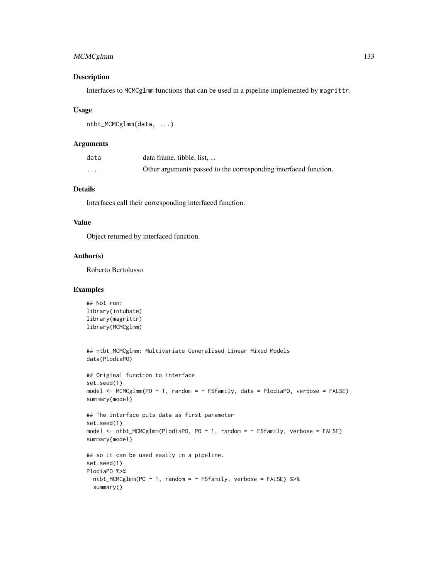# MCMCglmm 133

# Description

Interfaces to MCMCglmm functions that can be used in a pipeline implemented by magrittr.

### Usage

```
ntbt_MCMCglmm(data, ...)
```
## Arguments

| data     | data frame, tibble, list,                                        |
|----------|------------------------------------------------------------------|
| $\cdots$ | Other arguments passed to the corresponding interfaced function. |

# Details

Interfaces call their corresponding interfaced function.

## Value

Object returned by interfaced function.

## Author(s)

Roberto Bertolusso

```
## Not run:
library(intubate)
library(magrittr)
library(MCMCglmm)
## ntbt_MCMCglmm: Multivariate Generalised Linear Mixed Models
data(PlodiaPO)
## Original function to interface
set.seed(1)
model <- MCMCglmm(PO ~ 1, random = ~ FSfamily, data = PlodiaPO, verbose = FALSE)
summary(model)
## The interface puts data as first parameter
set.seed(1)
model \leq ntbt_MCMCglmm(PlodiaPO, PO \sim 1, random = \sim FSfamily, verbose = FALSE)
summary(model)
## so it can be used easily in a pipeline.
set.seed(1)
PlodiaPO %>%
  ntbt_MCMCglmm(PO ~ 1, random = ~ FSfamily, verbose = FALSE) %>%
  summary()
```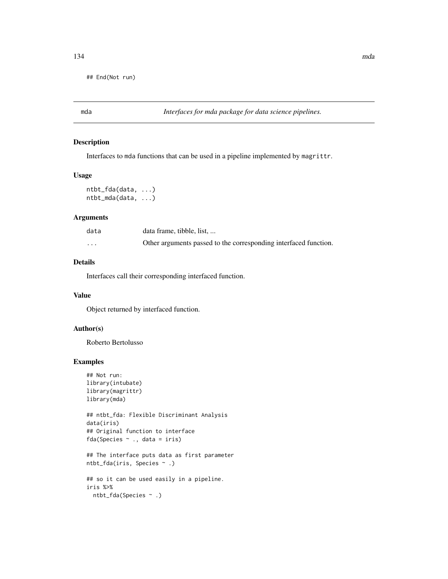## End(Not run)

mda *Interfaces for mda package for data science pipelines.*

#### Description

Interfaces to mda functions that can be used in a pipeline implemented by magrittr.

## Usage

```
ntbt_fda(data, ...)
ntbt_mda(data, ...)
```
#### Arguments

| data     | data frame, tibble, list,                                        |
|----------|------------------------------------------------------------------|
| $\cdots$ | Other arguments passed to the corresponding interfaced function. |

## Details

Interfaces call their corresponding interfaced function.

#### Value

Object returned by interfaced function.

## Author(s)

Roberto Bertolusso

```
## Not run:
library(intubate)
library(magrittr)
library(mda)
```

```
## ntbt_fda: Flexible Discriminant Analysis
data(iris)
## Original function to interface
fda(Species \sim ., data = iris)
```

```
## The interface puts data as first parameter
ntbt_fda(iris, Species ~ .)
```

```
## so it can be used easily in a pipeline.
iris %>%
 ntbt_fda(Species ~ .)
```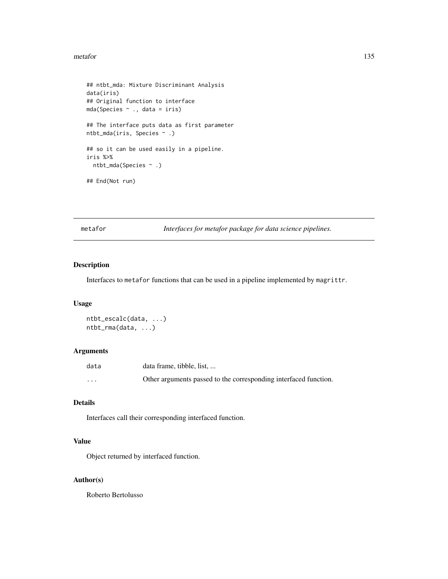#### metafor 135

```
## ntbt_mda: Mixture Discriminant Analysis
data(iris)
## Original function to interface
mda(Species ~ ., data = iris)
## The interface puts data as first parameter
ntbt_mda(iris, Species ~ .)
## so it can be used easily in a pipeline.
iris %>%
  ntbt_mda(Species ~ .)
## End(Not run)
```
metafor *Interfaces for metafor package for data science pipelines.*

# Description

Interfaces to metafor functions that can be used in a pipeline implemented by magrittr.

## Usage

```
ntbt_escalc(data, ...)
ntbt_rma(data, ...)
```
# Arguments

| data | data frame, tibble, list,                                        |
|------|------------------------------------------------------------------|
| .    | Other arguments passed to the corresponding interfaced function. |

# Details

Interfaces call their corresponding interfaced function.

# Value

Object returned by interfaced function.

# Author(s)

Roberto Bertolusso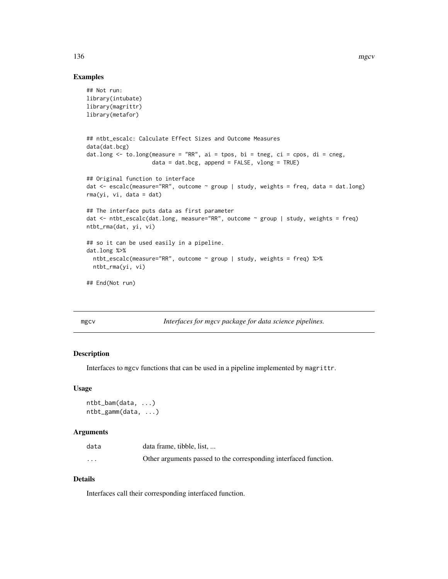## Examples

```
## Not run:
library(intubate)
library(magrittr)
library(metafor)
## ntbt_escalc: Calculate Effect Sizes and Outcome Measures
data(dat.bcg)
dat.long <- to.long(measure = "RR", ai = tpos, bi = tneg, ci = cpos, di = cneg,
                    data = dat.bcg, append = FALSE, vlong = TRUE)## Original function to interface
dat <- escalc(measure="RR", outcome ~ group | study, weights = freq, data = dat.long)
rma(yi, vi, data = dat)
## The interface puts data as first parameter
dat <- ntbt_escalc(dat.long, measure="RR", outcome ~ group | study, weights = freq)
ntbt_rma(dat, yi, vi)
## so it can be used easily in a pipeline.
dat.long %>%
  ntbt_escalc(measure="RR", outcome ~ group | study, weights = freq) %>%
  ntbt_rma(yi, vi)
## End(Not run)
```
mgcv *Interfaces for mgcv package for data science pipelines.*

## Description

Interfaces to mgcv functions that can be used in a pipeline implemented by magrittr.

#### Usage

```
ntbt_bam(data, ...)
ntbt_gamm(data, ...)
```
#### Arguments

| data                 | data frame, tibble, list,                                        |
|----------------------|------------------------------------------------------------------|
| $\ddot{\phantom{0}}$ | Other arguments passed to the corresponding interfaced function. |

# Details

Interfaces call their corresponding interfaced function.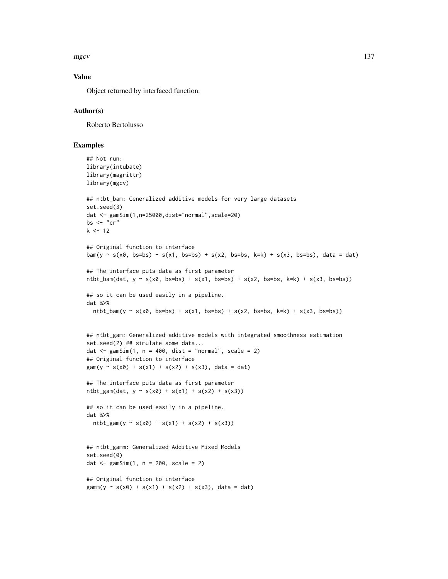mgcv and the state of the state of the state of the state of the state of the state of the state of the state of the state of the state of the state of the state of the state of the state of the state of the state of the s

# Value

Object returned by interfaced function.

#### Author(s)

Roberto Bertolusso

```
## Not run:
library(intubate)
library(magrittr)
library(mgcv)
## ntbt_bam: Generalized additive models for very large datasets
set.seed(3)
dat <- gamSim(1,n=25000,dist="normal",scale=20)
bs \leq "cr"
k < -12## Original function to interface
bam(y \sim s(x0, bs=bs) + s(x1, bs=bs) + s(x2, bs=bs, k=k) + s(x3, bs=bs), data = dat)
## The interface puts data as first parameter
ntbt_bam(dat, y \sim s(x0, bs=bs) + s(x1, bs=bs) + s(x2, bs=bs, k=k) + s(x3, bs=bs))## so it can be used easily in a pipeline.
dat %>%
 ntbt_bam(y \sim s(x0, bs=bs) + s(x1, bs=bs) + s(x2, bs=bs, k=k) + s(x3, bs=bs))
## ntbt_gam: Generalized additive models with integrated smoothness estimation
set.seed(2) ## simulate some data...
dat \leq gamSim(1, n = 400, dist = "normal", scale = 2)
## Original function to interface
\text{gam}(y \sim s(x0) + s(x1) + s(x2) + s(x3), \text{ data} = \text{dat})## The interface puts data as first parameter
ntbt_gam(data, y ~ s(x0) + s(x1) + s(x2) + s(x3))## so it can be used easily in a pipeline.
dat %>%
  ntbt_gam(y \sim s(x0) + s(x1) + s(x2) + s(x3))## ntbt_gamm: Generalized Additive Mixed Models
set.seed(0)
dat \leq gamSim(1, n = 200, scale = 2)## Original function to interface
gamma(y \sim s(x0) + s(x1) + s(x2) + s(x3), data = dat)
```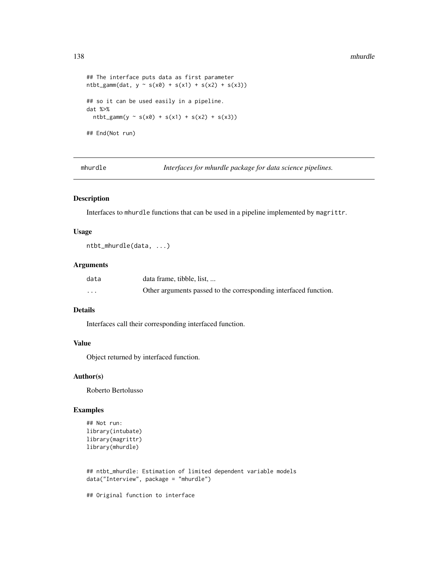```
## The interface puts data as first parameter
ntbt_gamm(data, y ~ s(x0) + s(x1) + s(x2) + s(x3))## so it can be used easily in a pipeline.
dat %>%
  ntbt_gamm(y \sim s(x0) + s(x1) + s(x2) + s(x3))## End(Not run)
```
mhurdle *Interfaces for mhurdle package for data science pipelines.*

#### Description

Interfaces to mhurdle functions that can be used in a pipeline implemented by magrittr.

## Usage

ntbt\_mhurdle(data, ...)

# Arguments

| data     | data frame, tibble, list,                                        |
|----------|------------------------------------------------------------------|
| $\cdots$ | Other arguments passed to the corresponding interfaced function. |

# Details

Interfaces call their corresponding interfaced function.

# Value

Object returned by interfaced function.

## Author(s)

Roberto Bertolusso

# Examples

```
## Not run:
library(intubate)
library(magrittr)
library(mhurdle)
```

```
## ntbt_mhurdle: Estimation of limited dependent variable models
data("Interview", package = "mhurdle")
```
## Original function to interface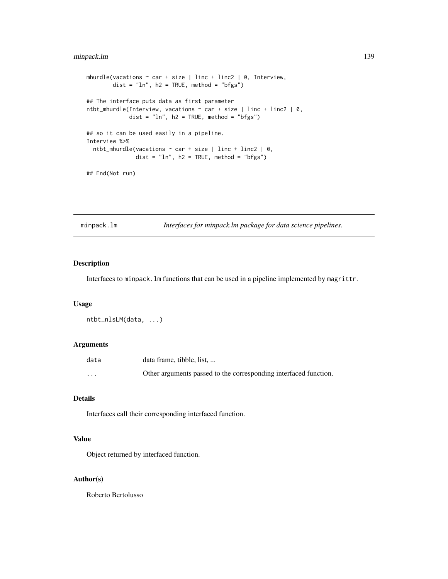# minpack.lm 139

```
mhurdle(vacations \sim car + size | linc + linc2 | 0, Interview,
        dist = "ln", h2 = TRUE, method = "bfgs")
## The interface puts data as first parameter
ntbt_mhurdle(Interview, vacations \sim car + size | linc + linc2 | 0,
             dist = "ln", h2 = TRUE, method = "bfgs")## so it can be used easily in a pipeline.
Interview %>%
 ntbt_mhurdle(vacations \sim car + size | linc + linc2 | 0,
               dist = "ln", h2 = TRUE, method = "bfgs")
```
## End(Not run)

minpack.lm *Interfaces for minpack.lm package for data science pipelines.*

## Description

Interfaces to minpack.lm functions that can be used in a pipeline implemented by magrittr.

#### Usage

```
ntbt_nlsLM(data, ...)
```
## Arguments

| data     | data frame, tibble, list,                                        |
|----------|------------------------------------------------------------------|
| $\cdots$ | Other arguments passed to the corresponding interfaced function. |

# Details

Interfaces call their corresponding interfaced function.

# Value

Object returned by interfaced function.

# Author(s)

Roberto Bertolusso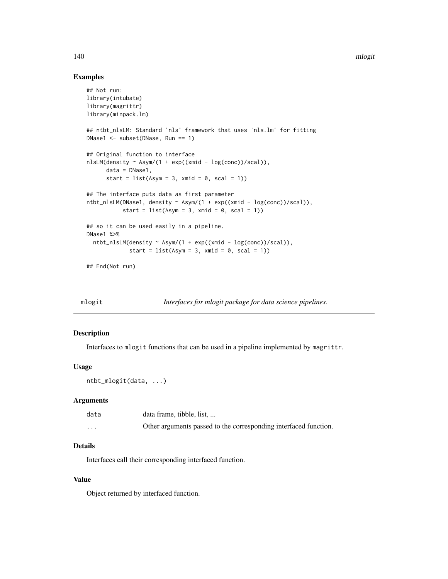## Examples

```
## Not run:
library(intubate)
library(magrittr)
library(minpack.lm)
## ntbt_nlsLM: Standard 'nls' framework that uses 'nls.lm' for fitting
DNase1 <- subset(DNase, Run == 1)
## Original function to interface
nlsLM(density ~ Asym/(1 + exp((xmid - log(conc))/scal)),
      data = DNase1,
      start = list(Asym = 3, xmid = 0, scal = 1))## The interface puts data as first parameter
ntbt_nlsLM(DNase1, density ~ Asym/(1 + exp((xmid - log(conc))/scal)),
           start = list(Asym = 3, xmid = 0, scal = 1))
## so it can be used easily in a pipeline.
DNase1 %>%
  ntbt_nlsLM(density ~ Asym/(1 + exp((xmid - log(conc))/scal)),
             start = list(Asym = 3, xmid = 0, scal = 1))
## End(Not run)
```
mlogit *Interfaces for mlogit package for data science pipelines.*

# Description

Interfaces to mlogit functions that can be used in a pipeline implemented by magrittr.

#### Usage

ntbt\_mlogit(data, ...)

#### Arguments

| data     | data frame, tibble, list,                                        |
|----------|------------------------------------------------------------------|
| $\cdots$ | Other arguments passed to the corresponding interfaced function. |

## Details

Interfaces call their corresponding interfaced function.

## Value

Object returned by interfaced function.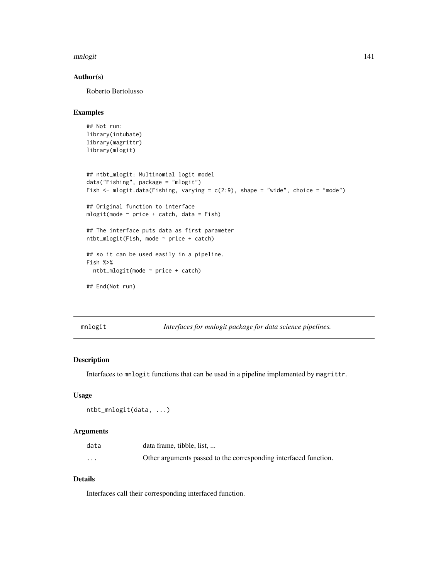#### mnlogit 141

# Author(s)

Roberto Bertolusso

# Examples

```
## Not run:
library(intubate)
library(magrittr)
library(mlogit)
## ntbt_mlogit: Multinomial logit model
data("Fishing", package = "mlogit")
Fish \le mlogit.data(Fishing, varying = c(2:9), shape = "wide", choice = "mode")
## Original function to interface
mlogit(mode ~ price + catch, data = Fish)
## The interface puts data as first parameter
ntbt_mlogit(Fish, mode ~ price + catch)
## so it can be used easily in a pipeline.
Fish %>%
  ntbt_mlogit(mode ~ price + catch)
## End(Not run)
```
mnlogit *Interfaces for mnlogit package for data science pipelines.*

# Description

Interfaces to mnlogit functions that can be used in a pipeline implemented by magrittr.

## Usage

```
ntbt_mnlogit(data, ...)
```
## Arguments

| data                 | data frame, tibble, list,                                        |
|----------------------|------------------------------------------------------------------|
| $\ddot{\phantom{0}}$ | Other arguments passed to the corresponding interfaced function. |

# Details

Interfaces call their corresponding interfaced function.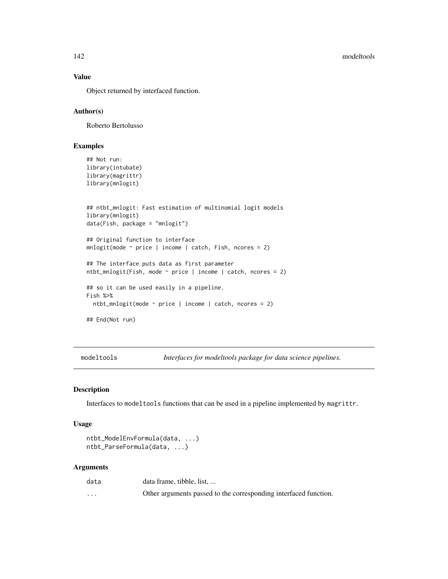## Value

Object returned by interfaced function.

# Author(s)

Roberto Bertolusso

# Examples

```
## Not run:
library(intubate)
library(magrittr)
library(mnlogit)
## ntbt_mnlogit: Fast estimation of multinomial logit models
library(mnlogit)
data(Fish, package = "mnlogit")
## Original function to interface
mnlogit(mode ~ price | income | catch, Fish, ncores = 2)
## The interface puts data as first parameter
ntbt_mnlogit(Fish, mode \sim price | income | catch, ncores = 2)
## so it can be used easily in a pipeline.
Fish %>%
  ntbt_mnlogit(mode ~ price | income | catch, ncores = 2)
## End(Not run)
```
modeltools *Interfaces for modeltools package for data science pipelines.*

## Description

Interfaces to modeltools functions that can be used in a pipeline implemented by magrittr.

#### Usage

```
ntbt_ModelEnvFormula(data, ...)
ntbt_ParseFormula(data, ...)
```
## Arguments

| data     | data frame, tibble, list,                                        |
|----------|------------------------------------------------------------------|
| $\cdots$ | Other arguments passed to the corresponding interfaced function. |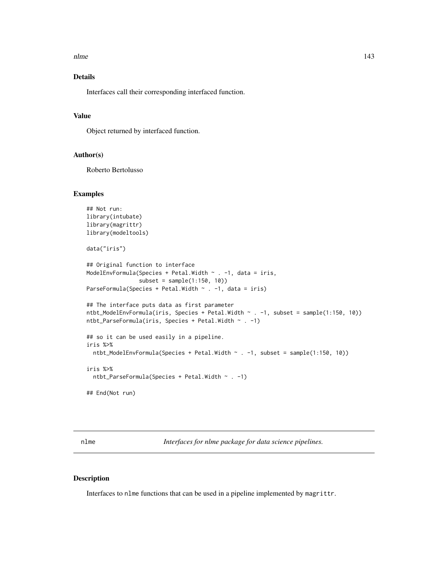# Details

Interfaces call their corresponding interfaced function.

## Value

Object returned by interfaced function.

## Author(s)

Roberto Bertolusso

## Examples

```
## Not run:
library(intubate)
library(magrittr)
library(modeltools)
data("iris")
## Original function to interface
ModelEnvFormula(Species + Petal.Width ~ . -1, data = iris,
                subset = sample(1:150, 10))
ParseFormula(Species + Petal.Width \sim . -1, data = iris)
## The interface puts data as first parameter
ntbt_ModelEnvFormula(iris, Species + Petal.Width ~ . -1, subset = sample(1:150, 10))
ntbt_ParseFormula(iris, Species + Petal.Width ~ . -1)
## so it can be used easily in a pipeline.
iris %>%
  ntbt_ModelEnvFormula(Species + Petal.Width ~ . -1, subset = sample(1:150, 10))
iris %>%
  ntbt_ParseFormula(Species + Petal.Width ~ . -1)
## End(Not run)
```
nlme *Interfaces for nlme package for data science pipelines.*

## Description

Interfaces to nlme functions that can be used in a pipeline implemented by magrittr.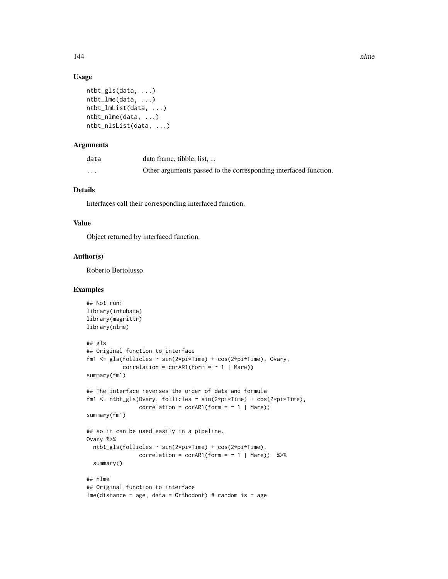## Usage

```
ntbt_gls(data, ...)
ntbt_lme(data, ...)
ntbt_lmList(data, ...)
ntbt_nlme(data, ...)
ntbt_nlsList(data, ...)
```
# Arguments

| data    | data frame, tibble, list,                                        |
|---------|------------------------------------------------------------------|
| $\cdot$ | Other arguments passed to the corresponding interfaced function. |

# Details

Interfaces call their corresponding interfaced function.

## Value

Object returned by interfaced function.

## Author(s)

Roberto Bertolusso

```
## Not run:
library(intubate)
library(magrittr)
library(nlme)
## gls
## Original function to interface
fm1 <- gls(follicles ~ sin(2*pi*Time) + cos(2*pi*Time), Ovary,
           correlation = corAR1(form = ~ 1 | Mare)summary(fm1)
## The interface reverses the order of data and formula
fm1 <- ntbt_gls(Ovary, follicles ~ sin(2*pi*Time) + cos(2*pi*Time),
                correlation = corAR1(form = ~ 1 | Mare)summary(fm1)
## so it can be used easily in a pipeline.
Ovary %>%
  ntbt_gls(follicles ~ sin(2*pi*Time) + cos(2*pi*Time),
                correlation = corAR1(form = ~ 1 | Mare) %>%
  summary()
## nlme
## Original function to interface
lme(distance \sim age, data = Orthodont) # random is \sim age
```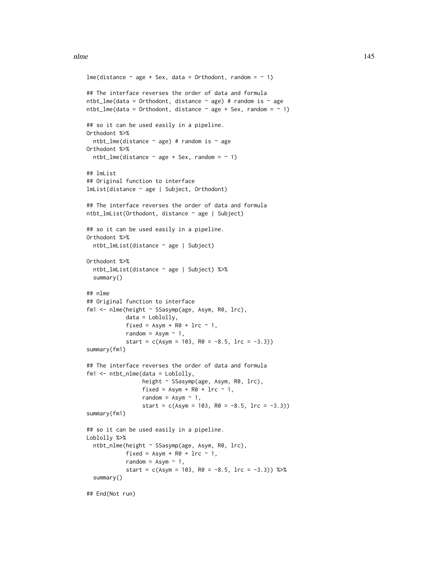```
lme(distance ~ age + Sex, data = Orthodont, random = ~ 1)
## The interface reverses the order of data and formula
ntbt_lme(data = Orthodont, distance \sim age) # random is \sim age
ntbt_lme(data = Orthodont, distance \sim age + Sex, random = \sim 1)
## so it can be used easily in a pipeline.
Orthodont %>%
  ntbt_lme(distance \sim age) # random is \sim age
Orthodont %>%
  ntbt_{\text{line}}(distance \sim age + Sex, random = \sim 1)## lmList
## Original function to interface
lmList(distance ~ age | Subject, Orthodont)
## The interface reverses the order of data and formula
ntbt_lmList(Orthodont, distance ~ age | Subject)
## so it can be used easily in a pipeline.
Orthodont %>%
  ntbt_lmList(distance ~ age | Subject)
Orthodont %>%
  ntbt_lmList(distance ~ age | Subject) %>%
  summary()
## nlme
## Original function to interface
fm1 <- nlme(height ~ SSasymp(age, Asym, R0, lrc),
            data = Loblolly,
            fixed = Asym + R0 + Inc \sim 1,
            random = Asym \sim 1,
            start = c(Asym = 103, R0 = -8.5, Inc = -3.3))summary(fm1)
## The interface reverses the order of data and formula
fm1 <- ntbt_nlme(data = Loblolly,
                 height ~ SSasymp(age, Asym, R0, lrc),
                 fixed = Asym + R0 + Inc \sim 1,
                 random = Asym \sim 1,
                 start = c(Asym = 103, R0 = -8.5, Inc = -3.3))summary(fm1)
## so it can be used easily in a pipeline.
Loblolly %>%
  ntbt_nlme(height ~ SSasymp(age, Asym, R0, lrc),
            fixed = Asym + R0 + Inc \sim 1,
            random = Asym \sim 1,
            start = c(Asym = 103, R0 = -8.5, lrc = -3.3) %>%
  summary()
## End(Not run)
```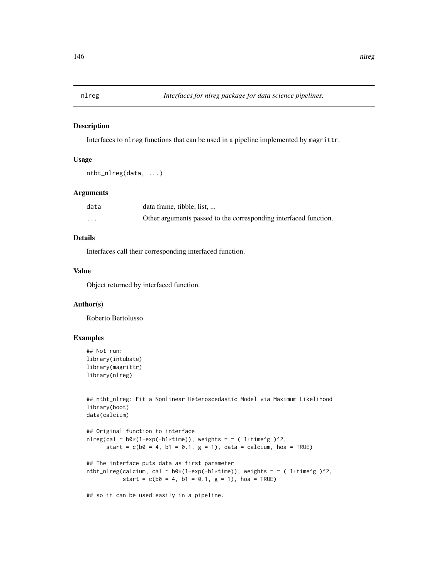## Description

Interfaces to nlreg functions that can be used in a pipeline implemented by magrittr.

## Usage

```
ntbt_nlreg(data, ...)
```
# Arguments

| data     | data frame, tibble, list,                                        |
|----------|------------------------------------------------------------------|
| $\cdots$ | Other arguments passed to the corresponding interfaced function. |

# Details

Interfaces call their corresponding interfaced function.

# Value

Object returned by interfaced function.

## Author(s)

Roberto Bertolusso

# Examples

```
## Not run:
library(intubate)
library(magrittr)
library(nlreg)
```

```
## ntbt_nlreg: Fit a Nonlinear Heteroscedastic Model via Maximum Likelihood
library(boot)
data(calcium)
```

```
## Original function to interface
nlreg(cal \sim b0*(1-exp(-b1*time)), weights = \sim ( 1+time^g )^2,
      start = c(b0 = 4, b1 = 0.1, g = 1), data = calcium, hoa = TRUE)
```

```
## The interface puts data as first parameter
ntbt_nlreg(calcium, cal ~ b0*(1-exp(-b1*time)), weights = ~ ( 1+time^g )^2,
          start = c(b0 = 4, b1 = 0.1, g = 1), hoa = TRUE)
```
## so it can be used easily in a pipeline.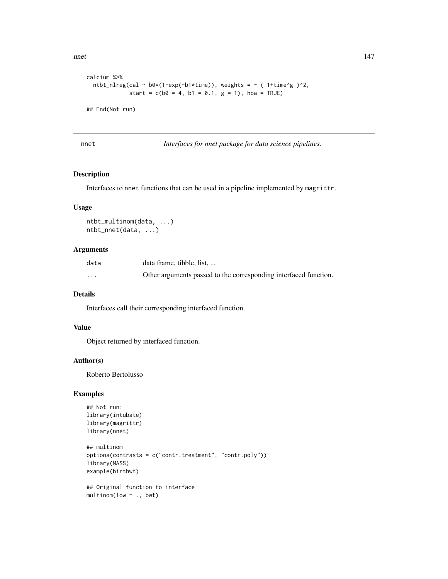```
calcium %>%
  ntbt_nlreg(cal ~ b0*(1-exp(-b1*time)), weights = ~ ( 1+time^g )^2,
            start = c(b0 = 4, b1 = 0.1, g = 1), hoa = TRUE)
```
## End(Not run)

nnet *Interfaces for nnet package for data science pipelines.*

# Description

Interfaces to nnet functions that can be used in a pipeline implemented by magrittr.

# Usage

```
ntbt_multinom(data, ...)
ntbt_nnet(data, ...)
```
# Arguments

| data                    | data frame, tibble, list,                                        |
|-------------------------|------------------------------------------------------------------|
| $\cdot$ $\cdot$ $\cdot$ | Other arguments passed to the corresponding interfaced function. |

# Details

Interfaces call their corresponding interfaced function.

# Value

Object returned by interfaced function.

## Author(s)

Roberto Bertolusso

```
## Not run:
library(intubate)
library(magrittr)
library(nnet)
```

```
## multinom
options(contrasts = c("contr.treatment", "contr.poly"))
library(MASS)
example(birthwt)
```

```
## Original function to interface
multinom(low ~ ., bwt)
```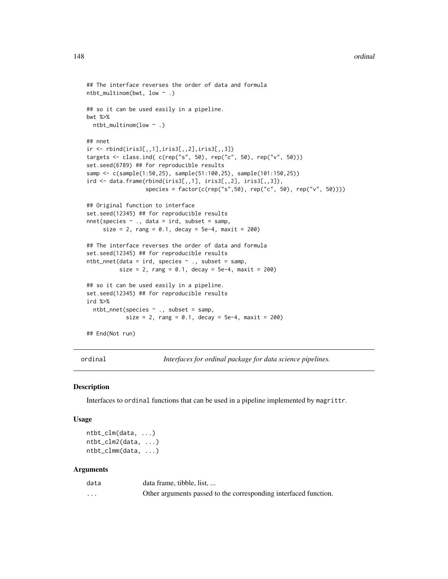```
## The interface reverses the order of data and formula
ntbt_multinom(bwt, low ~ .)
## so it can be used easily in a pipeline.
bwt %>%
  ntbt_multinom(low ~ .)
## nnet
ir <- rbind(iris3[,,1],iris3[,,2],iris3[,,3])
targets <- class.ind( c(rep("s", 50), rep("c", 50), rep("v", 50)))
set.seed(6789) ## for reproducible results
samp <- c(sample(1:50,25), sample(51:100,25), sample(101:150,25))
ird <- data.frame(rbind(iris3[,,1], iris3[,,2], iris3[,,3]),
                  species = factor(c(rep("s",50), rep("c", 50), rep("v", 50))))
## Original function to interface
set.seed(12345) ## for reproducible results
nnet(species ~ ., data = ird, subset = samp,
     size = 2, rang = 0.1, decay = 5e-4, maxit = 200)
## The interface reverses the order of data and formula
set.seed(12345) ## for reproducible results
ntbt_nnet(data = ird, species \sim ., subset = samp,
          size = 2, rang = 0.1, decay = 5e-4, maxit = 200)
## so it can be used easily in a pipeline.
set.seed(12345) ## for reproducible results
ird %>%
  ntbt_nnet(species ~ ., subset = samp,
            size = 2, range = 0.1, decay = 5e-4, maxit = 200## End(Not run)
```
ordinal *Interfaces for ordinal package for data science pipelines.*

### **Description**

Interfaces to ordinal functions that can be used in a pipeline implemented by magrittr.

## Usage

ntbt\_clm(data, ...) ntbt\_clm2(data, ...) ntbt\_clmm(data, ...)

## **Arguments**

| data     | data frame, tibble, list,                                        |
|----------|------------------------------------------------------------------|
| $\cdots$ | Other arguments passed to the corresponding interfaced function. |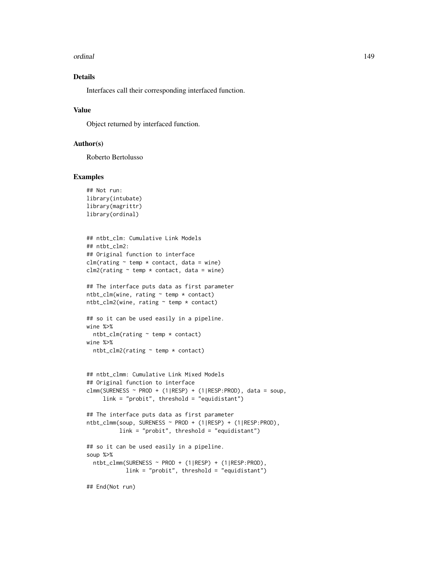#### ordinal 149

# Details

Interfaces call their corresponding interfaced function.

## Value

Object returned by interfaced function.

# Author(s)

Roberto Bertolusso

#### Examples

```
## Not run:
library(intubate)
library(magrittr)
library(ordinal)
```

```
## ntbt_clm: Cumulative Link Models
## ntbt_clm2:
## Original function to interface
clm(rating ~ temp ~ contract, data = wine)clm2(rating \sim temp \star contact, data = wine)
```

```
## The interface puts data as first parameter
ntbt_clm(wine, rating ~ temp ~ contact)ntbt_clm2(wine, rating ~ temp ~ contact)
```

```
## so it can be used easily in a pipeline.
wine %>%
  ntbt_clm(rating ~ temp * contact)
wine %>%
```

```
ntbt_clm2(rating ~ temp * contact)
```

```
## ntbt_clmm: Cumulative Link Mixed Models
## Original function to interface
clmm(SURENESS ~ PROD + (1|RESP) + (1|RESP:PROD), data = soup,
     link = "probit", threshold = "equidistant")
```

```
## The interface puts data as first parameter
ntbt_clmm(soup, SURENESS ~ PROD + (1|RESP) + (1|RESP:PROD),
         link = "probit", threshold = "equidistant")
## so it can be used easily in a pipeline.
soup %>%
 ntbt_clmm(SURENESS ~ PROD + (1|RESP) + (1|RESP:PROD),
```

```
link = "probit", threshold = "equidistant")
```
## End(Not run)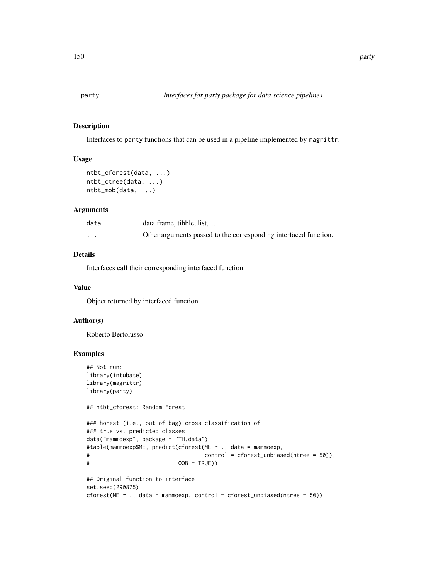### Description

Interfaces to party functions that can be used in a pipeline implemented by magrittr.

## Usage

```
ntbt_cforest(data, ...)
ntbt_ctree(data, ...)
ntbt_mob(data, ...)
```
## Arguments

| data     | data frame, tibble, list,                                        |
|----------|------------------------------------------------------------------|
| $\cdots$ | Other arguments passed to the corresponding interfaced function. |

# Details

Interfaces call their corresponding interfaced function.

#### Value

Object returned by interfaced function.

## Author(s)

Roberto Bertolusso

```
## Not run:
library(intubate)
library(magrittr)
library(party)
## ntbt_cforest: Random Forest
### honest (i.e., out-of-bag) cross-classification of
### true vs. predicted classes
data("mammoexp", package = "TH.data")
#table(mammoexp$ME, predict(cforest(ME ~ ., data = mammoexp,
# control = cforest_unbiased(ntree = 50)),
# OOB = TRUE))
## Original function to interface
set.seed(290875)
cforest(ME \sim ., data = mammoexp, control = cforest_unbiased(ntree = 50))
```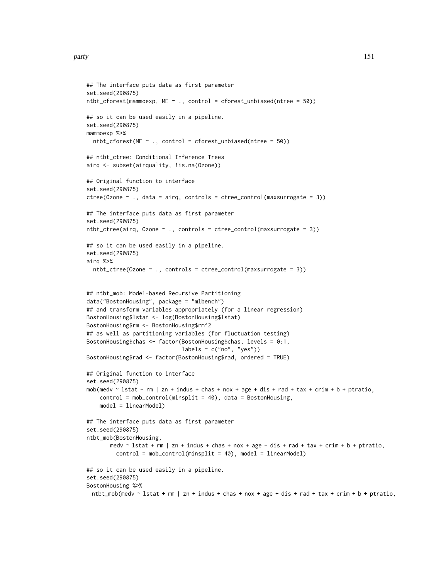#### party and the contract of the contract of the contract of the contract of the contract of the contract of the contract of the contract of the contract of the contract of the contract of the contract of the contract of the

```
## The interface puts data as first parameter
set.seed(290875)
ntbt_cforest(mammoexp, ME \sim ., control = cforest_unbiased(ntree = 50))
## so it can be used easily in a pipeline.
set.seed(290875)
mammoexp %>%
  ntbt_cforest(ME ~ ~ ., control = cforest_unbiased(ntree = 50))## ntbt_ctree: Conditional Inference Trees
airq <- subset(airquality, !is.na(Ozone))
## Original function to interface
set.seed(290875)
ctree(Ozone \sim ., data = airq, controls = ctree_control(maxsurrogate = 3))
## The interface puts data as first parameter
set.seed(290875)
ntbt_ctree(airq, Ozone \sim ., controls = ctree_control(maxsurrogate = 3))
## so it can be used easily in a pipeline.
set.seed(290875)
airq %>%
  ntbt_ctree(Ozone ~ ., controls = etree_control(maxsurrogate = 3))## ntbt_mob: Model-based Recursive Partitioning
data("BostonHousing", package = "mlbench")
## and transform variables appropriately (for a linear regression)
BostonHousing$lstat <- log(BostonHousing$lstat)
BostonHousing$rm <- BostonHousing$rm^2
## as well as partitioning variables (for fluctuation testing)
BostonHousing$chas <- factor(BostonHousing$chas, levels = 0:1,
                             labels = c("no", "yes"))BostonHousing$rad <- factor(BostonHousing$rad, ordered = TRUE)
## Original function to interface
set.seed(290875)
mob(medv \sim lstat + rm | zn + indus + chas + nox + age + dis + rad + tax + crim + b + ptratio,
    control = mob_control(minsplit = 40), data = BostonHousing,
    model = linearModel)
## The interface puts data as first parameter
set.seed(290875)
ntbt_mob(BostonHousing,
       medv \sim lstat + rm | zn + indus + chas + nox + age + dis + rad + tax + crim + b + ptratio,
         control = mob_control(minsplit = 40), model = linearModel)
## so it can be used easily in a pipeline.
set.seed(290875)
BostonHousing %>%
 ntbt_mob(medv ~ lstat + rm | zn + indus + chas + nox + age + dis + rad + tax + crim + b + ptratio,
```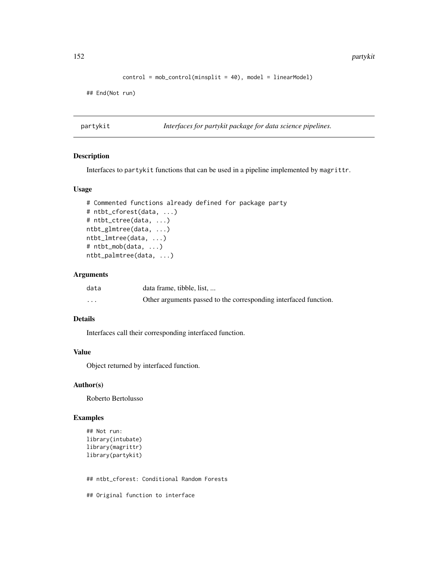152 **partykit** 

```
control = mob\_control(minsplit = 40), model = linearModel)
```
## End(Not run)

partykit *Interfaces for partykit package for data science pipelines.*

# Description

Interfaces to partykit functions that can be used in a pipeline implemented by magrittr.

## Usage

```
# Commented functions already defined for package party
# ntbt_cforest(data, ...)
# ntbt_ctree(data, ...)
ntbt_glmtree(data, ...)
ntbt_lmtree(data, ...)
# ntbt_mob(data, ...)
ntbt_palmtree(data, ...)
```
## Arguments

| data     | data frame, tibble, list,                                        |
|----------|------------------------------------------------------------------|
| $\cdots$ | Other arguments passed to the corresponding interfaced function. |

# Details

Interfaces call their corresponding interfaced function.

# Value

Object returned by interfaced function.

## Author(s)

Roberto Bertolusso

# Examples

```
## Not run:
library(intubate)
library(magrittr)
library(partykit)
```
## ntbt\_cforest: Conditional Random Forests

## Original function to interface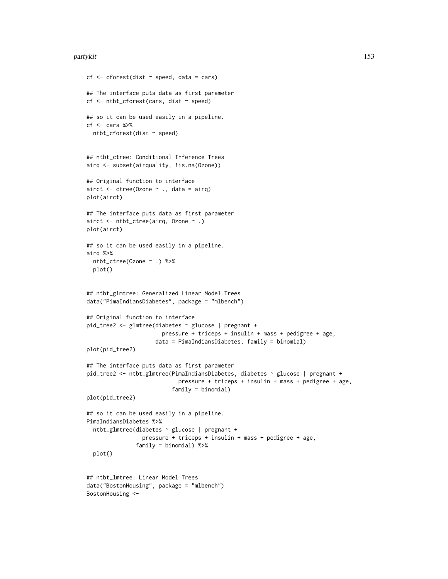#### partykit 153

```
cf \leftarrow cf cforest(dist \sim speed, data = cars)
## The interface puts data as first parameter
cf <- ntbt_cforest(cars, dist ~ speed)
## so it can be used easily in a pipeline.
cf <- cars %>%
  ntbt_cforest(dist ~ speed)
## ntbt_ctree: Conditional Inference Trees
airq <- subset(airquality, !is.na(Ozone))
## Original function to interface
airct <- ctree(Ozone ~ ., data = airq)
plot(airct)
## The interface puts data as first parameter
airct <- ntbt_ctree(airq, Ozone ~ .)
plot(airct)
## so it can be used easily in a pipeline.
airq %>%
  ntbt_ctree(Ozone ~ .) %>%
  plot()
## ntbt_glmtree: Generalized Linear Model Trees
data("PimaIndiansDiabetes", package = "mlbench")
## Original function to interface
pid_tree2 <- glmtree(diabetes ~ glucose | pregnant +
                       pressure + triceps + insulin + mass + pedigree + age,
                     data = PimaIndiansDiabetes, family = binomial)
plot(pid_tree2)
## The interface puts data as first parameter
pid_tree2 <- ntbt_glmtree(PimaIndiansDiabetes, diabetes ~ glucose | pregnant +
                            pressure + triceps + insulin + mass + pedigree + age,
                          family = binomial)
plot(pid_tree2)
## so it can be used easily in a pipeline.
PimaIndiansDiabetes %>%
  ntbt_glmtree(diabetes ~ glucose | pregnant +
                 pressure + triceps + insulin + mass + pedigree + age,
               family = binomial) %>%
  plot()
## ntbt_lmtree: Linear Model Trees
data("BostonHousing", package = "mlbench")
```

```
BostonHousing <-
```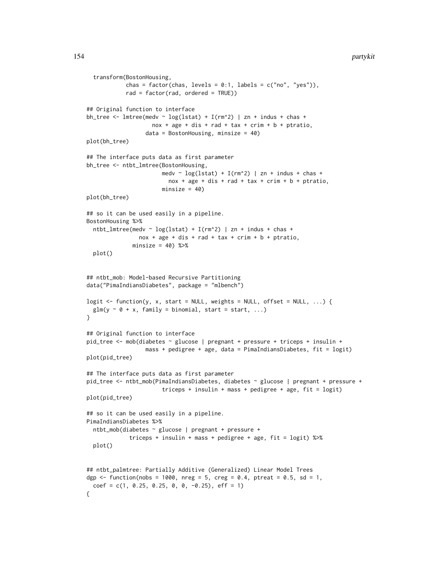#### 154 partykit

```
transform(BostonHousing,
            chas = factor(chas, levels = 0:1, labels = c("no", "yes")),
            rad = factor(rad, ordered = TRUE))
## Original function to interface
bh_tree <- lmtree(medv \sim log(lstat) + I(rm^2) | zn + indus + chas +
                    nox + age + dis + rad + tax + crim + b + ptratio,data = BostonHousing, minsize = 40)
plot(bh_tree)
## The interface puts data as first parameter
bh_tree <- ntbt_lmtree(BostonHousing,
                       medv ~ \log(\text{lstat}) + I(rm^2) | zn + indus + chas +
                         nox + age + dis + rad + tax + crim + b + ptratio,minsize = 40plot(bh_tree)
## so it can be used easily in a pipeline.
BostonHousing %>%
  ntbt_lmtree(medv ~ log(lstat) + I(rm^2) | zn + indus + chas +
                nox + age + dis + rad + tax + crim + b + ptratio,minsize = 40) %>%
  plot()
## ntbt_mob: Model-based Recursive Partitioning
data("PimaIndiansDiabetes", package = "mlbench")
logit <- function(y, x, start = NULL, weights = NULL, offset = NULL, ...) {
  glm(y \sim \emptyset + x, family = binomial, start = start, ...)
}
## Original function to interface
pid_tree <- mob(diabetes ~ glucose | pregnant + pressure + triceps + insulin +
                  mass + pedigree + age, data = PimaIndiansDiabetes, fit = logit)
plot(pid_tree)
## The interface puts data as first parameter
pid_tree <- ntbt_mob(PimaIndiansDiabetes, diabetes ~ glucose | pregnant + pressure +
                       triceps + insulin + mass + pedigree + age, fit = logit)
plot(pid_tree)
## so it can be used easily in a pipeline.
PimaIndiansDiabetes %>%
  ntbt_mob(diabetes ~ glucose | pregnant + pressure +
             triceps + insulin + mass + pedigree + age, fit = logit) %>%
  plot()
## ntbt_palmtree: Partially Additive (Generalized) Linear Model Trees
dgp <- function(nobs = 1000, nreg = 5, creg = 0.4, ptreat = 0.5, sd = 1,
  coef = c(1, 0.25, 0.25, 0, 0, -0.25), eff = 1)
{
```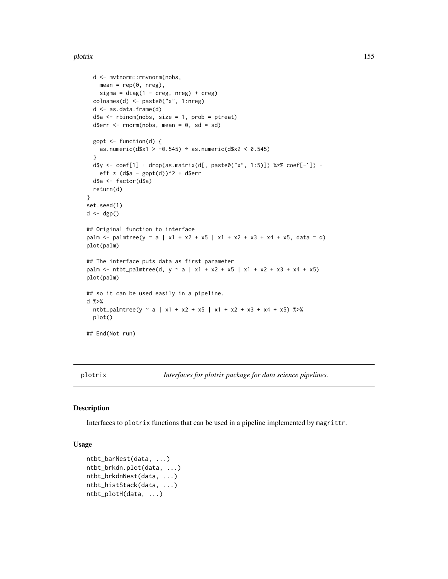#### plotrix the state of the state of the state of the state of the state of the state of the state of the state of the state of the state of the state of the state of the state of the state of the state of the state of the st

```
d <- mvtnorm::rmvnorm(nobs,
   mean = rep(0, nreg),sigma = diag(1 - creg, nreg) + creg)colnames(d) <- paste0("x", 1:nreg)
  d <- as.data.frame(d)
  d$a <- rbinom(nobs, size = 1, prob = ptreat)
  d$err \le rnorm(nobs, mean = 0, sd = sd)
  gopt \le function(d) {
   as.numeric(d$x1 > -0.545) * as.numeric(d$x2 < 0.545)
  }
  d$y <- coef[1] + drop(as.matrix(d[, paste0("x", 1:5)]) %*% coef[-1]) -
   eff * (d$a - gopt(d))^2 + d$err
  d$a <- factor(d$a)
  return(d)
}
set.seed(1)
d \leftarrow \text{dgp}()## Original function to interface
palm <- palmtree(y ~ a | x1 + x2 + x5 | x1 + x2 + x3 + x4 + x5, data = d)
plot(palm)
## The interface puts data as first parameter
palm <- ntbt_palmtree(d, y \sim a + x^2 + x^2 + x^3 + x^2 + x^3 + x^4 + x^5)
plot(palm)
## so it can be used easily in a pipeline.
d %>%
  ntbt_palmtree(y ~ a | x1 + x2 + x5 | x1 + x2 + x3 + x4 + x5) %>%
  plot()
## End(Not run)
```
plotrix *Interfaces for plotrix package for data science pipelines.*

#### Description

Interfaces to plotrix functions that can be used in a pipeline implemented by magrittr.

## Usage

```
ntbt_barNest(data, ...)
ntbt_brkdn.plot(data, ...)
ntbt_brkdnNest(data, ...)
ntbt_histStack(data, ...)
ntbt_plotH(data, ...)
```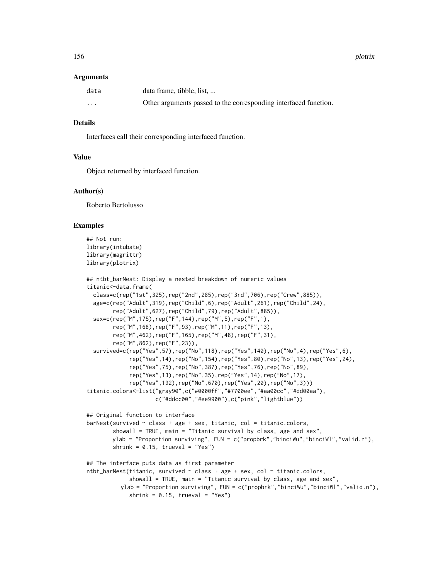## Arguments

| data    | data frame, tibble, list,                                        |
|---------|------------------------------------------------------------------|
| $\cdot$ | Other arguments passed to the corresponding interfaced function. |

### Details

Interfaces call their corresponding interfaced function.

# Value

Object returned by interfaced function.

## Author(s)

Roberto Bertolusso

```
## Not run:
library(intubate)
library(magrittr)
library(plotrix)
```

```
## ntbt_barNest: Display a nested breakdown of numeric values
titanic<-data.frame(
 class=c(rep("1st",325),rep("2nd",285),rep("3rd",706),rep("Crew",885)),
 age=c(rep("Adult",319),rep("Child",6),rep("Adult",261),rep("Child",24),
        rep("Adult",627),rep("Child",79),rep("Adult",885)),
 sex=c(rep("M",175),rep("F",144),rep("M",5),rep("F",1),
        rep("M",168),rep("F",93),rep("M",11),rep("F",13),
        rep("M",462),rep("F",165),rep("M",48),rep("F",31),
        rep("M",862),rep("F",23)),
  survived=c(rep("Yes",57),rep("No",118),rep("Yes",140),rep("No",4),rep("Yes",6),
             rep("Yes",14),rep("No",154),rep("Yes",80),rep("No",13),rep("Yes",24),
             rep("Yes",75),rep("No",387),rep("Yes",76),rep("No",89),
             rep("Yes",13),rep("No",35),rep("Yes",14),rep("No",17),
             rep("Yes",192),rep("No",670),rep("Yes",20),rep("No",3)))
titanic.colors<-list("gray90",c("#0000ff","#7700ee","#aa00cc","#dd00aa"),
                     c("#ddcc00","#ee9900"),c("pink","lightblue"))
## Original function to interface
barNest(survived \sim class + age + sex, titanic, col = titanic.colors,
        showall = TRUE, main = "Titanic survival by class, age and sex",
        ylab = "Proportion surviving", FUN = c("propbrk","binciWu","binciWl","valid.n"),
        shrink = 0.15, trueval = "Yes")
## The interface puts data as first parameter
ntbt_barNest(titanic, survived \sim class + age + sex, col = titanic.colors,
             showall = TRUE, main = "Titanic survival by class, age and sex",
          ylab = "Proportion surviving", FUN = c("propbrk","binciWu","binciWl","valid.n"),
             shrink = 0.15, trueval = "Yes")
```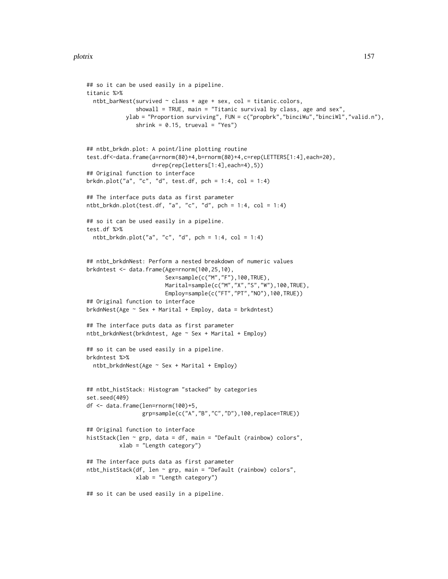```
## so it can be used easily in a pipeline.
titanic %>%
  ntbt_barNest(survived \sim class + age + sex, col = titanic.colors,
               showall = TRUE, main = "Titanic survival by class, age and sex",
            ylab = "Proportion surviving", FUN = c("propbrk","binciWu","binciWl","valid.n"),
               shrink = 0.15, trueval = "Yes")
## ntbt_brkdn.plot: A point/line plotting routine
test.df<-data.frame(a=rnorm(80)+4,b=rnorm(80)+4,c=rep(LETTERS[1:4],each=20),
                    d=rep(rep(letters[1:4],each=4),5))
## Original function to interface
brkdn.plot("a", "c", "d", test.df, pch = 1:4, col = 1:4)
## The interface puts data as first parameter
ntbt_brkdn.plot(test.df, "a", "c", "d", pch = 1:4, col = 1:4)
## so it can be used easily in a pipeline.
test.df %>%
  ntbt_brkdn.plot("a", "c", "d", pch = 1:4, col = 1:4)
## ntbt_brkdnNest: Perform a nested breakdown of numeric values
brkdntest <- data.frame(Age=rnorm(100,25,10),
                        Sex=sample(c("M","F"),100,TRUE),
                        Marital=sample(c("M","X","S","W"),100,TRUE),
                        Employ=sample(c("FT","PT","NO"),100,TRUE))
## Original function to interface
brkdnNest(Age ~ Sex + Marital + Employ, data = brkdntest)
## The interface puts data as first parameter
ntbt_brkdnNest(brkdntest, Age ~ Sex + Marital + Employ)
## so it can be used easily in a pipeline.
brkdntest %>%
  ntbt_brkdnNest(Age ~ Sex + Marital + Employ)
## ntbt_histStack: Histogram "stacked" by categories
set.seed(409)
df <- data.frame(len=rnorm(100)+5,
                 grp=sample(c("A","B","C","D"),100,replace=TRUE))
## Original function to interface
histStack(len ~ grp, data = df, main = "Default (rainbow) colors",
          xlab = "Length category")
## The interface puts data as first parameter
ntbt_histStack(df, len ~ grp, main = "Default (rainbow) colors",
               xlab = "Length category")
## so it can be used easily in a pipeline.
```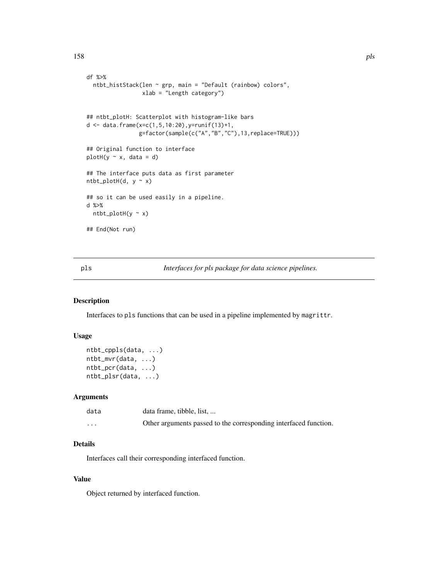```
df %>%
 ntbt_histStack(len ~ grp, main = "Default (rainbow) colors",
                 xlab = "Length category")
## ntbt_plotH: Scatterplot with histogram-like bars
d \leq - data.frame(x=c(1,5,10:20),y=runif(13)+1,
                g=factor(sample(c("A","B","C"),13,replace=TRUE)))
## Original function to interface
plotH(y \sim x, data = d)## The interface puts data as first parameter
ntbt\_plotH(d, y ~ x)## so it can be used easily in a pipeline.
d %>%
 ntbt_plotH(y ~ x)
## End(Not run)
```
pls *Interfaces for pls package for data science pipelines.*

# Description

Interfaces to pls functions that can be used in a pipeline implemented by magrittr.

## Usage

```
ntbt_cppls(data, ...)
ntbt_mvr(data, ...)
ntbt_pcr(data, ...)
ntbt_plsr(data, ...)
```
## Arguments

| data     | data frame, tibble, list,                                        |
|----------|------------------------------------------------------------------|
| $\cdots$ | Other arguments passed to the corresponding interfaced function. |

# Details

Interfaces call their corresponding interfaced function.

# Value

Object returned by interfaced function.

158 pls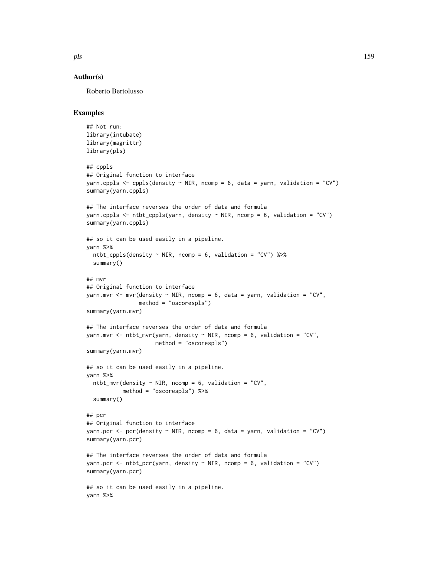## Author(s)

Roberto Bertolusso

```
## Not run:
library(intubate)
library(magrittr)
library(pls)
## cppls
## Original function to interface
yarn.cppls <- cppls(density \sim NIR, ncomp = 6, data = yarn, validation = "CV")
summary(yarn.cppls)
## The interface reverses the order of data and formula
yarn.cppls <- ntbt_cppls(yarn, density ~ NIR, ncomp = 6, validation = "CV")
summary(yarn.cppls)
## so it can be used easily in a pipeline.
yarn %>%
  ntbt_cppls(density ~ NIR, ncomp = 6, validation = "CV") %>%
  summary()
## mvr
## Original function to interface
yarn.mvr \leq mvr(density \sim NIR, ncomp = 6, data = yarn, validation = "CV",
                method = "oscorespls")
summary(yarn.mvr)
## The interface reverses the order of data and formula
yarn.mvr <- ntbt_mvr(yarn, density ~ NIR, ncomp = 6, validation = "CV",
                     method = "oscorespls")
summary(yarn.mvr)
## so it can be used easily in a pipeline.
yarn %>%
  ntbt_mvr(density \sim NIR, ncomp = 6, validation = "CV",
           method = "oscorespls") %>%
  summary()
## pcr
## Original function to interface
yarn.pcr <- pcr(density \sim NIR, ncomp = 6, data = yarn, validation = "CV")
summary(yarn.pcr)
## The interface reverses the order of data and formula
yarn.pcr <- ntbt_pcr(yarn, density \sim NIR, ncomp = 6, validation = "CV")
summary(yarn.pcr)
## so it can be used easily in a pipeline.
yarn %>%
```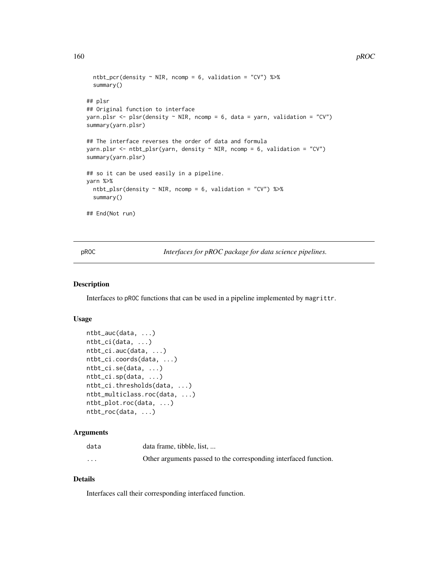```
ntbt_pcr(density \sim NIR, ncomp = 6, validation = "CV") %\gg%
  summary()
## plsr
## Original function to interface
yarn.plsr \leq plsr(density \sim NIR, ncomp = 6, data = yarn, validation = "CV")
summary(yarn.plsr)
## The interface reverses the order of data and formula
yarn.plsr <- ntbt_plsr(yarn, density \sim NIR, ncomp = 6, validation = "CV")
summary(yarn.plsr)
## so it can be used easily in a pipeline.
yarn %>%
  ntbt_plsr(density \sim NIR, ncomp = 6, validation = "CV") %\gg%
  summary()
## End(Not run)
```
pROC *Interfaces for pROC package for data science pipelines.*

## Description

Interfaces to pROC functions that can be used in a pipeline implemented by magrittr.

#### Usage

```
ntbt_auc(data, ...)
ntbt_ci(data, ...)
ntbt_ci.auc(data, ...)
ntbt_ci.coords(data, ...)
ntbt_ci.se(data, ...)
ntbt_ci.sp(data, ...)
ntbt_ci.thresholds(data, ...)
ntbt_multiclass.roc(data, ...)
ntbt_plot.roc(data, ...)
ntbt_roc(data, ...)
```
## Arguments

| data                    | data frame, tibble, list,                                        |
|-------------------------|------------------------------------------------------------------|
| $\cdot$ $\cdot$ $\cdot$ | Other arguments passed to the corresponding interfaced function. |

# Details

Interfaces call their corresponding interfaced function.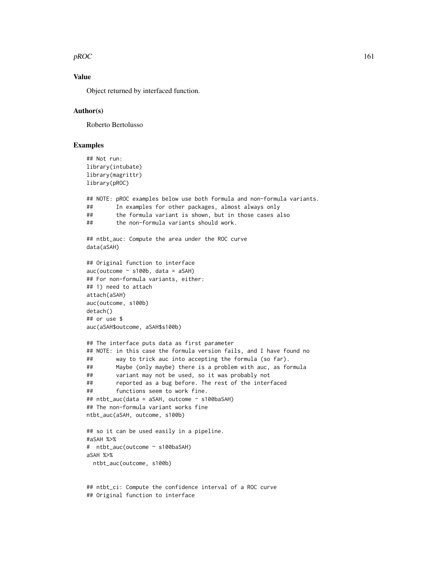$pROC$  and the property of  $161$ 

# Value

Object returned by interfaced function.

## Author(s)

Roberto Bertolusso

# Examples

```
## Not run:
library(intubate)
library(magrittr)
library(pROC)
## NOTE: pROC examples below use both formula and non-formula variants.
## In examples for other packages, almost always only
## the formula variant is shown, but in those cases also
## the non-formula variants should work.
## ntbt_auc: Compute the area under the ROC curve
data(aSAH)
## Original function to interface
auc(outcome ~ s100b, data = aSAH)## For non-formula variants, either:
## 1) need to attach
attach(aSAH)
auc(outcome, s100b)
detach()
## or use $
auc(aSAH$outcome, aSAH$s100b)
## The interface puts data as first parameter
## NOTE: in this case the formula version fails, and I have found no
## way to trick auc into accepting the formula (so far).
## Maybe (only maybe) there is a problem with auc, as formula
## variant may not be used, so it was probably not
## reported as a bug before. The rest of the interfaced
## functions seem to work fine.
## ntbt_auc(data = aSAH, outcome ~ s100baSAH)
## The non-formula variant works fine
ntbt_auc(aSAH, outcome, s100b)
## so it can be used easily in a pipeline.
#aSAH %>%
# ntbt_auc(outcome ~ s100baSAH)
aSAH %>%
 ntbt_auc(outcome, s100b)
## ntbt_ci: Compute the confidence interval of a ROC curve
```
## Original function to interface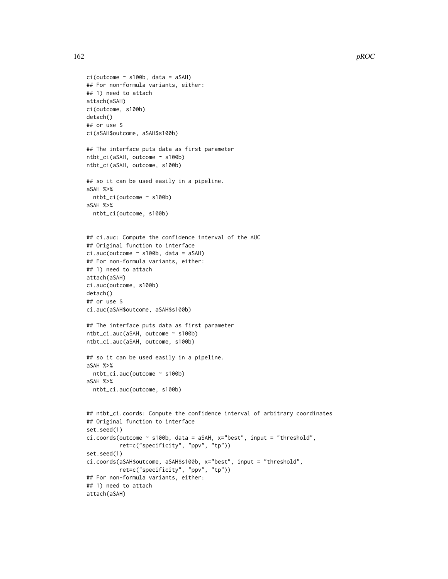```
ci(outcome ~ s100b, data = aSAH)## For non-formula variants, either:
## 1) need to attach
attach(aSAH)
ci(outcome, s100b)
detach()
## or use $
ci(aSAH$outcome, aSAH$s100b)
## The interface puts data as first parameter
ntbt_ci(aSAH, outcome ~ s100b)
ntbt_ci(aSAH, outcome, s100b)
## so it can be used easily in a pipeline.
aSAH %>%
  ntbt_ci(outcome ~ s100b)
aSAH %>%
  ntbt_ci(outcome, s100b)
## ci.auc: Compute the confidence interval of the AUC
## Original function to interface
ci.auc(outcome ~ s100b, data = aSAH)
## For non-formula variants, either:
## 1) need to attach
attach(aSAH)
ci.auc(outcome, s100b)
detach()
## or use $
ci.auc(aSAH$outcome, aSAH$s100b)
## The interface puts data as first parameter
ntbt_ci.auc(aSAH, outcome ~ s100b)
ntbt_ci.auc(aSAH, outcome, s100b)
## so it can be used easily in a pipeline.
aSAH %>%
  ntbt_ci.auc(outcome ~ s100b)
aSAH %>%
  ntbt_ci.auc(outcome, s100b)
## ntbt_ci.coords: Compute the confidence interval of arbitrary coordinates
## Original function to interface
set.seed(1)
ci.coords(outcome ~ s100b, data = aSAH, x="best", input = "threshold",
          ret=c("specificity", "ppv", "tp"))
set.seed(1)
ci.coords(aSAH$outcome, aSAH$s100b, x="best", input = "threshold",
          ret=c("specificity", "ppv", "tp"))
## For non-formula variants, either:
## 1) need to attach
attach(aSAH)
```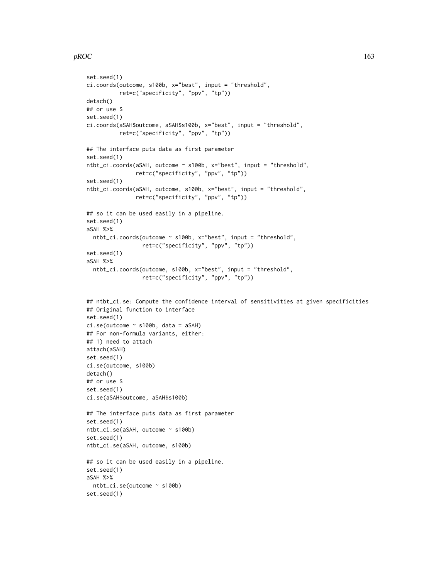## $pROC$  and the proposition of the proposition of the proposition of the proposition of the proposition of the proposition of the proposition of the proposition of the proposition of the proposition of the proposition of th

```
set.seed(1)
ci.coords(outcome, s100b, x="best", input = "threshold",
          ret=c("specificity", "ppv", "tp"))
detach()
## or use $
set.seed(1)
ci.coords(aSAH$outcome, aSAH$s100b, x="best", input = "threshold",
          ret=c("specificity", "ppv", "tp"))
## The interface puts data as first parameter
set.seed(1)
ntbt_ci.coords(aSAH, outcome ~ s100b, x="best", input = "threshold",
               ret=c("specificity", "ppv", "tp"))
set.seed(1)
ntbt_ci.coords(aSAH, outcome, s100b, x="best", input = "threshold",
               ret=c("specificity", "ppv", "tp"))
## so it can be used easily in a pipeline.
set.seed(1)
aSAH %>%
  ntbt_ci.coords(outcome ~ s100b, x="best", input = "threshold",
                 ret=c("specificity", "ppv", "tp"))
set.seed(1)
aSAH %>%
  ntbt_ci.coords(outcome, s100b, x="best", input = "threshold",
                 ret=c("specificity", "ppv", "tp"))
## ntbt_ci.se: Compute the confidence interval of sensitivities at given specificities
## Original function to interface
set.seed(1)
ci.se(outcome ~ s100b, data = aSAH)## For non-formula variants, either:
## 1) need to attach
attach(aSAH)
set.seed(1)
ci.se(outcome, s100b)
detach()
## or use $
set.seed(1)
ci.se(aSAH$outcome, aSAH$s100b)
## The interface puts data as first parameter
set.seed(1)
ntbt_ci.se(aSAH, outcome ~ s100b)
set.seed(1)
ntbt_ci.se(aSAH, outcome, s100b)
## so it can be used easily in a pipeline.
set.seed(1)
aSAH %>%
  ntbt_ci.se(outcome ~ s100b)
set.seed(1)
```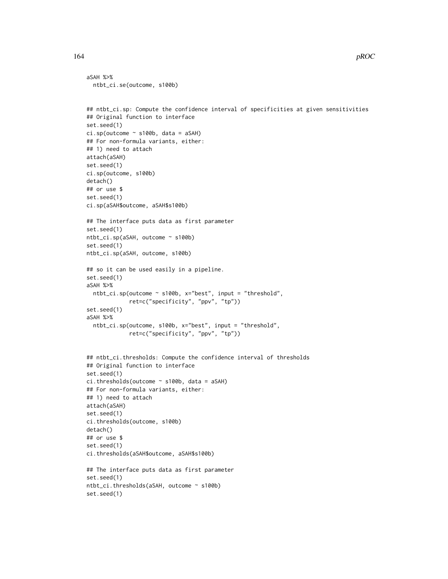```
aSAH %>%
 ntbt_ci.se(outcome, s100b)
```

```
## ntbt_ci.sp: Compute the confidence interval of specificities at given sensitivities
## Original function to interface
set.seed(1)
ci.\text{sp}(\text{outcome} \sim s100b, \text{ data} = aSAH)## For non-formula variants, either:
## 1) need to attach
attach(aSAH)
set.seed(1)
ci.sp(outcome, s100b)
detach()
## or use $
set.seed(1)
ci.sp(aSAH$outcome, aSAH$s100b)
## The interface puts data as first parameter
set.seed(1)
ntbt_ci.sp(aSAH, outcome ~ s100b)
set.seed(1)
ntbt_ci.sp(aSAH, outcome, s100b)
## so it can be used easily in a pipeline.
set.seed(1)
aSAH %>%
  ntbt_ci.sp(outcome ~ s100b, x="best", input = "threshold",
             ret=c("specificity", "ppv", "tp"))
set.seed(1)
aSAH %>%
  ntbt_ci.sp(outcome, s100b, x="best", input = "threshold",
             ret=c("specificity", "ppv", "tp"))
## ntbt_ci.thresholds: Compute the confidence interval of thresholds
## Original function to interface
set.seed(1)
ci.thresholds(outcome ~ s100b, data = aSAH)
## For non-formula variants, either:
## 1) need to attach
attach(aSAH)
set.seed(1)
ci.thresholds(outcome, s100b)
detach()
## or use $
set.seed(1)
ci.thresholds(aSAH$outcome, aSAH$s100b)
## The interface puts data as first parameter
set.seed(1)
ntbt_ci.thresholds(aSAH, outcome ~ s100b)
set.seed(1)
```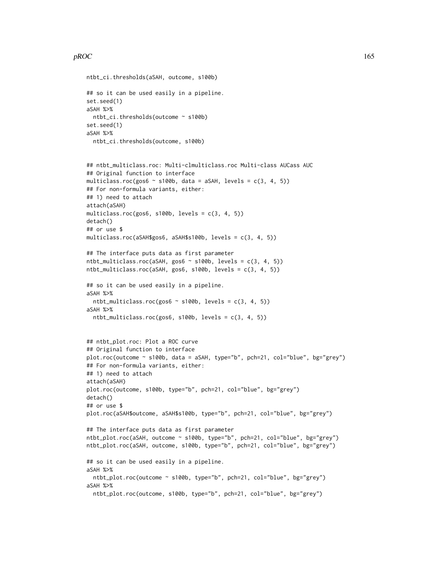## $pROC$  and the proposition of the proposition of the proposition of the proposition of the proposition of the proposition of the proposition of the proposition of the proposition of the proposition of the proposition of th

```
ntbt_ci.thresholds(aSAH, outcome, s100b)
## so it can be used easily in a pipeline.
set.seed(1)
aSAH %>%
 ntbt_ci.thresholds(outcome ~ s100b)
set.seed(1)
aSAH %>%
  ntbt_ci.thresholds(outcome, s100b)
## ntbt_multiclass.roc: Multi-clmulticlass.roc Multi-class AUCass AUC
## Original function to interface
multiclass.roc(gos6 \sim s100b, data = aSAH, levels = c(3, 4, 5))
## For non-formula variants, either:
## 1) need to attach
attach(aSAH)
multiclass.roc(gos6, s100b, levels = c(3, 4, 5))
detach()
## or use $
multiclass.roc(aSAH$gos6, aSAH$s100b, levels = c(3, 4, 5))
## The interface puts data as first parameter
ntbt_multiclass.roc(aSAH, gos6 ~ s100b, levels = c(3, 4, 5))
ntbt_multiclass.roc(aSAH, gos6, s100b, levels = c(3, 4, 5))
## so it can be used easily in a pipeline.
aSAH %>%
  ntbt_multiclass.roc(gos6 ~ s100b, levels = c(3, 4, 5))
aSAH %>%
 ntbt_multiclass.roc(gos6, s100b, levels = c(3, 4, 5))
## ntbt_plot.roc: Plot a ROC curve
## Original function to interface
plot.roc(outcome ~ s100b, data = aSAH, type="b", pch=21, col="blue", bg="grey")
## For non-formula variants, either:
## 1) need to attach
attach(aSAH)
plot.roc(outcome, s100b, type="b", pch=21, col="blue", bg="grey")
detach()
## or use $
plot.roc(aSAH$outcome, aSAH$s100b, type="b", pch=21, col="blue", bg="grey")
## The interface puts data as first parameter
ntbt_plot.roc(aSAH, outcome ~ s100b, type="b", pch=21, col="blue", bg="grey")
ntbt_plot.roc(aSAH, outcome, s100b, type="b", pch=21, col="blue", bg="grey")
## so it can be used easily in a pipeline.
aSAH %>%
  ntbt_plot.roc(outcome ~ s100b, type="b", pch=21, col="blue", bg="grey")
aSAH %>%
  ntbt_plot.roc(outcome, s100b, type="b", pch=21, col="blue", bg="grey")
```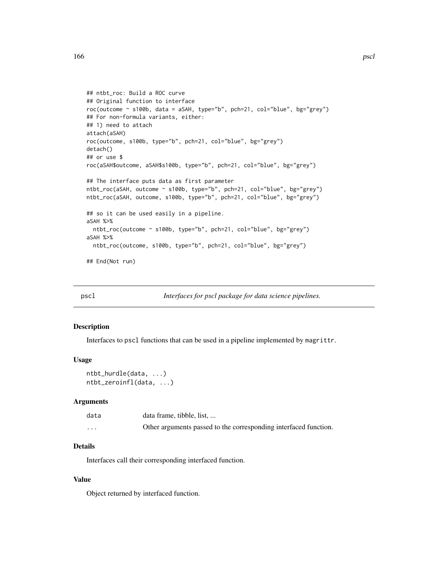```
## ntbt_roc: Build a ROC curve
## Original function to interface
roc(outcome ~ s100b, data = aSAH, type="b", pch=21, col="blue", bg="grey")
## For non-formula variants, either:
## 1) need to attach
attach(aSAH)
roc(outcome, s100b, type="b", pch=21, col="blue", bg="grey")
detach()
## or use $
roc(aSAH$outcome, aSAH$s100b, type="b", pch=21, col="blue", bg="grey")
## The interface puts data as first parameter
ntbt_roc(aSAH, outcome ~ s100b, type="b", pch=21, col="blue", bg="grey")
ntbt_roc(aSAH, outcome, s100b, type="b", pch=21, col="blue", bg="grey")
## so it can be used easily in a pipeline.
aSAH %>%
  ntbt_roc(outcome ~ s100b, type="b", pch=21, col="blue", bg="grey")
aSAH %>%
  ntbt_roc(outcome, s100b, type="b", pch=21, col="blue", bg="grey")
## End(Not run)
```
pscl *Interfaces for pscl package for data science pipelines.*

## Description

Interfaces to pscl functions that can be used in a pipeline implemented by magrittr.

### Usage

ntbt\_hurdle(data, ...) ntbt\_zeroinfl(data, ...)

#### Arguments

| data     | data frame, tibble, list,                                        |
|----------|------------------------------------------------------------------|
| $\cdots$ | Other arguments passed to the corresponding interfaced function. |

# Details

Interfaces call their corresponding interfaced function.

# Value

Object returned by interfaced function.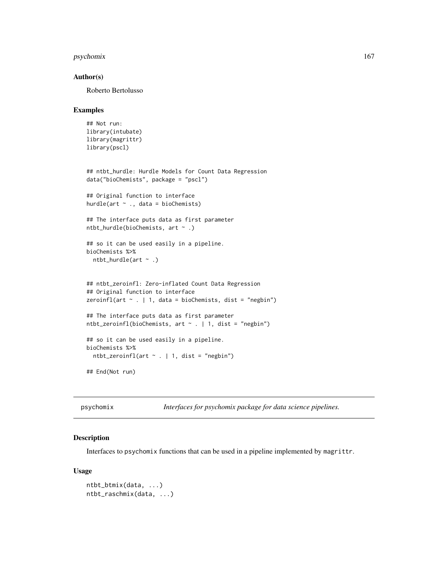# psychomix 167

## Author(s)

Roberto Bertolusso

#### Examples

```
## Not run:
library(intubate)
library(magrittr)
library(pscl)
## ntbt_hurdle: Hurdle Models for Count Data Regression
data("bioChemists", package = "pscl")
## Original function to interface
hurdle(art \sim ., data = bioChemists)
## The interface puts data as first parameter
ntbt_hurdle(bioChemists, art ~ .)
## so it can be used easily in a pipeline.
bioChemists %>%
  ntbt_hurdle(art ~ .)
## ntbt_zeroinfl: Zero-inflated Count Data Regression
## Original function to interface
zeroinfl(art \sim . | 1, data = bioChemists, dist = "negbin")
## The interface puts data as first parameter
ntbt_zeroinfl(bioChemists, art ~ . | 1, dist = "negbin")
## so it can be used easily in a pipeline.
bioChemists %>%
  ntbt_zeroinfl(art \sim . | 1, dist = "negbin")
## End(Not run)
```
psychomix *Interfaces for psychomix package for data science pipelines.*

# Description

Interfaces to psychomix functions that can be used in a pipeline implemented by magrittr.

## Usage

```
ntbt_btmix(data, ...)
ntbt_raschmix(data, ...)
```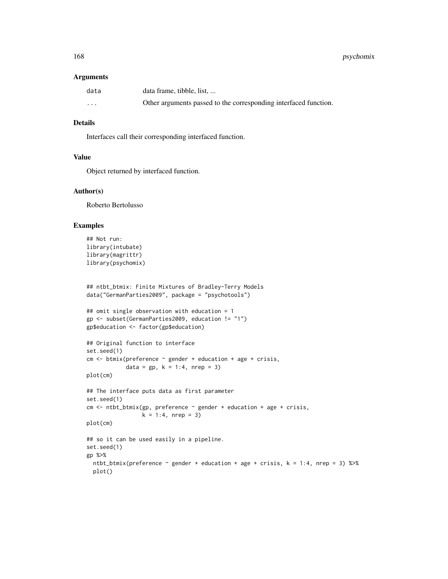#### Arguments

| data     | data frame, tibble, list,                                        |
|----------|------------------------------------------------------------------|
| $\cdots$ | Other arguments passed to the corresponding interfaced function. |

# Details

Interfaces call their corresponding interfaced function.

# Value

Object returned by interfaced function.

## Author(s)

Roberto Bertolusso

```
## Not run:
library(intubate)
library(magrittr)
library(psychomix)
```

```
## ntbt_btmix: Finite Mixtures of Bradley-Terry Models
data("GermanParties2009", package = "psychotools")
```

```
## omit single observation with education = 1
gp <- subset(GermanParties2009, education != "1")
gp$education <- factor(gp$education)
```

```
## Original function to interface
set.seed(1)
cm < - btmix(preference \sim gender + education + age + crisis,
            data = gp, k = 1:4, nrep = 3)
```

```
plot(cm)
```

```
## The interface puts data as first parameter
set.seed(1)
cm < -</math> ntht_btmix(gp, preference ~ gender + education + age + crisis,k = 1:4, nrep = 3)
```

```
plot(cm)
```

```
## so it can be used easily in a pipeline.
set.seed(1)
gp %>%
 ntbt_btmix(preference \sim gender + education + age + crisis, k = 1:4, nrep = 3) %>%
 plot()
```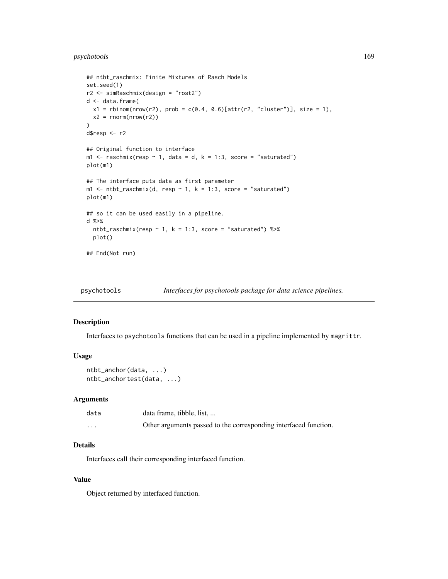```
## ntbt_raschmix: Finite Mixtures of Rasch Models
set.seed(1)
r2 <- simRaschmix(design = "rost2")
d <- data.frame(
 x1 =rbinom(nrow(r2), prob = c(0.4, 0.6)[attr(r2, "cluster")], size = 1),
  x2 = rnorm(nrow(r2))\lambdad$resp <- r2
## Original function to interface
m1 <- raschmix(resp ~ 1, data = d, k = 1:3, score = "saturated")
plot(m1)
## The interface puts data as first parameter
m1 <- ntbt_raschmix(d, resp ~ 1, k = 1:3, score = "saturated")
plot(m1)
## so it can be used easily in a pipeline.
d %>%
  ntbt_raschmix(resp \sim 1, k = 1:3, score = "saturated") %\gg%
  plot()
## End(Not run)
```
psychotools *Interfaces for psychotools package for data science pipelines.*

#### Description

Interfaces to psychotools functions that can be used in a pipeline implemented by magrittr.

## Usage

```
ntbt_anchor(data, ...)
ntbt_anchortest(data, ...)
```
## Arguments

| data     | data frame, tibble, list,                                        |
|----------|------------------------------------------------------------------|
| $\cdots$ | Other arguments passed to the corresponding interfaced function. |

#### Details

Interfaces call their corresponding interfaced function.

# Value

Object returned by interfaced function.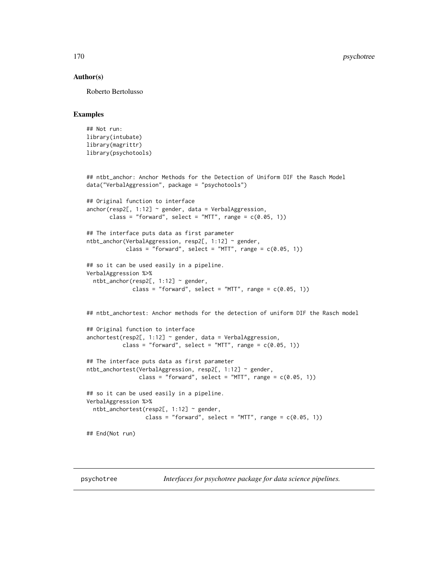## Author(s)

Roberto Bertolusso

#### Examples

```
## Not run:
library(intubate)
library(magrittr)
library(psychotools)
## ntbt_anchor: Anchor Methods for the Detection of Uniform DIF the Rasch Model
data("VerbalAggression", package = "psychotools")
## Original function to interface
anchor(resp2[, 1:12] ~\sim~ gender, data = VerbalAggression,class = "forward", select = "MTT", range = c(0.05, 1))
## The interface puts data as first parameter
ntbt_anchor(VerbalAggression, resp2[, 1:12] ~ gender,
            class = "forward", select = "MTT", range = c(0.05, 1))
## so it can be used easily in a pipeline.
VerbalAggression %>%
  ntbt_anchor(resp2[, 1:12] ~ gender,
              class = "forward", select = "MTT", range = c(0.05, 1))
## ntbt_anchortest: Anchor methods for the detection of uniform DIF the Rasch model
## Original function to interface
anchortest(resp2[, 1:12] \sim gender, data = VerbalAggression,
           class = "forward", select = "MTT", range = c(0.05, 1))
## The interface puts data as first parameter
ntbt_anchortest(VerbalAggression, resp2[, 1:12] ~ gender,
                class = "forward", select = "MTT", range = c(0.05, 1))
## so it can be used easily in a pipeline.
VerbalAggression %>%
  ntbt_anchortest(resp2[, 1:12] ~ gender,
                  class = "forward", select = "MTT", range = c(0.05, 1))
## End(Not run)
```
psychotree *Interfaces for psychotree package for data science pipelines.*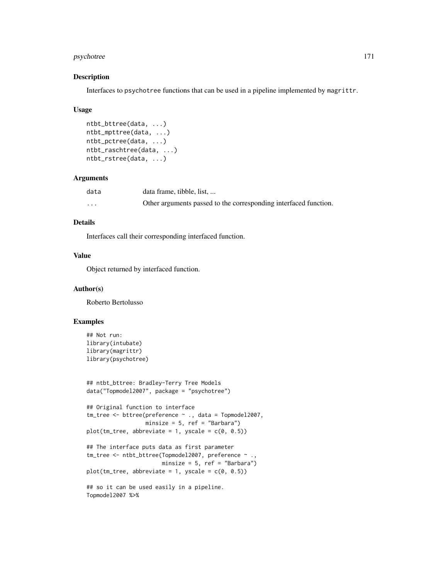# psychotree 171

## Description

Interfaces to psychotree functions that can be used in a pipeline implemented by magrittr.

#### Usage

```
ntbt_bttree(data, ...)
ntbt_mpttree(data, ...)
ntbt_pctree(data, ...)
ntbt_raschtree(data, ...)
ntbt_rstree(data, ...)
```
# Arguments

| data     | data frame, tibble, list,                                        |
|----------|------------------------------------------------------------------|
| $\cdots$ | Other arguments passed to the corresponding interfaced function. |

# Details

Interfaces call their corresponding interfaced function.

# Value

Object returned by interfaced function.

## Author(s)

Roberto Bertolusso

```
## Not run:
library(intubate)
library(magrittr)
library(psychotree)
```

```
## ntbt_bttree: Bradley-Terry Tree Models
data("Topmodel2007", package = "psychotree")
```

```
## Original function to interface
tm_tree <- bttree(preference ~ ., data = Topmodel2007,
                 minsize = 5, ref = "Barbara")
plot(tm\_tree, abbreviate = 1, yscale = c(0, 0.5))## The interface puts data as first parameter
tm_tree <- ntbt_bttree(Topmodel2007, preference ~ .,
                      minsize = 5, ref = "Barbara")
plot(tm_tree, abbreviate = 1, yscale = c(0, 0.5))## so it can be used easily in a pipeline.
Topmodel2007 %>%
```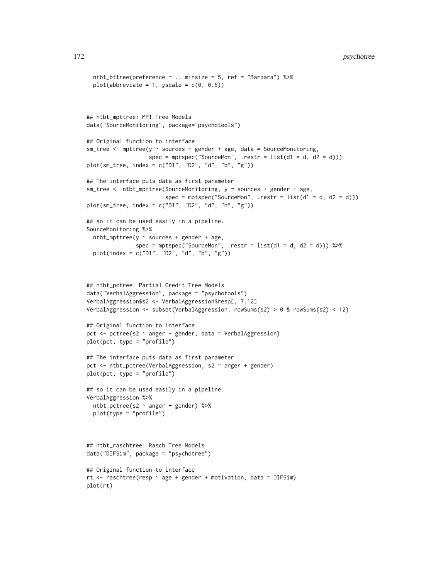# 172 psychotree

```
ntbt_bttree(preference \sim ., minsize = 5, ref = "Barbara") %\gg%
  plot(abbreviate = 1, yscale = c(0, 0.5))
## ntbt_mpttree: MPT Tree Models
data("SourceMonitoring", package="psychotools")
## Original function to interface
sm\_tree \leq mpttree(y \sim sources + gender + age, data = SourceMonitoring,spec = mptspec("SourceMon", .restr = list(d1 = d, d2 = d)))plot(sm_tree, index = c("D1", "D2", "d", "b", "g"))
## The interface puts data as first parameter
sm\_tree \leq -ntbt\_mpttree(SourceMonitoring, y \sim sources + gender + age,spec = mptspec("SourceMon", .restr = list(d1 = d, d2 = d)))plot(sm_tree, index = c("D1", "D2", "d", "b", "g"))
## so it can be used easily in a pipeline.
SourceMonitoring %>%
  ntbt_mpttree(y \sim sources + gender + age,spec = mptspec("SourceMon", .restr = list(d1 = d, d2 = d))) %>%
  plot(index = c("D1", "D2", "d", "b", "g"))
## ntbt_pctree: Partial Credit Tree Models
data("VerbalAggression", package = "psychotools")
VerbalAggression$s2 <- VerbalAggression$resp[, 7:12]
VerbalAggression <- subset(VerbalAggression, rowSums(s2) > 0 & rowSums(s2) < 12)
## Original function to interface
pct \leq pctree(s2 \sim anger + gender, data = VerbalAggression)
plot(pct, type = "profile")
## The interface puts data as first parameter
pct <- ntbt_pctree(VerbalAggression, s2 ~ anger + gender)
plot(pct, type = "profile")
## so it can be used easily in a pipeline.
VerbalAggression %>%
  ntbt_pctree(s2 ~ anger + gender) %>%
  plot(type = "profile")
## ntbt_raschtree: Rasch Tree Models
data("DIFSim", package = "psychotree")
## Original function to interface
rt \le raschtree(resp \sim age + gender + motivation, data = DIFSim)
plot(rt)
```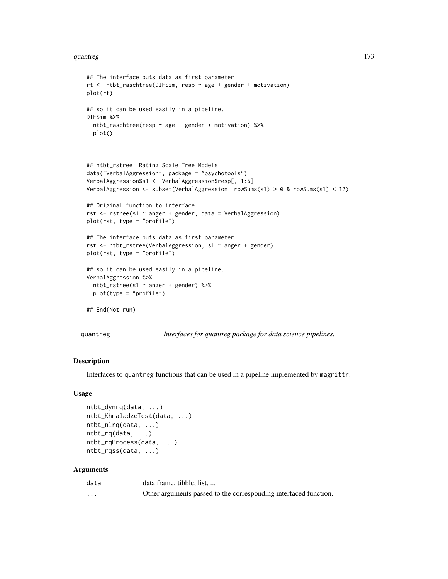#### quantreg and the contract of the contract of the contract of the contract of the contract of the contract of the contract of the contract of the contract of the contract of the contract of the contract of the contract of t

```
## The interface puts data as first parameter
rt <- ntbt_raschtree(DIFSim, resp ~ age + gender + motivation)
plot(rt)
## so it can be used easily in a pipeline.
DIFSim %>%
  ntbt_raschtree(resp ~ age + gender + motivation) %>%
  plot()
## ntbt_rstree: Rating Scale Tree Models
data("VerbalAggression", package = "psychotools")
VerbalAggression$s1 <- VerbalAggression$resp[, 1:6]
VerbalAggression <- subset(VerbalAggression, rowSums(s1) > 0 & rowSums(s1) < 12)
## Original function to interface
rst <- rstree(s1 ~ anger + gender, data = VerbalAggression)
plot(rst, type = "profile")
## The interface puts data as first parameter
rst <- ntbt_rstree(VerbalAggression, s1 ~ anger + gender)
plot(rst, type = "profile")
## so it can be used easily in a pipeline.
VerbalAggression %>%
  ntbt_rstree(s1 ~ anger + gender) %>%
  plot(type = "profile")
## End(Not run)
```
quantreg *Interfaces for quantreg package for data science pipelines.*

# Description

Interfaces to quantreg functions that can be used in a pipeline implemented by magrittr.

#### Usage

```
ntbt_dynrq(data, ...)
ntbt_KhmaladzeTest(data, ...)
ntbt_nlrq(data, ...)
ntbt_rq(data, ...)
ntbt_rqProcess(data, ...)
ntbt_rqss(data, ...)
```
# Arguments

| data     | data frame, tibble, list,                                        |
|----------|------------------------------------------------------------------|
| $\cdots$ | Other arguments passed to the corresponding interfaced function. |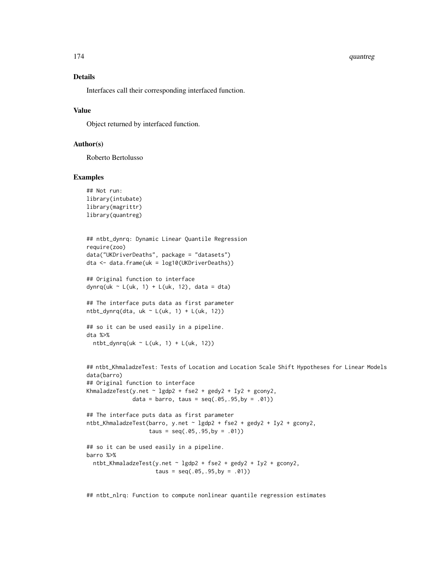#### 174 quantreg

# Details

Interfaces call their corresponding interfaced function.

## Value

Object returned by interfaced function.

## Author(s)

Roberto Bertolusso

## Examples

```
## Not run:
library(intubate)
library(magrittr)
library(quantreg)
```

```
## ntbt_dynrq: Dynamic Linear Quantile Regression
require(zoo)
data("UKDriverDeaths", package = "datasets")
dta <- data.frame(uk = log10(UKDriverDeaths))
```
## Original function to interface dynrq(uk ~ L(uk, 1) + L(uk, 12), data = dta)

## The interface puts data as first parameter ntbt\_dynrq(dta, uk  $\sim$  L(uk, 1) + L(uk, 12))

```
## so it can be used easily in a pipeline.
dta %>%
 ntbt_dynrq(uk ~ L(uk, 1) + L(uk, 12))
```

```
## ntbt_KhmaladzeTest: Tests of Location and Location Scale Shift Hypotheses for Linear Models
data(barro)
## Original function to interface
KhmaladzeTest(y.net \sim lgdp2 + fse2 + gedy2 + Iy2 + gcony2,
              data = barro, taus = seq(.05, .95, by = .01))
## The interface puts data as first parameter
ntbt_KhmaladzeTest(barro, y.net ~ lgdp2 + fse2 + gedy2 + Iy2 + gcony2,
                   taus = seq(.05, .95, by = .01))## so it can be used easily in a pipeline.
barro %>%
 ntbt_KhmaladzeTest(y.net ~ lgdp2 + fse2 + gedy2 + Iy2 + gcony2,
                     taus = seq(.05, .95, by = .01))
```
## ntbt\_nlrq: Function to compute nonlinear quantile regression estimates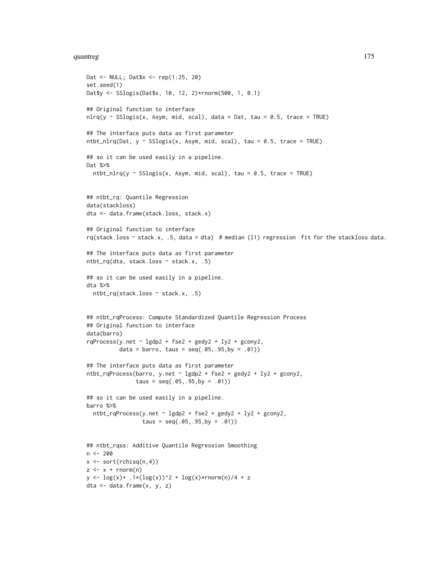#### quantreg and the contract of the contract of the contract of the contract of the contract of the contract of the contract of the contract of the contract of the contract of the contract of the contract of the contract of t

```
Dat <- NULL; Dat$x <- rep(1:25, 20)
set.seed(1)
Dat$y <- SSlogis(Dat$x, 10, 12, 2)*rnorm(500, 1, 0.1)
## Original function to interface
nlrq(y \sim SSlogis(x, Asym, mid, scal), data = Dat, tau = 0.5, trace = TRUE)## The interface puts data as first parameter
ntbt_nlrq(Dat, y \sim SSlogis(x, Asym, mid, scal), tau = 0.5, trace = TRUE)
## so it can be used easily in a pipeline.
Dat %>%
  ntbt_nlrq(y \sim SSlogis(x, Asym, mid, scal), tau = 0.5, trace = TRUE)
## ntbt_rq: Quantile Regression
data(stackloss)
dta <- data.frame(stack.loss, stack.x)
## Original function to interface
rq(stack.loss ~ stack.x, .5, data = dta) # median (l1) regression fit for the stackloss data.
## The interface puts data as first parameter
ntbt_rq(dta, stack.loss ~ stack.x, .5)
## so it can be used easily in a pipeline.
dta %>%
  ntbt_rq(stack.loss ~ stack.x, .5)
## ntbt_rqProcess: Compute Standardized Quantile Regression Process
## Original function to interface
data(barro)
rqProcess(y.net \sim Igdp2 + fse2 + gedy2 + Iy2 + gcony2,data = barro, taus = seq(.05, .95, by = .01)## The interface puts data as first parameter
ntbt_rqProcess(barro, y.net ~ lgdp2 + fse2 + gedy2 + Iy2 + gcony2,
               taus = seq(.05, .95, by = .01)## so it can be used easily in a pipeline.
barro %>%
  ntbt_rqProcess(y.net ~ lgdp2 + fse2 + gedy2 + Iy2 + gcony2,
                 taus = seq(.05, .95, by = .01))## ntbt_rqss: Additive Quantile Regression Smoothing
n <- 200
x \leftarrow sort(rchisq(n,4))z \leq x + \text{norm}(n)y \leq log(x) + .1*(log(x))^2 + log(x)*rnorm(n)/4 + zdta <- data.frame(x, y, z)
```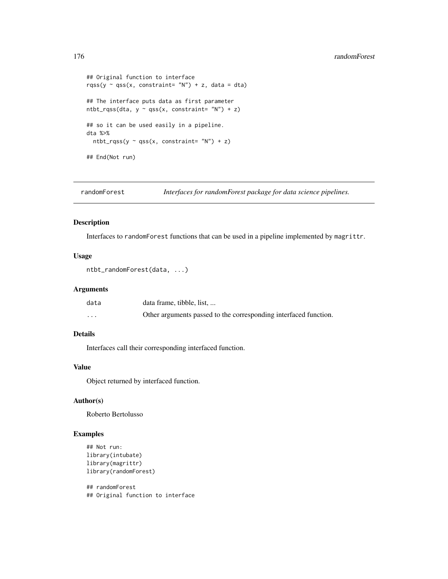```
## Original function to interface
rqss(y \sim qss(x, constraint= "N") + z, data = dta)
## The interface puts data as first parameter
ntbt_rqss(dta, y \sim qss(x, constant='N") + z)## so it can be used easily in a pipeline.
dta %>%
  ntbt_rqss(y \sim qss(x, constraint= "N") + z)
## End(Not run)
```
randomForest *Interfaces for randomForest package for data science pipelines.*

# Description

Interfaces to randomForest functions that can be used in a pipeline implemented by magrittr.

## Usage

```
ntbt_randomForest(data, ...)
```
## Arguments

| data     | data frame, tibble, list,                                        |
|----------|------------------------------------------------------------------|
| $\cdots$ | Other arguments passed to the corresponding interfaced function. |

# Details

Interfaces call their corresponding interfaced function.

## Value

Object returned by interfaced function.

## Author(s)

Roberto Bertolusso

# Examples

```
## Not run:
library(intubate)
library(magrittr)
library(randomForest)
```
## randomForest ## Original function to interface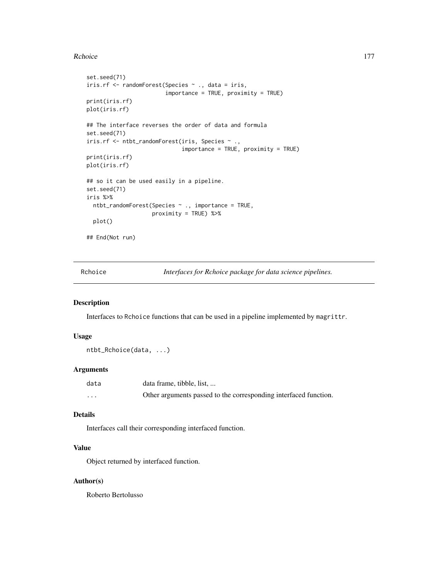#### Rchoice **177**

```
set.seed(71)
iris.rf <- randomForest(Species ~ ., data = iris,
                        importance = TRUE, proximity = TRUE)
print(iris.rf)
plot(iris.rf)
## The interface reverses the order of data and formula
set.seed(71)
iris.rf <- ntbt_randomForest(iris, Species ~ .,
                             importance = TRUE, proximity = TRUE)
print(iris.rf)
plot(iris.rf)
## so it can be used easily in a pipeline.
set.seed(71)
iris %>%
  ntbt_randomForest(Species ~ ., importance = TRUE,
                    proximity = TRUE) %>%
  plot()
## End(Not run)
```
Rchoice *Interfaces for Rchoice package for data science pipelines.*

#### Description

Interfaces to Rchoice functions that can be used in a pipeline implemented by magrittr.

## Usage

```
ntbt_Rchoice(data, ...)
```
# Arguments

| data     | data frame, tibble, list,                                        |
|----------|------------------------------------------------------------------|
| $\cdots$ | Other arguments passed to the corresponding interfaced function. |

# Details

Interfaces call their corresponding interfaced function.

#### Value

Object returned by interfaced function.

## Author(s)

Roberto Bertolusso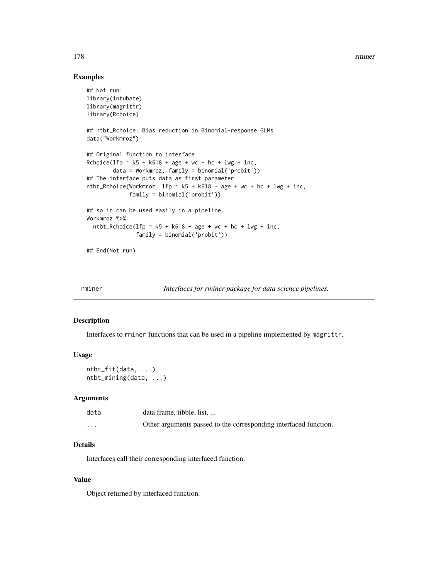178 *rminer* 

# Examples

```
## Not run:
library(intubate)
library(magrittr)
library(Rchoice)
## ntbt_Rchoice: Bias reduction in Binomial-response GLMs
data("Workmroz")
## Original function to interface
Rchoice(lfp \sim k5 + k618 + age + wc + hc + lwg + inc,
        data = Workmroz, family = binomial('probit'))
## The interface puts data as first parameter
ntbt_Rchoice(Workmroz, 1fp - k5 + k618 + age + wc + hc + lwg + inc,
             family = binomial('probit'))
## so it can be used easily in a pipeline.
Workmroz %>%
  ntbt_Rchoice(lfp \sim k5 + k618 + age + wc + hc + lwg + inc,
               family = binomial('probit'))
## End(Not run)
```
rminer *Interfaces for rminer package for data science pipelines.*

#### Description

Interfaces to rminer functions that can be used in a pipeline implemented by magrittr.

## Usage

ntbt\_fit(data, ...) ntbt\_mining(data, ...)

## Arguments

| data     | data frame, tibble, list,                                        |
|----------|------------------------------------------------------------------|
| $\cdots$ | Other arguments passed to the corresponding interfaced function. |

## Details

Interfaces call their corresponding interfaced function.

# Value

Object returned by interfaced function.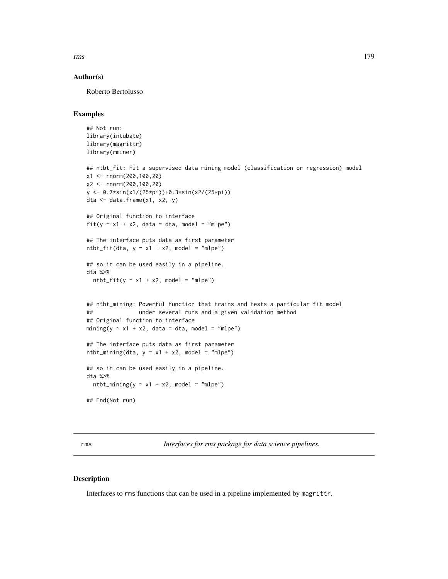## Author(s)

Roberto Bertolusso

## Examples

```
## Not run:
library(intubate)
library(magrittr)
library(rminer)
## ntbt_fit: Fit a supervised data mining model (classification or regression) model
x1 <- rnorm(200,100,20)
x2 <- rnorm(200,100,20)
y <- 0.7*sin(x1/(25*pi))+0.3*sin(x2/(25*pi))
dta <- data.frame(x1, x2, y)
## Original function to interface
fit(y \sim x1 + x2, data = dta, model = "mlpe")
## The interface puts data as first parameter
ntbt_fit(dta, y ~ x1 + x2, model = "mlpe")## so it can be used easily in a pipeline.
dta %>%
  ntbt_fit(y \sim x1 + x2, \text{ model} = \text{"mlpe"})## ntbt_mining: Powerful function that trains and tests a particular fit model
## under several runs and a given validation method
## Original function to interface
mining(y \sim x1 + x2, data = dta, model = "mlpe")
## The interface puts data as first parameter
ntbt_mining(dta, y \sim x1 + x2, model = "mlpe")
## so it can be used easily in a pipeline.
dta %>%
  ntbt_mining(y \sim x1 + x2, model = "mlpe")
## End(Not run)
```
rms *Interfaces for rms package for data science pipelines.*

# Description

Interfaces to rms functions that can be used in a pipeline implemented by magrittr.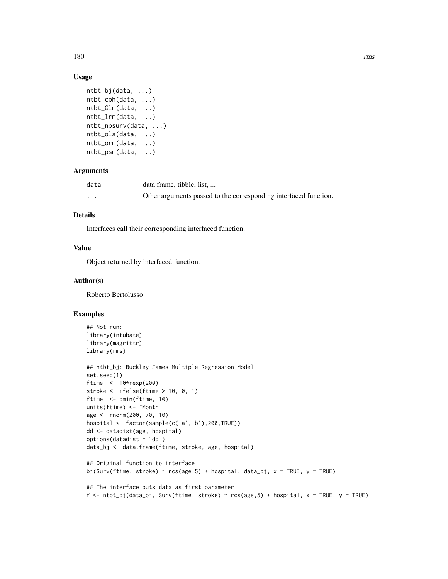180 rms

## Usage

```
ntbt_bj(data, ...)
ntbt_cph(data, ...)
ntbt_Glm(data, ...)
ntbt_lrm(data, ...)
ntbt_npsurv(data, ...)
ntbt_ols(data, ...)
ntbt_orm(data, ...)
ntbt_psm(data, ...)
```
# Arguments

| data | data frame, tibble, list,                                        |
|------|------------------------------------------------------------------|
| .    | Other arguments passed to the corresponding interfaced function. |

# Details

Interfaces call their corresponding interfaced function.

## Value

Object returned by interfaced function.

## Author(s)

Roberto Bertolusso

```
## Not run:
library(intubate)
library(magrittr)
library(rms)
## ntbt_bj: Buckley-James Multiple Regression Model
set.seed(1)
ftime <- 10*rexp(200)
stroke <- ifelse(ftime > 10, 0, 1)
ftime <- pmin(ftime, 10)
units(ftime) <- "Month"
age <- rnorm(200, 70, 10)
hospital <- factor(sample(c('a','b'),200,TRUE))
dd <- datadist(age, hospital)
options(datadist = "dd")
data_bj <- data.frame(ftime, stroke, age, hospital)
## Original function to interface
bj(Surv(ftime, stroke) ~ rcs(age,5) + hospital, data_bj, x = TRUE, y = TRUE)
## The interface puts data as first parameter
f \le ntbt_bj(data_bj, Surv(ftime, stroke) \sim rcs(age,5) + hospital, x = TRUE, y = TRUE)
```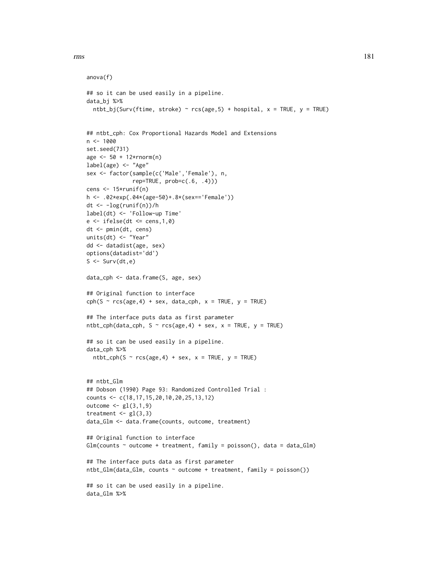```
anova(f)
## so it can be used easily in a pipeline.
data_bj %>%
 ntbt_bj(Surv(ftime, stroke) ~ rcs(age, 5) + hospital, x = TRUE, y = TRUE)
## ntbt_cph: Cox Proportional Hazards Model and Extensions
n < - 1000set.seed(731)
age <- 50 + 12*rnorm(n)
label(age) <- "Age"
sex <- factor(sample(c('Male','Female'), n,
              rep=TRUE, prob=c(.6, .4)))
cens <- 15*runif(n)
h <- .02*exp(.04*(age-50)+.8*(sex=='Female'))
dt <- -log(runif(n))/h
label(dt) <- 'Follow-up Time'
e \leftarrow ifelse(dt \leftarrow cens, 1, 0)
dt <- pmin(dt, cens)
units(dt) <- "Year"
dd <- datadist(age, sex)
options(datadist='dd')
S \leftarrow Surv(dt,e)
data_cph <- data.frame(S, age, sex)
## Original function to interface
cph(S \sim rcs(age, 4) + sex, data_cph, x = TRUE, y = TRUE)## The interface puts data as first parameter
ntbt_cph(data_cph, S ~ rcs(age, 4) + sex, x = TRUE, y = TRUE)## so it can be used easily in a pipeline.
data_cph %>%
  ntbt_cph(S ~ rcs(age, 4) + sex, x = TRUE, y = TRUE)## ntbt_Glm
## Dobson (1990) Page 93: Randomized Controlled Trial :
counts <- c(18,17,15,20,10,20,25,13,12)
outcome <- gl(3,1,9)
treatment \leq gl(3,3)
data_Glm <- data.frame(counts, outcome, treatment)
## Original function to interface
Glm(counts \sim outcome + treatment, family = poisson(), data = data_Glm)
## The interface puts data as first parameter
ntbt_Glm(data_Glm, counts ~ outcome + treatment, family = poisson())
## so it can be used easily in a pipeline.
data_Glm %>%
```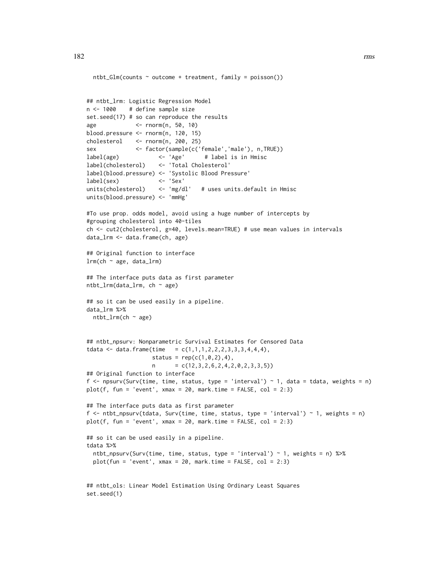```
ntbt_Glm(counts ~ outcome ~ treatment, family = poisson())## ntbt_lrm: Logistic Regression Model
n <- 1000 # define sample size
set.seed(17) # so can reproduce the results
age <- rnorm(n, 50, 10)
blood.pressure <- rnorm(n, 120, 15)
cholesterol <- rnorm(n, 200, 25)
sex <- factor(sample(c('female','male'), n,TRUE))
label(age) <- 'Age' # label is in Hmisc
label(cholesterol) <- 'Total Cholesterol'
label(blood.pressure) <- 'Systolic Blood Pressure'
label(sex)units(cholesterol) <- 'mg/dl' # uses units.default in Hmisc
units(blood.pressure) <- 'mmHg'
#To use prop. odds model, avoid using a huge number of intercepts by
#grouping cholesterol into 40-tiles
ch <- cut2(cholesterol, g=40, levels.mean=TRUE) # use mean values in intervals
data_lrm <- data.frame(ch, age)
## Original function to interface
lrm(ch ~ age, data_lrm)
## The interface puts data as first parameter
ntbt_lrm(data_lrm, ch ~ age)
## so it can be used easily in a pipeline.
data_lrm %>%
 ntbt_lrm(ch ~ age)
## ntbt_npsurv: Nonparametric Survival Estimates for Censored Data
tdata <- data.frame(time = c(1,1,1,2,2,2,3,3,3,4,4,4),
                   status = rep(c(1, 0, 2), 4),n = c(12,3,2,6,2,4,2,0,2,3,3,5)## Original function to interface
f \leq npsurv(Surv(time, time, status, type = 'interval') \sim 1, data = tdata, weights = n)
plot(f, fun = 'event', xmax = 20, mark.time = FALSE, col = 2:3)## The interface puts data as first parameter
f <- ntbt_npsurv(tdata, Surv(time, time, status, type = 'interval') ~ 1, weights = n)
plot(f, fun = 'event', xmax = 20, mark.time = FALSE, col = 2:3)## so it can be used easily in a pipeline.
tdata %>%
 ntbt_npsurv(Surv(time, time, status, type = 'interval') ~ 1, weights = n) %>%
 plot(fun = 'event', xmax = 20, mark.time = FALSE, col = 2:3)## ntbt_ols: Linear Model Estimation Using Ordinary Least Squares
set.seed(1)
```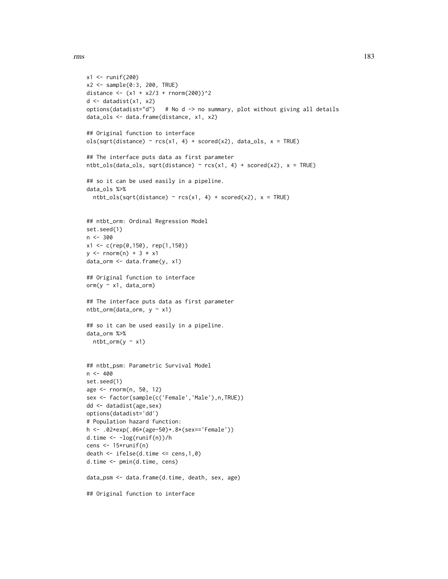```
x1 <- runif(200)
x2 <- sample(0:3, 200, TRUE)
distance <- (x1 + x2/3 + rnorm(200))^2d \leftarrow datadist(x1, x2)options(datadist="d") # No d -> no summary, plot without giving all details
data_ols <- data.frame(distance, x1, x2)
## Original function to interface
ols(sqrt(distance) ~ rcs(x1, 4) + scored(x2), data_ols, x = TRUE)## The interface puts data as first parameter
ntbt_ols(data_ols, sqrt(distance) ~ rcs(x1, 4) + scored(x2), x = TRUE)
## so it can be used easily in a pipeline.
data_ols %>%
  ntbt\_ols(sqrt(distance) \sim rcs(x1, 4) + scored(x2), x = TRUE)## ntbt_orm: Ordinal Regression Model
set.seed(1)
n <- 300
x1 \leq c (rep(0,150), rep(1,150))
y \le - rnorm(n) + 3 * x1
data_orm <- data.frame(y, x1)
## Original function to interface
orm(y \sim x1, data\_orm)## The interface puts data as first parameter
ntbt_orm(data_orm, y ~ x1)
## so it can be used easily in a pipeline.
data_orm %>%
  ntbt\_orm(y \sim x1)## ntbt_psm: Parametric Survival Model
n < -400set.seed(1)
age <- rnorm(n, 50, 12)
sex <- factor(sample(c('Female','Male'),n,TRUE))
dd <- datadist(age,sex)
options(datadist='dd')
# Population hazard function:
h <- .02*exp(.06*(age-50)+.8*(sex=='Female'))
d.time <- -log(runif(n))/h
cens <- 15*runif(n)
death \le ifelse(d.time \le cens, 1,0)
d.time <- pmin(d.time, cens)
data_psm <- data.frame(d.time, death, sex, age)
## Original function to interface
```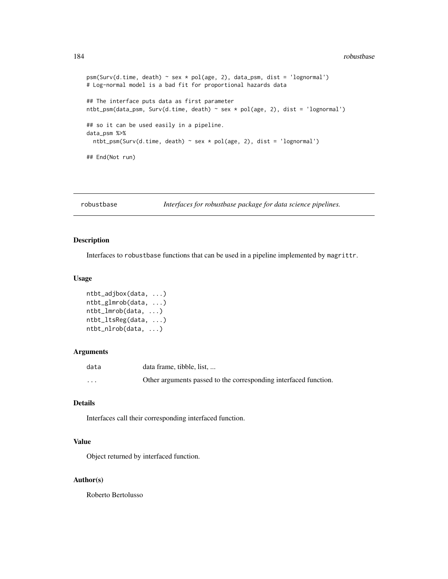#### 184 robustbase

```
psm(Surv(d.time, death) ~ sex * pol(age, 2), data_psm, dist = 'lognormal')
# Log-normal model is a bad fit for proportional hazards data
## The interface puts data as first parameter
ntbt_psm(data_psm, Surv(d.time, death) ~ sex * pol(age, 2), dist = 'lognormal')
## so it can be used easily in a pipeline.
data_psm %>%
 ntbt_psm(Surv(d.time, death) ~ sex * pol(age, 2), dist = 'lognormal')
## End(Not run)
```
robustbase *Interfaces for robustbase package for data science pipelines.*

#### Description

Interfaces to robustbase functions that can be used in a pipeline implemented by magrittr.

## Usage

```
ntbt_adjbox(data, ...)
ntbt_glmrob(data, ...)
ntbt_lmrob(data, ...)
ntbt_ltsReg(data, ...)
ntbt_nlrob(data, ...)
```
### Arguments

| data                 | data frame, tibble, list,                                        |
|----------------------|------------------------------------------------------------------|
| $\ddot{\phantom{0}}$ | Other arguments passed to the corresponding interfaced function. |

### Details

Interfaces call their corresponding interfaced function.

## Value

Object returned by interfaced function.

#### Author(s)

Roberto Bertolusso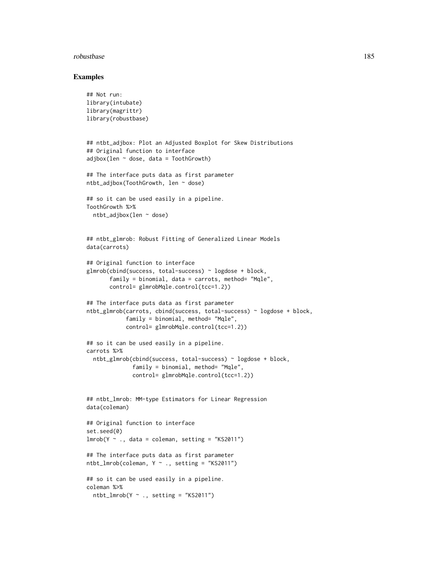#### robustbase and the set of the set of the set of the set of the set of the set of the set of the set of the set of the set of the set of the set of the set of the set of the set of the set of the set of the set of the set o

```
## Not run:
library(intubate)
library(magrittr)
library(robustbase)
## ntbt_adjbox: Plot an Adjusted Boxplot for Skew Distributions
## Original function to interface
adjbox(len \sim dose, data = ToothGrowth)## The interface puts data as first parameter
ntbt_adjbox(ToothGrowth, len ~ dose)
## so it can be used easily in a pipeline.
ToothGrowth %>%
  ntbt_adjbox(len ~ dose)
## ntbt_glmrob: Robust Fitting of Generalized Linear Models
data(carrots)
## Original function to interface
glmrob(cbind(success, total-success) ~ logdose + block,
       family = binomial, data = carrots, method = "Mgle",control= glmrobMqle.control(tcc=1.2))
## The interface puts data as first parameter
ntbt_glmrob(carrots, cbind(success, total-success) ~ logdose + block,
            family = binomial, method= "Mqle",
            control= glmrobMqle.control(tcc=1.2))
## so it can be used easily in a pipeline.
carrots %>%
  ntbt_glmrob(cbind(success, total-success) ~ logdose + block,
              family = binomial, method= "Mqle",
              control= glmrobMqle.control(tcc=1.2))
## ntbt_lmrob: MM-type Estimators for Linear Regression
data(coleman)
## Original function to interface
set.seed(0)
lmrob(Y \sim ., data = column, setting = "KS2011")## The interface puts data as first parameter
ntbt_lmrob(coleman, Y ~ ., setting = "KS2011")## so it can be used easily in a pipeline.
coleman %>%
  ntbt_lmrob(Y \sim ., setting = "KS2011")
```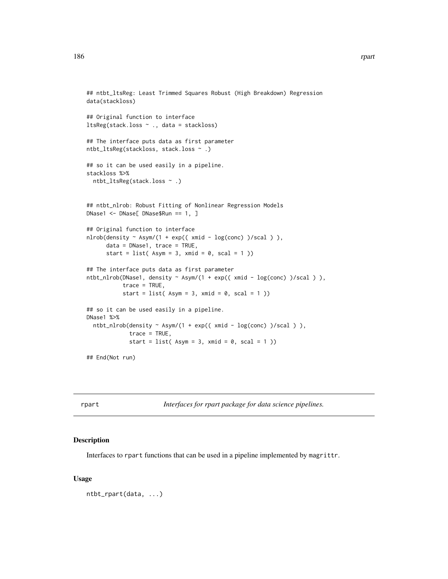```
## ntbt_ltsReg: Least Trimmed Squares Robust (High Breakdown) Regression
data(stackloss)
## Original function to interface
ltsReg(stack.loss ~ ., data = stackloss)
## The interface puts data as first parameter
ntbt_ltsReg(stackloss, stack.loss ~ .)
## so it can be used easily in a pipeline.
stackloss %>%
  ntbt_ltsReg(stack.loss ~ .)
## ntbt_nlrob: Robust Fitting of Nonlinear Regression Models
DNase1 <- DNase[ DNase$Run == 1, ]
## Original function to interface
nlrob(density ~ Asym/(1 + exp(( xmid - log(conc) )/scal ) ),data = DNase1, trace = TRUE,start = list(Asym = 3, xmid = 0, scal = 1))
## The interface puts data as first parameter
ntbt_nlrob(DNase1, density ~ Asym/(1 + exp(( xmid - log(conc) )/scal ) ),
           trace = TRUE,
           start = list(Asym = 3, xmid = 0, scal = 1))
## so it can be used easily in a pipeline.
DNase1 %>%
  ntbt_nlrob(density ~ Asym/(1 + exp(( xmid - log(conc) )/scal ) ),
             trace = TRUE,start = list(Asym = 3, xmid = 0, scal = 1))
```
## End(Not run)

rpart *Interfaces for rpart package for data science pipelines.*

#### Description

Interfaces to rpart functions that can be used in a pipeline implemented by magrittr.

#### Usage

ntbt\_rpart(data, ...)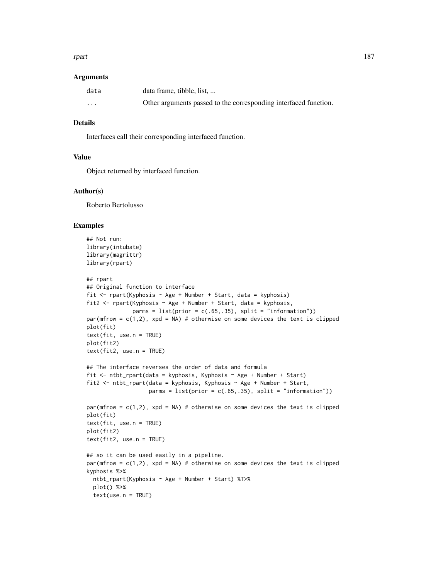#### rpart the contract of the contract of the contract of the contract of the contract of the contract of the contract of the contract of the contract of the contract of the contract of the contract of the contract of the cont

#### Arguments

| data     | data frame, tibble, list,                                        |
|----------|------------------------------------------------------------------|
| $\cdots$ | Other arguments passed to the corresponding interfaced function. |

## Details

Interfaces call their corresponding interfaced function.

## Value

Object returned by interfaced function.

### Author(s)

Roberto Bertolusso

```
## Not run:
library(intubate)
library(magrittr)
library(rpart)
## rpart
## Original function to interface
fit \le rpart(Kyphosis \sim Age + Number + Start, data = kyphosis)
fit2 \leq rpart(Kyphosis \sim Age + Number + Start, data = kyphosis,
              parms = list(prior = c(.65,.35), split = "information")par(mfrow = c(1,2), xpd = NA) # otherwise on some devices the text is clipped
plot(fit)
text(fit, use.n = TRUE)
plot(fit2)
text(fit2, use.n = TRUE)
## The interface reverses the order of data and formula
fit \le ntbt_rpart(data = kyphosis, Kyphosis \sim Age + Number + Start)
fit2 <- ntbt_rpart(data = kyphosis, Kyphosis \sim Age + Number + Start,
                   parms = list(prior = c(.65,.35), split = "information"))
par(mfrow = c(1,2), xpd = NA) # otherwise on some devices the text is clipped
plot(fit)
text(fit, use.n = TRUE)
plot(fit2)
text(fit2, use.n = TRUE)
## so it can be used easily in a pipeline.
par(mfrow = c(1,2), xpd = NA) # otherwise on some devices the text is clipped
kyphosis %>%
 ntbt_rpart(Kyphosis ~ Age + Number + Start) %T>%
  plot() %>%
  text(use.n = TRUE)
```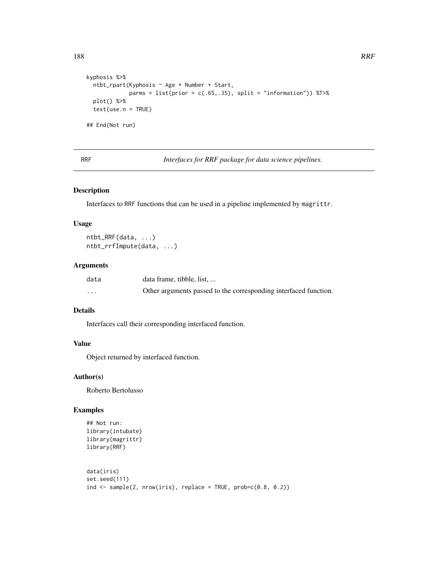```
188 RRF
```

```
kyphosis %>%
 ntbt_rpart(Kyphosis ~ Age + Number + Start,
            parms = list(prior = c(.65, .35), split = "information")) %T>%
 plot() %>%
 text(use.n = TRUE)
## End(Not run)
```
RRF *Interfaces for RRF package for data science pipelines.*

### Description

Interfaces to RRF functions that can be used in a pipeline implemented by magrittr.

#### Usage

```
ntbt_RRF(data, ...)
ntbt_rrfImpute(data, ...)
```
## Arguments

| data     | data frame, tibble, list,                                        |
|----------|------------------------------------------------------------------|
| $\cdots$ | Other arguments passed to the corresponding interfaced function. |

# Details

Interfaces call their corresponding interfaced function.

## Value

Object returned by interfaced function.

## Author(s)

Roberto Bertolusso

```
## Not run:
library(intubate)
library(magrittr)
library(RRF)
```

```
data(iris)
set.seed(111)
ind \leq sample(2, nrow(iris), replace = TRUE, prob=c(0.8, 0.2))
```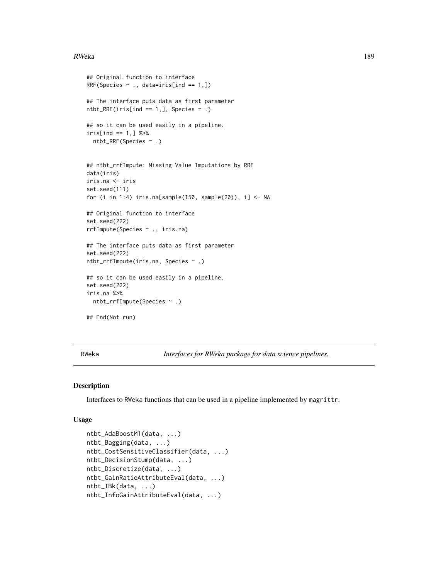#### $RWeka$  and the set of the set of the set of the set of the set of the set of the set of the set of the set of the set of the set of the set of the set of the set of the set of the set of the set of the set of the set of t

```
## Original function to interface
RRF(Species \sim ., data=iris[ind == 1,])
## The interface puts data as first parameter
ntbt_RRF(iris[ind == 1,], Species \sim .)
## so it can be used easily in a pipeline.
iris[ind == 1, ] %ntbt_RRF(Species ~ .)
## ntbt_rrfImpute: Missing Value Imputations by RRF
data(iris)
iris.na <- iris
set.seed(111)
for (i in 1:4) iris.na[sample(150, sample(20)), i] <- NA
## Original function to interface
set.seed(222)
rrfImpute(Species ~ ., iris.na)
## The interface puts data as first parameter
set.seed(222)
ntbt_rrfImpute(iris.na, Species ~ .)
## so it can be used easily in a pipeline.
set.seed(222)
iris.na %>%
 ntbt_rrfImpute(Species ~ .)
## End(Not run)
```
RWeka *Interfaces for RWeka package for data science pipelines.*

### Description

Interfaces to RWeka functions that can be used in a pipeline implemented by magrittr.

#### Usage

```
ntbt_AdaBoostM1(data, ...)
ntbt_Bagging(data, ...)
ntbt_CostSensitiveClassifier(data, ...)
ntbt_DecisionStump(data, ...)
ntbt_Discretize(data, ...)
ntbt_GainRatioAttributeEval(data, ...)
ntbt_IBk(data, ...)
ntbt_InfoGainAttributeEval(data, ...)
```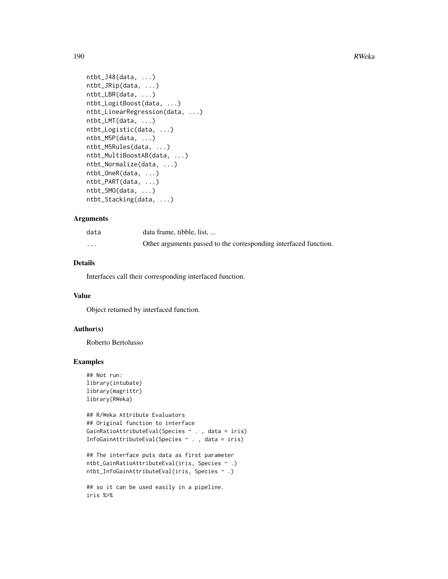```
ntbt_J48(data, ...)ntbt_JRip(data, ...)
ntbt_LBR(data, ...)
ntbt_LogitBoost(data, ...)
ntbt_LinearRegression(data, ...)
ntbt_LMT(data, ...)
ntbt_Logistic(data, ...)
ntbt_M5P(data, ...)
ntbt_M5Rules(data, ...)
ntbt_MultiBoostAB(data, ...)
ntbt_Normalize(data, ...)
ntbt_OneR(data, ...)
ntbt_PART(data, ...)
ntbt_SMO(data, ...)
ntbt_Stacking(data, ...)
```
#### Arguments

| data     | data frame, tibble, list,                                        |
|----------|------------------------------------------------------------------|
| $\cdots$ | Other arguments passed to the corresponding interfaced function. |

### Details

Interfaces call their corresponding interfaced function.

### Value

Object returned by interfaced function.

### Author(s)

Roberto Bertolusso

```
## Not run:
library(intubate)
library(magrittr)
library(RWeka)
```

```
## R/Weka Attribute Evaluators
## Original function to interface
GainRatioAttributeEval(Species ~ . , data = iris)
InfoGainAttributeEval(Species ~ . , data = iris)
```

```
## The interface puts data as first parameter
ntbt_GainRatioAttributeEval(iris, Species ~ .)
ntbt_InfoGainAttributeEval(iris, Species ~ .)
```

```
## so it can be used easily in a pipeline.
iris %>%
```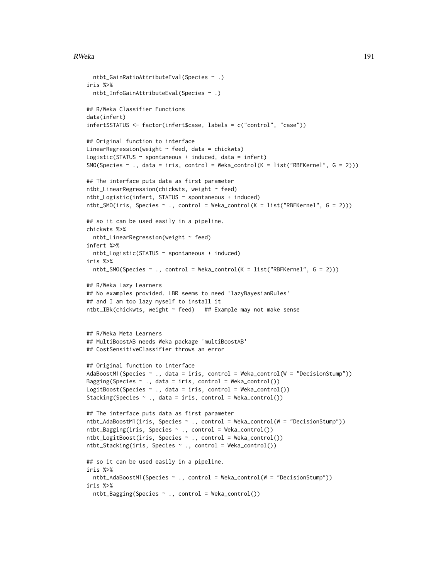#### RWeka 191

```
ntbt_GainRatioAttributeEval(Species ~ .)
iris %>%
 ntbt_InfoGainAttributeEval(Species ~ .)
## R/Weka Classifier Functions
data(infert)
infert$STATUS <- factor(infert$case, labels = c("control", "case"))
## Original function to interface
LinearRegression(weight \sim feed, data = chickwts)
Logistic(STATUS \sim spontaneous + induced, data = infert)
SMO(Species ~ ~ ., data = iris, control = Weka_countcol(K = list("RBFKernel", G = 2)))## The interface puts data as first parameter
ntbt_LinearRegression(chickwts, weight ~ feed)
ntbt_Logistic(infert, STATUS ~ spontaneous + induced)
ntbt_SMO(iris, Species \sim ., control = Weka_control(K = list("RBFKernel", G = 2)))
## so it can be used easily in a pipeline.
chickwts %>%
  ntbt_LinearRegression(weight ~ feed)
infert %>%
 ntbt_Logistic(STATUS ~ spontaneous + induced)
iris %>%
 ntbt_SMO(Species ~ ., control = Weka_control(K = list("RBFKernel", G = 2)))
## R/Weka Lazy Learners
## No examples provided. LBR seems to need 'lazyBayesianRules'
## and I am too lazy myself to install it
ntbt_IBk(chickwts, weight ~ feed) ## Example may not make sense
## R/Weka Meta Learners
## MultiBoostAB needs Weka package 'multiBoostAB'
## CostSensitiveClassifier throws an error
## Original function to interface
AdaBoostM1(Species ~ ., data = iris, control = Weka_control(W = "DecisionStump"))
Bagging(Species ~ ., data = iris, control = Weka_control())
LogitBoost(Species \sim ., data = iris, control = Weka_control())
Stacking(Species ~ ., data = iris, control = Weka_control())
## The interface puts data as first parameter
ntbt_AdaBoostM1(iris, Species ~ ., control = Weka_control(W = "DecisionStump"))
ntbt_Bagging(iris, Species ~ ., control = Weka_control())
ntbt_LogitBoost(iris, Species ~ ., control = Weka_control())
ntbt_Stacking(iris, Species ~ ., control = Weka_control())
## so it can be used easily in a pipeline.
iris %>%
  ntbt_AdaBoostM1(Species ~ ., control = Weka_control(W = "DecisionStump"))
iris %>%
  ntbt_Bagging(Species ~ ., control = Weka_control())
```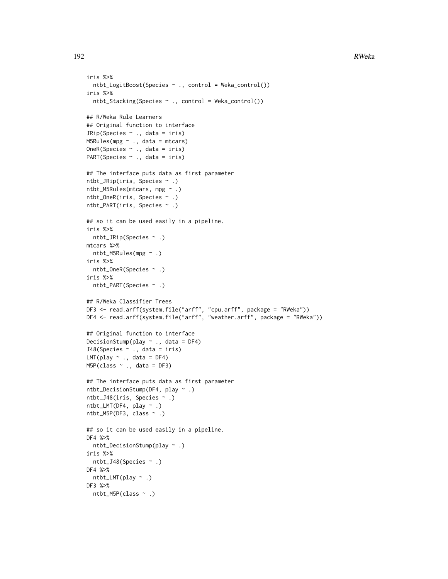```
iris %>%
  ntbt_LogitBoost(Species ~ ., control = Weka_control())
iris %>%
 ntbt_Stacking(Species ~ ., control = Weka_control())
## R/Weka Rule Learners
## Original function to interface
JRip(Species ~ ., data = iris)
M5Rules(mpg ~ ., data = mtcars)
OneR(Species ~ ., data = iris)
PART(Species ~ ., data = iris)
## The interface puts data as first parameter
ntbt_JRip(iris, Species ~ .)
ntbt_M5Rules(mtcars, mpg ~ .)
ntbt_OneR(iris, Species ~ .)
ntbt_PART(iris, Species ~ .)
## so it can be used easily in a pipeline.
iris %>%
 ntbt_JRip(Species ~ .)
mtcars %>%
 ntbt_M5Rules(mpg ~ .)
iris %>%
 ntbt_OneR(Species ~ .)
iris %>%
 ntbt_PART(Species ~ .)
## R/Weka Classifier Trees
DF3 <- read.arff(system.file("arff", "cpu.arff", package = "RWeka"))
DF4 <- read.arff(system.file("arff", "weather.arff", package = "RWeka"))
## Original function to interface
DecisionStump(play \sim ., data = DF4)
J48(Species ~ ., data = iris)
LMT(play ~ ., data = DF4)M5P(class ~ ~ ., data = DF3)## The interface puts data as first parameter
ntbt_DecisionStump(DF4, play ~ .)
ntbt_J48(iris, Species ~ .)
ntbt_LMT(DF4, play ~ .)
ntbt_M5P(DF3, class ~ .)
## so it can be used easily in a pipeline.
DF4 %>%
 ntbt_DecisionStump(play ~ .)
iris %>%
 ntbt_J48(Species ~ .)
DF4 %>%
 ntbt_LMT(play ~ .)
DF3 %>%
 ntbt_M5P(class ~ .)
```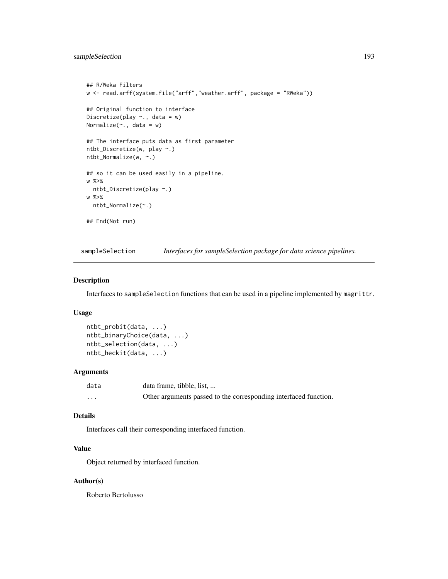```
## R/Weka Filters
w <- read.arff(system.file("arff","weather.arff", package = "RWeka"))
## Original function to interface
Discretize(play \sim., data = w)
Normalize(\sim., data = w)
## The interface puts data as first parameter
ntbt_Discretize(w, play ~.)
ntbt_Normalize(w, ~.)
## so it can be used easily in a pipeline.
w %>%
  ntbt_Discretize(play ~.)
w %>%
  ntbt_Normalize(~.)
## End(Not run)
```
sampleSelection *Interfaces for sampleSelection package for data science pipelines.*

### Description

Interfaces to sampleSelection functions that can be used in a pipeline implemented by magrittr.

### Usage

ntbt\_probit(data, ...) ntbt\_binaryChoice(data, ...) ntbt\_selection(data, ...) ntbt\_heckit(data, ...)

#### Arguments

| data     | data frame, tibble, list,                                        |
|----------|------------------------------------------------------------------|
| $\cdots$ | Other arguments passed to the corresponding interfaced function. |

## Details

Interfaces call their corresponding interfaced function.

# Value

Object returned by interfaced function.

#### Author(s)

Roberto Bertolusso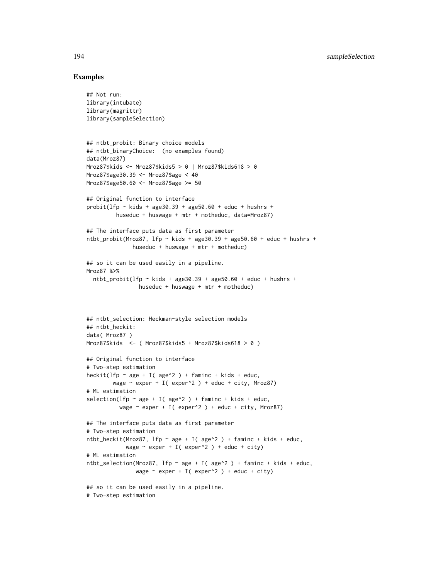```
## Not run:
library(intubate)
library(magrittr)
library(sampleSelection)
## ntbt_probit: Binary choice models
## ntbt_binaryChoice: (no examples found)
data(Mroz87)
Mroz87$kids <- Mroz87$kids5 > 0 | Mroz87$kids618 > 0
Mroz87$age30.39 <- Mroz87$age < 40
Mroz87$age50.60 <- Mroz87$age >= 50
## Original function to interface
probit(lfp \sim kids + age30.39 + age50.60 + educ + hushrs +
         huseduc + huswage + mtr + motheduc, data=Mroz87)
## The interface puts data as first parameter
ntbt_probit(Mroz87, 1fp ~ kids + age30.39 + age50.60 + educ + hushrs +
              huseduc + huswage + mtr + motheduc)
## so it can be used easily in a pipeline.
Mroz87 %>%
  ntbt_probit(lfp ~ kids + age30.39 + age50.60 + educ + hushrs +
                huseduc + huswage + mtr + motheduc)
## ntbt_selection: Heckman-style selection models
## ntbt_heckit:
data( Mroz87 )
Mroz87$kids <- ( Mroz87$kids5 + Mroz87$kids618 > 0 )
## Original function to interface
# Two-step estimation
heckit(lfp \sim age + I( age\textdegree2 ) + faminc + kids + educ,
        wage \sim exper + I( exper^2 ) + educ + city, Mroz87)
# ML estimation
selection(lfp \sim age + I( age\textdegree2 ) + faminc + kids + educ,
          wage \sim exper + I( exper<sup>^2</sup> ) + educ + city, Mroz87)
## The interface puts data as first parameter
# Two-step estimation
ntbt_heckit(Mroz87, lfp \sim age + I( age^2 ) + faminc + kids + educ,
            wage \sim exper + I( exper<sup>^2</sup> ) + educ + city)
# ML estimation
ntbt_selection(Mroz87, lfp \sim age + I( age^2 ) + faminc + kids + educ,
               wage \sim exper + I( exper^2 ) + educ + city)
## so it can be used easily in a pipeline.
# Two-step estimation
```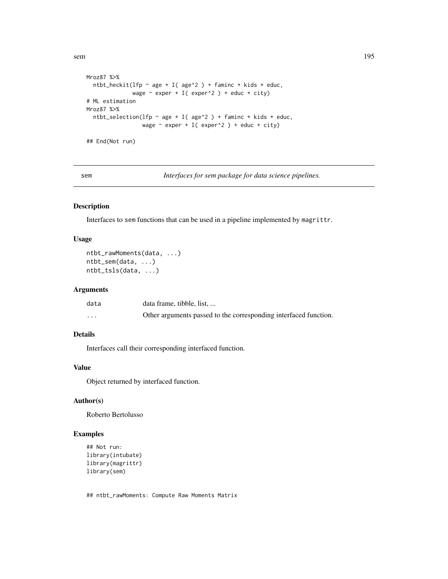sem and the set of the set of the set of the set of the set of the set of the set of the set of the set of the set of the set of the set of the set of the set of the set of the set of the set of the set of the set of the s

```
Mroz87 %>%
  ntbt_heckit(lfp \sim age + I( age\textdegree2 ) + faminc + kids + educ,
               wage \sim exper + I( exper^2 ) + educ + city)
# ML estimation
Mroz87 %>%
  ntbt_selection(lfp \sim age + I( age^2 ) + faminc + kids + educ,
                   wage \sim exper + I( exper<sup>^2</sup> ) + educ + city)
```
## End(Not run)

sem *Interfaces for sem package for data science pipelines.*

## Description

Interfaces to sem functions that can be used in a pipeline implemented by magrittr.

### Usage

```
ntbt_rawMoments(data, ...)
ntbt_sem(data, ...)
ntbt_tsls(data, ...)
```
## Arguments

| data     | data frame, tibble, list,                                        |
|----------|------------------------------------------------------------------|
| $\cdots$ | Other arguments passed to the corresponding interfaced function. |

## Details

Interfaces call their corresponding interfaced function.

### Value

Object returned by interfaced function.

### Author(s)

Roberto Bertolusso

## Examples

```
## Not run:
library(intubate)
library(magrittr)
library(sem)
```
## ntbt\_rawMoments: Compute Raw Moments Matrix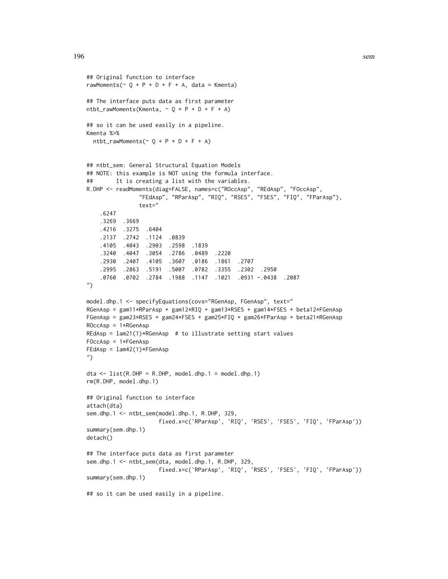```
## Original function to interface
rawMoments(\sim Q + P + D + F + A, data = Kmenta)
## The interface puts data as first parameter
ntbt_{rawMoments}(Kmenta, ~ Q + P + D + F + A)## so it can be used easily in a pipeline.
Kmenta %>%
 ntbt_rawMoments(\sim 0 + P + D + F + A)
## ntbt_sem: General Structural Equation Models
## NOTE: this example is NOT using the formula interface.
## It is creating a list with the variables.
R.DHP <- readMoments(diag=FALSE, names=c("ROccAsp", "REdAsp", "FOccAsp",
               "FEdAsp", "RParAsp", "RIQ", "RSES", "FSES", "FIQ", "FParAsp"),
               text="
    .6247
   .3269 .3669
   .4216 .3275 .6404
   .2137 .2742 .1124 .0839
   .4105 .4043 .2903 .2598 .1839
   .3240 .4047 .3054 .2786 .0489 .2220
    .2930 .2407 .4105 .3607 .0186 .1861 .2707
    .2995 .2863 .5191 .5007 .0782 .3355 .2302 .2950
    .0760 .0702 .2784 .1988 .1147 .1021 .0931 -.0438 .2087
")
model.dhp.1 <- specifyEquations(covs="RGenAsp, FGenAsp", text="
RGenAsp = gam11*RParAsp + gam12*RIQ + gam13*RSES + gam14*FSES + beta12*FGenAsp
FGenAsp = gam23*RSES + gam24*FSES + gam25*FIQ + gam26*FParAsp + beta21*RGenAsp
ROccAsp = 1*RGenAsp
REdAsp = lam21(1)*RGenAsp # to illustrate setting start valuesFOccAsp = 1*FGenAsp
FEdAsp = lam42(1)*FGenAsp")
dta <- list(R.DHP = R.DHP, model.dhp.1 = model.dhp.1)rm(R.DHP, model.dhp.1)
## Original function to interface
attach(dta)
sem.dhp.1 <- ntbt_sem(model.dhp.1, R.DHP, 329,
                     fixed.x=c('RParAsp', 'RIQ', 'RSES', 'FSES', 'FIQ', 'FParAsp'))
summary(sem.dhp.1)
detach()
## The interface puts data as first parameter
sem.dhp.1 <- ntbt_sem(dta, model.dhp.1, R.DHP, 329,
                     fixed.x=c('RParAsp', 'RIQ', 'RSES', 'FSES', 'FIQ', 'FParAsp'))
summary(sem.dhp.1)
## so it can be used easily in a pipeline.
```
196 sem and the semi-method of the semi-method semi-method semi-method semi-method semi-method semi-method sem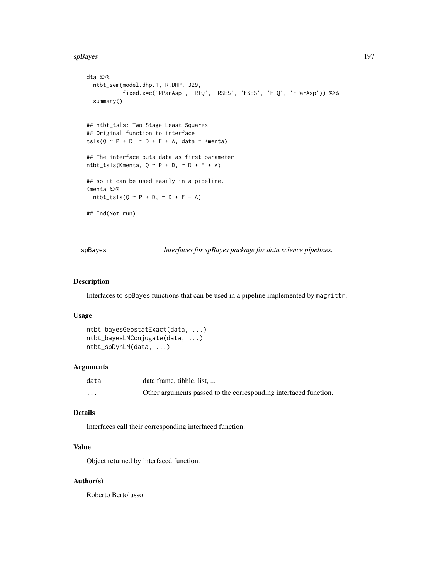#### spBayes 197

```
dta %>%
  ntbt_sem(model.dhp.1, R.DHP, 329,
           fixed.x=c('RParAsp', 'RIQ', 'RSES', 'FSES', 'FIQ', 'FParAsp')) %>%
  summary()
## ntbt_tsls: Two-Stage Least Squares
## Original function to interface
tsls(Q \sim P + D, \sim D + F + A, data = Kmenta)
## The interface puts data as first parameter
ntbt_tsls(Kmenta, Q \sim P + D, \sim D + F + A)
## so it can be used easily in a pipeline.
Kmenta %>%
  ntbt\_tsls(Q \sim P + D, \sim D + F + A)## End(Not run)
```
spBayes *Interfaces for spBayes package for data science pipelines.*

## Description

Interfaces to spBayes functions that can be used in a pipeline implemented by magrittr.

## Usage

```
ntbt_bayesGeostatExact(data, ...)
ntbt_bayesLMConjugate(data, ...)
ntbt_spDynLM(data, ...)
```
## Arguments

| data     | data frame, tibble, list,                                        |
|----------|------------------------------------------------------------------|
| $\cdots$ | Other arguments passed to the corresponding interfaced function. |

#### Details

Interfaces call their corresponding interfaced function.

## Value

Object returned by interfaced function.

### Author(s)

Roberto Bertolusso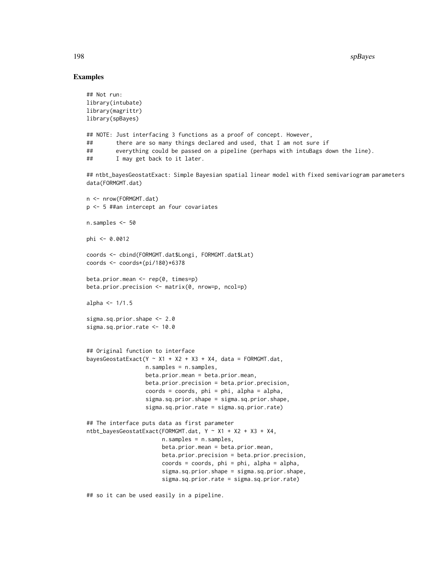### Examples

```
## Not run:
library(intubate)
library(magrittr)
library(spBayes)
## NOTE: Just interfacing 3 functions as a proof of concept. However,
## there are so many things declared and used, that I am not sure if
## everything could be passed on a pipeline (perhaps with intuBags down the line).
## I may get back to it later.
## ntbt_bayesGeostatExact: Simple Bayesian spatial linear model with fixed semivariogram parameters
data(FORMGMT.dat)
n <- nrow(FORMGMT.dat)
p <- 5 ##an intercept an four covariates
n.samples <- 50
phi <- 0.0012
coords <- cbind(FORMGMT.dat$Longi, FORMGMT.dat$Lat)
coords <- coords*(pi/180)*6378
beta.prior.mean <- rep(0, times=p)
beta.prior.precision <- matrix(0, nrow=p, ncol=p)
alpha \leq -1/1.5sigma.sq.prior.shape <- 2.0
sigma.sq.prior.rate <- 10.0
## Original function to interface
bayesGeostatExact(Y ~ X1 + X2 + X3 + X4, data = FORMGMT.dat,
                  n.samples = n.samples,
                  beta.prior.mean = beta.prior.mean,
                  beta.prior.precision = beta.prior.precision,
                  coords = coords, phi = phi, alpha = alpha,
                  sigma.sq.prior.shape = sigma.sq.prior.shape,
                  sigma.sq.prior.rate = sigma.sq.prior.rate)
## The interface puts data as first parameter
ntbt_bayesGeostatExact(FORMGMT.dat, Y ~ X1 + X2 + X3 + X4,
                       n.samples = n.samples,
                       beta.prior.mean = beta.prior.mean,
                       beta.prior.precision = beta.prior.precision,
                       coords = coords, phi = phi, alpha = alpha,
                       sigma.sq.prior.shape = sigma.sq.prior.shape,
                       sigma.sq.prior.rate = sigma.sq.prior.rate)
```
## so it can be used easily in a pipeline.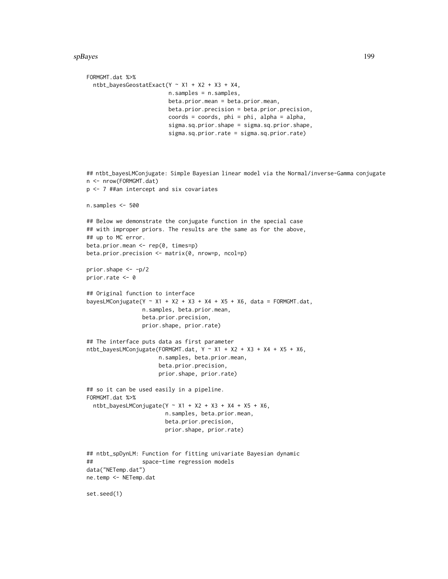```
FORMGMT.dat %>%
 ntbt_bayesGeostatExact(Y ~ X1 + X2 + X3 + X4,
                         n.samples = n.samples,
                         beta.prior.mean = beta.prior.mean,
                         beta.prior.precision = beta.prior.precision,
                         coords = coords, phi = phi, alpha = alpha,
                         sigma.sq.prior.shape = sigma.sq.prior.shape,
                         sigma.sq.prior.rate = sigma.sq.prior.rate)
## ntbt_bayesLMConjugate: Simple Bayesian linear model via the Normal/inverse-Gamma conjugate
n <- nrow(FORMGMT.dat)
p <- 7 ##an intercept and six covariates
n.samples <- 500
## Below we demonstrate the conjugate function in the special case
## with improper priors. The results are the same as for the above,
## up to MC error.
beta.prior.mean <- rep(0, times=p)
beta.prior.precision <- matrix(0, nrow=p, ncol=p)
prior.shape <- -p/2
prior.rate <- 0
## Original function to interface
bayesLMConjugate(Y ~ X1 + X2 + X3 + X4 + X5 + X6, data = FORMGMT.dat,
                 n.samples, beta.prior.mean,
                 beta.prior.precision,
                 prior.shape, prior.rate)
## The interface puts data as first parameter
ntbt_bayesLMConjugate(FORMGMT.dat, Y \sim X1 + X2 + X3 + X4 + X5 + X6,
                      n.samples, beta.prior.mean,
                      beta.prior.precision,
                      prior.shape, prior.rate)
## so it can be used easily in a pipeline.
FORMGMT.dat %>%
 ntbt_bayesLMConjugate(Y ~ X1 ~ + ~ X2 ~ + ~ X3 ~ + ~ X4 ~ + ~ X5 ~ + ~ X6,n.samples, beta.prior.mean,
                        beta.prior.precision,
                        prior.shape, prior.rate)
## ntbt_spDynLM: Function for fitting univariate Bayesian dynamic
## space-time regression models
data("NETemp.dat")
ne.temp <- NETemp.dat
set.seed(1)
```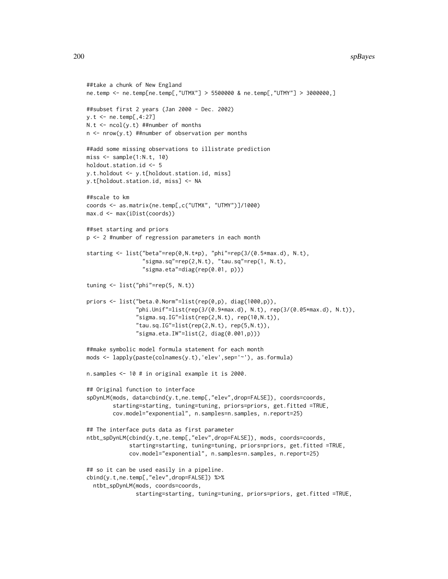#### 200 spBayes

```
##take a chunk of New England
ne.temp <- ne.temp[ne.temp[,"UTMX"] > 5500000 & ne.temp[,"UTMY"] > 3000000,]
##subset first 2 years (Jan 2000 - Dec. 2002)
y.t <- ne.temp[,4:27]
N.t < -ncol(y.t) ##number of months
n <- nrow(y.t) ##number of observation per months
##add some missing observations to illistrate prediction
miss < - sample(1:N.t, 10)holdout.station.id <- 5
y.t.holdout <- y.t[holdout.station.id, miss]
y.t[holdout.station.id, miss] <- NA
##scale to km
coords <- as.matrix(ne.temp[,c("UTMX", "UTMY")]/1000)
max.d <- max(iDist(coords))
##set starting and priors
p <- 2 #number of regression parameters in each month
starting <- list("beta"=rep(0,N.t*p), "phi"=rep(3/(0.5*max.d), N.t),
                 "sigma.sq"=rep(2,N.t), "tau.sq"=rep(1, N.t),
                 "sigma.eta"=diag(rep(0.01, p)))
tuning <- list("phi"=rep(5, N.t))
priors <- list("beta.0.Norm"=list(rep(0,p), diag(1000,p)),
               "phi.Unif"=list(rep(3/(0.9*max.d), N.t), rep(3/(0.05*max.d), N.t)),
               "sigma.sq.IG" = list(rep(2,N.t), rep(10,N.t)),"tau.sq.IG" = list(rep(2,N.t), rep(5,N.t)),"sigma.eta.IW"=list(2, diag(0.001,p)))
##make symbolic model formula statement for each month
mods <- lapply(paste(colnames(y.t),'elev',sep='~'), as.formula)
n.samples <- 10 # in original example it is 2000.
## Original function to interface
spDynLM(mods, data=cbind(y.t,ne.temp[,"elev",drop=FALSE]), coords=coords,
        starting=starting, tuning=tuning, priors=priors, get.fitted =TRUE,
        cov.model="exponential", n.samples=n.samples, n.report=25)
## The interface puts data as first parameter
ntbt_spDynLM(cbind(y.t,ne.temp[,"elev",drop=FALSE]), mods, coords=coords,
             starting=starting, tuning=tuning, priors=priors, get.fitted =TRUE,
             cov.model="exponential", n.samples=n.samples, n.report=25)
## so it can be used easily in a pipeline.
cbind(y.t,ne.temp[,"elev",drop=FALSE]) %>%
  ntbt_spDynLM(mods, coords=coords,
               starting=starting, tuning=tuning, priors=priors, get.fitted =TRUE,
```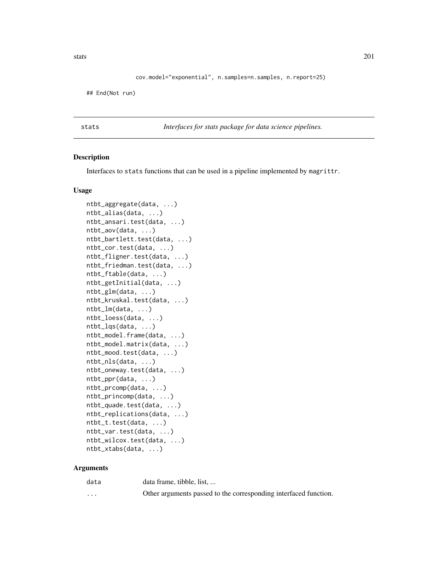stats 201

```
cov.model="exponential", n.samples=n.samples, n.report=25)
```
## End(Not run)

stats *Interfaces for stats package for data science pipelines.*

### Description

Interfaces to stats functions that can be used in a pipeline implemented by magrittr.

#### Usage

```
ntbt_aggregate(data, ...)
ntbt_alias(data, ...)
ntbt_ansari.test(data, ...)
ntbt_aov(data, ...)
ntbt_bartlett.test(data, ...)
ntbt_cor.test(data, ...)
ntbt_fligner.test(data, ...)
ntbt_friedman.test(data, ...)
ntbt_ftable(data, ...)
ntbt_getInitial(data, ...)
ntbt_glm(data, ...)
ntbt_kruskal.test(data, ...)
ntbt_lm(data, ...)
ntbt_loess(data, ...)
ntbt_lqs(data, ...)
ntbt_model.frame(data, ...)
ntbt_model.matrix(data, ...)
ntbt_mood.test(data, ...)
ntbt_nls(data, ...)
ntbt_oneway.test(data, ...)
ntbt_ppr(data, ...)
ntbt_prcomp(data, ...)
ntbt_princomp(data, ...)
ntbt_quade.test(data, ...)
ntbt_replications(data, ...)
ntbt_t.test(data, ...)
ntbt_var.test(data, ...)
ntbt_wilcox.test(data, ...)
ntbt_xtabs(data, ...)
```
### Arguments

| data     | data frame, tibble, list,                                        |
|----------|------------------------------------------------------------------|
| $\cdots$ | Other arguments passed to the corresponding interfaced function. |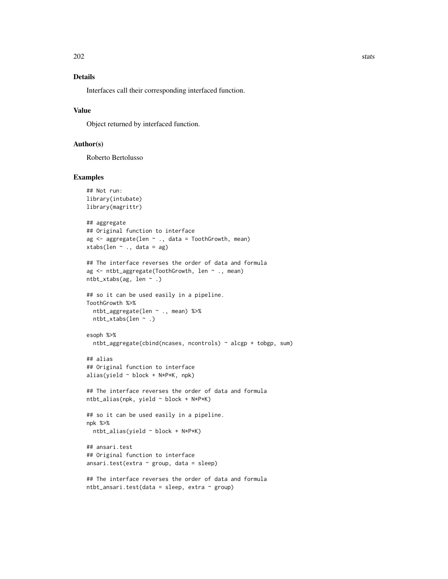# Details

Interfaces call their corresponding interfaced function.

## Value

Object returned by interfaced function.

### Author(s)

Roberto Bertolusso

```
## Not run:
library(intubate)
library(magrittr)
## aggregate
## Original function to interface
ag <- aggregate(len ~ ., data = ToothGrowth, mean)
xtabs(len \sim ., data = ag)
## The interface reverses the order of data and formula
ag <- ntbt_aggregate(ToothGrowth, len ~ ., mean)
ntbt_xtabs(ag, len ~ .)
## so it can be used easily in a pipeline.
ToothGrowth %>%
  ntbt_aggregate(len ~ ., mean) %>%
  ntbt_xtabs(len ~ .)
esoph %>%
  ntbt_aggregate(cbind(ncases, ncontrols) ~ alcgp + tobgp, sum)
## alias
## Original function to interface
alias(yield ~ block + N*P*K, npk)
## The interface reverses the order of data and formula
ntbt_alias(npk, yield ~ block + N*P*K)## so it can be used easily in a pipeline.
npk %>%
  ntbt_alias(yield ~ block + N*P*K)
## ansari.test
## Original function to interface
ansari.test(extra ~ group, data = sleep)
## The interface reverses the order of data and formula
ntbt\_ansari.test(data = sleep, extra ~ group)
```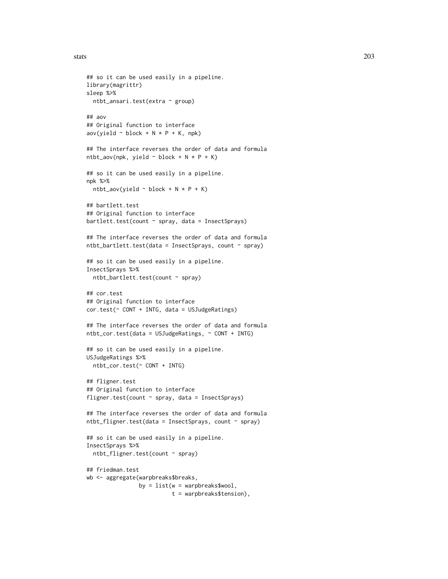```
stats 203
```

```
## so it can be used easily in a pipeline.
library(magrittr)
sleep %>%
 ntbt_ansari.test(extra ~ group)
## aov
## Original function to interface
aov(yield \sim block + N * P + K, npk)
## The interface reverses the order of data and formula
ntbt_aov(npk, yield ~ block + N * P + K)## so it can be used easily in a pipeline.
npk %>%
  ntbt_aov(yield ~ block ~ + N ~ * ~ P ~ + K)## bartlett.test
## Original function to interface
bartlett.test(count \sim spray, data = InsectSprays)
## The interface reverses the order of data and formula
ntbt_bartlett.test(data = InsectSprays, count \sim spray)
## so it can be used easily in a pipeline.
InsectSprays %>%
  ntbt_bartlett.test(count ~ spray)
## cor.test
## Original function to interface
cor.test(~ CONT + INTG, data = USJudgeRatings)
## The interface reverses the order of data and formula
ntbt_cor.test(data = USJudgeRatings, ~ CONT + INTG)
## so it can be used easily in a pipeline.
USJudgeRatings %>%
  ntbt_cor.test(~ CONT + INTG)
## fligner.test
## Original function to interface
fligner.test(count ~ spray, data = InsectSprays)
## The interface reverses the order of data and formula
ntbt_fligner.test(data = InsectSprays, count ~ spray)## so it can be used easily in a pipeline.
InsectSprays %>%
  ntbt_fligner.test(count ~ spray)
## friedman.test
wb <- aggregate(warpbreaks$breaks,
                by = list(w = warphreaks$wood),
                          t = warpbreaks$tension),
```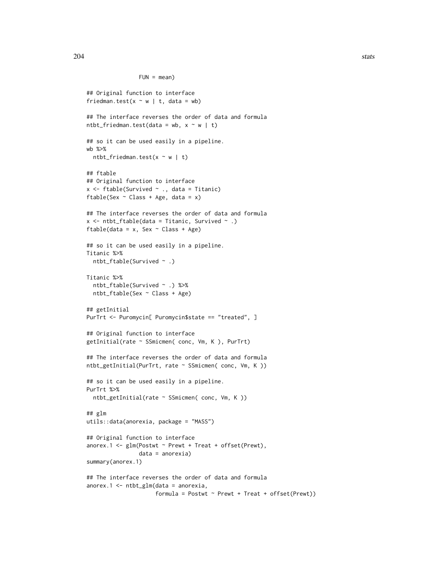```
FUN = mean)
```

```
## Original function to interface
friedman.test(x \sim w | t, data = wb)
## The interface reverses the order of data and formula
ntbt_friedman.test(data = wb, x ~ w | t)## so it can be used easily in a pipeline.
wb %>%
  ntbt_friedman.test(x \sim w | t)
## ftable
## Original function to interface
x \leftarrow ftable(Survived \sim ., data = Titanic)
ftable(Sex \sim Class + Age, data = x)
## The interface reverses the order of data and formula
x \le ntbt_ftable(data = Titanic, Survived \sim .)
ftable(data = x, Sex \sim Class + Age)
## so it can be used easily in a pipeline.
Titanic %>%
  ntbt_ftable(Survived ~ .)
Titanic %>%
  ntbt_ftable(Survived ~ .) %>%
  ntbt_ftable(Sex ~ Class + Age)
## getInitial
PurTrt <- Puromycin[ Puromycin$state == "treated", ]
## Original function to interface
getInitial(rate ~ SSmicmen( conc, Vm, K ), PurTrt)
## The interface reverses the order of data and formula
ntbt_getInitial(PurTrt, rate ~ SSmicmen( conc, Vm, K ))
## so it can be used easily in a pipeline.
PurTrt %>%
  ntbt_getInitial(rate ~ SSmicmen( conc, Vm, K ))
## glm
utils::data(anorexia, package = "MASS")
## Original function to interface
anorex.1 <- glm(Postwt ~ Prewt + Treat + offset(Prewt),
                data = anorexia)
summary(anorex.1)
## The interface reverses the order of data and formula
anorex.1 \leq -ntbt_glm(data = anorexia,formula = Postwt ~ Prewt + Treeat + offset(Prewt))
```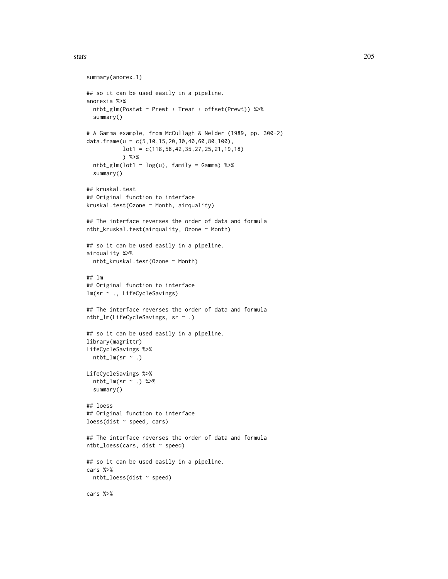#### stats 205

```
summary(anorex.1)
## so it can be used easily in a pipeline.
anorexia %>%
 ntbt_glm(Postwt ~ Prewt + Treat + offset(Prewt)) %>%
  summary()
# A Gamma example, from McCullagh & Nelder (1989, pp. 300-2)
data.frame(u = c(5, 10, 15, 20, 30, 40, 60, 80, 100),
          lot1 = c(118,58,42,35,27,25,21,19,18)
           ) %>%
  ntbt_glm(lot1 ~ log(u), family = Gamma) %>%
  summary()
## kruskal.test
## Original function to interface
kruskal.test(Ozone ~ Month, airquality)
## The interface reverses the order of data and formula
ntbt_kruskal.test(airquality, Ozone ~ Month)
## so it can be used easily in a pipeline.
airquality %>%
  ntbt_kruskal.test(Ozone ~ Month)
## lm
## Original function to interface
lm(sr ~ ., LifeCycleSavings)
## The interface reverses the order of data and formula
ntbt_lm(LifeCycleSavings, sr ~ .)
## so it can be used easily in a pipeline.
library(magrittr)
LifeCycleSavings %>%
  ntbt_lm(sr \sim .)LifeCycleSavings %>%
  ntbt_lm(sr \sim .) %>%
  summary()
## loess
## Original function to interface
loss(dist ~ speed, cars)
## The interface reverses the order of data and formula
ntbt_loess(cars, dist ~ speed)
## so it can be used easily in a pipeline.
cars %>%
  ntbt_loess(dist ~ speed)
cars %>%
```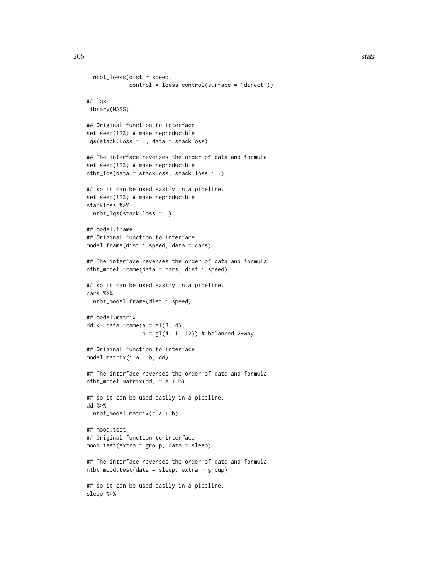```
ntbt_loess(dist ~ speed,
             control = loess.control(surface = "direct"))
## lqs
library(MASS)
## Original function to interface
set.seed(123) # make reproducible
lqs(stack.loss ~ ., data = stackloss)
## The interface reverses the order of data and formula
set.seed(123) # make reproducible
ntbt_lqs(data = stackloss, stack.loss ~ .)
## so it can be used easily in a pipeline.
set.seed(123) # make reproducible
stackloss %>%
  ntbt_lqs(stack.loss ~ .)
## model.frame
## Original function to interface
model.frame(dist \sim speed, data = cars)
## The interface reverses the order of data and formula
ntbt_model-frame(data = cars, dist ~ ~ speed)## so it can be used easily in a pipeline.
cars %>%
 ntbt_model.frame(dist ~ speed)
## model.matrix
dd \leq data.frame(a = gl(3, 4),
                 b = gl(4, 1, 12) # balanced 2-way
## Original function to interface
model.matrix(\sim a + b, dd)
## The interface reverses the order of data and formula
ntbt_model.matrix(dd, ~ a + b)## so it can be used easily in a pipeline.
dd %>%
 ntbt_model.matrix(~ a + b)
## mood.test
## Original function to interface
mood.test(extra ~ group, data = sleep)
## The interface reverses the order of data and formula
ntbt_mood.test(data = sleep, extra \sim group)
## so it can be used easily in a pipeline.
sleep %>%
```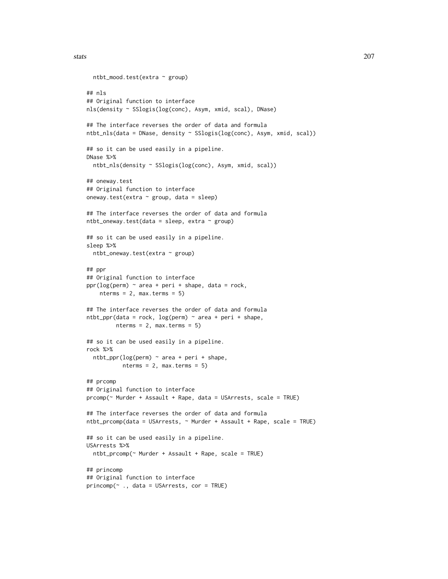```
ntbt_mood.test(extra ~ group)
## nls
## Original function to interface
nls(density ~ SSlogis(log(conc), Asym, xmid, scal), DNase)
## The interface reverses the order of data and formula
ntbt_nls(data = DNase, density ~ SSlogis(log(conc), Asym, xmid, scal))
## so it can be used easily in a pipeline.
DNase %>%
  ntbt_nls(density ~ SSlogis(log(conc), Asym, xmid, scal))
## oneway.test
## Original function to interface
oneway.test(extra ~ group, data = sleep)
## The interface reverses the order of data and formula
ntbt_oneway.test(data = sleep, extra \sim group)
## so it can be used easily in a pipeline.
sleep %>%
  ntbt_oneway.test(extra ~ group)
## ppr
## Original function to interface
ppr(log(perm) \sim area + peri + shape, data = rock,nterms = 2, max.terms = 5)
## The interface reverses the order of data and formula
ntbt\_ppr(data = rock, log(perm) ~ area + peri + shape,nterms = 2, max.terms = 5)
## so it can be used easily in a pipeline.
rock %>%
  ntbt_ppr(log(perm) ~ area + peri + shape,
           nterms = 2, max.terms = 5)
## prcomp
## Original function to interface
prcomp(~ Murder + Assault + Rape, data = USArrests, scale = TRUE)
## The interface reverses the order of data and formula
ntbt_prcomp(data = USArrests, ~ Murder + Assault + Rape, scale = TRUE)
## so it can be used easily in a pipeline.
USArrests %>%
  ntbt_prcomp(~ Murder + Assault + Rape, scale = TRUE)
## princomp
## Original function to interface
princomp(~ ., data = USArrests, cor = TRUE)
```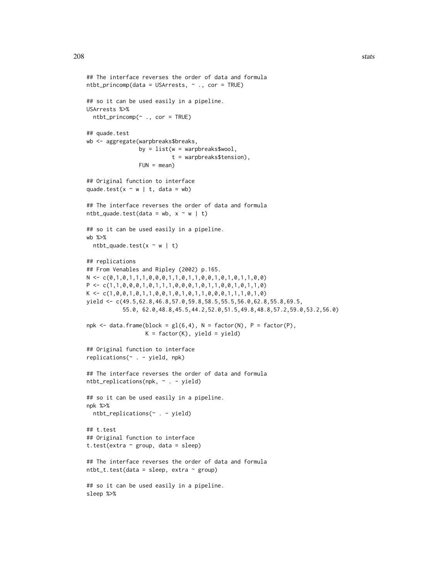```
## The interface reverses the order of data and formula
ntbt\_princomp(data = USArrests, ~ ~ ., cor = TRUE)## so it can be used easily in a pipeline.
USArrests %>%
 ntbt\_princomp(\sim ., cor = TRUE)## quade.test
wb <- aggregate(warpbreaks$breaks,
                by = list(w = warphreaks$wood),
                           t = warpbreaks$tension),
                FUN = mean)## Original function to interface
quade.test(x \sim w | t, data = wb)
## The interface reverses the order of data and formula
ntbt_quade.test(data = wb, x \sim w | t)
## so it can be used easily in a pipeline.
wb %>%
  ntbt_quad.test(x \sim w \mid t)## replications
## From Venables and Ripley (2002) p.165.
N <- c(0,1,0,1,1,1,0,0,0,1,1,0,1,1,0,0,1,0,1,0,1,1,0,0)
P \leftarrow c(1,1,0,0,0,1,0,1,1,1,0,0,0,1,0,1,1,0,0,1,0,1,1,0)K \leftarrow c(1, 0, 0, 1, 0, 1, 1, 0, 0, 1, 0, 1, 0, 1, 1, 0, 0, 0, 1, 1, 1, 0, 1, 0)yield <- c(49.5,62.8,46.8,57.0,59.8,58.5,55.5,56.0,62.8,55.8,69.5,
           55.0, 62.0,48.8,45.5,44.2,52.0,51.5,49.8,48.8,57.2,59.0,53.2,56.0)
npk <- data.frame(block = gl(6,4), N = factor(N), P = factor(P),
                  K = factor(K), yield = yield)
## Original function to interface
replications(~ . - yield, npk)
## The interface reverses the order of data and formula
ntbt_replications(npk, ~ . - yield)
## so it can be used easily in a pipeline.
npk %>%
 ntbt_replications(~ . - yield)
## t.test
## Original function to interface
t.test(extra \sim group, data = sleep)
## The interface reverses the order of data and formula
ntbt_t.test(data = sleep, extra ~ group)
```
## so it can be used easily in a pipeline. sleep %>%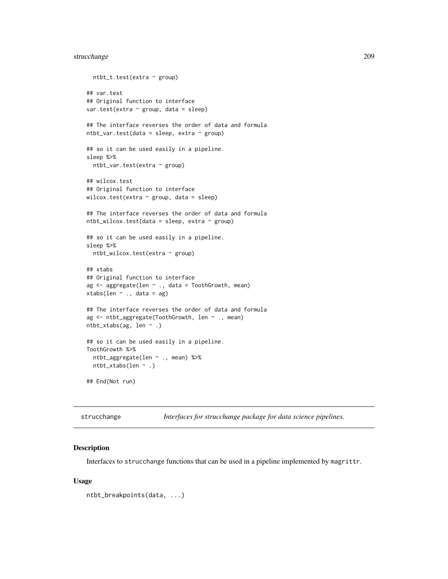## strucchange 209

```
ntbt_t.test(extra ~ group)
## var.test
## Original function to interface
var.test(extra ~ group, data = sleep)
## The interface reverses the order of data and formula
ntbt_var.test(data = sleep, extra ~ group)## so it can be used easily in a pipeline.
sleep %>%
  ntbt_var.test(extra ~ group)
## wilcox.test
## Original function to interface
wilcox.test(extra \sim group, data = sleep)
## The interface reverses the order of data and formula
ntbt_wilcox.test(data = sleep, extra ~ group)## so it can be used easily in a pipeline.
sleep %>%
  ntbt_wilcox.test(extra ~ group)
## xtabs
## Original function to interface
ag <- aggregate(len ~ ., data = ToothGrowth, mean)
xtabs(len ~ ., data = ag)
## The interface reverses the order of data and formula
ag <- ntbt_aggregate(ToothGrowth, len ~ ., mean)
ntbt_xtabs(ag, len ~ .)
## so it can be used easily in a pipeline.
ToothGrowth %>%
  ntbt_aggregate(len ~ ., mean) %>%
  ntbt_xtabs(len ~ .)
## End(Not run)
```
strucchange *Interfaces for strucchange package for data science pipelines.*

### Description

Interfaces to strucchange functions that can be used in a pipeline implemented by magrittr.

#### Usage

```
ntbt_breakpoints(data, ...)
```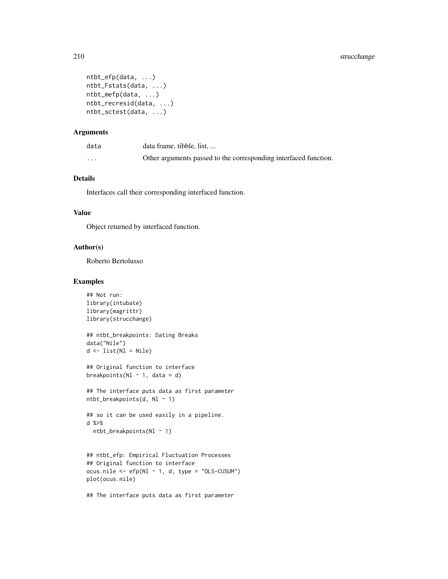```
ntbt_efp(data, ...)
ntbt_Fstats(data, ...)
ntbt_mefp(data, ...)
ntbt_recresid(data, ...)
ntbt_sctest(data, ...)
```
### Arguments

| data    | data frame, tibble, list,                                        |
|---------|------------------------------------------------------------------|
| $\cdot$ | Other arguments passed to the corresponding interfaced function. |

### Details

Interfaces call their corresponding interfaced function.

### Value

Object returned by interfaced function.

#### Author(s)

Roberto Bertolusso

### Examples

```
## Not run:
library(intubate)
library(magrittr)
library(strucchange)
```

```
## ntbt_breakpoints: Dating Breaks
data("Nile")
d \le -\text{list}(Nl = \text{Nile})
```

```
## Original function to interface
breakpoints(Nl \sim 1, data = d)
```

```
## The interface puts data as first parameter
ntbt_breakpoints(d, Nl ~ 1)
```

```
## so it can be used easily in a pipeline.
d %>%
 ntbt_breakpoints(Nl ~ 1)
```

```
## ntbt_efp: Empirical Fluctuation Processes
## Original function to interface
ocus.nile <- efp(Nl - 1, d, type = "OLS-CUSUM")plot(ocus.nile)
```
## The interface puts data as first parameter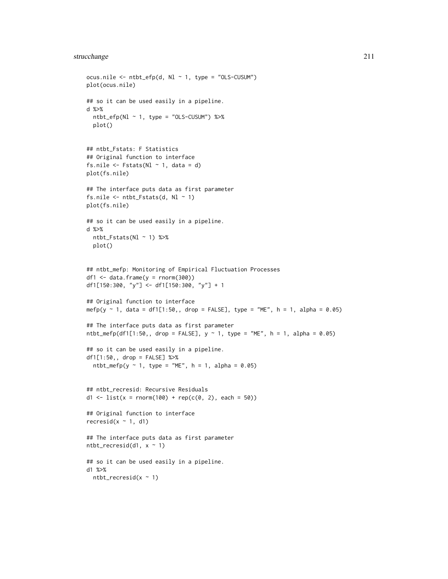## strucchange 211

```
ocus.nile <- ntbt_efp(d, Nl ~ 1, type = "OLS-CUSUM")plot(ocus.nile)
## so it can be used easily in a pipeline.
d %>%
 ntbt_efp(Nl \sim 1, type = "OLS-CUSUM") %>%
  plot()
## ntbt_Fstats: F Statistics
## Original function to interface
fs.nile \leq Fstats(Nl \sim 1, data = d)
plot(fs.nile)
## The interface puts data as first parameter
fs.nile \leq ntbt_Fstats(d, Nl \sim 1)
plot(fs.nile)
## so it can be used easily in a pipeline.
d %>%
 ntbt_Fstats(Nl ~ 1) %>%
 plot()
## ntbt_mefp: Monitoring of Empirical Fluctuation Processes
df1 \le data.frame(y = rnorm(300))
df1[150:300, "y"] <- df1[150:300, "y"] + 1
## Original function to interface
mefp(y ~ 1, data = df1[1:50,, drop = FALSE], type = "ME", h = 1, alpha = 0.05)
## The interface puts data as first parameter
ntbt_mefp(df1[1:50,, drop = FALSE], y \sim 1, type = "ME", h = 1, alpha = 0.05)
## so it can be used easily in a pipeline.
df1[1:50,, drop = FALSE] %>%
  ntbt_mefp(y \sim 1, type = "ME", h = 1, alpha = 0.05)## ntbt_recresid: Recursive Residuals
d1 <- list(x = rnorm(100) + rep(c(0, 2), each = 50))
## Original function to interface
recresid(x \sim 1, d1)
## The interface puts data as first parameter
ntbt\_recresid(d1, x ~ 1)## so it can be used easily in a pipeline.
d1 %>%
  ntbt\_recreasing(x \sim 1)
```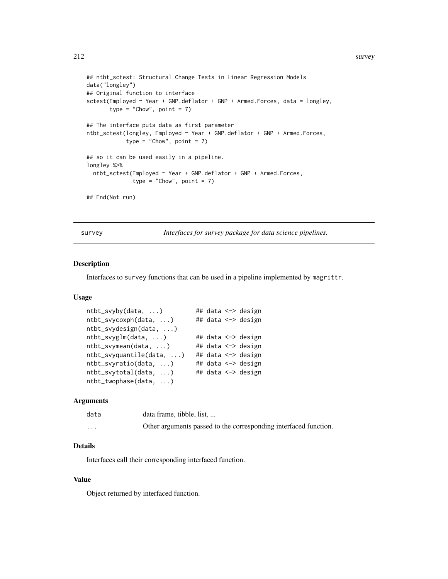```
## ntbt_sctest: Structural Change Tests in Linear Regression Models
data("longley")
## Original function to interface
sctest(Employed ~ Year + GNP.deflator + GNP + Armed.Forces, data = longley,
      type = "Chow", point = 7)
## The interface puts data as first parameter
ntbt_sctest(longley, Employed ~ Year + GNP.deflator + GNP + Armed.Forces,
            type = "Chow", point = 7)
## so it can be used easily in a pipeline.
longley %>%
 ntbt_sctest(Employed ~ Year + GNP.deflator + GNP + Armed.Forces,
              type = "Chow", point = 7)
## End(Not run)
```
survey *Interfaces for survey package for data science pipelines.*

#### Description

Interfaces to survey functions that can be used in a pipeline implemented by magrittr.

#### Usage

```
ntbt_svyby(data, ...) ## data <-> design
ntbt_svycoxph(data, ...) ## data <-> design
ntbt_svydesign(data, ...)
ntbt_svyglm(data, ...) ## data <-> design
ntbt_svymean(data, ...) ## data <-> design
ntbt_svyquantile(data, ...) ## data <-> design
ntbt_svyratio(data, ...) ## data <-> design
ntbt_svytotal(data, ...) ## data <-> design
ntbt_twophase(data, ...)
```
#### Arguments

| data     | data frame, tibble, list,                                        |
|----------|------------------------------------------------------------------|
| $\cdots$ | Other arguments passed to the corresponding interfaced function. |

# Details

Interfaces call their corresponding interfaced function.

## Value

Object returned by interfaced function.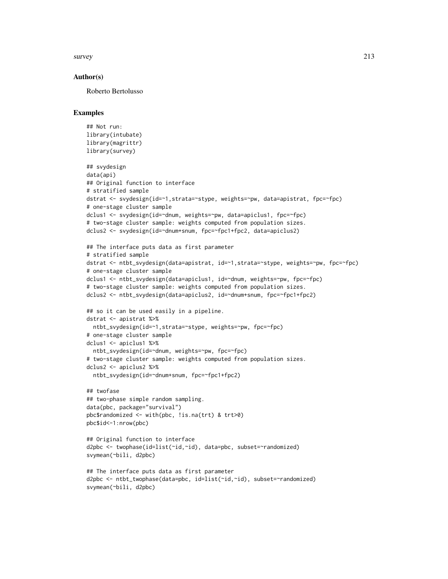survey 213

### Author(s)

Roberto Bertolusso

```
## Not run:
library(intubate)
library(magrittr)
library(survey)
## svydesign
data(api)
## Original function to interface
# stratified sample
dstrat <- svydesign(id=~1,strata=~stype, weights=~pw, data=apistrat, fpc=~fpc)
# one-stage cluster sample
dclus1 <- svydesign(id=~dnum, weights=~pw, data=apiclus1, fpc=~fpc)
# two-stage cluster sample: weights computed from population sizes.
dclus2 <- svydesign(id=~dnum+snum, fpc=~fpc1+fpc2, data=apiclus2)
## The interface puts data as first parameter
# stratified sample
dstrat <- ntbt_svydesign(data=apistrat, id=~1,strata=~stype, weights=~pw, fpc=~fpc)
# one-stage cluster sample
dclus1 <- ntbt_svydesign(data=apiclus1, id=~dnum, weights=~pw, fpc=~fpc)
# two-stage cluster sample: weights computed from population sizes.
dclus2 <- ntbt_svydesign(data=apiclus2, id=~dnum+snum, fpc=~fpc1+fpc2)
## so it can be used easily in a pipeline.
dstrat <- apistrat %>%
  ntbt_svydesign(id=~1,strata=~stype, weights=~pw, fpc=~fpc)
# one-stage cluster sample
dclus1 <- apiclus1 %>%
  ntbt_svydesign(id=~dnum, weights=~pw, fpc=~fpc)
# two-stage cluster sample: weights computed from population sizes.
dclus2 <- apiclus2 %>%
  ntbt_svydesign(id=~dnum+snum, fpc=~fpc1+fpc2)
## twofase
## two-phase simple random sampling.
data(pbc, package="survival")
pbc$randomized <- with(pbc, !is.na(trt) & trt>0)
pbc$id<-1:nrow(pbc)
## Original function to interface
d2pbc <- twophase(id=list(~id,~id), data=pbc, subset=~randomized)
svymean(~bili, d2pbc)
## The interface puts data as first parameter
d2pbc <- ntbt_twophase(data=pbc, id=list(~id,~id), subset=~randomized)
svymean(~bili, d2pbc)
```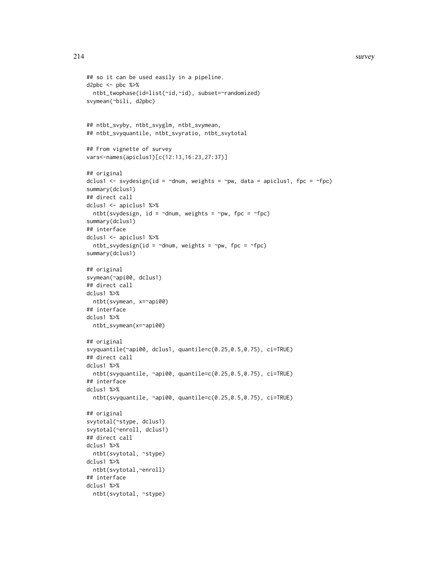```
## so it can be used easily in a pipeline.
d2pbc \leq pbc %>%
  ntbt_twophase(id=list(~id,~id), subset=~randomized)
svymean(~bili, d2pbc)
## ntbt_svyby, ntbt_svyglm, ntbt_svymean,
## ntbt_svyquantile, ntbt_svyratio, ntbt_svytotal
## From vignette of survey
vars<-names(apiclus1)[c(12:13,16:23,27:37)]
## original
dclus1 <- svydesign(id = \simdnum, weights = \simpw, data = apiclus1, fpc = \simfpc)
summary(dclus1)
## direct call
dclus1 <- apiclus1 %>%
  ntbt(svydesign, id = \simdnum, weights = \simpw, fpc = \simfpc)
summary(dclus1)
## interface
dclus1 <- apiclus1 %>%
 ntbt_svydesign(id = \simdnum, weights = \simpw, fpc = \simfpc)
summary(dclus1)
## original
svymean(~api00, dclus1)
## direct call
dclus1 %>%
 ntbt(svymean, x=~api00)
## interface
dclus1 %>%
 ntbt_svymean(x=~api00)
## original
svyquantile(~api00, dclus1, quantile=c(0.25,0.5,0.75), ci=TRUE)
## direct call
dclus1 %>%
  ntbt(svyquantile, ~api00, quantile=c(0.25,0.5,0.75), ci=TRUE)
## interface
dclus1 %>%
  ntbt(svyquantile, ~api00, quantile=c(0.25,0.5,0.75), ci=TRUE)
## original
svytotal(~stype, dclus1)
svytotal(~enroll, dclus1)
## direct call
dclus1 %>%
  ntbt(svytotal, ~stype)
dclus1 %>%
 ntbt(svytotal,~enroll)
## interface
dclus1 %>%
  ntbt(svytotal, ~stype)
```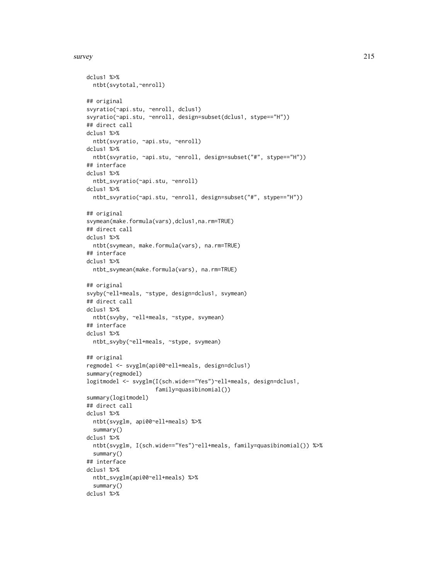#### survey 215

```
dclus1 %>%
 ntbt(svytotal,~enroll)
## original
svyratio(~api.stu, ~enroll, dclus1)
svyratio(~api.stu, ~enroll, design=subset(dclus1, stype=="H"))
## direct call
dclus1 %>%
  ntbt(svyratio, ~api.stu, ~enroll)
dclus1 %>%
  ntbt(svyratio, ~api.stu, ~enroll, design=subset("#", stype=="H"))
## interface
dclus1 %>%
  ntbt_svyratio(~api.stu, ~enroll)
dclus1 %>%
  ntbt_svyratio(~api.stu, ~enroll, design=subset("#", stype=="H"))
## original
svymean(make.formula(vars),dclus1,na.rm=TRUE)
## direct call
dclus1 %>%
 ntbt(svymean, make.formula(vars), na.rm=TRUE)
## interface
dclus1 %>%
 ntbt_svymean(make.formula(vars), na.rm=TRUE)
## original
svyby(~ell+meals, ~stype, design=dclus1, svymean)
## direct call
dclus1 %>%
 ntbt(svyby, ~ell+meals, ~stype, svymean)
## interface
dclus1 %>%
  ntbt_svyby(~ell+meals, ~stype, svymean)
## original
regmodel <- svyglm(api00~ell+meals, design=dclus1)
summary(regmodel)
logitmodel <- svyglm(I(sch.wide=="Yes")~ell+meals, design=dclus1,
                     family=quasibinomial())
summary(logitmodel)
## direct call
dclus1 %>%
  ntbt(svyglm, api00~ell+meals) %>%
  summary()
dclus1 %>%
  ntbt(svyglm, I(sch.wide=="Yes")~ell+meals, family=quasibinomial()) %>%
  summary()
## interface
dclus1 %>%
  ntbt_svyglm(api00~ell+meals) %>%
  summary()
dclus1 %>%
```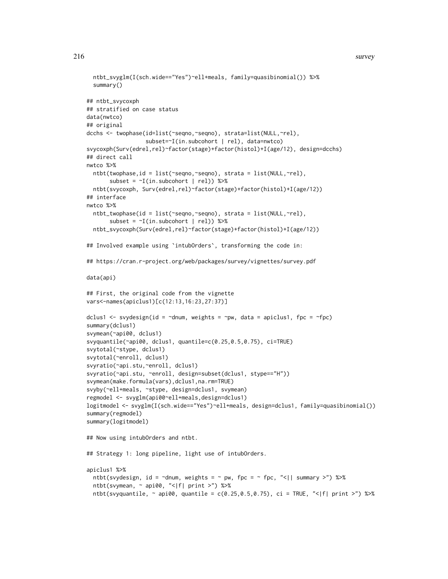```
ntbt_svyglm(I(sch.wide=="Yes")~ell+meals, family=quasibinomial()) %>%
 summary()
## ntbt_svycoxph
## stratified on case status
data(nwtco)
## original
dcchs <- twophase(id=list(~seqno,~seqno), strata=list(NULL,~rel),
                  subset=~I(in.subcohort | rel), data=nwtco)
svycoxph(Surv(edrel,rel)~factor(stage)+factor(histol)+I(age/12), design=dcchs)
## direct call
nwtco %>%
 ntbt(twophase,id = list(~seqno,~seqno), strata = list(NULL,~rel),
       subset = \sim I(in.subcohort | rel)) %>%
 ntbt(svycoxph, Surv(edrel,rel)~factor(stage)+factor(histol)+I(age/12))
## interface
nwtco %>%
 ntbt_twophase(id = list(~seqno,~seqno), strata = list(NULL,~rel),
       subset = \sim I(in.subcohort \mid rel)) %>%
 ntbt_svycoxph(Surv(edrel,rel)~factor(stage)+factor(histol)+I(age/12))
## Involved example using `intubOrders`, transforming the code in:
## https://cran.r-project.org/web/packages/survey/vignettes/survey.pdf
data(api)
## First, the original code from the vignette
vars<-names(apiclus1)[c(12:13,16:23,27:37)]
dclus1 <- svydesign(id = \simdnum, weights = \simpw, data = apiclus1, fpc = \simfpc)
summary(dclus1)
svymean(~api00, dclus1)
svyquantile(~api00, dclus1, quantile=c(0.25,0.5,0.75), ci=TRUE)
svytotal(~stype, dclus1)
svytotal(~enroll, dclus1)
svyratio(~api.stu,~enroll, dclus1)
svyratio(~api.stu, ~enroll, design=subset(dclus1, stype=="H"))
svymean(make.formula(vars),dclus1,na.rm=TRUE)
svyby(~ell+meals, ~stype, design=dclus1, svymean)
regmodel <- svyglm(api00~ell+meals,design=dclus1)
logitmodel <- svyglm(I(sch.wide=="Yes")~ell+meals, design=dclus1, family=quasibinomial())
summary(regmodel)
summary(logitmodel)
## Now using intubOrders and ntbt.
## Strategy 1: long pipeline, light use of intubOrders.
apiclus1 %>%
 ntbt(svydesign, id = ~dnum, weights = ~ pw, fpc = ~ fpc, "<|| summary >") %\gg%
 ntbt(svymean, ~ api00, "<|f| print >") %>%
 ntbt(svyquantile, \sim api00, quantile = c(0.25,0.5,0.75), ci = TRUE, "<|f| print >") %>%
```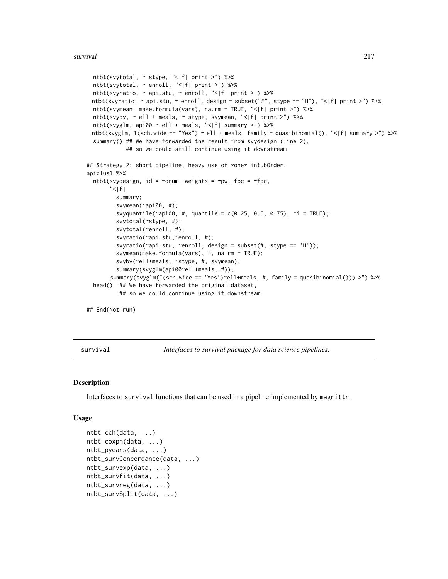```
ntbt(svytotal, ~ stype, "<|f| print >") %>%
 ntbt(svytotal, ~ enroll, "<|f| print >") %>%
 ntbt(svyratio, ~ api.stu, ~ enroll, "<|f| print >") %>%
 ntbt(svyratio, ~ api.stu, ~ enroll, design = subset("#", stype == "H"), "<|f| print >") %>%
 ntbt(svymean, make.formula(vars), na.rm = TRUE, "<|f| print >") %>%
 ntbt(svyby, ~ ell + meals, ~ stype, svymean, "<|f| print >") %>%
 ntbt(svyglm, api00 ~ ell + meals, "<|f| summary >") %>%
 ntbt(svyglm, I(sch.wide == "Yes") ~ ell + meals, family = quasibinomial(), "<|f| summary >") %>%
 summary() ## We have forwarded the result from svydesign (line 2),
            ## so we could still continue using it downstream.
## Strategy 2: short pipeline, heavy use of *one* intubOrder.
apiclus1 %>%
 ntbt(svydesign, id = \simdnum, weights = \simpw, fpc = \simfpc,
       " < |f|summary;
        svymean(~api00, #);
        svyquantile(\text{capi00}, \#, quantile = c(0.25, 0.5, 0.75), ci = TRUE);
        svytotal(~stype, #);
        svytotal(~enroll, #);
        svyratio(~api.stu,~enroll, #);
         svyratio(capi.stu, renroll, design = subset(#, stype == 'H'));
         svymean(make.formula(vars), #, na.rm = TRUE);
         svyby(~ell+meals, ~stype, #, svymean);
         summary(svyglm(api00~ell+meals, #));
       summary(svyglm(I(sch.wide == 'Yes')~ell+meals, #, family = quasibinomial())) >") %>%
 head() ## We have forwarded the original dataset,
          ## so we could continue using it downstream.
```
## End(Not run)

survival *Interfaces to survival package for data science pipelines.*

#### **Description**

Interfaces to survival functions that can be used in a pipeline implemented by magrittr.

#### Usage

```
ntbt_cch(data, ...)
ntbt_coxph(data, ...)
ntbt_pyears(data, ...)
ntbt_survConcordance(data, ...)
ntbt_survexp(data, ...)
ntbt_survfit(data, ...)
ntbt_survreg(data, ...)
ntbt_survSplit(data, ...)
```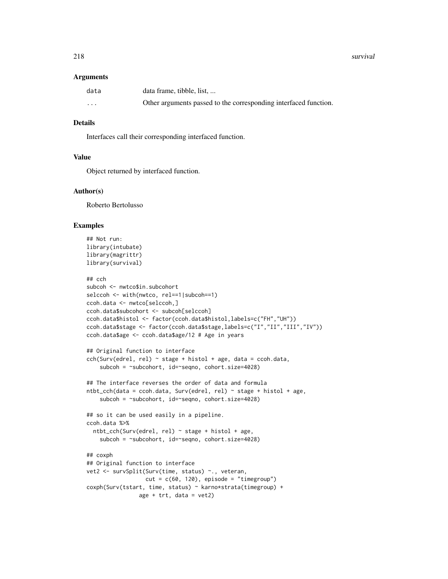#### Arguments

| data     | data frame, tibble, list,                                        |
|----------|------------------------------------------------------------------|
| $\cdots$ | Other arguments passed to the corresponding interfaced function. |

# Details

Interfaces call their corresponding interfaced function.

# Value

Object returned by interfaced function.

# Author(s)

Roberto Bertolusso

# Examples

```
## Not run:
library(intubate)
library(magrittr)
library(survival)
## cch
subcoh <- nwtco$in.subcohort
selccoh <- with(nwtco, rel==1|subcoh==1)
ccoh.data <- nwtco[selccoh,]
ccoh.data$subcohort <- subcoh[selccoh]
ccoh.data$histol <- factor(ccoh.data$histol,labels=c("FH","UH"))
ccoh.data$stage <- factor(ccoh.data$stage,labels=c("I","II","III","IV"))
ccoh.data$age <- ccoh.data$age/12 # Age in years
## Original function to interface
cch(Surv(edrel, rel) ~ stage + histol + age, data = ccoh.data,
    subcoh = ~subcohort, id=~seqno, cohort.size=4028)
## The interface reverses the order of data and formula
ntbt_cch(data = ccoh.data, Survey(cderel, rel) ~ stage + histol + age,subcoh = ~subcohort, id=~seqno, cohort.size=4028)
## so it can be used easily in a pipeline.
ccoh.data %>%
  ntbt_cch(Surv(edrel, rel) ~ stage + histol + age,
    subcoh = ~subcohort, id=~seqno, cohort.size=4028)
## coxph
## Original function to interface
vet2 <- survSplit(Surv(time, status) ~., veteran,
                  cut = c(60, 120), episode = "timegroup")
coxph(Surv(tstart, time, status) ~ karno*strata(timegroup) +
                age + trt, data = vet2)
```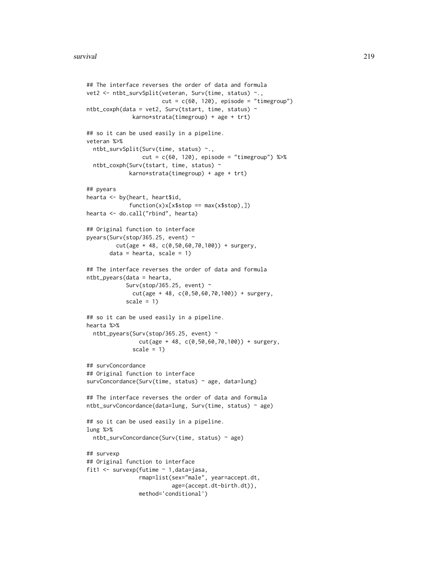```
## The interface reverses the order of data and formula
vet2 <- ntbt_survSplit(veteran, Surv(time, status) ~.,
                       cut = c(60, 120), episode = "timegroup")
ntbt_{covph}(data = vet2, Surv(tstart, time, status) ~karno*strata(timegroup) + age + trt)
## so it can be used easily in a pipeline.
veteran %>%
  ntbt_survSplit(Surv(time, status) ~.,
                 cut = c(60, 120), episode = "timegroup") %>%
  ntbt_coxph(Surv(tstart, time, status) ~
             karno*strata(timegroup) + age + trt)
## pyears
hearta <- by(heart, heart$id,
             function(x)x[x$stop == max(x$stop),])
hearta <- do.call("rbind", hearta)
## Original function to interface
pyears(Surv(stop/365.25, event) ~
         cut(age + 48, c(0,50,60,70,100)) + surgery,
       data = hearta, scale = 1)## The interface reverses the order of data and formula
ntbt_pyears(data = hearta,
            Surv(stop/365.25, event) \simcut(age + 48, c(0,50,60,70,100)) + surgery,
            scale = 1)
## so it can be used easily in a pipeline.
hearta %>%
  ntbt_pyears(Surv(stop/365.25, event) ~
                cut(age + 48, c(0,50,60,70,100)) + surgery,
              scale = 1)
## survConcordance
## Original function to interface
survConcordance(Surv(time, status) ~ age, data=lung)
## The interface reverses the order of data and formula
ntbt_survConcordance(data=lung, Surv(time, status) ~ age)
## so it can be used easily in a pipeline.
lung %>%
  ntbt_survConcordance(Surv(time, status) ~ age)
## survexp
## Original function to interface
fit1 <- survexp(futime ~ 1,data=jasa,
                rmap=list(sex="male", year=accept.dt,
                          age=(accept.dt-birth.dt)),
                method='conditional')
```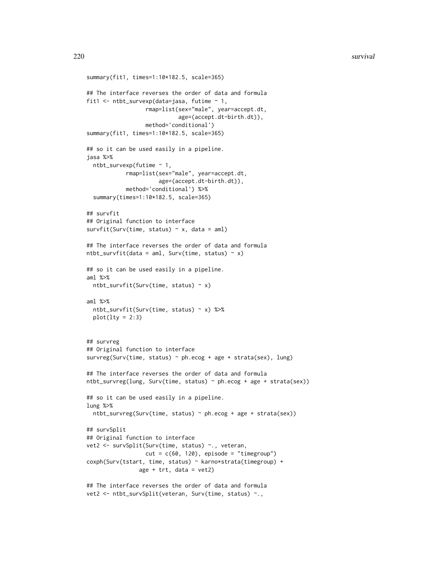```
summary(fit1, times=1:10*182.5, scale=365)
## The interface reverses the order of data and formula
fit1 <- ntbt_survexp(data=jasa, futime ~ 1,
                  rmap=list(sex="male", year=accept.dt,
                            age=(accept.dt-birth.dt)),
                  method='conditional')
summary(fit1, times=1:10*182.5, scale=365)
## so it can be used easily in a pipeline.
jasa %>%
  ntbt_survexp(futime ~ 1,
            rmap=list(sex="male", year=accept.dt,
                      age=(accept.dt-birth.dt)),
            method='conditional') %>%
  summary(times=1:10*182.5, scale=365)
## survfit
## Original function to interface
survfit(Surv(time, status) \sim x, data = aml)
## The interface reverses the order of data and formula
ntbt_survfit(data = aml, Surv(time, status) \sim x)
## so it can be used easily in a pipeline.
aml %>%
  ntbt_survfit(Surv(time, status) \sim x)
aml %>%
  ntbt_survfit(Surv(time, status) ~ x) %>%
  plot(lty = 2:3)## survreg
## Original function to interface
survreg(Surv(time, status) ~ ph.ecog + age + strata(sex), lung)
## The interface reverses the order of data and formula
ntbt_survreg(lung, Surv(time, status) ~ ph.ecog + age + strata(sex))
## so it can be used easily in a pipeline.
lung %>%
  ntbt_survreg(Surv(time, status) ~ ph.ecog + age + strata(sex))
## survSplit
## Original function to interface
vet2 <- survSplit(Surv(time, status) ~., veteran,
                  cut = c(60, 120), episode = "timegroup")
coxph(Surv(tstart, time, status) ~ karno*strata(timegroup) +
                age + trt, data = vet2)
## The interface reverses the order of data and formula
```

```
vet2 <- ntbt_survSplit(veteran, Surv(time, status) ~.,
```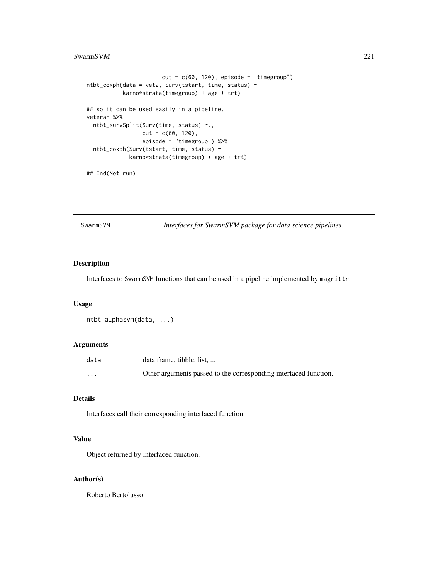#### <span id="page-220-0"></span>SwarmSVM 221

```
cut = c(60, 120), episode = "timegroup")
ntbt\_coxph(data = vet2, Surv(tstart, time, status) ~karno*strata(timegroup) + age + trt)
## so it can be used easily in a pipeline.
veteran %>%
 ntbt_survSplit(Surv(time, status) ~.,
                cut = c(60, 120),
                 episode = "timegroup") %>%
 ntbt_coxph(Surv(tstart, time, status) ~
            karno*strata(timegroup) + age + trt)
```
## End(Not run)

SwarmSVM *Interfaces for SwarmSVM package for data science pipelines.*

# Description

Interfaces to SwarmSVM functions that can be used in a pipeline implemented by magrittr.

#### Usage

```
ntbt_alphasvm(data, ...)
```
# Arguments

| data     | data frame, tibble, list                                         |
|----------|------------------------------------------------------------------|
| $\cdots$ | Other arguments passed to the corresponding interfaced function. |

# Details

Interfaces call their corresponding interfaced function.

# Value

Object returned by interfaced function.

# Author(s)

Roberto Bertolusso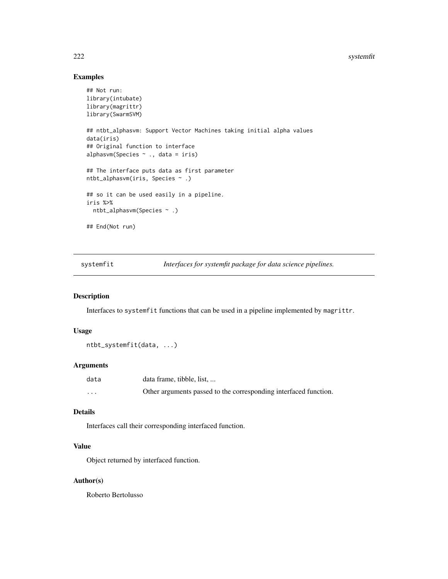#### <span id="page-221-0"></span>222 systemfit and the system of the system of the system of the system of the system of the system of the system of the system of the system of the system of the system of the system of the system of the system of the syst

# Examples

```
## Not run:
library(intubate)
library(magrittr)
library(SwarmSVM)
## ntbt_alphasvm: Support Vector Machines taking initial alpha values
data(iris)
## Original function to interface
alphasvm(Species ~ ., data = iris)
## The interface puts data as first parameter
ntbt_alphasvm(iris, Species ~ .)
## so it can be used easily in a pipeline.
iris %>%
  ntbt_alphasvm(Species ~ .)
## End(Not run)
```
systemfit *Interfaces for systemfit package for data science pipelines.*

#### Description

Interfaces to systemfit functions that can be used in a pipeline implemented by magrittr.

# Usage

```
ntbt_systemfit(data, ...)
```
# Arguments

| data     | data frame, tibble, list,                                        |
|----------|------------------------------------------------------------------|
| $\cdots$ | Other arguments passed to the corresponding interfaced function. |

# Details

Interfaces call their corresponding interfaced function.

# Value

Object returned by interfaced function.

# Author(s)

Roberto Bertolusso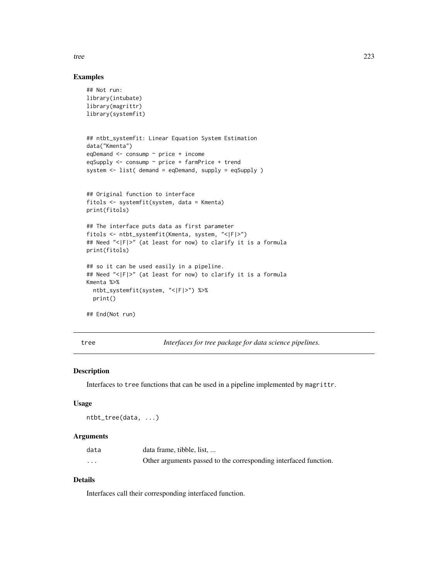<span id="page-222-0"></span>tree 223

# Examples

```
## Not run:
library(intubate)
library(magrittr)
library(systemfit)
## ntbt_systemfit: Linear Equation System Estimation
data("Kmenta")
eqDemand <- consump ~ price + income
eqSupply <- consump ~ price + farmPrice + trend
system <- list( demand = eqDemand, supply = eqSupply )
## Original function to interface
fitols <- systemfit(system, data = Kmenta)
print(fitols)
## The interface puts data as first parameter
fitols <- ntbt_systemfit(Kmenta, system, "<|F|>")
## Need "<|F|>" (at least for now) to clarify it is a formula
print(fitols)
## so it can be used easily in a pipeline.
## Need "<|F|>" (at least for now) to clarify it is a formula
Kmenta %>%
  ntbt_systemfit(system, "<|F|>") %>%
  print()
## End(Not run)
```
tree *Interfaces for tree package for data science pipelines.*

# Description

Interfaces to tree functions that can be used in a pipeline implemented by magrittr.

#### Usage

ntbt\_tree(data, ...)

#### Arguments

| data                 | data frame, tibble, list,                                        |
|----------------------|------------------------------------------------------------------|
| $\ddot{\phantom{0}}$ | Other arguments passed to the corresponding interfaced function. |

# Details

Interfaces call their corresponding interfaced function.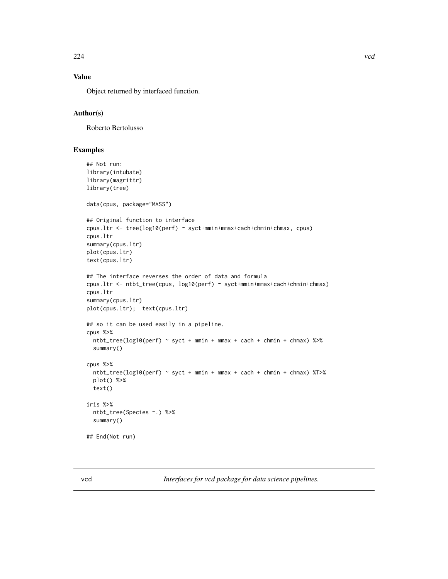# <span id="page-223-0"></span>Value

Object returned by interfaced function.

# Author(s)

Roberto Bertolusso

### Examples

```
## Not run:
library(intubate)
library(magrittr)
library(tree)
data(cpus, package="MASS")
## Original function to interface
cpus.ltr <- tree(log10(perf) ~ syct+mmin+mmax+cach+chmin+chmax, cpus)
cpus.ltr
summary(cpus.ltr)
plot(cpus.ltr)
text(cpus.ltr)
## The interface reverses the order of data and formula
cpus.ltr <- ntbt_tree(cpus, log10(perf) ~ syct+mmin+mmax+cach+chmin+chmax)
cpus.ltr
summary(cpus.ltr)
plot(cpus.ltr); text(cpus.ltr)
## so it can be used easily in a pipeline.
cpus %>%
  ntbt_tree(log10(perf) ~ syct + mmin + mmax + cach + chmin + chmax) %>%
  summary()
cpus %>%
  ntbt_tree(log10(perf) ~ syct + mmin + mmax + cach + chmin + chmax) %T>%
  plot() %>%
  text()
iris %>%
  ntbt_tree(Species ~.) %>%
  summary()
## End(Not run)
```
vcd *Interfaces for vcd package for data science pipelines.*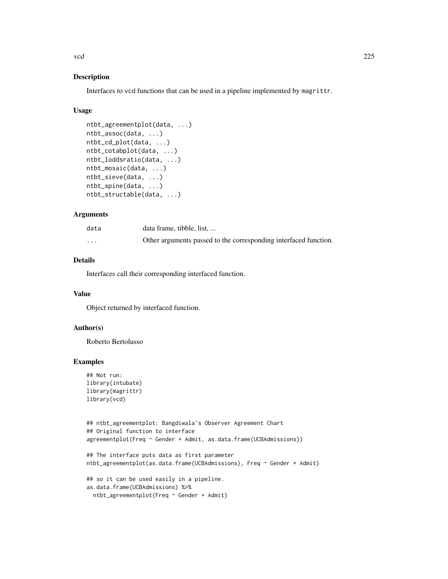vcd 225

# Description

Interfaces to vcd functions that can be used in a pipeline implemented by magrittr.

# Usage

```
ntbt_agreementplot(data, ...)
ntbt_assoc(data, ...)
ntbt_cd_plot(data, ...)
ntbt_cotabplot(data, ...)
ntbt_loddsratio(data, ...)
ntbt_mosaic(data, ...)
ntbt_sieve(data, ...)
ntbt_spine(data, ...)
ntbt_structable(data, ...)
```
# Arguments

| data                 | data frame, tibble, list,                                        |
|----------------------|------------------------------------------------------------------|
| $\ddot{\phantom{0}}$ | Other arguments passed to the corresponding interfaced function. |

# Details

Interfaces call their corresponding interfaced function.

# Value

Object returned by interfaced function.

# Author(s)

Roberto Bertolusso

# Examples

```
## Not run:
library(intubate)
library(magrittr)
library(vcd)
```

```
## ntbt_agreementplot: Bangdiwala's Observer Agreement Chart
## Original function to interface
agreementplot(Freq ~ Gender + Admit, as.data.frame(UCBAdmissions))
```

```
## The interface puts data as first parameter
ntbt_agreementplot(as.data.frame(UCBAdmissions), Freq ~ Gender + Admit)
```

```
## so it can be used easily in a pipeline.
as.data.frame(UCBAdmissions) %>%
 ntbt_agreementplot(Freq ~ Gender + Admit)
```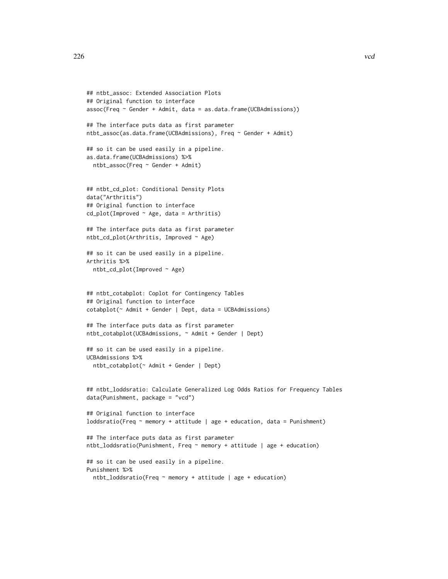```
## ntbt_assoc: Extended Association Plots
## Original function to interface
assoc(Freq ~ ĈGender + Admit, data = as.data-frame(UCBAdmissions))## The interface puts data as first parameter
ntbt_assoc(as.data.frame(UCBAdmissions), Freq ~ Gender + Admit)
## so it can be used easily in a pipeline.
as.data.frame(UCBAdmissions) %>%
  ntbt_assoc(Freq ~ Gender + Admit)
## ntbt_cd_plot: Conditional Density Plots
data("Arthritis")
## Original function to interface
cd\_plot(Improved ~ Age, data = Arthritis)## The interface puts data as first parameter
ntbt_cd_plot(Arthritis, Improved ~ Age)
## so it can be used easily in a pipeline.
Arthritis %>%
  ntbt_cd_plot(Improved ~ Age)
## ntbt_cotabplot: Coplot for Contingency Tables
## Original function to interface
cotabplot(~ Admit + Gender | Dept, data = UCBAdmissions)
## The interface puts data as first parameter
ntbt_cotabplot(UCBAdmissions, ~ Admit + Gender | Dept)
## so it can be used easily in a pipeline.
UCBAdmissions %>%
  ntbt_cotabplot(~ Admit + Gender | Dept)
## ntbt_loddsratio: Calculate Generalized Log Odds Ratios for Frequency Tables
data(Punishment, package = "vcd")
## Original function to interface
loddsratio(Freq \sim memory + attitude | age + education, data = Punishment)
## The interface puts data as first parameter
ntbt_loddsratio(Punishment, Freq ~ memory + attitude | age + education)
## so it can be used easily in a pipeline.
Punishment %>%
  ntbt_loddsratio(Freq ~ memory + attitude | age + education)
```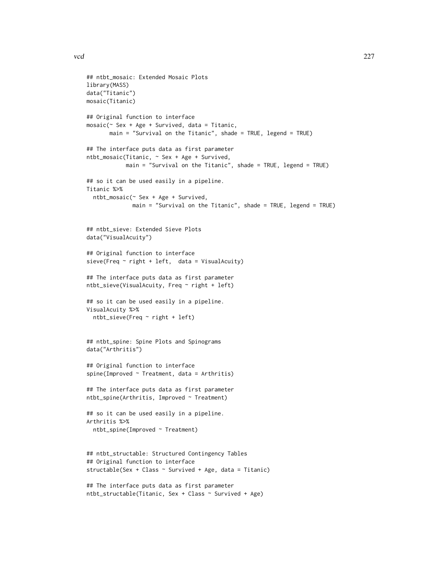```
## ntbt_mosaic: Extended Mosaic Plots
library(MASS)
data("Titanic")
mosaic(Titanic)
## Original function to interface
mosaic(~ Sex + Age + Survived, data = Titanic,
       main = "Survival on the Titanic", shade = TRUE, legend = TRUE)
## The interface puts data as first parameter
ntbt_mosaic(Titanic, ~ Sex + Age + Survived,
            main = "Survival on the Titanic", shade = TRUE, legend = TRUE)
## so it can be used easily in a pipeline.
Titanic %>%
  ntbt_mosaic(~ Sex + Age + Survived,
              main = "Survival on the Titanic", shade = TRUE, legend = TRUE)
## ntbt_sieve: Extended Sieve Plots
data("VisualAcuity")
## Original function to interface
sieve(Freq \sim right + left, data = VisualAcuity)
## The interface puts data as first parameter
ntbt_sieve(VisualAcuity, Freq ~ right + left)
## so it can be used easily in a pipeline.
VisualAcuity %>%
  ntbt_sieve(Freq ~ right + left)
## ntbt_spine: Spine Plots and Spinograms
data("Arthritis")
## Original function to interface
spine(Improved \sim Treatment, data = Arthritis)
## The interface puts data as first parameter
ntbt_spine(Arthritis, Improved ~ Treatment)
## so it can be used easily in a pipeline.
Arthritis %>%
  ntbt_spine(Improved ~ Treatment)
## ntbt_structable: Structured Contingency Tables
## Original function to interface
structable(Sex + Class ~ Survived + Age, data = Titanic)
## The interface puts data as first parameter
ntbt_structable(Titanic, Sex + Class ~ Survived + Age)
```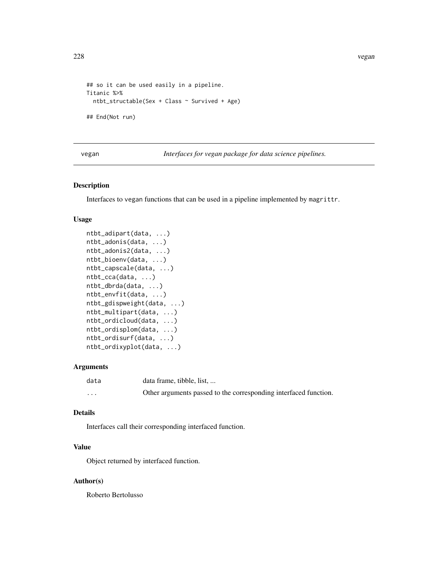```
## so it can be used easily in a pipeline.
Titanic %>%
  ntbt_structable(Sex + Class ~ Survived + Age)
## End(Not run)
```
vegan *Interfaces for vegan package for data science pipelines.*

# Description

Interfaces to vegan functions that can be used in a pipeline implemented by magrittr.

# Usage

```
ntbt_adipart(data, ...)
ntbt_adonis(data, ...)
ntbt_adonis2(data, ...)
ntbt_bioenv(data, ...)
ntbt_capscale(data, ...)
ntbt_cca(data, ...)
ntbt_dbrda(data, ...)
ntbt_envfit(data, ...)
ntbt_gdispweight(data, ...)
ntbt_multipart(data, ...)
ntbt_ordicloud(data, ...)
ntbt_ordisplom(data, ...)
ntbt_ordisurf(data, ...)
ntbt_ordixyplot(data, ...)
```
# Arguments

| data     | data frame, tibble, list,                                        |
|----------|------------------------------------------------------------------|
| $\cdots$ | Other arguments passed to the corresponding interfaced function. |

# Details

Interfaces call their corresponding interfaced function.

# Value

Object returned by interfaced function.

### Author(s)

Roberto Bertolusso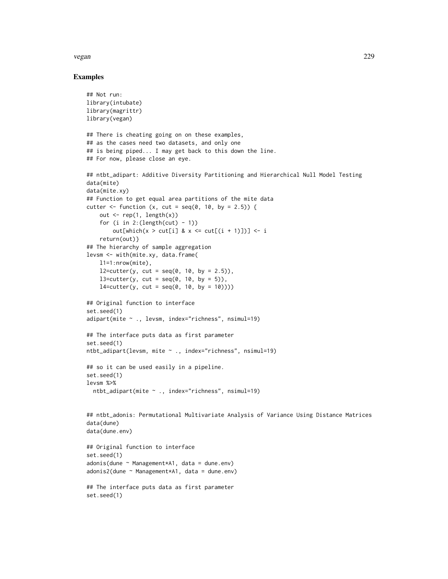#### vegan 229

# Examples

```
## Not run:
library(intubate)
library(magrittr)
library(vegan)
## There is cheating going on on these examples,
## as the cases need two datasets, and only one
## is being piped... I may get back to this down the line.
## For now, please close an eye.
## ntbt_adipart: Additive Diversity Partitioning and Hierarchical Null Model Testing
data(mite)
data(mite.xy)
## Function to get equal area partitions of the mite data
cutter \le function (x, cut = seq(0, 10, by = 2.5)) {
    out \leq rep(1, length(x))
    for (i in 2:(length(cut) - 1))out[which(x > cut[i] & x <= cut[(i + 1)])] <- i
    return(out)}
## The hierarchy of sample aggregation
levsm <- with(mite.xy, data.frame(
   l1=1:nrow(mite),
   12 = \text{cutter}(y, \text{ cut} = \text{seq}(0, 10, \text{ by } = 2.5)),l3=cutter(y, cut = seq(0, 10, by = 5)),l4=cutter(y, cut = seq(0, 10, by = 10))))## Original function to interface
set.seed(1)
adipart(mite ~ ., levsm, index="richness", nsimul=19)
## The interface puts data as first parameter
set.seed(1)
ntbt_adipart(levsm, mite ~ ., index="richness", nsimul=19)
## so it can be used easily in a pipeline.
set.seed(1)
levsm %>%
  ntbt_adipart(mite ~ ., index="richness", nsimul=19)
## ntbt_adonis: Permutational Multivariate Analysis of Variance Using Distance Matrices
data(dune)
data(dune.env)
## Original function to interface
set.seed(1)
adonis(dune ~ Management*A1, data = dune.env)
adonis2(dune ~ Management*A1, data = duneenv)## The interface puts data as first parameter
set.seed(1)
```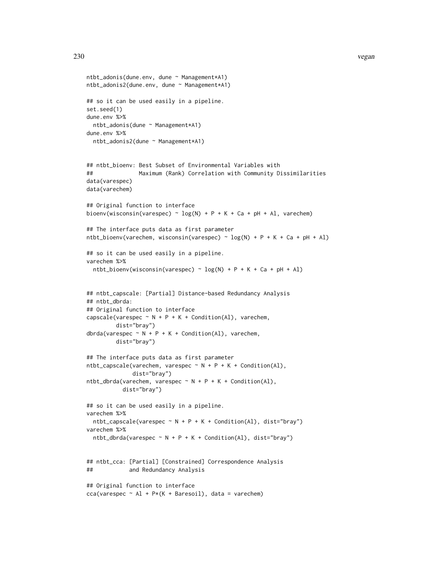```
ntbt_adonis(dune.env, dune ~ Management*A1)
ntbt_adonis2(dune.env, dune ~ Management*A1)
## so it can be used easily in a pipeline.
set.seed(1)
dune.env %>%
 ntbt_adonis(dune ~ Management*A1)
dune.env %>%
 ntbt_adonis2(dune ~ Management*A1)
## ntbt_bioenv: Best Subset of Environmental Variables with
## Maximum (Rank) Correlation with Community Dissimilarities
data(varespec)
data(varechem)
## Original function to interface
bioenv(wisconsin(varespec) \sim log(N) + P + K + Ca + pH + Al, varechem)
## The interface puts data as first parameter
ntbt_bioenv(varechem, wisconsin(varespec) \sim log(N) + P + K + Ca + pH + Al)
## so it can be used easily in a pipeline.
varechem %>%
 ntbt_bioenv(wisconsin(varespec) \sim log(N) + P + K + Ca + pH + Al)
## ntbt_capscale: [Partial] Distance-based Redundancy Analysis
## ntbt_dbrda:
## Original function to interface
capscale(varespec \sim N + P + K + Condition(Al), varechem,
        dist="bray")
dbrda(varespec \sim N + P + K + Condition(Al), varechem,
        dist="bray")
## The interface puts data as first parameter
ntbt\_capscale(varechem, varespec ~ N + P + K + Condition(Al),dist="bray")
ntbt_dbrda(varechem, varespec ~ N + P + K + Condition(Al),dist="bray")
## so it can be used easily in a pipeline.
varechem %>%
 ntbt\_capscale(varespec ~ N + P + K + Condition(A1), dist="br/>2)varechem %>%
 ntbt_dbrda(varespec ~ N + P + K + Condition(Al), dist="bray")## ntbt_cca: [Partial] [Constrained] Correspondence Analysis
## and Redundancy Analysis
## Original function to interface
cca(varespec \sim Al + P*(K + Baresoil), data = varechem)
```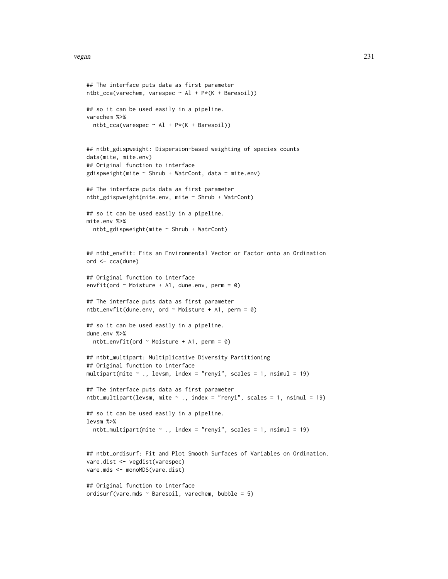```
## The interface puts data as first parameter
ntbt_cca(varechem, varespec ~ Al + P*(K + Baresoil))
## so it can be used easily in a pipeline.
varechem %>%
  ntbt_{cca}(varespec ~ A1 + P*(K + Baresoil))## ntbt_gdispweight: Dispersion-based weighting of species counts
data(mite, mite.env)
## Original function to interface
gdispweight(mite \sim Shrub + WatrCont, data = mite.env)
## The interface puts data as first parameter
ntbt_gdispweight(mite.env, mite ~ Shrub + WatrCont)
## so it can be used easily in a pipeline.
mite.env %>%
  ntbt_gdispweight(mite ~ Shrub + WatrCont)
## ntbt_envfit: Fits an Environmental Vector or Factor onto an Ordination
ord <- cca(dune)
## Original function to interface
envfit(ord \sim Moisture + A1, dune.env, perm = 0)
## The interface puts data as first parameter
ntbt\_envfit(dune.env, ord ~ Moisture + A1, perm = 0)## so it can be used easily in a pipeline.
dune.env %>%
  ntbt_envfit(ord \sim Moisture + A1, perm = 0)
## ntbt_multipart: Multiplicative Diversity Partitioning
## Original function to interface
multipart(mite \sim ., levsm, index = "renyi", scales = 1, nsimul = 19)
## The interface puts data as first parameter
ntbt_multipart(levsm, mite \sim ., index = "renyi", scales = 1, nsimul = 19)
## so it can be used easily in a pipeline.
levsm %>%
  ntbt_multipart(mite \sim ., index = "renyi", scales = 1, nsimul = 19)
## ntbt_ordisurf: Fit and Plot Smooth Surfaces of Variables on Ordination.
vare.dist <- vegdist(varespec)
vare.mds <- monoMDS(vare.dist)
## Original function to interface
ordisurf(vare.mds \sim Baresoil, varechem, bubble = 5)
```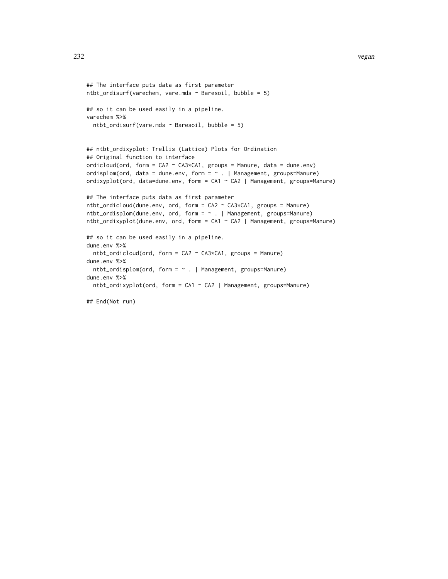```
## The interface puts data as first parameter
ntbt_ordisurf(varechem, vare.mds \sim Baresoil, bubble = 5)
## so it can be used easily in a pipeline.
varechem %>%
  ntbt_ordisurf(vare.mds \sim Baresoil, bubble = 5)
## ntbt_ordixyplot: Trellis (Lattice) Plots for Ordination
## Original function to interface
ordicloud(ord, form = CA2 \sim CA3*CA1, groups = Manure, data = dune.env)
ordisplom(ord, data = dune.env, form = \sim . | Management, groups=Manure)
ordixyplot(ord, data=dune.env, form = CA1 ~ CA2 | Management, groups=Manure)
## The interface puts data as first parameter
ntbt_ordicloud(dune.env, ord, form = CA2 ~ CA3*CA1, groups = Manure)
ntbt_ordisplom(dune.env, ord, form = ~ . | Management, groups=Manure)
ntbt_ordixyplot(dune.env, ord, form = CA1 ~ CA2 | Management, groups=Manure)
## so it can be used easily in a pipeline.
dune.env %>%
  ntbt_ordicloud(ord, form = CA2 ~ CA3*CA1, groups = Manure)
dune.env %>%
 ntbt_ordisplom(ord, form = ~ . | Management, groups=Manure)
dune.env %>%
  ntbt_ordixyplot(ord, form = CA1 \sim CA2 | Management, groups=Manure)
```
## End(Not run)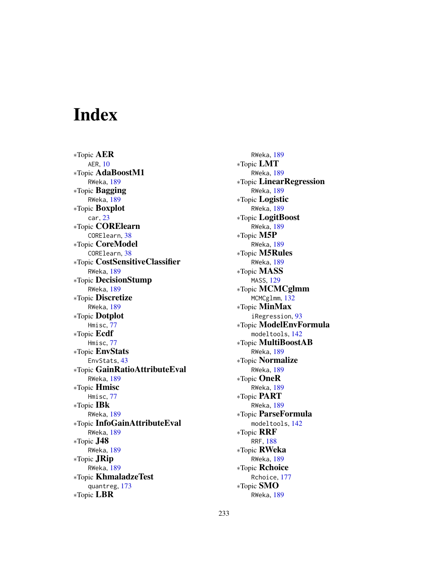# Index

∗Topic AER AER, [10](#page-9-0) ∗Topic AdaBoostM1 RWeka, [189](#page-188-0) ∗Topic Bagging RWeka, [189](#page-188-0) ∗Topic Boxplot car, [23](#page-22-0) ∗Topic CORElearn CORElearn, [38](#page-37-0) ∗Topic CoreModel CORElearn, [38](#page-37-0) ∗Topic CostSensitiveClassifier RWeka, [189](#page-188-0) ∗Topic DecisionStump RWeka, [189](#page-188-0) ∗Topic Discretize RWeka, [189](#page-188-0) ∗Topic Dotplot Hmisc, [77](#page-76-0) ∗Topic Ecdf Hmisc, [77](#page-76-0) ∗Topic EnvStats EnvStats, [43](#page-42-0) ∗Topic GainRatioAttributeEval RWeka, [189](#page-188-0) ∗Topic Hmisc Hmisc, [77](#page-76-0) ∗Topic IBk RWeka, [189](#page-188-0) ∗Topic InfoGainAttributeEval RWeka, [189](#page-188-0) ∗Topic J48 RWeka, [189](#page-188-0) ∗Topic JRip RWeka, [189](#page-188-0) ∗Topic KhmaladzeTest quantreg, [173](#page-172-0) ∗Topic LBR

RWeka, [189](#page-188-0) ∗Topic LMT RWeka, [189](#page-188-0) ∗Topic LinearRegression RWeka, [189](#page-188-0) ∗Topic Logistic RWeka, [189](#page-188-0) ∗Topic LogitBoost RWeka, [189](#page-188-0) ∗Topic M5P RWeka, [189](#page-188-0) ∗Topic M5Rules RWeka, [189](#page-188-0) ∗Topic MASS MASS, [129](#page-128-0) ∗Topic MCMCglmm MCMCglmm, [132](#page-131-0) ∗Topic MinMax iRegression, [93](#page-92-0) ∗Topic ModelEnvFormula modeltools, [142](#page-141-0) ∗Topic MultiBoostAB RWeka, [189](#page-188-0) ∗Topic Normalize RWeka, [189](#page-188-0) ∗Topic OneR RWeka, [189](#page-188-0) ∗Topic PART RWeka, [189](#page-188-0) ∗Topic ParseFormula modeltools, [142](#page-141-0) ∗Topic RRF RRF, [188](#page-187-0) ∗Topic RWeka RWeka, [189](#page-188-0) ∗Topic Rchoice Rchoice, [177](#page-176-0) ∗Topic SMO RWeka, [189](#page-188-0)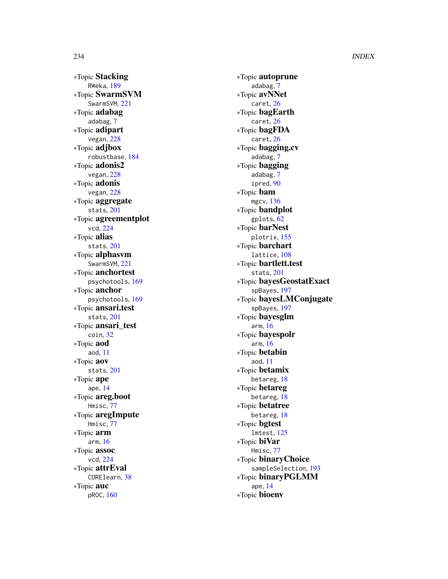∗Topic Stacking RWeka , [189](#page-188-0) ∗Topic SwarmSVM SwarmSVM, [221](#page-220-0) ∗Topic adabag adabag , [7](#page-6-0) ∗Topic adipart vegan , [228](#page-227-0) ∗Topic adjbox robustbase , [184](#page-183-0) ∗Topic adonis2 vegan , [228](#page-227-0) ∗Topic adonis vegan , [228](#page-227-0) ∗Topic aggregate stats , [201](#page-200-0) ∗Topic agreementplot vcd , [224](#page-223-0) ∗Topic alias stats , [201](#page-200-0) ∗Topic alphasvm SwarmSVM, [221](#page-220-0) ∗Topic anchortest psychotools , [169](#page-168-0) ∗Topic anchor psychotools , [169](#page-168-0) ∗Topic ansari.test stats , [201](#page-200-0) ∗Topic ansari\_test coin , [32](#page-31-0) ∗Topic aod aod , [11](#page-10-0) ∗Topic aov stats , [201](#page-200-0) ∗Topic ape ape , [14](#page-13-0) ∗Topic areg.boot Hmisc , [77](#page-76-0) ∗Topic aregImpute Hmisc , [77](#page-76-0) ∗Topic arm arm , [16](#page-15-0) ∗Topic assoc vcd , [224](#page-223-0) ∗Topic attrEval CORElearn , [38](#page-37-0) ∗Topic auc pROC , [160](#page-159-0)

∗Topic autoprune adabag , [7](#page-6-0) ∗Topic avNNet caret , [26](#page-25-0) ∗Topic bagEarth caret , [26](#page-25-0) ∗Topic bagFDA caret , [26](#page-25-0) ∗Topic bagging.cv adabag , [7](#page-6-0) ∗Topic bagging adabag , [7](#page-6-0) ipred , [90](#page-89-0) ∗Topic bam mgcv , [136](#page-135-0) ∗Topic bandplot gplots , [62](#page-61-0) ∗Topic barNest plotrix , [155](#page-154-0) ∗Topic barchart lattice , [108](#page-107-0) ∗Topic bartlett.test stats , [201](#page-200-0) ∗Topic bayesGeostatExact spBayes , [197](#page-196-0) ∗Topic bayesLMConjugate spBayes , [197](#page-196-0) ∗Topic bayesglm arm , [16](#page-15-0) ∗Topic bayespolr arm , [16](#page-15-0) ∗Topic betabin aod , [11](#page-10-0) ∗Topic betamix betareg , [18](#page-17-0) ∗Topic betareg betareg , [18](#page-17-0) ∗Topic betatree betareg , [18](#page-17-0) ∗Topic bgtest lmtest , [125](#page-124-0) ∗Topic biVar Hmisc , [77](#page-76-0) ∗Topic binaryChoice sampleSelection , [193](#page-192-0) ∗Topic binaryPGLMM ape , [14](#page-13-0) ∗Topic bioenv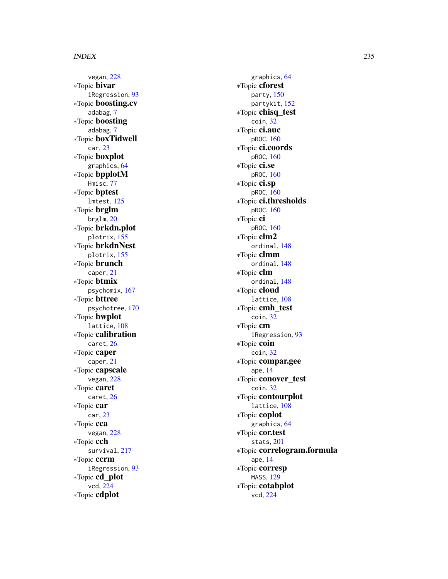vegan , [228](#page-227-0) ∗Topic bivar iRegression , [93](#page-92-0) ∗Topic boosting.cv adabag , [7](#page-6-0) ∗Topic boosting adabag , [7](#page-6-0) ∗Topic boxTidwell car , [23](#page-22-0) ∗Topic boxplot graphics , [64](#page-63-0) ∗Topic bpplotM Hmisc , [77](#page-76-0) ∗Topic bptest lmtest , [125](#page-124-0) ∗Topic brglm brglm , [20](#page-19-0) ∗Topic brkdn.plot plotrix , [155](#page-154-0) ∗Topic brkdnNest plotrix , [155](#page-154-0) ∗Topic brunch caper , [21](#page-20-0) ∗Topic btmix psychomix , [167](#page-166-0) ∗Topic bttree psychotree , [170](#page-169-0) ∗Topic bwplot lattice, [108](#page-107-0) ∗Topic calibration caret , [26](#page-25-0) ∗Topic caper caper , [21](#page-20-0) ∗Topic capscale vegan , [228](#page-227-0) ∗Topic caret caret , [26](#page-25-0) ∗Topic car car , [23](#page-22-0) ∗Topic cca vegan , [228](#page-227-0) ∗Topic cch survival, [217](#page-216-0) ∗Topic ccrm iRegression , [93](#page-92-0) ∗Topic cd\_plot vcd , [224](#page-223-0) ∗Topic cdplot

graphics , [64](#page-63-0) ∗Topic cforest party , [150](#page-149-0) partykit , [152](#page-151-0) ∗Topic chisq\_test coin , [32](#page-31-0) ∗Topic ci.auc pROC , [160](#page-159-0) ∗Topic ci.coords pROC , [160](#page-159-0) ∗Topic ci.se pROC , [160](#page-159-0) ∗Topic ci.sp pROC , [160](#page-159-0) ∗Topic ci.thresholds pROC , [160](#page-159-0) ∗Topic ci pROC , [160](#page-159-0) ∗Topic clm2 ordinal , [148](#page-147-0) ∗Topic clmm ordinal , [148](#page-147-0) ∗Topic clm ordinal , [148](#page-147-0) ∗Topic cloud lattice , [108](#page-107-0) ∗Topic cmh\_test coin , [32](#page-31-0) ∗Topic cm iRegression , [93](#page-92-0) ∗Topic coin coin , [32](#page-31-0) ∗Topic compar.gee ape , [14](#page-13-0) ∗Topic conover\_test coin , [32](#page-31-0) ∗Topic contourplot lattice, [108](#page-107-0) ∗Topic coplot graphics , [64](#page-63-0) ∗Topic cor.test stats , [201](#page-200-0) ∗Topic correlogram.formula ape , [14](#page-13-0) ∗Topic corresp MASS , [129](#page-128-0) ∗Topic cotabplot vcd , [224](#page-223-0)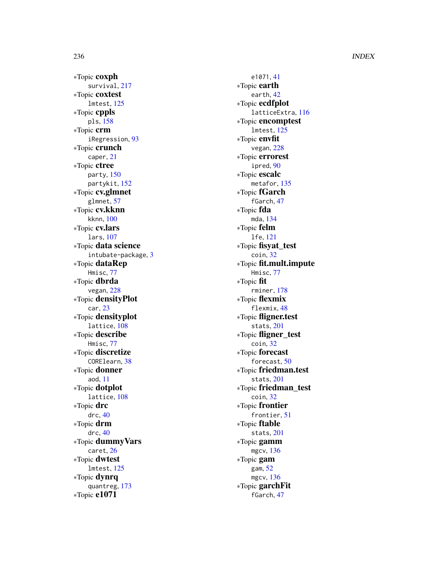∗Topic coxph survival , [217](#page-216-0) ∗Topic coxtest lmtest , [125](#page-124-0) ∗Topic cppls pls , [158](#page-157-0) ∗Topic crm iRegression , [93](#page-92-0) ∗Topic crunch caper , [21](#page-20-0) ∗Topic ctree party , [150](#page-149-0) partykit , [152](#page-151-0) ∗Topic cv.glmnet glmnet , [57](#page-56-0) ∗Topic cv.kknn kknn , [100](#page-99-0) ∗Topic cv.lars lars , [107](#page-106-0) ∗Topic data science intubate-package , [3](#page-2-0) ∗Topic dataRep Hmisc , [77](#page-76-0) ∗Topic dbrda vegan , [228](#page-227-0) ∗Topic densityPlot car , [23](#page-22-0) ∗Topic densityplot lattice, [108](#page-107-0) ∗Topic describe Hmisc , [77](#page-76-0) ∗Topic discretize CORElearn , [38](#page-37-0) ∗Topic donner aod , [11](#page-10-0) ∗Topic dotplot lattice, [108](#page-107-0) ∗Topic drc drc , [40](#page-39-0) ∗Topic drm drc , [40](#page-39-0) ∗Topic dummyVars caret , [26](#page-25-0) ∗Topic dwtest lmtest , [125](#page-124-0) ∗Topic dynrq quantreg , [173](#page-172-0) ∗Topic e1071

e1071 , [41](#page-40-0) ∗Topic earth earth , [42](#page-41-0) ∗Topic ecdfplot latticeExtra , [116](#page-115-0) ∗Topic encomptest lmtest , [125](#page-124-0) ∗Topic envfit vegan , [228](#page-227-0) ∗Topic errorest ipred , [90](#page-89-0) ∗Topic escalc metafor , [135](#page-134-0) ∗Topic fGarch fGarch , [47](#page-46-0) ∗Topic fda mda , [134](#page-133-0) ∗Topic felm lfe , [121](#page-120-0) ∗Topic fisyat\_test coin , [32](#page-31-0) ∗Topic fit.mult.impute Hmisc , [77](#page-76-0) ∗Topic fit rminer , [178](#page-177-0) ∗Topic flexmix flexmix, [48](#page-47-0) ∗Topic fligner.test stats , [201](#page-200-0) ∗Topic fligner\_test coin , [32](#page-31-0) ∗Topic forecast forecast, [50](#page-49-0) ∗Topic friedman.test stats , [201](#page-200-0) ∗Topic friedman\_test coin , [32](#page-31-0) ∗Topic frontier frontier , [51](#page-50-0) ∗Topic ftable stats , [201](#page-200-0) ∗Topic gamm mgcv , [136](#page-135-0) ∗Topic gam gam , [52](#page-51-0) mgcv , [136](#page-135-0) ∗Topic garchFit fGarch , [47](#page-46-0)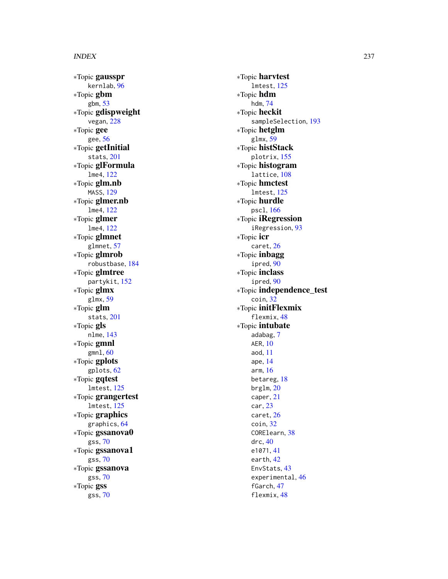∗Topic gausspr kernlab , [96](#page-95-0) ∗Topic gbm gbm , [53](#page-52-0) ∗Topic gdispweight vegan , [228](#page-227-0) ∗Topic gee gee , [56](#page-55-0) ∗Topic getInitial stats , [201](#page-200-0) ∗Topic glFormula lme4 , [122](#page-121-0) ∗Topic glm.nb MASS , [129](#page-128-0) ∗Topic glmer.nb lme4 , [122](#page-121-0) ∗Topic glmer lme4 , [122](#page-121-0) ∗Topic glmnet glmnet , [57](#page-56-0) ∗Topic glmrob robustbase , [184](#page-183-0) ∗Topic glmtree partykit , [152](#page-151-0) ∗Topic glmx glmx , [59](#page-58-0) ∗Topic glm stats , [201](#page-200-0) ∗Topic gls nlme , [143](#page-142-0) ∗Topic gmnl gmnl , [60](#page-59-0) ∗Topic gplots gplots , [62](#page-61-0) ∗Topic gqtest lmtest , [125](#page-124-0) ∗Topic grangertest lmtest , [125](#page-124-0) ∗Topic graphics graphics , [64](#page-63-0) ∗Topic gssanova0 gss , [70](#page-69-0) ∗Topic gssanova1 gss , [70](#page-69-0) ∗Topic gssanova gss , [70](#page-69-0) ∗Topic gss gss , [70](#page-69-0)

∗Topic harvtest lmtest , [125](#page-124-0) ∗Topic hdm hdm , [74](#page-73-0) ∗Topic heckit sampleSelection , [193](#page-192-0) ∗Topic hetglm glmx , [59](#page-58-0) ∗Topic histStack plotrix , [155](#page-154-0) ∗Topic histogram lattice, [108](#page-107-0) ∗Topic hmctest lmtest , [125](#page-124-0) ∗Topic hurdle pscl , [166](#page-165-0) ∗Topic iRegression iRegression , [93](#page-92-0) ∗Topic icr caret , [26](#page-25-0) ∗Topic inbagg ipred , [90](#page-89-0) ∗Topic inclass ipred , [90](#page-89-0) ∗Topic independence\_test coin , [32](#page-31-0) ∗Topic initFlexmix flexmix , [48](#page-47-0) ∗Topic intubate adabag , [7](#page-6-0) AER , [10](#page-9-0) aod , [11](#page-10-0) ape , [14](#page-13-0) arm , [16](#page-15-0) betareg , [18](#page-17-0) brglm , [20](#page-19-0) caper , [21](#page-20-0) car , [23](#page-22-0) caret , [26](#page-25-0) coin , [32](#page-31-0) CORElearn , [38](#page-37-0) drc , [40](#page-39-0) e1071 , [41](#page-40-0) earth , [42](#page-41-0) EnvStats, [43](#page-42-0) experimental , [46](#page-45-0) fGarch , [47](#page-46-0) flexmix , [48](#page-47-0)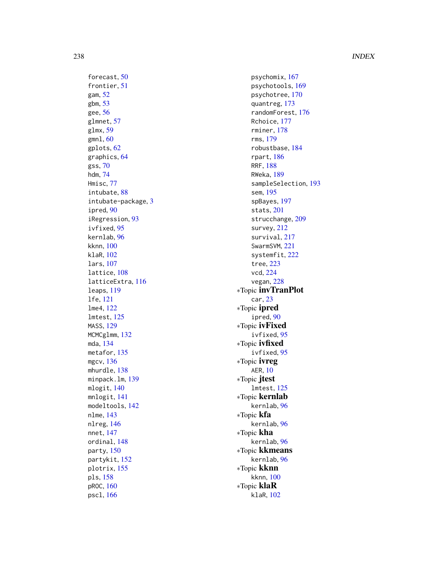forecast, [50](#page-49-0) frontier , [51](#page-50-0) gam , [52](#page-51-0) gbm , [53](#page-52-0) gee , [56](#page-55-0) glmnet , [57](#page-56-0) glmx , [59](#page-58-0) gmnl , [60](#page-59-0) gplots , [62](#page-61-0) graphics , [64](#page-63-0) gss , [70](#page-69-0) hdm , [74](#page-73-0) Hmisc , [77](#page-76-0) intubate , [88](#page-87-0) intubate-package , [3](#page-2-0) ipred , [90](#page-89-0) iRegression , [93](#page-92-0) ivfixed , [95](#page-94-0) kernlab , [96](#page-95-0) kknn , [100](#page-99-0) klaR , [102](#page-101-0) lars , [107](#page-106-0) lattice, [108](#page-107-0) latticeExtra , [116](#page-115-0) leaps , [119](#page-118-0) lfe , [121](#page-120-0) lme4 , [122](#page-121-0) lmtest , [125](#page-124-0) MASS , [129](#page-128-0) MCMCglmm , [132](#page-131-0) mda , [134](#page-133-0) metafor, [135](#page-134-0) mgcv , [136](#page-135-0) mhurdle, [138](#page-137-0) minpack.lm , [139](#page-138-0) mlogit, [140](#page-139-0) mnlogit , [141](#page-140-0) modeltools , [142](#page-141-0) nlme , [143](#page-142-0) nlreg , [146](#page-145-0) nnet , [147](#page-146-0) ordinal , [148](#page-147-0) party , [150](#page-149-0) partykit , [152](#page-151-0) plotrix , [155](#page-154-0) pls , [158](#page-157-0) pROC , [160](#page-159-0) pscl , [166](#page-165-0)

psychomix , [167](#page-166-0) psychotools , [169](#page-168-0) psychotree , [170](#page-169-0) quantreg , [173](#page-172-0) randomForest , [176](#page-175-0) Rchoice , [177](#page-176-0) rminer , [178](#page-177-0) rms , [179](#page-178-0) robustbase , [184](#page-183-0) rpart , [186](#page-185-0) RRF , [188](#page-187-0) RWeka , [189](#page-188-0) sampleSelection , [193](#page-192-0) sem , [195](#page-194-0) spBayes , [197](#page-196-0) stats , [201](#page-200-0) strucchange, [209](#page-208-0) survey, [212](#page-211-0) survival , [217](#page-216-0) SwarmSVM, [221](#page-220-0) systemfit , [222](#page-221-0) tree , [223](#page-222-0) vcd , [224](#page-223-0) vegan , [228](#page-227-0) ∗Topic invTranPlot car , [23](#page-22-0) ∗Topic ipred ipred , [90](#page-89-0) ∗Topic ivFixed ivfixed , [95](#page-94-0) ∗Topic ivfixed ivfixed , [95](#page-94-0) ∗Topic ivreg AER , [10](#page-9-0) ∗Topic jtest lmtest , [125](#page-124-0) ∗Topic kernlab kernlab , [96](#page-95-0) ∗Topic kfa kernlab , [96](#page-95-0) ∗Topic kha kernlab , [96](#page-95-0) ∗Topic kkmeans kernlab , [96](#page-95-0) ∗Topic kknn kknn , [100](#page-99-0) ∗Topic klaR klaR , [102](#page-101-0)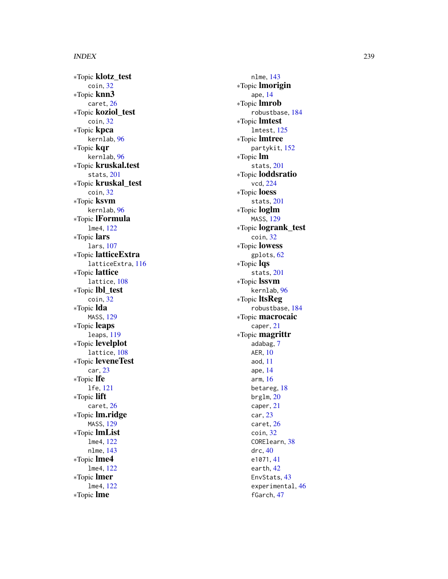∗Topic klotz\_test coin , [32](#page-31-0) ∗Topic knn3 caret , [26](#page-25-0) ∗Topic koziol\_test coin , [32](#page-31-0) ∗Topic kpca kernlab , [96](#page-95-0) ∗Topic kqr kernlab , [96](#page-95-0) ∗Topic kruskal.test stats , [201](#page-200-0) ∗Topic kruskal\_test coin , [32](#page-31-0) ∗Topic ksvm kernlab , [96](#page-95-0) ∗Topic lFormula lme4 , [122](#page-121-0) ∗Topic lars lars , [107](#page-106-0) ∗Topic latticeExtra latticeExtra , [116](#page-115-0) ∗Topic lattice lattice, [108](#page-107-0) ∗Topic lbl\_test coin , [32](#page-31-0) ∗Topic lda MASS , [129](#page-128-0) ∗Topic leaps leaps , [119](#page-118-0) ∗Topic levelplot lattice, [108](#page-107-0) ∗Topic leveneTest car , [23](#page-22-0) ∗Topic lfe lfe , [121](#page-120-0) ∗Topic lift caret , [26](#page-25-0) ∗Topic lm.ridge MASS , [129](#page-128-0) ∗Topic lmList lme4 , [122](#page-121-0) nlme , [143](#page-142-0) ∗Topic lme4 lme4 , [122](#page-121-0) ∗Topic lmer lme4 , [122](#page-121-0) ∗Topic lme

nlme , [143](#page-142-0) ∗Topic lmorigin ape , [14](#page-13-0) ∗Topic lmrob robustbase , [184](#page-183-0) ∗Topic lmtest lmtest , [125](#page-124-0) ∗Topic lmtree partykit , [152](#page-151-0) ∗Topic lm stats , [201](#page-200-0) ∗Topic loddsratio vcd , [224](#page-223-0) ∗Topic loess stats , [201](#page-200-0) ∗Topic loglm MASS , [129](#page-128-0) ∗Topic logrank\_test coin , [32](#page-31-0) ∗Topic lowess gplots , [62](#page-61-0) ∗Topic lqs stats , [201](#page-200-0) ∗Topic lssvm kernlab , [96](#page-95-0) ∗Topic ltsReg robustbase , [184](#page-183-0) ∗Topic macrocaic caper , [21](#page-20-0) ∗Topic magrittr adabag , [7](#page-6-0) AER , [10](#page-9-0) aod , [11](#page-10-0) ape , [14](#page-13-0) arm , [16](#page-15-0) betareg , [18](#page-17-0) brglm , [20](#page-19-0) caper , [21](#page-20-0) car , [23](#page-22-0) caret , [26](#page-25-0) coin , [32](#page-31-0) CORElearn , [38](#page-37-0) drc , [40](#page-39-0) e1071 , [41](#page-40-0) earth , [42](#page-41-0) EnvStats , [43](#page-42-0) experimental, [46](#page-45-0) fGarch , [47](#page-46-0)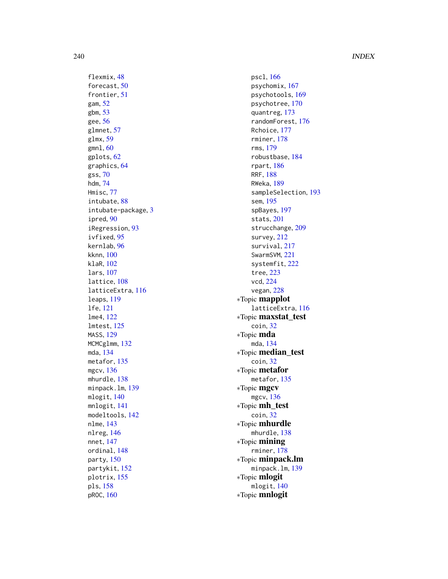flexmix , [48](#page-47-0) forecast, [50](#page-49-0) frontier , [51](#page-50-0) gam , [52](#page-51-0) gbm , [53](#page-52-0) gee , [56](#page-55-0) glmnet, [57](#page-56-0) glmx , [59](#page-58-0) gmnl , [60](#page-59-0) gplots , [62](#page-61-0) graphics , [64](#page-63-0) gss , [70](#page-69-0) hdm , [74](#page-73-0) Hmisc , [77](#page-76-0) intubate , [88](#page-87-0) intubate-package , [3](#page-2-0) ipred , [90](#page-89-0) iRegression , [93](#page-92-0) ivfixed , [95](#page-94-0) kernlab , [96](#page-95-0) kknn , [100](#page-99-0) klaR , [102](#page-101-0) lars , [107](#page-106-0) lattice, [108](#page-107-0) latticeExtra , [116](#page-115-0) leaps , [119](#page-118-0) lfe , [121](#page-120-0) lme4 , [122](#page-121-0) lmtest , [125](#page-124-0) MASS , [129](#page-128-0) MCMCglmm , [132](#page-131-0) mda , [134](#page-133-0) metafor, [135](#page-134-0) mgcv , [136](#page-135-0) mhurdle , [138](#page-137-0) minpack.lm , [139](#page-138-0) mlogit , [140](#page-139-0) mnlogit , [141](#page-140-0) modeltools , [142](#page-141-0) nlme , [143](#page-142-0) nlreg , [146](#page-145-0) nnet , [147](#page-146-0) ordinal , [148](#page-147-0) party , [150](#page-149-0) partykit , [152](#page-151-0) plotrix , [155](#page-154-0) pls , [158](#page-157-0) pROC , [160](#page-159-0)

pscl , [166](#page-165-0) psychomix , [167](#page-166-0) psychotools , [169](#page-168-0) psychotree , [170](#page-169-0) quantreg , [173](#page-172-0) randomForest , [176](#page-175-0) Rchoice , [177](#page-176-0) rminer , [178](#page-177-0) rms , [179](#page-178-0) robustbase , [184](#page-183-0) rpart , [186](#page-185-0) RRF , [188](#page-187-0) RWeka , [189](#page-188-0) sampleSelection , [193](#page-192-0) sem , [195](#page-194-0) spBayes , [197](#page-196-0) stats , [201](#page-200-0) strucchange, [209](#page-208-0) survey , [212](#page-211-0) survival , [217](#page-216-0) SwarmSVM, [221](#page-220-0) systemfit , [222](#page-221-0) tree , [223](#page-222-0) vcd , [224](#page-223-0) vegan , [228](#page-227-0) ∗Topic mapplot latticeExtra , [116](#page-115-0) ∗Topic maxstat\_test coin , [32](#page-31-0) ∗Topic mda mda , [134](#page-133-0) ∗Topic median\_test coin , [32](#page-31-0) ∗Topic metafor metafor , [135](#page-134-0) ∗Topic mgcv mgcv , [136](#page-135-0) ∗Topic mh\_test coin , [32](#page-31-0) ∗Topic mhurdle mhurdle, [138](#page-137-0) ∗Topic mining rminer , [178](#page-177-0) ∗Topic minpack.lm minpack.lm , [139](#page-138-0) ∗Topic mlogit mlogit , [140](#page-139-0) ∗Topic mnlogit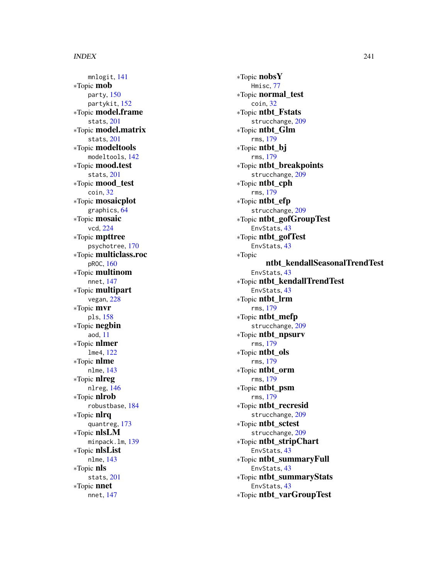mnlogit , [141](#page-140-0) ∗Topic mob party , [150](#page-149-0) partykit , [152](#page-151-0) ∗Topic model.frame stats , [201](#page-200-0) ∗Topic model.matrix stats , [201](#page-200-0) ∗Topic modeltools modeltools , [142](#page-141-0) ∗Topic mood.test stats , [201](#page-200-0) ∗Topic mood\_test coin , [32](#page-31-0) ∗Topic mosaicplot graphics , [64](#page-63-0) ∗Topic mosaic vcd , [224](#page-223-0) ∗Topic mpttree psychotree , [170](#page-169-0) ∗Topic multiclass.roc pROC , [160](#page-159-0) ∗Topic multinom nnet , [147](#page-146-0) ∗Topic multipart vegan , [228](#page-227-0) ∗Topic mvr pls , [158](#page-157-0) ∗Topic negbin aod , [11](#page-10-0) ∗Topic nlmer lme4 , [122](#page-121-0) ∗Topic nlme nlme , [143](#page-142-0) ∗Topic nlreg nlreg , [146](#page-145-0) ∗Topic nlrob robustbase , [184](#page-183-0) ∗Topic nlrq quantreg , [173](#page-172-0) ∗Topic nlsLM minpack.lm , [139](#page-138-0) ∗Topic nlsList nlme , [143](#page-142-0) ∗Topic nls stats , [201](#page-200-0) ∗Topic nnet nnet , [147](#page-146-0)

∗Topic nobsY Hmisc , [77](#page-76-0) ∗Topic normal\_test coin , [32](#page-31-0) ∗Topic ntbt\_Fstats strucchange, [209](#page-208-0) ∗Topic ntbt\_Glm rms , [179](#page-178-0) ∗Topic ntbt\_bj rms , [179](#page-178-0) ∗Topic ntbt\_breakpoints strucchange, [209](#page-208-0) ∗Topic ntbt\_cph rms , [179](#page-178-0) ∗Topic ntbt\_efp strucchange, [209](#page-208-0) ∗Topic ntbt\_gofGroupTest EnvStats, [43](#page-42-0) ∗Topic ntbt\_gofTest EnvStats, [43](#page-42-0) ∗Topic ntbt\_kendallSeasonalTrendTest EnvStats, [43](#page-42-0) ∗Topic ntbt\_kendallTrendTest EnvStats , [43](#page-42-0) ∗Topic ntbt\_lrm rms , [179](#page-178-0) ∗Topic ntbt\_mefp strucchange, [209](#page-208-0) ∗Topic ntbt\_npsurv rms , [179](#page-178-0) ∗Topic ntbt\_ols rms , [179](#page-178-0) ∗Topic ntbt\_orm rms , [179](#page-178-0) ∗Topic ntbt\_psm rms , [179](#page-178-0) ∗Topic ntbt\_recresid strucchange, [209](#page-208-0) ∗Topic ntbt\_sctest strucchange, [209](#page-208-0) ∗Topic ntbt\_stripChart EnvStats, [43](#page-42-0) ∗Topic ntbt\_summaryFull EnvStats, [43](#page-42-0) ∗Topic ntbt\_summaryStats EnvStats, [43](#page-42-0) ∗Topic ntbt\_varGroupTest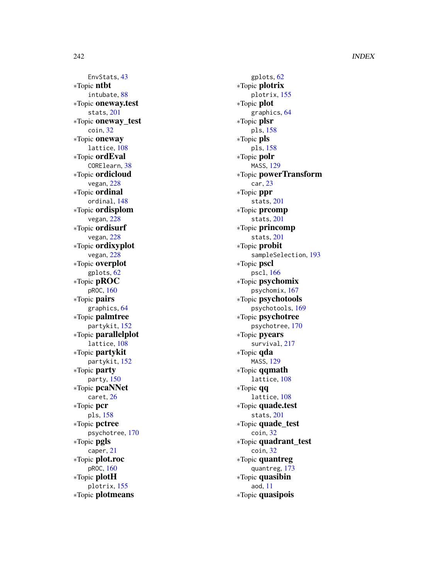EnvStats , [43](#page-42-0) ∗Topic ntbt intubate , [88](#page-87-0) ∗Topic oneway.test stats , [201](#page-200-0) ∗Topic oneway\_test coin , [32](#page-31-0) ∗Topic oneway lattice , [108](#page-107-0) ∗Topic ordEval CORElearn , [38](#page-37-0) ∗Topic ordicloud vegan , [228](#page-227-0) ∗Topic ordinal ordinal , [148](#page-147-0) ∗Topic ordisplom vegan , [228](#page-227-0) ∗Topic ordisurf vegan , [228](#page-227-0) ∗Topic ordixyplot vegan , [228](#page-227-0) ∗Topic overplot gplots , [62](#page-61-0) ∗Topic pROC pROC , [160](#page-159-0) ∗Topic pairs graphics , [64](#page-63-0) ∗Topic palmtree partykit , [152](#page-151-0) ∗Topic parallelplot lattice , [108](#page-107-0) ∗Topic partykit partykit , [152](#page-151-0) ∗Topic party party , [150](#page-149-0) ∗Topic pcaNNet caret , [26](#page-25-0) ∗Topic pcr pls , [158](#page-157-0) ∗Topic pctree psychotree , [170](#page-169-0) ∗Topic pgls caper , [21](#page-20-0) ∗Topic plot.roc pROC , [160](#page-159-0) ∗Topic plotH plotrix , [155](#page-154-0) ∗Topic plotmeans

gplots , [62](#page-61-0) ∗Topic plotrix plotrix , [155](#page-154-0) ∗Topic plot graphics , [64](#page-63-0) ∗Topic plsr pls , [158](#page-157-0) ∗Topic pls pls , [158](#page-157-0) ∗Topic polr MASS , [129](#page-128-0) ∗Topic powerTransform car , [23](#page-22-0) ∗Topic ppr stats , [201](#page-200-0) ∗Topic prcomp stats , [201](#page-200-0) ∗Topic princomp stats , [201](#page-200-0) ∗Topic probit sampleSelection , [193](#page-192-0) ∗Topic pscl pscl , [166](#page-165-0) ∗Topic psychomix psychomix , [167](#page-166-0) ∗Topic psychotools psychotools , [169](#page-168-0) ∗Topic psychotree psychotree , [170](#page-169-0) ∗Topic pyears survival , [217](#page-216-0) ∗Topic qda MASS , [129](#page-128-0) ∗Topic qqmath lattice , [108](#page-107-0) ∗Topic qq lattice , [108](#page-107-0) ∗Topic quade.test stats , [201](#page-200-0) ∗Topic quade\_test coin , [32](#page-31-0) ∗Topic quadrant\_test coin , [32](#page-31-0) ∗Topic quantreg quantreg , [173](#page-172-0) ∗Topic quasibin aod , [11](#page-10-0) ∗Topic quasipois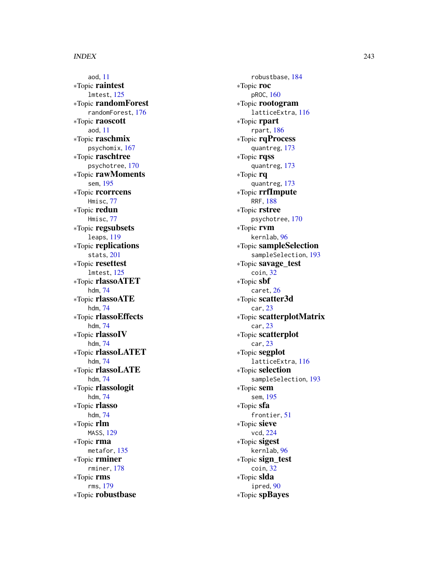aod , [11](#page-10-0) ∗Topic raintest lmtest , [125](#page-124-0) ∗Topic randomForest randomForest , [176](#page-175-0) ∗Topic raoscott aod , [11](#page-10-0) ∗Topic raschmix psychomix , [167](#page-166-0) ∗Topic raschtree psychotree , [170](#page-169-0) ∗Topic rawMoments sem , [195](#page-194-0) ∗Topic rcorrcens Hmisc , [77](#page-76-0) ∗Topic redun Hmisc , [77](#page-76-0) ∗Topic regsubsets leaps , [119](#page-118-0) ∗Topic replications stats , [201](#page-200-0) ∗Topic resettest lmtest , [125](#page-124-0) ∗Topic rlassoATET hdm , [74](#page-73-0) ∗Topic rlassoATE hdm , [74](#page-73-0) ∗Topic rlassoEffects hdm , [74](#page-73-0) ∗Topic rlassoIV hdm , [74](#page-73-0) ∗Topic rlassoLATET hdm , [74](#page-73-0) ∗Topic rlassoLATE hdm , [74](#page-73-0) ∗Topic rlassologit hdm , [74](#page-73-0) ∗Topic rlasso hdm , [74](#page-73-0) ∗Topic rlm MASS , [129](#page-128-0) ∗Topic rma metafor, [135](#page-134-0) ∗Topic rminer rminer , [178](#page-177-0) ∗Topic rms rms , [179](#page-178-0) ∗Topic robustbase

robustbase , [184](#page-183-0) ∗Topic roc pROC , [160](#page-159-0) ∗Topic rootogram latticeExtra , [116](#page-115-0) ∗Topic rpart rpart , [186](#page-185-0) ∗Topic rqProcess quantreg , [173](#page-172-0) ∗Topic rqss quantreg , [173](#page-172-0) ∗Topic rq quantreg , [173](#page-172-0) ∗Topic rrfImpute RRF , [188](#page-187-0) ∗Topic rstree psychotree , [170](#page-169-0) ∗Topic rvm kernlab , [96](#page-95-0) ∗Topic sampleSelection sampleSelection , [193](#page-192-0) ∗Topic savage\_test coin , [32](#page-31-0) ∗Topic sbf caret , [26](#page-25-0) ∗Topic scatter3d car , [23](#page-22-0) ∗Topic scatterplotMatrix car , [23](#page-22-0) ∗Topic scatterplot car , [23](#page-22-0) ∗Topic segplot latticeExtra , [116](#page-115-0) ∗Topic selection sampleSelection , [193](#page-192-0) ∗Topic sem sem , [195](#page-194-0) ∗Topic sfa frontier , [51](#page-50-0) ∗Topic sieve vcd , [224](#page-223-0) ∗Topic sigest kernlab , [96](#page-95-0) ∗Topic sign\_test coin , [32](#page-31-0) ∗Topic slda ipred, [90](#page-89-0) ∗Topic spBayes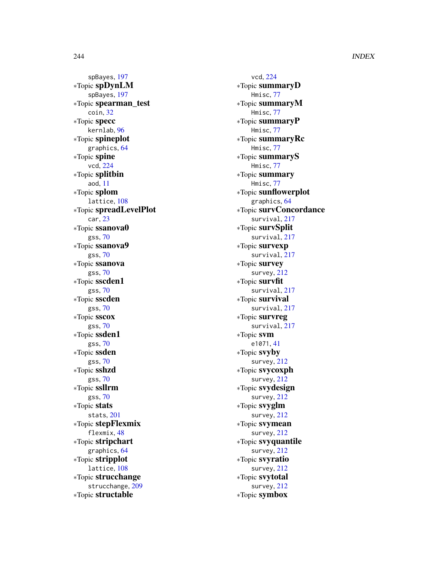spBayes , [197](#page-196-0) ∗Topic spDynLM spBayes , [197](#page-196-0) ∗Topic spearman\_test coin , [32](#page-31-0) ∗Topic specc kernlab , [96](#page-95-0) ∗Topic spineplot graphics , [64](#page-63-0) ∗Topic spine vcd , [224](#page-223-0) ∗Topic splitbin aod , [11](#page-10-0) ∗Topic splom lattice , [108](#page-107-0) ∗Topic spreadLevelPlot car , [23](#page-22-0) ∗Topic ssanova0 gss , [70](#page-69-0) ∗Topic ssanova9 gss , [70](#page-69-0) ∗Topic ssanova gss , [70](#page-69-0) ∗Topic sscden1 gss , [70](#page-69-0) ∗Topic sscden gss , [70](#page-69-0) ∗Topic sscox gss , [70](#page-69-0) ∗Topic ssden1 gss , [70](#page-69-0) ∗Topic ssden gss , [70](#page-69-0) ∗Topic sshzd gss , [70](#page-69-0) ∗Topic ssllrm gss , [70](#page-69-0) ∗Topic stats stats , [201](#page-200-0) ∗Topic stepFlexmix flexmix , [48](#page-47-0) ∗Topic stripchart graphics , [64](#page-63-0) ∗Topic stripplot lattice, [108](#page-107-0) ∗Topic strucchange strucchange , [209](#page-208-0) ∗Topic structable

vcd , [224](#page-223-0) ∗Topic summaryD Hmisc , [77](#page-76-0) ∗Topic summaryM Hmisc , [77](#page-76-0) ∗Topic summaryP Hmisc , [77](#page-76-0) ∗Topic summaryRc Hmisc , [77](#page-76-0) ∗Topic summaryS Hmisc , [77](#page-76-0) ∗Topic summary Hmisc , [77](#page-76-0) ∗Topic sunflowerplot graphics , [64](#page-63-0) ∗Topic survConcordance survival , [217](#page-216-0) ∗Topic survSplit survival , [217](#page-216-0) ∗Topic survexp survival , [217](#page-216-0) ∗Topic survey survey , [212](#page-211-0) ∗Topic survfit survival, [217](#page-216-0) ∗Topic survival survival, [217](#page-216-0) ∗Topic survreg survival, [217](#page-216-0) ∗Topic svm e1071 , [41](#page-40-0) ∗Topic svyby survey , [212](#page-211-0) ∗Topic svycoxph survey , [212](#page-211-0) ∗Topic svydesign survey , [212](#page-211-0) ∗Topic svyglm survey , [212](#page-211-0) ∗Topic svymean survey , [212](#page-211-0) ∗Topic svyquantile survey , [212](#page-211-0) ∗Topic svyratio survey , [212](#page-211-0) ∗Topic svytotal survey , [212](#page-211-0) ∗Topic symbox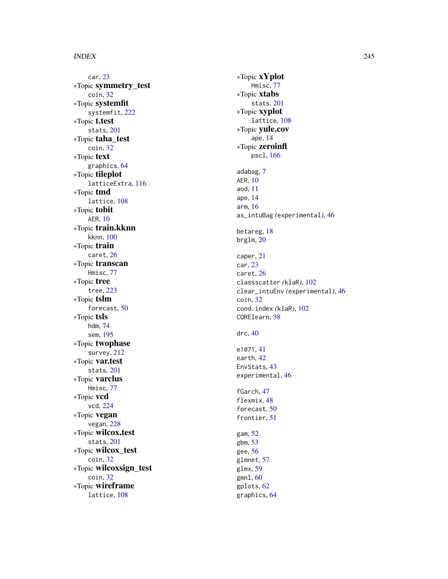car , [23](#page-22-0) ∗Topic symmetry\_test coin , [32](#page-31-0) ∗Topic systemfit systemfit, [222](#page-221-0) ∗Topic t.test stats , [201](#page-200-0) ∗Topic taha\_test coin , [32](#page-31-0) ∗Topic text graphics , [64](#page-63-0) ∗Topic tileplot latticeExtra , [116](#page-115-0) ∗Topic tmd lattice , [108](#page-107-0) ∗Topic tobit AER , [10](#page-9-0) ∗Topic train.kknn kknn , [100](#page-99-0) ∗Topic train caret , [26](#page-25-0) ∗Topic transcan Hmisc , [77](#page-76-0) ∗Topic tree tree , [223](#page-222-0) ∗Topic tslm forecast, [50](#page-49-0) ∗Topic tsls hdm , [74](#page-73-0) sem , [195](#page-194-0) ∗Topic twophase survey , [212](#page-211-0) ∗Topic var.test stats , [201](#page-200-0) ∗Topic varclus Hmisc , [77](#page-76-0) ∗Topic vcd vcd , [224](#page-223-0) ∗Topic vegan vegan , [228](#page-227-0) ∗Topic wilcox.test stats , [201](#page-200-0) ∗Topic wilcox\_test coin , [32](#page-31-0) ∗Topic wilcoxsign\_test coin , [32](#page-31-0) ∗Topic wireframe lattice , [108](#page-107-0)

∗Topic xYplot Hmisc , [77](#page-76-0) ∗Topic xtabs stats , [201](#page-200-0) ∗Topic xyplot lattice , [108](#page-107-0) ∗Topic yule.cov ape , [14](#page-13-0) ∗Topic zeroinfl pscl , [166](#page-165-0) adabag , [7](#page-6-0) AER , [10](#page-9-0) aod , [11](#page-10-0) ape , [14](#page-13-0) arm , [16](#page-15-0) as\_intuBag *(*experimental *)* , [46](#page-45-0) betareg , [18](#page-17-0) brglm , [20](#page-19-0) caper , [21](#page-20-0) car , [23](#page-22-0) caret , [26](#page-25-0) classscatter *(*klaR *)* , [102](#page-101-0) clear\_intuEnv *(*experimental *)* , [46](#page-45-0) coin , [32](#page-31-0) cond.index *(*klaR *)* , [102](#page-101-0) CORElearn , [38](#page-37-0) drc , [40](#page-39-0) e1071 , [41](#page-40-0) earth , [42](#page-41-0) EnvStats , [43](#page-42-0) experimental , [46](#page-45-0) fGarch , [47](#page-46-0) flexmix, [48](#page-47-0) forecast, [50](#page-49-0) frontier, [51](#page-50-0) gam , [52](#page-51-0) gbm , [53](#page-52-0) gee, <mark>[56](#page-55-0)</mark> glmnet, [57](#page-56-0) glmx , [59](#page-58-0) gmnl , [60](#page-59-0) gplots , [62](#page-61-0) graphics , [64](#page-63-0)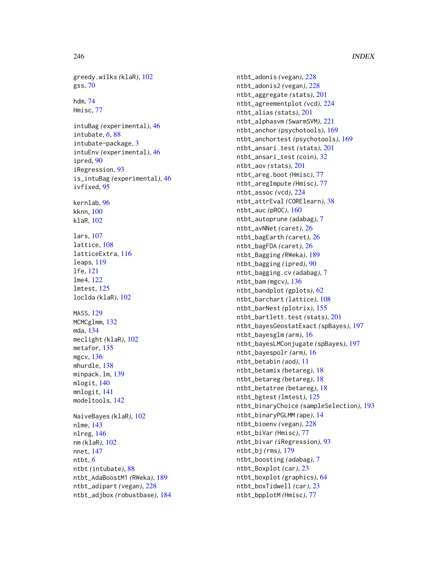```
greedy.wilks
(klaR
)
, 102
gss
, 70
hdm
, 74
Hmisc
, 77
intuBag
(experimental
)
, 46
688
intubate-package
,
3
intuEnv
(experimental
)
, 46
ipred
, 90
iRegression
, 93
is_intuBag
(experimental
)
, 46
ivfixed
, 95
kernlab
, 96
kknn
, 100
klaR
, 102
lars
, 107
lattice
, 108
latticeExtra
, 116
leaps
, 119
lfe
, 121
lme4
, 122
lmtest
, 125
loclda
(klaR
)
, 102
MASS
, 129
132
mda
, 134
meclight
(klaR
)
, 102
135
mgcv
, 136
mhurdle
, 138
minpack.lm
, 139
140
mnlogit
, 141
modeltools
, 142
NaiveBayes
(klaR
)
, 102
nlme
, 143
nlreg
, 146
nm
(klaR
)
, 102
nnet
, 147
ntbt
,
6
ntbt
(intubate
)
, 88
ntbt_AdaBoostM1
(RWeka
)
, 189
ntbt_adipart
(vegan
)
, 228
ntbt_adjbox
(robustbase
)
, 184
```
ntbt\_adonis *(*vegan *)* , [228](#page-227-0) ntbt\_adonis2 *(*vegan *)* , [228](#page-227-0) ntbt\_aggregate *(*stats *)* , [201](#page-200-0) ntbt\_agreementplot *(*vcd *)* , [224](#page-223-0) ntbt\_alias *(*stats *)* , [201](#page-200-0) ntbt\_alphasvm *(*SwarmSVM *)* , [221](#page-220-0) ntbt\_anchor *(*psychotools *)* , [169](#page-168-0) ntbt\_anchortest *(*psychotools *)* , [169](#page-168-0) ntbt\_ansari.test *(*stats *)* , [201](#page-200-0) ntbt\_ansari\_test *(*coin *)* , [32](#page-31-0) ntbt\_aov *(*stats *)* , [201](#page-200-0) ntbt\_areg.boot *(*Hmisc *)* , [77](#page-76-0) ntbt\_aregImpute *(*Hmisc *)* , [77](#page-76-0) ntbt\_assoc *(*vcd *)* , [224](#page-223-0) ntbt\_attrEval *(*CORElearn *)* , [38](#page-37-0) ntbt\_auc *(*pROC *)* , [160](#page-159-0) ntbt\_autoprune *(*adabag *)* , [7](#page-6-0) ntbt\_avNNet *(*caret *)* , [26](#page-25-0) ntbt\_bagEarth *(*caret *)* , [26](#page-25-0) ntbt\_bagFDA *(*caret *)* , [26](#page-25-0) ntbt\_Bagging *(*RWeka *)* , [189](#page-188-0) ntbt\_bagging *(*ipred *)* , [90](#page-89-0) ntbt\_bagging.cv *(*adabag *)* , [7](#page-6-0) ntbt\_bam *(*mgcv *)* , [136](#page-135-0) ntbt\_bandplot *(*gplots *)* , [62](#page-61-0) ntbt\_barchart *(*lattice *)* , [108](#page-107-0) ntbt\_barNest *(*plotrix *)* , [155](#page-154-0) ntbt\_bartlett.test *(*stats *)* , [201](#page-200-0) ntbt\_bayesGeostatExact *(*spBayes *)* , [197](#page-196-0) ntbt\_bayesglm *(*arm *)* , [16](#page-15-0) ntbt\_bayesLMConjugate *(*spBayes *)* , [197](#page-196-0) ntbt\_bayespolr *(*arm *)* , [16](#page-15-0) ntbt\_betabin *(*aod *)* , [11](#page-10-0) ntbt\_betamix *(*betareg *)* , [18](#page-17-0) ntbt\_betareg *(*betareg *)* , [18](#page-17-0) ntbt\_betatree *(*betareg *)* , [18](#page-17-0) ntbt\_bgtest *(*lmtest *)* , [125](#page-124-0) ntbt\_binaryChoice *(*sampleSelection *)* , [193](#page-192-0) ntbt\_binaryPGLMM *(*ape *)* , [14](#page-13-0) ntbt\_bioenv *(*vegan *)* , [228](#page-227-0) ntbt\_biVar *(*Hmisc *)* , [77](#page-76-0) ntbt\_bivar *(*iRegression *)* , [93](#page-92-0) ntbt\_bj *(*rms *)* , [179](#page-178-0) ntbt\_boosting *(*adabag *)* , [7](#page-6-0) ntbt\_Boxplot *(*car *)* , [23](#page-22-0) ntbt\_boxplot *(*graphics *)* , [64](#page-63-0) ntbt\_boxTidwell *(*car *)* , [23](#page-22-0) ntbt\_bpplotM *(*Hmisc *)* , [77](#page-76-0)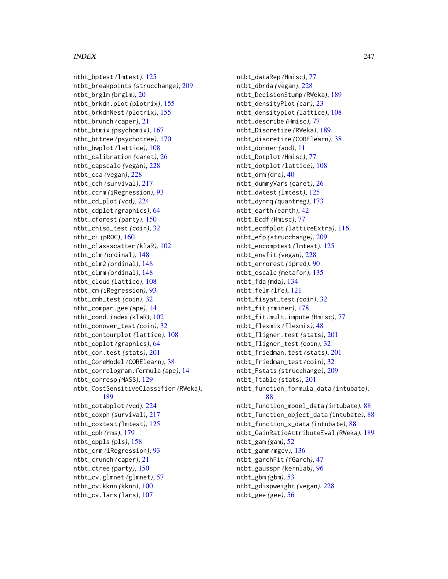ntbt\_bptest *(*lmtest*)*, [125](#page-124-0) ntbt\_breakpoints *(*strucchange*)*, [209](#page-208-0) ntbt\_brglm *(*brglm*)*, [20](#page-19-0) ntbt\_brkdn.plot *(*plotrix*)*, [155](#page-154-0) ntbt\_brkdnNest *(*plotrix*)*, [155](#page-154-0) ntbt\_brunch *(*caper*)*, [21](#page-20-0) ntbt\_btmix *(*psychomix*)*, [167](#page-166-0) ntbt\_bttree *(*psychotree*)*, [170](#page-169-0) ntbt\_bwplot *(*lattice*)*, [108](#page-107-0) ntbt\_calibration *(*caret*)*, [26](#page-25-0) ntbt\_capscale *(*vegan*)*, [228](#page-227-0) ntbt\_cca *(*vegan*)*, [228](#page-227-0) ntbt\_cch *(*survival*)*, [217](#page-216-0) ntbt\_ccrm *(*iRegression*)*, [93](#page-92-0) ntbt\_cd\_plot *(*vcd*)*, [224](#page-223-0) ntbt\_cdplot *(*graphics*)*, [64](#page-63-0) ntbt\_cforest *(*party*)*, [150](#page-149-0) ntbt\_chisq\_test *(*coin*)*, [32](#page-31-0) ntbt\_ci *(*pROC*)*, [160](#page-159-0) ntbt\_classscatter *(*klaR*)*, [102](#page-101-0) ntbt\_clm *(*ordinal*)*, [148](#page-147-0) ntbt\_clm2 *(*ordinal*)*, [148](#page-147-0) ntbt\_clmm *(*ordinal*)*, [148](#page-147-0) ntbt\_cloud *(*lattice*)*, [108](#page-107-0) ntbt\_cm *(*iRegression*)*, [93](#page-92-0) ntbt\_cmh\_test *(*coin*)*, [32](#page-31-0) ntbt\_compar.gee *(*ape*)*, [14](#page-13-0) ntbt\_cond.index *(*klaR*)*, [102](#page-101-0) ntbt\_conover\_test *(*coin*)*, [32](#page-31-0) ntbt\_contourplot *(*lattice*)*, [108](#page-107-0) ntbt\_coplot *(*graphics*)*, [64](#page-63-0) ntbt\_cor.test *(*stats*)*, [201](#page-200-0) ntbt\_CoreModel *(*CORElearn*)*, [38](#page-37-0) ntbt\_correlogram.formula *(*ape*)*, [14](#page-13-0) ntbt\_corresp *(*MASS*)*, [129](#page-128-0) ntbt\_CostSensitiveClassifier *(*RWeka*)*, [189](#page-188-0) ntbt\_cotabplot *(*vcd*)*, [224](#page-223-0) ntbt\_coxph *(*survival*)*, [217](#page-216-0) ntbt\_coxtest *(*lmtest*)*, [125](#page-124-0) ntbt\_cph *(*rms*)*, [179](#page-178-0) ntbt\_cppls *(*pls*)*, [158](#page-157-0) ntbt\_crm *(*iRegression*)*, [93](#page-92-0) ntbt\_crunch *(*caper*)*, [21](#page-20-0) ntbt\_ctree *(*party*)*, [150](#page-149-0) ntbt\_cv.glmnet *(*glmnet*)*, [57](#page-56-0) ntbt\_cv.kknn *(*kknn*)*, [100](#page-99-0) ntbt\_cv.lars *(*lars*)*, [107](#page-106-0)

ntbt\_dataRep *(*Hmisc*)*, [77](#page-76-0) ntbt\_dbrda *(*vegan*)*, [228](#page-227-0) ntbt\_DecisionStump *(*RWeka*)*, [189](#page-188-0) ntbt\_densityPlot *(*car*)*, [23](#page-22-0) ntbt\_densityplot *(*lattice*)*, [108](#page-107-0) ntbt\_describe *(*Hmisc*)*, [77](#page-76-0) ntbt\_Discretize *(*RWeka*)*, [189](#page-188-0) ntbt\_discretize *(*CORElearn*)*, [38](#page-37-0) ntbt\_donner *(*aod*)*, [11](#page-10-0) ntbt\_Dotplot *(*Hmisc*)*, [77](#page-76-0) ntbt\_dotplot *(*lattice*)*, [108](#page-107-0) ntbt\_drm *(*drc*)*, [40](#page-39-0) ntbt\_dummyVars *(*caret*)*, [26](#page-25-0) ntbt\_dwtest *(*lmtest*)*, [125](#page-124-0) ntbt\_dynrq *(*quantreg*)*, [173](#page-172-0) ntbt\_earth *(*earth*)*, [42](#page-41-0) ntbt\_Ecdf *(*Hmisc*)*, [77](#page-76-0) ntbt\_ecdfplot *(*latticeExtra*)*, [116](#page-115-0) ntbt\_efp *(*strucchange*)*, [209](#page-208-0) ntbt\_encomptest *(*lmtest*)*, [125](#page-124-0) ntbt\_envfit *(*vegan*)*, [228](#page-227-0) ntbt\_errorest *(*ipred*)*, [90](#page-89-0) ntbt\_escalc *(*metafor*)*, [135](#page-134-0) ntbt\_fda *(*mda*)*, [134](#page-133-0) ntbt\_felm *(*lfe*)*, [121](#page-120-0) ntbt\_fisyat\_test *(*coin*)*, [32](#page-31-0) ntbt\_fit *(*rminer*)*, [178](#page-177-0) ntbt\_fit.mult.impute *(*Hmisc*)*, [77](#page-76-0) ntbt\_flexmix *(*flexmix*)*, [48](#page-47-0) ntbt\_fligner.test *(*stats*)*, [201](#page-200-0) ntbt\_fligner\_test *(*coin*)*, [32](#page-31-0) ntbt\_friedman.test *(*stats*)*, [201](#page-200-0) ntbt\_friedman\_test *(*coin*)*, [32](#page-31-0) ntbt\_Fstats *(*strucchange*)*, [209](#page-208-0) ntbt\_ftable *(*stats*)*, [201](#page-200-0) ntbt\_function\_formula\_data *(*intubate*)*, [88](#page-87-0) ntbt\_function\_model\_data *(*intubate*)*, [88](#page-87-0) ntbt\_function\_object\_data *(*intubate*)*, [88](#page-87-0) ntbt\_function\_x\_data *(*intubate*)*, [88](#page-87-0) ntbt\_GainRatioAttributeEval *(*RWeka*)*, [189](#page-188-0) ntbt\_gam *(*gam*)*, [52](#page-51-0) ntbt\_gamm *(*mgcv*)*, [136](#page-135-0) ntbt\_garchFit *(*fGarch*)*, [47](#page-46-0) ntbt\_gausspr *(*kernlab*)*, [96](#page-95-0) ntbt\_gbm *(*gbm*)*, [53](#page-52-0) ntbt\_gdispweight *(*vegan*)*, [228](#page-227-0) ntbt\_gee *(*gee*)*, [56](#page-55-0)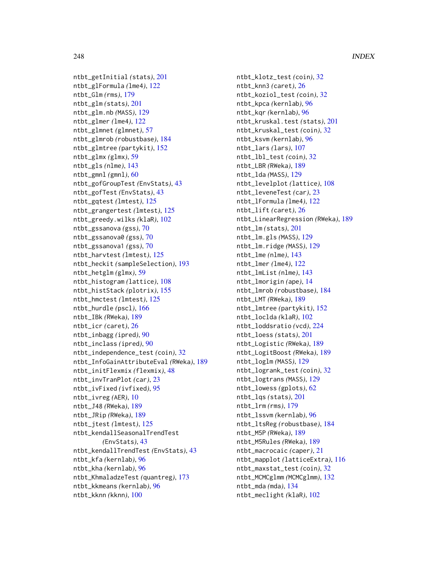ntbt\_getInitial *(*stats*)*, [201](#page-200-0) ntbt\_glFormula *(*lme4*)*, [122](#page-121-0) ntbt\_Glm *(*rms*)*, [179](#page-178-0) ntbt\_glm *(*stats*)*, [201](#page-200-0) ntbt\_glm.nb *(*MASS*)*, [129](#page-128-0) ntbt\_glmer *(*lme4*)*, [122](#page-121-0) ntbt\_glmnet *(*glmnet*)*, [57](#page-56-0) ntbt\_glmrob *(*robustbase*)*, [184](#page-183-0) ntbt\_glmtree *(*partykit*)*, [152](#page-151-0) ntbt\_glmx *(*glmx*)*, [59](#page-58-0) ntbt\_gls *(*nlme*)*, [143](#page-142-0) ntbt\_gmnl *(*gmnl*)*, [60](#page-59-0) ntbt\_gofGroupTest *(*EnvStats*)*, [43](#page-42-0) ntbt\_gofTest *(*EnvStats*)*, [43](#page-42-0) ntbt\_gqtest *(*lmtest*)*, [125](#page-124-0) ntbt\_grangertest *(*lmtest*)*, [125](#page-124-0) ntbt\_greedy.wilks *(*klaR*)*, [102](#page-101-0) ntbt\_gssanova *(*gss*)*, [70](#page-69-0) ntbt\_gssanova0 *(*gss*)*, [70](#page-69-0) ntbt\_gssanova1 *(*gss*)*, [70](#page-69-0) ntbt\_harvtest *(*lmtest*)*, [125](#page-124-0) ntbt\_heckit *(*sampleSelection*)*, [193](#page-192-0) ntbt\_hetglm *(*glmx*)*, [59](#page-58-0) ntbt\_histogram *(*lattice*)*, [108](#page-107-0) ntbt\_histStack *(*plotrix*)*, [155](#page-154-0) ntbt\_hmctest *(*lmtest*)*, [125](#page-124-0) ntbt\_hurdle *(*pscl*)*, [166](#page-165-0) ntbt\_IBk *(*RWeka*)*, [189](#page-188-0) ntbt\_icr *(*caret*)*, [26](#page-25-0) ntbt\_inbagg *(*ipred*)*, [90](#page-89-0) ntbt\_inclass *(*ipred*)*, [90](#page-89-0) ntbt\_independence\_test *(*coin*)*, [32](#page-31-0) ntbt\_InfoGainAttributeEval *(*RWeka*)*, [189](#page-188-0) ntbt\_initFlexmix *(*flexmix*)*, [48](#page-47-0) ntbt\_invTranPlot *(*car*)*, [23](#page-22-0) ntbt\_ivFixed *(*ivfixed*)*, [95](#page-94-0) ntbt\_ivreg *(*AER*)*, [10](#page-9-0) ntbt\_J48 *(*RWeka*)*, [189](#page-188-0) ntbt\_JRip *(*RWeka*)*, [189](#page-188-0) ntbt\_jtest *(*lmtest*)*, [125](#page-124-0) ntbt\_kendallSeasonalTrendTest *(*EnvStats*)*, [43](#page-42-0) ntbt\_kendallTrendTest *(*EnvStats*)*, [43](#page-42-0) ntbt\_kfa *(*kernlab*)*, [96](#page-95-0) ntbt\_kha *(*kernlab*)*, [96](#page-95-0) ntbt\_KhmaladzeTest *(*quantreg*)*, [173](#page-172-0) ntbt\_kkmeans *(*kernlab*)*, [96](#page-95-0) ntbt\_kknn *(*kknn*)*, [100](#page-99-0)

ntbt\_klotz\_test *(*coin*)*, [32](#page-31-0) ntbt\_knn3 *(*caret*)*, [26](#page-25-0) ntbt\_koziol\_test *(*coin*)*, [32](#page-31-0) ntbt\_kpca *(*kernlab*)*, [96](#page-95-0) ntbt\_kqr *(*kernlab*)*, [96](#page-95-0) ntbt\_kruskal.test *(*stats*)*, [201](#page-200-0) ntbt\_kruskal\_test *(*coin*)*, [32](#page-31-0) ntbt\_ksvm *(*kernlab*)*, [96](#page-95-0) ntbt\_lars *(*lars*)*, [107](#page-106-0) ntbt\_lbl\_test *(*coin*)*, [32](#page-31-0) ntbt\_LBR *(*RWeka*)*, [189](#page-188-0) ntbt\_lda *(*MASS*)*, [129](#page-128-0) ntbt\_levelplot *(*lattice*)*, [108](#page-107-0) ntbt\_leveneTest *(*car*)*, [23](#page-22-0) ntbt\_lFormula *(*lme4*)*, [122](#page-121-0) ntbt\_lift *(*caret*)*, [26](#page-25-0) ntbt\_LinearRegression *(*RWeka*)*, [189](#page-188-0) ntbt\_lm *(*stats*)*, [201](#page-200-0) ntbt\_lm.gls *(*MASS*)*, [129](#page-128-0) ntbt\_lm.ridge *(*MASS*)*, [129](#page-128-0) ntbt\_lme *(*nlme*)*, [143](#page-142-0) ntbt\_lmer *(*lme4*)*, [122](#page-121-0) ntbt\_lmList *(*nlme*)*, [143](#page-142-0) ntbt\_lmorigin *(*ape*)*, [14](#page-13-0) ntbt\_lmrob *(*robustbase*)*, [184](#page-183-0) ntbt\_LMT *(*RWeka*)*, [189](#page-188-0) ntbt\_lmtree *(*partykit*)*, [152](#page-151-0) ntbt\_loclda *(*klaR*)*, [102](#page-101-0) ntbt\_loddsratio *(*vcd*)*, [224](#page-223-0) ntbt\_loess *(*stats*)*, [201](#page-200-0) ntbt\_Logistic *(*RWeka*)*, [189](#page-188-0) ntbt\_LogitBoost *(*RWeka*)*, [189](#page-188-0) ntbt\_loglm *(*MASS*)*, [129](#page-128-0) ntbt\_logrank\_test *(*coin*)*, [32](#page-31-0) ntbt\_logtrans *(*MASS*)*, [129](#page-128-0) ntbt\_lowess *(*gplots*)*, [62](#page-61-0) ntbt\_lqs *(*stats*)*, [201](#page-200-0) ntbt\_lrm *(*rms*)*, [179](#page-178-0) ntbt\_lssvm *(*kernlab*)*, [96](#page-95-0) ntbt\_ltsReg *(*robustbase*)*, [184](#page-183-0) ntbt\_M5P *(*RWeka*)*, [189](#page-188-0) ntbt\_M5Rules *(*RWeka*)*, [189](#page-188-0) ntbt\_macrocaic *(*caper*)*, [21](#page-20-0) ntbt\_mapplot *(*latticeExtra*)*, [116](#page-115-0) ntbt\_maxstat\_test *(*coin*)*, [32](#page-31-0) ntbt\_MCMCglmm *(*MCMCglmm*)*, [132](#page-131-0) ntbt\_mda *(*mda*)*, [134](#page-133-0) ntbt\_meclight *(*klaR*)*, [102](#page-101-0)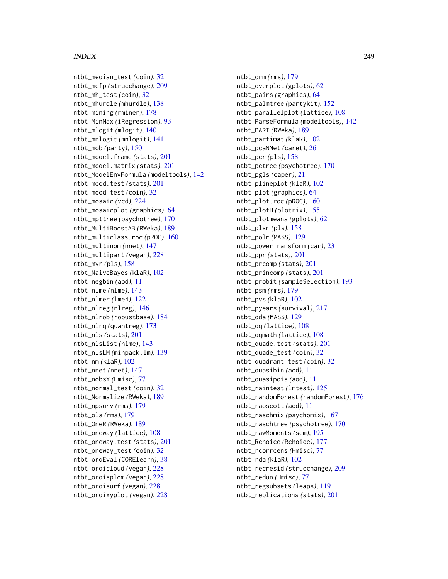ntbt\_median\_test *(*coin*)*, [32](#page-31-0) ntbt\_mefp *(*strucchange*)*, [209](#page-208-0) ntbt\_mh\_test *(*coin*)*, [32](#page-31-0) ntbt\_mhurdle *(*mhurdle*)*, [138](#page-137-0) ntbt\_mining *(*rminer*)*, [178](#page-177-0) ntbt\_MinMax *(*iRegression*)*, [93](#page-92-0) ntbt\_mlogit *(*mlogit*)*, [140](#page-139-0) ntbt\_mnlogit *(*mnlogit*)*, [141](#page-140-0) ntbt\_mob *(*party*)*, [150](#page-149-0) ntbt\_model.frame *(*stats*)*, [201](#page-200-0) ntbt\_model.matrix *(*stats*)*, [201](#page-200-0) ntbt\_ModelEnvFormula *(*modeltools*)*, [142](#page-141-0) ntbt\_mood.test *(*stats*)*, [201](#page-200-0) ntbt\_mood\_test *(*coin*)*, [32](#page-31-0) ntbt\_mosaic *(*vcd*)*, [224](#page-223-0) ntbt\_mosaicplot *(*graphics*)*, [64](#page-63-0) ntbt\_mpttree *(*psychotree*)*, [170](#page-169-0) ntbt\_MultiBoostAB *(*RWeka*)*, [189](#page-188-0) ntbt\_multiclass.roc *(*pROC*)*, [160](#page-159-0) ntbt\_multinom *(*nnet*)*, [147](#page-146-0) ntbt\_multipart *(*vegan*)*, [228](#page-227-0) ntbt\_mvr *(*pls*)*, [158](#page-157-0) ntbt\_NaiveBayes *(*klaR*)*, [102](#page-101-0) ntbt\_negbin *(*aod*)*, [11](#page-10-0) ntbt\_nlme *(*nlme*)*, [143](#page-142-0) ntbt\_nlmer *(*lme4*)*, [122](#page-121-0) ntbt\_nlreg *(*nlreg*)*, [146](#page-145-0) ntbt\_nlrob *(*robustbase*)*, [184](#page-183-0) ntbt\_nlrq *(*quantreg*)*, [173](#page-172-0) ntbt\_nls *(*stats*)*, [201](#page-200-0) ntbt\_nlsList *(*nlme*)*, [143](#page-142-0) ntbt\_nlsLM *(*minpack.lm*)*, [139](#page-138-0) ntbt\_nm *(*klaR*)*, [102](#page-101-0) ntbt\_nnet *(*nnet*)*, [147](#page-146-0) ntbt\_nobsY *(*Hmisc*)*, [77](#page-76-0) ntbt\_normal\_test *(*coin*)*, [32](#page-31-0) ntbt\_Normalize *(*RWeka*)*, [189](#page-188-0) ntbt\_npsurv *(*rms*)*, [179](#page-178-0) ntbt\_ols *(*rms*)*, [179](#page-178-0) ntbt\_OneR *(*RWeka*)*, [189](#page-188-0) ntbt\_oneway *(*lattice*)*, [108](#page-107-0) ntbt\_oneway.test *(*stats*)*, [201](#page-200-0) ntbt\_oneway\_test *(*coin*)*, [32](#page-31-0) ntbt\_ordEval *(*CORElearn*)*, [38](#page-37-0) ntbt\_ordicloud *(*vegan*)*, [228](#page-227-0) ntbt\_ordisplom *(*vegan*)*, [228](#page-227-0) ntbt\_ordisurf *(*vegan*)*, [228](#page-227-0) ntbt\_ordixyplot *(*vegan*)*, [228](#page-227-0)

ntbt\_orm *(*rms*)*, [179](#page-178-0) ntbt\_overplot *(*gplots*)*, [62](#page-61-0) ntbt\_pairs *(*graphics*)*, [64](#page-63-0) ntbt\_palmtree *(*partykit*)*, [152](#page-151-0) ntbt\_parallelplot *(*lattice*)*, [108](#page-107-0) ntbt\_ParseFormula *(*modeltools*)*, [142](#page-141-0) ntbt\_PART *(*RWeka*)*, [189](#page-188-0) ntbt\_partimat *(*klaR*)*, [102](#page-101-0) ntbt\_pcaNNet *(*caret*)*, [26](#page-25-0) ntbt\_pcr *(*pls*)*, [158](#page-157-0) ntbt\_pctree *(*psychotree*)*, [170](#page-169-0) ntbt\_pgls *(*caper*)*, [21](#page-20-0) ntbt\_plineplot *(*klaR*)*, [102](#page-101-0) ntbt\_plot *(*graphics*)*, [64](#page-63-0) ntbt\_plot.roc *(*pROC*)*, [160](#page-159-0) ntbt\_plotH *(*plotrix*)*, [155](#page-154-0) ntbt\_plotmeans *(*gplots*)*, [62](#page-61-0) ntbt\_plsr *(*pls*)*, [158](#page-157-0) ntbt\_polr *(*MASS*)*, [129](#page-128-0) ntbt\_powerTransform *(*car*)*, [23](#page-22-0) ntbt\_ppr *(*stats*)*, [201](#page-200-0) ntbt\_prcomp *(*stats*)*, [201](#page-200-0) ntbt\_princomp *(*stats*)*, [201](#page-200-0) ntbt\_probit *(*sampleSelection*)*, [193](#page-192-0) ntbt\_psm *(*rms*)*, [179](#page-178-0) ntbt\_pvs *(*klaR*)*, [102](#page-101-0) ntbt\_pyears *(*survival*)*, [217](#page-216-0) ntbt\_qda *(*MASS*)*, [129](#page-128-0) ntbt\_qq *(*lattice*)*, [108](#page-107-0) ntbt\_qqmath *(*lattice*)*, [108](#page-107-0) ntbt\_quade.test *(*stats*)*, [201](#page-200-0) ntbt\_quade\_test *(*coin*)*, [32](#page-31-0) ntbt\_quadrant\_test *(*coin*)*, [32](#page-31-0) ntbt\_quasibin *(*aod*)*, [11](#page-10-0) ntbt\_quasipois *(*aod*)*, [11](#page-10-0) ntbt\_raintest *(*lmtest*)*, [125](#page-124-0) ntbt\_randomForest *(*randomForest*)*, [176](#page-175-0) ntbt\_raoscott *(*aod*)*, [11](#page-10-0) ntbt\_raschmix *(*psychomix*)*, [167](#page-166-0) ntbt\_raschtree *(*psychotree*)*, [170](#page-169-0) ntbt\_rawMoments *(*sem*)*, [195](#page-194-0) ntbt\_Rchoice *(*Rchoice*)*, [177](#page-176-0) ntbt\_rcorrcens *(*Hmisc*)*, [77](#page-76-0) ntbt\_rda *(*klaR*)*, [102](#page-101-0) ntbt\_recresid *(*strucchange*)*, [209](#page-208-0) ntbt\_redun *(*Hmisc*)*, [77](#page-76-0) ntbt\_regsubsets *(*leaps*)*, [119](#page-118-0) ntbt\_replications *(*stats*)*, [201](#page-200-0)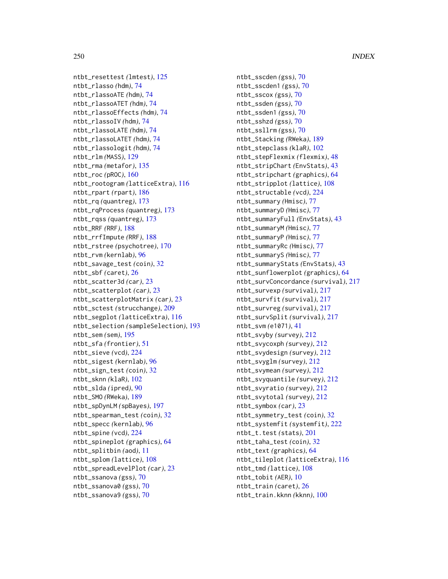ntbt\_resettest *(*lmtest*)*, [125](#page-124-0) ntbt\_rlasso *(*hdm*)*, [74](#page-73-0) ntbt\_rlassoATE *(*hdm*)*, [74](#page-73-0) ntbt\_rlassoATET *(*hdm*)*, [74](#page-73-0) ntbt\_rlassoEffects *(*hdm*)*, [74](#page-73-0) ntbt\_rlassoIV *(*hdm*)*, [74](#page-73-0) ntbt\_rlassoLATE *(*hdm*)*, [74](#page-73-0) ntbt\_rlassoLATET *(*hdm*)*, [74](#page-73-0) ntbt\_rlassologit *(*hdm*)*, [74](#page-73-0) ntbt\_rlm *(*MASS*)*, [129](#page-128-0) ntbt\_rma *(*metafor*)*, [135](#page-134-0) ntbt\_roc *(*pROC*)*, [160](#page-159-0) ntbt\_rootogram *(*latticeExtra*)*, [116](#page-115-0) ntbt\_rpart *(*rpart*)*, [186](#page-185-0) ntbt\_rq *(*quantreg*)*, [173](#page-172-0) ntbt\_rqProcess *(*quantreg*)*, [173](#page-172-0) ntbt\_rqss *(*quantreg*)*, [173](#page-172-0) ntbt\_RRF *(*RRF*)*, [188](#page-187-0) ntbt\_rrfImpute *(*RRF*)*, [188](#page-187-0) ntbt\_rstree *(*psychotree*)*, [170](#page-169-0) ntbt\_rvm *(*kernlab*)*, [96](#page-95-0) ntbt\_savage\_test *(*coin*)*, [32](#page-31-0) ntbt\_sbf *(*caret*)*, [26](#page-25-0) ntbt\_scatter3d *(*car*)*, [23](#page-22-0) ntbt\_scatterplot *(*car*)*, [23](#page-22-0) ntbt\_scatterplotMatrix *(*car*)*, [23](#page-22-0) ntbt\_sctest *(*strucchange*)*, [209](#page-208-0) ntbt\_segplot *(*latticeExtra*)*, [116](#page-115-0) ntbt\_selection *(*sampleSelection*)*, [193](#page-192-0) ntbt\_sem *(*sem*)*, [195](#page-194-0) ntbt\_sfa *(*frontier*)*, [51](#page-50-0) ntbt\_sieve *(*vcd*)*, [224](#page-223-0) ntbt\_sigest *(*kernlab*)*, [96](#page-95-0) ntbt\_sign\_test *(*coin*)*, [32](#page-31-0) ntbt\_sknn *(*klaR*)*, [102](#page-101-0) ntbt\_slda *(*ipred*)*, [90](#page-89-0) ntbt\_SMO *(*RWeka*)*, [189](#page-188-0) ntbt\_spDynLM *(*spBayes*)*, [197](#page-196-0) ntbt\_spearman\_test *(*coin*)*, [32](#page-31-0) ntbt\_specc *(*kernlab*)*, [96](#page-95-0) ntbt\_spine *(*vcd*)*, [224](#page-223-0) ntbt\_spineplot *(*graphics*)*, [64](#page-63-0) ntbt\_splitbin *(*aod*)*, [11](#page-10-0) ntbt\_splom *(*lattice*)*, [108](#page-107-0) ntbt\_spreadLevelPlot *(*car*)*, [23](#page-22-0) ntbt\_ssanova *(*gss*)*, [70](#page-69-0) ntbt\_ssanova0 *(*gss*)*, [70](#page-69-0) ntbt\_ssanova9 *(*gss*)*, [70](#page-69-0)

ntbt\_sscden *(*gss*)*, [70](#page-69-0) ntbt\_sscden1 *(*gss*)*, [70](#page-69-0) ntbt\_sscox *(*gss*)*, [70](#page-69-0) ntbt\_ssden *(*gss*)*, [70](#page-69-0) ntbt\_ssden1 *(*gss*)*, [70](#page-69-0) ntbt\_sshzd *(*gss*)*, [70](#page-69-0) ntbt\_ssllrm *(*gss*)*, [70](#page-69-0) ntbt\_Stacking *(*RWeka*)*, [189](#page-188-0) ntbt\_stepclass *(*klaR*)*, [102](#page-101-0) ntbt\_stepFlexmix *(*flexmix*)*, [48](#page-47-0) ntbt\_stripChart *(*EnvStats*)*, [43](#page-42-0) ntbt\_stripchart *(*graphics*)*, [64](#page-63-0) ntbt\_stripplot *(*lattice*)*, [108](#page-107-0) ntbt\_structable *(*vcd*)*, [224](#page-223-0) ntbt\_summary *(*Hmisc*)*, [77](#page-76-0) ntbt\_summaryD *(*Hmisc*)*, [77](#page-76-0) ntbt\_summaryFull *(*EnvStats*)*, [43](#page-42-0) ntbt\_summaryM *(*Hmisc*)*, [77](#page-76-0) ntbt\_summaryP *(*Hmisc*)*, [77](#page-76-0) ntbt\_summaryRc *(*Hmisc*)*, [77](#page-76-0) ntbt\_summaryS *(*Hmisc*)*, [77](#page-76-0) ntbt\_summaryStats *(*EnvStats*)*, [43](#page-42-0) ntbt\_sunflowerplot *(*graphics*)*, [64](#page-63-0) ntbt\_survConcordance *(*survival*)*, [217](#page-216-0) ntbt\_survexp *(*survival*)*, [217](#page-216-0) ntbt\_survfit *(*survival*)*, [217](#page-216-0) ntbt\_survreg *(*survival*)*, [217](#page-216-0) ntbt\_survSplit *(*survival*)*, [217](#page-216-0) ntbt\_svm *(*e1071*)*, [41](#page-40-0) ntbt\_svyby *(*survey*)*, [212](#page-211-0) ntbt\_svycoxph *(*survey*)*, [212](#page-211-0) ntbt\_svydesign *(*survey*)*, [212](#page-211-0) ntbt\_svyglm *(*survey*)*, [212](#page-211-0) ntbt\_svymean *(*survey*)*, [212](#page-211-0) ntbt\_svyquantile *(*survey*)*, [212](#page-211-0) ntbt\_svyratio *(*survey*)*, [212](#page-211-0) ntbt\_svytotal *(*survey*)*, [212](#page-211-0) ntbt\_symbox *(*car*)*, [23](#page-22-0) ntbt\_symmetry\_test *(*coin*)*, [32](#page-31-0) ntbt\_systemfit *(*systemfit*)*, [222](#page-221-0) ntbt\_t.test *(*stats*)*, [201](#page-200-0) ntbt\_taha\_test *(*coin*)*, [32](#page-31-0) ntbt\_text *(*graphics*)*, [64](#page-63-0) ntbt\_tileplot *(*latticeExtra*)*, [116](#page-115-0) ntbt\_tmd *(*lattice*)*, [108](#page-107-0) ntbt\_tobit *(*AER*)*, [10](#page-9-0) ntbt\_train *(*caret*)*, [26](#page-25-0) ntbt\_train.kknn *(*kknn*)*, [100](#page-99-0)